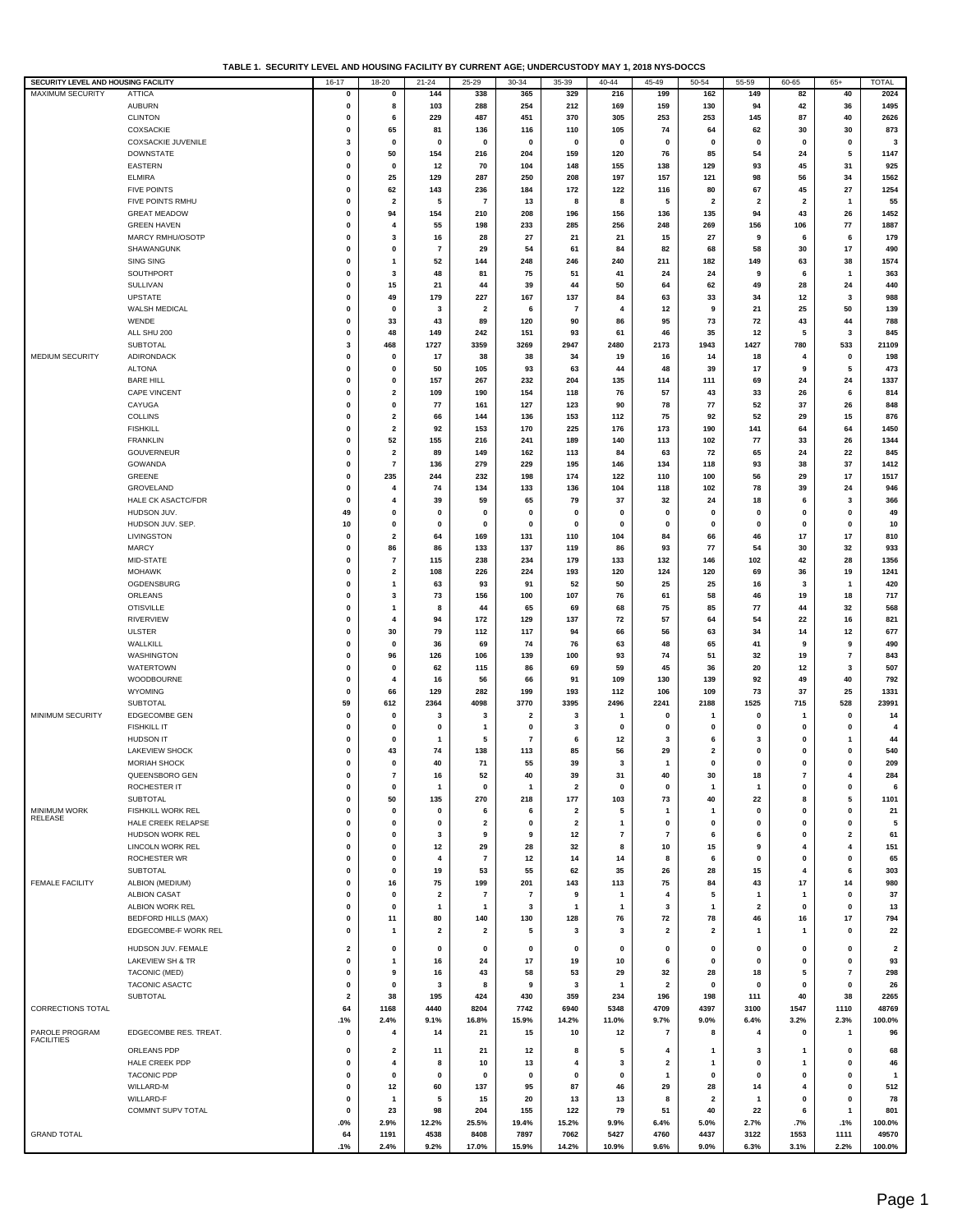**TABLE 1. SECURITY LEVEL AND HOUSING FACILITY BY CURRENT AGE; UNDERCUSTODY MAY 1, 2018 NYS-DOCCS**

| SECURITY LEVEL AND HOUSING FACILITY |                             | $16-17$                 | $18 - 20$               | $21 - 24$               | 25-29                   | $30 - 34$      | 35-39                    | $40 - 44$               | 45-49          | $50 - 54$               | 55-59                   | 60-65                   | $65+$                   | <b>TOTAL</b>            |
|-------------------------------------|-----------------------------|-------------------------|-------------------------|-------------------------|-------------------------|----------------|--------------------------|-------------------------|----------------|-------------------------|-------------------------|-------------------------|-------------------------|-------------------------|
| <b>MAXIMUM SECURITY</b>             | <b>ATTICA</b>               | $\mathbf 0$             | 0                       | 144                     | 338                     | 365            | 329                      | 216                     | 199            | 162                     | 149                     | 82                      | 40                      | 2024                    |
|                                     | <b>AUBURN</b>               | 0                       | 8                       | 103                     | 288                     | 254            | 212                      | 169                     | 159            | 130                     | 94                      | 42                      | 36                      | 1495                    |
|                                     | <b>CLINTON</b>              | $\mathbf 0$             |                         |                         | 487                     |                |                          |                         | 253            |                         |                         | 87                      | 40                      |                         |
|                                     |                             |                         | 6                       | 229                     |                         | 451            | 370                      | 305                     |                | 253                     | 145                     |                         |                         | 2626                    |
|                                     | COXSACKIE                   | 0                       | 65                      | 81                      | 136                     | 116            | 110                      | 105                     | 74             | 64                      | 62                      | 30                      | 30                      | 873                     |
|                                     | <b>COXSACKIE JUVENILE</b>   | 3                       | $\mathbf 0$             | $\mathbf 0$             | $\mathbf 0$             | 0              | $\mathbf 0$              | $\mathbf 0$             | $\mathbf 0$    | $\mathbf 0$             | 0                       | $\mathbf 0$             | $\mathbf 0$             | 3                       |
|                                     | <b>DOWNSTATE</b>            | 0                       | 50                      | 154                     | 216                     | 204            | 159                      | 120                     | 76             | 85                      | 54                      | 24                      | 5                       | 1147                    |
|                                     | <b>EASTERN</b>              | $\mathbf 0$             | $\mathbf 0$             | 12                      | 70                      | 104            | 148                      | 155                     | 138            | 129                     | 93                      | 45                      | 31                      | 925                     |
|                                     | <b>ELMIRA</b>               | $\mathbf 0$             | 25                      | 129                     | 287                     | 250            | 208                      | 197                     | 157            | 121                     | 98                      | 56                      | 34                      | 1562                    |
|                                     | <b>FIVE POINTS</b>          | $\mathbf 0$             | 62                      | 143                     | 236                     | 184            | 172                      | 122                     | 116            | 80                      | 67                      | 45                      | 27                      | 1254                    |
|                                     | FIVE POINTS RMHU            | 0                       | $\overline{2}$          | 5                       | $\overline{7}$          | 13             | 8                        | 8                       | 5              | $\overline{\mathbf{2}}$ | $\overline{\mathbf{2}}$ | $\overline{\mathbf{2}}$ | $\overline{\mathbf{1}}$ | 55                      |
|                                     |                             |                         |                         |                         |                         |                |                          |                         |                |                         |                         |                         |                         |                         |
|                                     | <b>GREAT MEADOW</b>         | 0                       | 94                      | 154                     | 210                     | 208            | 196                      | 156                     | 136            | 135                     | 94                      | 43                      | 26                      | 1452                    |
|                                     | <b>GREEN HAVEN</b>          | $\mathbf 0$             | 4                       | 55                      | 198                     | 233            | 285                      | 256                     | 248            | 269                     | 156                     | 106                     | ${\bf 77}$              | 1887                    |
|                                     | MARCY RMHU/OSOTP            | $\mathbf 0$             | 3                       | 16                      | 28                      | 27             | 21                       | 21                      | 15             | 27                      | 9                       | 6                       | 6                       | 179                     |
|                                     | SHAWANGUNK                  | $\mathbf 0$             | 0                       | $\overline{7}$          | 29                      | 54             | 61                       | 84                      | 82             | 68                      | 58                      | 30                      | 17                      | 490                     |
|                                     | <b>SING SING</b>            | $\mathbf 0$             | 1                       | 52                      | 144                     | 248            | 246                      | 240                     | 211            | 182                     | 149                     | 63                      | 38                      | 1574                    |
|                                     | SOUTHPORT                   | $\mathbf 0$             | 3                       | 48                      | 81                      | 75             | 51                       | 41                      | 24             | 24                      | 9                       | 6                       | $\overline{\mathbf{1}}$ | 363                     |
|                                     |                             |                         |                         |                         |                         |                |                          |                         |                |                         |                         |                         |                         |                         |
|                                     | SULLIVAN                    | 0                       | 15                      | 21                      | 44                      | 39             | 44                       | 50                      | 64             | 62                      | 49                      | 28                      | 24                      | 440                     |
|                                     | <b>UPSTATE</b>              | $\mathbf 0$             | 49                      | 179                     | 227                     | 167            | 137                      | 84                      | 63             | 33                      | 34                      | 12                      | 3                       | 988                     |
|                                     | WALSH MEDICAL               | $\mathbf 0$             | 0                       | 3                       | $\overline{\mathbf{2}}$ | 6              | $\overline{\phantom{a}}$ | $\overline{4}$          | 12             | 9                       | 21                      | 25                      | 50                      | 139                     |
|                                     | WENDE                       | 0                       | 33                      | 43                      | 89                      | 120            | 90                       | 86                      | 95             | 73                      | 72                      | 43                      | 44                      | 788                     |
|                                     | ALL SHU 200                 | 0                       | 48                      | 149                     | 242                     | 151            | 93                       | 61                      | 46             | 35                      | 12                      | 5                       | 3                       | 845                     |
|                                     | SUBTOTAL                    | 3                       | 468                     | 1727                    | 3359                    | 3269           | 2947                     | 2480                    | 2173           | 1943                    | 1427                    | 780                     | 533                     | 21109                   |
| MEDIUM SECURITY                     | <b>ADIRONDACK</b>           | $\mathbf 0$             | $\mathbf 0$             | 17                      | 38                      | 38             | 34                       | 19                      | 16             | 14                      | 18                      | 4                       | $\mathbf 0$             | 198                     |
|                                     |                             |                         |                         |                         |                         |                |                          |                         |                |                         |                         |                         |                         |                         |
|                                     | <b>ALTONA</b>               | $\mathbf 0$             | $\mathbf 0$             | 50                      | 105                     | 93             | 63                       | 44                      | 48             | 39                      | 17                      | 9                       | 5                       | 473                     |
|                                     | <b>BARE HILL</b>            | 0                       | $\mathbf 0$             | 157                     | 267                     | 232            | 204                      | 135                     | 114            | 111                     | 69                      | 24                      | 24                      | 1337                    |
|                                     | CAPE VINCENT                | $\mathbf 0$             | 2                       | 109                     | 190                     | 154            | 118                      | 76                      | 57             | 43                      | 33                      | 26                      | 6                       | 814                     |
|                                     | CAYUGA                      | 0                       | 0                       | 77                      | 161                     | 127            | 123                      | 90                      | 78             | 77                      | 52                      | 37                      | 26                      | 848                     |
|                                     | <b>COLLINS</b>              | 0                       | $\mathbf{2}$            | 66                      | 144                     | 136            | 153                      | 112                     | 75             | 92                      | 52                      | 29                      | 15                      | 876                     |
|                                     | <b>FISHKILL</b>             | 0                       | $\mathbf{2}$            | 92                      | 153                     | 170            | 225                      | 176                     | 173            | 190                     | 141                     | 64                      | 64                      | 1450                    |
|                                     | <b>FRANKLIN</b>             | $\mathbf 0$             | 52                      | 155                     | 216                     | 241            | 189                      | 140                     | 113            | 102                     | 77                      | 33                      | 26                      | 1344                    |
|                                     | GOUVERNEUR                  | $\mathbf 0$             | $\overline{\mathbf{2}}$ | 89                      | 149                     | 162            | 113                      | 84                      | 63             | 72                      | 65                      | 24                      | 22                      | 845                     |
|                                     | GOWANDA                     |                         |                         |                         |                         |                |                          |                         |                |                         |                         |                         |                         |                         |
|                                     |                             | $\mathbf 0$             | $\overline{7}$          | 136                     | 279                     | 229            | 195                      | 146                     | 134            | 118                     | 93                      | 38                      | 37                      | 1412                    |
|                                     | GREENE                      | $\mathbf 0$             | 235                     | 244                     | 232                     | 198            | 174                      | 122                     | 110            | 100                     | 56                      | 29                      | 17                      | 1517                    |
|                                     | GROVELAND                   | $\mathbf 0$             | 4                       | 74                      | 134                     | 133            | 136                      | 104                     | 118            | 102                     | 78                      | 39                      | 24                      | 946                     |
|                                     | HALE CK ASACTC/FDR          | $\mathbf 0$             | 4                       | 39                      | 59                      | 65             | 79                       | 37                      | 32             | 24                      | 18                      | 6                       | 3                       | 366                     |
|                                     | HUDSON JUV.                 | 49                      | 0                       | $\mathbf 0$             | $\mathbf 0$             | 0              | 0                        | 0                       | 0              | $\mathbf 0$             | 0                       | $\mathbf 0$             | 0                       | 49                      |
|                                     | HUDSON JUV. SEP.            | 10                      | 0                       | $\mathbf 0$             | $\mathbf 0$             | 0              | 0                        | 0                       | 0              | $\mathbf 0$             | 0                       | $\mathbf 0$             | 0                       | 10                      |
|                                     | LIVINGSTON                  | 0                       | $\overline{2}$          | 64                      | 169                     | 131            | 110                      | 104                     | 84             | 66                      | 46                      | 17                      | 17                      | 810                     |
|                                     |                             |                         |                         |                         |                         |                |                          |                         |                |                         |                         |                         |                         |                         |
|                                     | <b>MARCY</b>                | $\mathbf 0$             | 86                      | 86                      | 133                     | 137            | 119                      | 86                      | 93             | 77                      | 54                      | 30                      | 32                      | 933                     |
|                                     | MID-STATE                   | $\mathbf 0$             | $\overline{7}$          | 115                     | 238                     | 234            | 179                      | 133                     | 132            | 146                     | 102                     | 42                      | 28                      | 1356                    |
|                                     | <b>MOHAWK</b>               | $\mathbf 0$             | $\overline{\mathbf{2}}$ | 108                     | 226                     | 224            | 193                      | 120                     | 124            | 120                     | 69                      | 36                      | 19                      | 1241                    |
|                                     | OGDENSBURG                  | $\mathbf 0$             | $\mathbf{1}$            | 63                      | 93                      | 91             | 52                       | 50                      | 25             | 25                      | 16                      | 3                       | $\overline{\mathbf{1}}$ | 420                     |
|                                     | ORLEANS                     | 0                       | 3                       | 73                      | 156                     | 100            | 107                      | 76                      | 61             | 58                      | 46                      | 19                      | 18                      | 717                     |
|                                     | <b>OTISVILLE</b>            | $\mathbf 0$             | 1                       | 8                       | 44                      | 65             | 69                       | 68                      | 75             | 85                      | 77                      | 44                      | 32                      | 568                     |
|                                     | <b>RIVERVIEW</b>            | $\mathbf 0$             | 4                       | 94                      | 172                     | 129            | 137                      | 72                      | 57             | 64                      | 54                      | 22                      | 16                      | 821                     |
|                                     | <b>ULSTER</b>               | 0                       | 30                      | 79                      | 112                     | 117            | 94                       | 66                      | 56             | 63                      | 34                      | 14                      | 12                      | 677                     |
|                                     |                             |                         |                         |                         |                         |                |                          |                         |                |                         |                         |                         |                         |                         |
|                                     | WALLKILL                    | $\mathbf 0$             | $\mathbf 0$             | 36                      | 69                      | 74             | 76                       | 63                      | 48             | 65                      | 41                      | 9                       | 9                       | 490                     |
|                                     | WASHINGTON                  | $\mathbf 0$             | 96                      | 126                     | 106                     | 139            | 100                      | 93                      | 74             | 51                      | 32                      | 19                      | $\overline{7}$          | 843                     |
|                                     | WATERTOWN                   | $\mathbf 0$             | $\mathbf 0$             | 62                      | 115                     | 86             | 69                       | 59                      | 45             | 36                      | 20                      | 12                      | 3                       | 507                     |
|                                     | WOODBOURNE                  | $\mathbf 0$             | 4                       | 16                      | 56                      | 66             | 91                       | 109                     | 130            | 139                     | 92                      | 49                      | 40                      | 792                     |
|                                     | <b>WYOMING</b>              | $\mathbf{0}$            | 66                      | 129                     | 282                     | 199            | 193                      | 112                     | 106            | 109                     | 73                      | 37                      | 25                      | 1331                    |
|                                     | SUBTOTAL                    | 59                      | 612                     | 2364                    | 4098                    | 3770           | 3395                     | 2496                    | 2241           | 2188                    | 1525                    | 715                     | 528                     | 23991                   |
| MINIMUM SECURITY                    | <b>EDGECOMBE GEN</b>        | $\mathbf 0$             | 0                       | 3                       | 3                       | 2              | 3                        | $\overline{\mathbf{1}}$ | 0              | -1                      | 0                       | -1                      | 0                       | 14                      |
|                                     |                             |                         |                         |                         |                         |                |                          |                         |                |                         |                         |                         |                         |                         |
|                                     | <b>FISHKILL IT</b>          | $\mathbf 0$             | 0                       | 0                       |                         | $\mathbf 0$    | 3                        | $\mathbf 0$             | $\mathbf 0$    | $\mathbf{0}$            | 0                       | $\mathbf 0$             | 0                       | 4                       |
|                                     | <b>HUDSON IT</b>            | $\mathbf 0$             | 0                       | 1                       | 5                       | $\overline{7}$ | 6                        | 12                      | 3              | 6                       | 3                       | $\mathbf 0$             | 1                       | 44                      |
|                                     | <b>LAKEVIEW SHOCK</b>       | $\mathbf 0$             | 43                      | 74                      | 138                     | 113            | 85                       | 56                      | 29             | $\overline{\mathbf{2}}$ | $\mathbf 0$             | $\mathbf 0$             | 0                       | 540                     |
|                                     | MORIAH SHOCK                | 0                       | $\mathbf{0}$            | 40                      | 71                      | 55             | 39                       | 3                       | 1              | 0                       | $\mathbf 0$             | $\mathbf 0$             | $\mathbf 0$             | 209                     |
|                                     | QUEENSBORO GEN              | $\mathbf 0$             | 7                       | 16                      | 52                      | 40             | 39                       | 31                      | 40             | 30                      | 18                      |                         | $\overline{4}$          | 284                     |
|                                     | ROCHESTER IT                | 0                       | $\mathbf 0$             | -1                      | $\mathbf 0$             | 1              | $\overline{\mathbf{2}}$  | $\mathbf 0$             | 0              | -1                      | -1                      | 0                       | $\pmb{0}$               | 6                       |
|                                     | <b>SUBTOTAL</b>             | 0                       | 50                      | 135                     | 270                     | 218            | 177                      | 103                     | 73             | 40                      | 22                      | 8                       | 5                       | 1101                    |
| MINIMUM WORK                        | FISHKILL WORK REL           | 0                       | $\mathbf 0$             | 0                       | 6                       | 6              | $\overline{\mathbf{2}}$  | 5                       | 1              | $\mathbf{1}$            | 0                       | 0                       | 0                       | 21                      |
| RELEASE                             | HALE CREEK RELAPSE          | 0                       | 0                       | $\mathbf 0$             |                         |                | $\overline{\mathbf{2}}$  |                         |                |                         | 0                       | 0                       | 0                       | 5                       |
|                                     |                             |                         |                         |                         | $\overline{\mathbf{2}}$ | 0              |                          | $\mathbf{1}$            | 0              | 0                       |                         |                         |                         |                         |
|                                     | HUDSON WORK REL             | $\mathbf 0$             | 0                       | 3                       | 9                       | 9              | 12                       | $\overline{7}$          | 7              | 6                       | 6                       | 0                       | $\overline{\mathbf{2}}$ | 61                      |
|                                     | LINCOLN WORK REL            | $\mathbf 0$             | 0                       | 12                      | 29                      | 28             | 32                       | 8                       | 10             | 15                      | 9                       | $\overline{4}$          | 4                       | 151                     |
|                                     | ROCHESTER WR                | $\mathbf 0$             | 0                       | 4                       | $\overline{7}$          | 12             | 14                       | 14                      | 8              | 6                       | $\mathbf 0$             | $\mathbf 0$             | 0                       | 65                      |
|                                     | <b>SUBTOTAL</b>             | $\mathbf 0$             | $\mathbf 0$             | 19                      | 53                      | 55             | 62                       | 35                      | 26             | 28                      | 15                      | $\overline{4}$          | 6                       | 303                     |
| <b>FEMALE FACILITY</b>              | ALBION (MEDIUM)             | 0                       | 16                      | 75                      | 199                     | 201            | 143                      | 113                     | 75             | 84                      | 43                      | 17                      | 14                      | 980                     |
|                                     | <b>ALBION CASAT</b>         | 0                       | $\mathbf 0$             | $\overline{2}$          | $\overline{7}$          | 7              | 9                        | $\mathbf{1}$            | 4              | 5                       | $\mathbf{1}$            | 1                       | 0                       | 37                      |
|                                     | ALBION WORK REL             | $\mathbf 0$             | $\mathbf{0}$            | $\mathbf{1}$            | -1                      | 3              | $\mathbf{1}$             | $\mathbf{1}$            | 3              | $\overline{1}$          | $\overline{\mathbf{2}}$ | $\mathbf 0$             | 0                       | 13                      |
|                                     | <b>BEDFORD HILLS (MAX)</b>  |                         |                         |                         |                         | 130            |                          |                         |                |                         | 46                      | 16                      | 17                      |                         |
|                                     |                             | 0                       | 11                      | 80                      | 140                     |                | 128                      | 76                      | 72             | 78                      |                         |                         |                         | 794                     |
|                                     | EDGECOMBE-F WORK REL        | $\mathbf 0$             | 1                       | $\overline{\mathbf{2}}$ | $\overline{\mathbf{2}}$ | 5              | 3                        | 3                       | 2              | $\overline{\mathbf{2}}$ | 1                       | $\mathbf{1}$            | 0                       | 22                      |
|                                     | HUDSON JUV. FEMALE          | $\overline{\mathbf{2}}$ | 0                       | 0                       | $\mathbf 0$             | 0              | 0                        | 0                       | 0              | 0                       | 0                       | $\mathbf 0$             | 0                       | $\overline{\mathbf{2}}$ |
|                                     | <b>LAKEVIEW SH &amp; TR</b> | $\mathbf 0$             |                         | 16                      | 24                      | 17             | 19                       | 10                      | 6              | $\mathbf 0$             | $\mathbf 0$             | $\mathbf 0$             | $\mathbf 0$             | 93                      |
|                                     |                             |                         |                         |                         |                         |                |                          |                         |                |                         |                         |                         |                         |                         |
|                                     | TACONIC (MED)               | $\mathbf 0$             | 9                       | 16                      | 43                      | 58             | 53                       | 29                      | 32             | 28                      | 18                      | 5                       | 7                       | 298                     |
|                                     | <b>TACONIC ASACTC</b>       | $\mathbf 0$             | $\mathbf 0$             | 3                       | 8                       | 9              | 3                        | $\mathbf{1}$            | $\mathbf{2}$   | $\mathbf 0$             | $\mathbf 0$             | $\mathbf 0$             | 0                       | 26                      |
|                                     | <b>SUBTOTAL</b>             | $\overline{\mathbf{2}}$ | 38                      | 195                     | 424                     | 430            | 359                      | 234                     | 196            | 198                     | 111                     | 40                      | 38                      | 2265                    |
| <b>CORRECTIONS TOTAL</b>            |                             | 64                      | 1168                    | 4440                    | 8204                    | 7742           | 6940                     | 5348                    | 4709           | 4397                    | 3100                    | 1547                    | 1110                    | 48769                   |
|                                     |                             | .1%                     | 2.4%                    | 9.1%                    | 16.8%                   | 15.9%          | 14.2%                    | 11.0%                   | 9.7%           | 9.0%                    | 6.4%                    | 3.2%                    | 2.3%                    | 100.0%                  |
| PAROLE PROGRAM                      | EDGECOMBE RES. TREAT.       | 0                       | 4                       | 14                      | 21                      | 15             | 10                       | 12                      | $\overline{7}$ | 8                       | 4                       | 0                       | $\mathbf{1}$            | 96                      |
| <b>FACILITIES</b>                   |                             |                         |                         |                         |                         |                |                          |                         |                |                         |                         |                         |                         |                         |
|                                     | ORLEANS PDP                 | $\mathbf 0$             | $\overline{\mathbf{2}}$ | 11                      | 21                      | 12             | 8                        | 5                       | 4              | -1                      | 3                       | -1                      | 0                       | 68                      |
|                                     | HALE CREEK PDP              | $\mathbf 0$             | 4                       | 8                       | 10                      | 13             | 4                        | 3                       | 2              | $\mathbf{1}$            | 0                       | $\mathbf{1}$            | 0                       | 46                      |
|                                     | <b>TACONIC PDP</b>          | $\mathbf 0$             | $\mathbf 0$             | $\mathbf 0$             | $\mathbf 0$             | 0              | $\mathbf 0$              | 0                       | 1              | $\mathbf 0$             | 0                       | 0                       | 0                       | 1                       |
|                                     | WILLARD-M                   | $\mathbf 0$             | 12                      | 60                      | 137                     | 95             | 87                       | 46                      | 29             | 28                      | 14                      | $\overline{4}$          | $\mathbf 0$             | 512                     |
|                                     | WILLARD-F                   | $\mathbf 0$             | $\mathbf{1}$            | 5                       | 15                      | 20             | 13                       | 13                      | 8              | $\overline{\mathbf{2}}$ | 1                       | $\mathbf 0$             | 0                       | 78                      |
|                                     | COMMNT SUPV TOTAL           | $\mathbf 0$             | 23                      | 98                      | 204                     | 155            | 122                      | 79                      | 51             | 40                      | 22                      | 6                       | $\mathbf{1}$            | 801                     |
|                                     |                             |                         | 2.9%                    |                         |                         |                |                          | 9.9%                    |                |                         |                         |                         |                         |                         |
|                                     |                             | .0%                     |                         | 12.2%                   | 25.5%                   | 19.4%          | 15.2%                    |                         | 6.4%           | 5.0%                    | 2.7%                    | .7%                     | .1%                     | 100.0%                  |
| <b>GRAND TOTAL</b>                  |                             | 64                      | 1191                    | 4538                    | 8408                    | 7897           | 7062                     | 5427                    | 4760           | 4437                    | 3122                    | 1553                    | 1111                    | 49570                   |
|                                     |                             | .1%                     | 2.4%                    | 9.2%                    | 17.0%                   | 15.9%          | 14.2%                    | 10.9%                   | 9.6%           | 9.0%                    | 6.3%                    | 3.1%                    | 2.2%                    | 100.0%                  |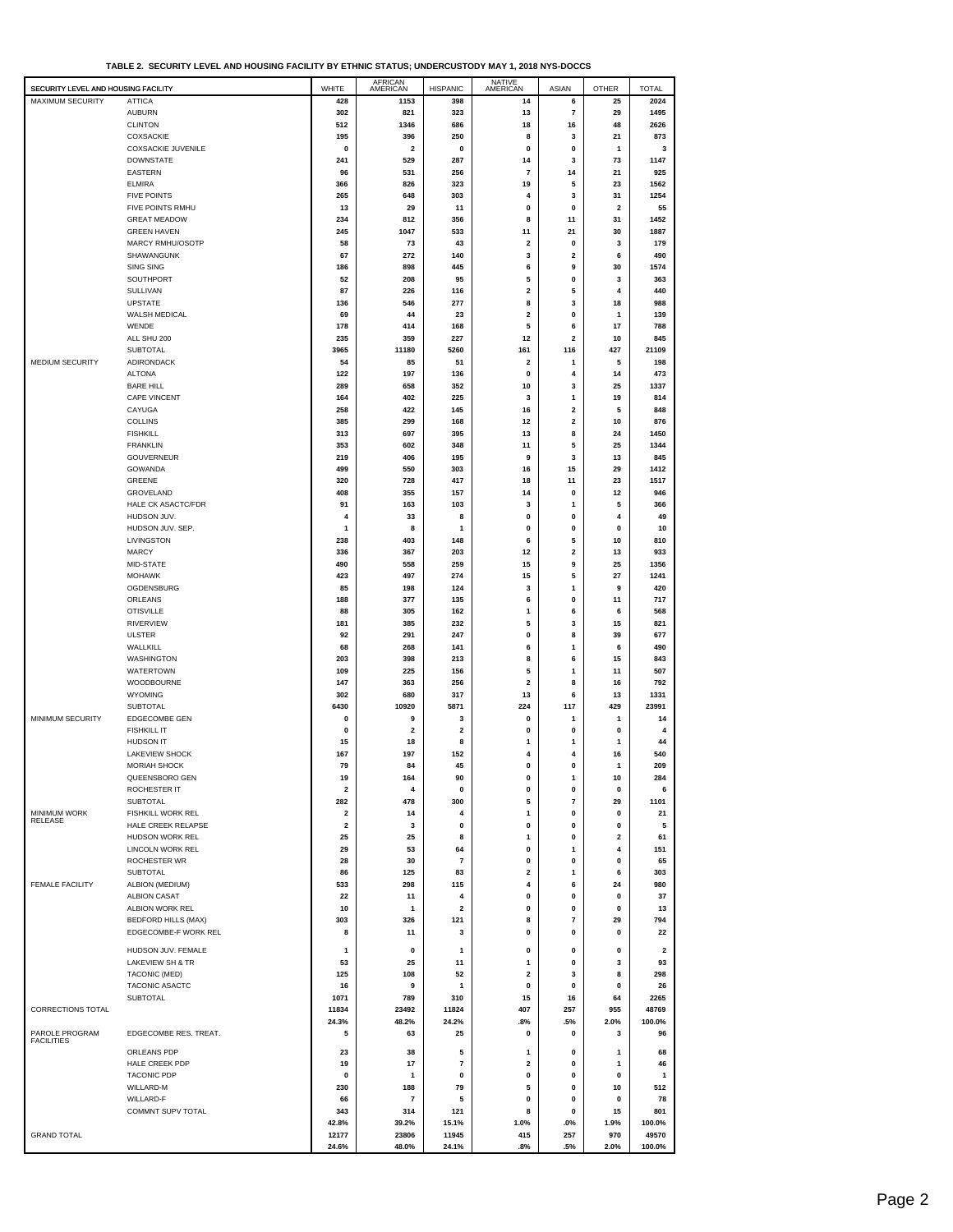**TABLE 2. SECURITY LEVEL AND HOUSING FACILITY BY ETHNIC STATUS; UNDERCUSTODY MAY 1, 2018 NYS-DOCCS**

| SECURITY LEVEL AND HOUSING FACILITY |                                | WHITE                   | <b>AFRICAN</b><br>AMERICAN | <b>HISPANIC</b>         | <b>NATIVE</b><br>AMERICAN | <b>ASIAN</b>            | <b>OTHER</b> | <b>TOTAL</b>            |
|-------------------------------------|--------------------------------|-------------------------|----------------------------|-------------------------|---------------------------|-------------------------|--------------|-------------------------|
| <b>MAXIMUM SECURITY</b>             | <b>ATTICA</b>                  | 428                     | 1153                       | 398                     | 14                        | 6                       | 25           | 2024                    |
|                                     | <b>AUBURN</b>                  | 302                     | 821                        | 323                     | 13                        | $\overline{7}$          | 29           | 1495                    |
|                                     | <b>CLINTON</b>                 | 512                     | 1346                       | 686                     | 18                        | 16                      | 48           | 2626                    |
|                                     | <b>COXSACKIE</b>               | 195                     | 396                        | 250                     | 8                         | 3                       | 21           | 873                     |
|                                     | <b>COXSACKIE JUVENILE</b>      | 0                       | $\overline{\mathbf{2}}$    | 0                       | 0                         | 0                       | 1            | 3                       |
|                                     | <b>DOWNSTATE</b>               | 241                     | 529                        | 287                     | 14                        | 3                       | 73           | 1147                    |
|                                     | <b>EASTERN</b>                 | 96                      | 531                        | 256                     | 7                         | 14                      | 21           | 925                     |
|                                     | <b>ELMIRA</b>                  | 366                     | 826                        | 323                     | 19                        | 5                       | 23           | 1562                    |
|                                     | <b>FIVE POINTS</b>             | 265                     | 648                        | 303                     | 4                         | 3                       | 31           | 1254                    |
|                                     | FIVE POINTS RMHU               | 13                      | 29                         | 11                      | 0                         | 0                       | 2            | 55                      |
|                                     | <b>GREAT MEADOW</b>            | 234                     | 812                        | 356                     | 8                         | 11                      | 31           | 1452                    |
|                                     | <b>GREEN HAVEN</b>             | 245                     | 1047                       | 533<br>43               | 11<br>2                   | 21<br>0                 | 30<br>3      | 1887                    |
|                                     | MARCY RMHU/OSOTP<br>SHAWANGUNK | 58<br>67                | 73<br>272                  | 140                     | 3                         | $\mathbf{2}$            | 6            | 179<br>490              |
|                                     | <b>SING SING</b>               | 186                     | 898                        | 445                     | 6                         | 9                       | 30           | 1574                    |
|                                     | SOUTHPORT                      | 52                      | 208                        | 95                      | 5                         | 0                       | 3            | 363                     |
|                                     | <b>SULLIVAN</b>                | 87                      | 226                        | 116                     | 2                         | 5                       | 4            | 440                     |
|                                     | <b>UPSTATE</b>                 | 136                     | 546                        | 277                     | 8                         | 3                       | 18           | 988                     |
|                                     | WALSH MEDICAL                  | 69                      | 44                         | 23                      | 2                         | 0                       | 1            | 139                     |
|                                     | WENDE                          | 178                     | 414                        | 168                     | 5                         | 6                       | 17           | 788                     |
|                                     | ALL SHU 200                    | 235                     | 359                        | 227                     | 12                        | $\overline{\mathbf{2}}$ | 10           | 845                     |
|                                     | <b>SUBTOTAL</b>                | 3965                    | 11180                      | 5260                    | 161                       | 116                     | 427          | 21109                   |
| MEDIUM SECURITY                     | ADIRONDACK                     | 54                      | 85                         | 51                      | 2                         | 1                       | 5            | 198                     |
|                                     | <b>ALTONA</b>                  | 122                     | 197                        | 136                     | 0                         | 4                       | 14           | 473                     |
|                                     | <b>BARE HILL</b>               | 289                     | 658                        | 352                     | 10                        | 3                       | 25           | 1337                    |
|                                     | CAPE VINCENT                   | 164                     | 402                        | 225                     | 3                         | 1                       | 19           | 814                     |
|                                     | CAYUGA                         | 258                     | 422                        | 145                     | 16                        | $\overline{\mathbf{2}}$ | 5            | 848                     |
|                                     | <b>COLLINS</b>                 | 385                     | 299                        | 168                     | 12                        | $\overline{\mathbf{2}}$ | 10           | 876                     |
|                                     | <b>FISHKILL</b>                | 313                     | 697                        | 395                     | 13                        | 8                       | 24           | 1450                    |
|                                     | <b>FRANKLIN</b>                | 353                     | 602                        | 348                     | 11                        | 5                       | 25           | 1344                    |
|                                     | <b>GOUVERNEUR</b>              | 219                     | 406                        | 195                     | 9                         | 3                       | 13           | 845                     |
|                                     | GOWANDA                        | 499                     | 550                        | 303                     | 16                        | 15                      | 29           | 1412                    |
|                                     | <b>GREENE</b>                  | 320                     | 728                        | 417                     | 18                        | 11                      | 23           | 1517                    |
|                                     | GROVELAND                      | 408                     | 355                        | 157                     | 14                        | 0                       | 12           | 946                     |
|                                     | HALE CK ASACTC/FDR             | 91                      | 163                        | 103                     | 3                         | 1                       | 5            | 366                     |
|                                     | HUDSON JUV.                    | 4                       | 33                         | 8                       | 0                         | $\pmb{0}$               | 4            | 49                      |
|                                     | HUDSON JUV. SEP.               | 1                       | 8                          | 1                       | 0                         | 0                       | 0            | 10                      |
|                                     | LIVINGSTON                     | 238                     | 403                        | 148                     | 6                         | 5                       | 10           | 810                     |
|                                     | <b>MARCY</b>                   | 336                     | 367                        | 203                     | 12                        | $\overline{\mathbf{2}}$ | 13           | 933                     |
|                                     | MID-STATE                      | 490                     | 558                        | 259                     | 15                        | 9                       | 25           | 1356                    |
|                                     | <b>MOHAWK</b>                  | 423                     | 497                        | 274                     | 15                        | 5                       | 27           | 1241                    |
|                                     | OGDENSBURG                     | 85                      | 198                        | 124                     | 3                         | 1                       | 9            | 420                     |
|                                     | ORLEANS                        | 188                     | 377                        | 135                     | 6                         | 0                       | 11           | 717                     |
|                                     | <b>OTISVILLE</b>               | 88                      | 305                        | 162                     | 1                         | 6                       | 6            | 568                     |
|                                     | RIVERVIEW                      | 181                     | 385                        | 232                     | 5                         | 3                       | 15           | 821                     |
|                                     | <b>ULSTER</b>                  | 92                      | 291                        | 247                     | 0                         | 8                       | 39           | 677                     |
|                                     | WALLKILL                       | 68                      | 268                        | 141                     | 6                         | $\mathbf{1}$            | 6            | 490                     |
|                                     | WASHINGTON                     | 203                     | 398                        | 213                     | 8                         | 6                       | 15           | 843                     |
|                                     | WATERTOWN                      | 109                     | 225                        | 156                     | 5                         | 1                       | 11           | 507                     |
|                                     | WOODBOURNE                     | 147                     | 363                        | 256                     | 2                         | 8                       | 16           | 792                     |
|                                     | <b>WYOMING</b><br>SUBTOTAL     | 302<br>6430             | 680<br>10920               | 317<br>5871             | 13<br>224                 | 6<br>117                | 13<br>429    | 1331<br>23991           |
| MINIMUM SECURITY                    | EDGECOMBE GEN                  | 0                       | 9                          | 3                       | 0                         | 1                       | 1            | 14                      |
|                                     | <b>FISHKILL IT</b>             | 0                       | $\overline{\mathbf{2}}$    | $\overline{\mathbf{2}}$ | 0                         | 0                       | 0            | 4                       |
|                                     | <b>HUDSON IT</b>               | 15                      | 18                         | 8                       | 1                         | $\mathbf{1}$            | 1            | 44                      |
|                                     | <b>LAKEVIEW SHOCK</b>          | 167                     | 197                        | 152                     | 4                         | 4                       | 16           | 540                     |
|                                     | MORIAH SHOCK                   | 79                      | 84                         | 45                      | $\bf{0}$                  | $\mathbf{0}$            | 1            | 209                     |
|                                     | QUEENSBORO GEN                 | 19                      | 164                        | 90                      | 0                         | $\mathbf{1}$            | 10           | 284                     |
|                                     | ROCHESTER IT                   | $\overline{\mathbf{2}}$ | $\overline{4}$             | $\mathbf{0}$            | 0                         | $\pmb{0}$               | $\mathbf{0}$ | 6                       |
|                                     | SUBTOTAL                       | 282                     | 478                        | 300                     | 5                         | $\scriptstyle\rm 7$     | 29           | 1101                    |
| MINIMUM WORK                        | <b>FISHKILL WORK REL</b>       | 2                       | 14                         | 4                       | 1                         | $\mathbf 0$             | 0            | 21                      |
| RELEASE                             | HALE CREEK RELAPSE             | 2                       | 3                          | 0                       | 0                         | 0                       | 0            | 5                       |
|                                     | HUDSON WORK REL                | 25                      | 25                         | 8                       | 1                         | 0                       | 2            | 61                      |
|                                     | LINCOLN WORK REL               | 29                      | 53                         | 64                      | 0                         | 1                       | 4            | 151                     |
|                                     | ROCHESTER WR                   | 28                      | 30                         | $\overline{7}$          | 0                         | $\pmb{0}$               | 0            | 65                      |
|                                     | <b>SUBTOTAL</b>                | 86                      | 125                        | 83                      | 2                         | 1                       | 6            | 303                     |
| <b>FEMALE FACILITY</b>              | ALBION (MEDIUM)                | 533                     | 298                        | 115                     | 4                         | 6                       | 24           | 980                     |
|                                     | <b>ALBION CASAT</b>            | 22                      | 11                         | $\overline{\mathbf{4}}$ | 0                         | 0                       | $\mathbf{0}$ | 37                      |
|                                     | ALBION WORK REL                | 10                      | $\mathbf{1}$               | $\overline{2}$          | 0                         | $\pmb{0}$               | $\mathbf 0$  | 13                      |
|                                     | BEDFORD HILLS (MAX)            | 303                     | 326                        | 121                     | 8                         | $\overline{7}$          | 29           | 794                     |
|                                     | EDGECOMBE-F WORK REL           | 8                       | 11                         | 3                       | 0                         | 0                       | 0            | 22                      |
|                                     | HUDSON JUV. FEMALE             | $\mathbf{1}$            | $\mathbf 0$                | $\mathbf{1}$            | 0                         | 0                       | $\mathbf{0}$ | $\overline{\mathbf{2}}$ |
|                                     | <b>LAKEVIEW SH &amp; TR</b>    | 53                      | 25                         | 11                      | 1                         | $\mathbf{0}$            | 3            | 93                      |
|                                     | TACONIC (MED)                  | 125                     | 108                        | 52                      | 2                         | 3                       | 8            | 298                     |
|                                     | TACONIC ASACTC                 | 16                      | 9                          | 1                       | 0                         | $\mathbf 0$             | 0            | 26                      |
|                                     | SUBTOTAL                       | 1071                    | 789                        | 310                     | 15                        | 16                      | 64           | 2265                    |
| CORRECTIONS TOTAL                   |                                | 11834                   | 23492                      | 11824                   | 407                       | 257                     | 955          | 48769                   |
|                                     |                                | 24.3%                   | 48.2%                      | 24.2%                   | .8%                       | .5%                     | 2.0%         | 100.0%                  |
| PAROLE PROGRAM                      | EDGECOMBE RES. TREAT.          | 5                       | 63                         | 25                      | 0                         | 0                       | 3            | 96                      |
| <b>FACILITIES</b>                   |                                |                         |                            |                         |                           |                         |              |                         |
|                                     | ORLEANS PDP                    | 23                      | 38                         | 5                       | 1                         | 0                       | 1            | 68                      |
|                                     | HALE CREEK PDP                 | 19                      | 17                         | 7                       | 2                         | 0                       | 1            | 46                      |
|                                     | <b>TACONIC PDP</b>             | 0                       | $\mathbf{1}$               | 0                       | 0                         | 0                       | 0            | 1                       |
|                                     | WILLARD-M                      | 230                     | 188                        | 79                      | 5                         | 0                       | 10           | 512                     |
|                                     | WILLARD-F                      | 66                      | $\overline{7}$             | 5                       | 0                         | 0                       | 0            | 78                      |
|                                     | COMMNT SUPV TOTAL              | 343                     | 314                        | 121                     | 8                         | $\mathbf{0}$            | 15           | 801                     |
|                                     |                                | 42.8%                   | 39.2%                      | 15.1%                   | 1.0%                      | .0%                     | 1.9%         | 100.0%                  |
| <b>GRAND TOTAL</b>                  |                                | 12177                   | 23806                      | 11945                   | 415                       | 257                     | 970          | 49570                   |
|                                     |                                | 24.6%                   | 48.0%                      | 24.1%                   | .8%                       | .5%                     | 2.0%         | 100.0%                  |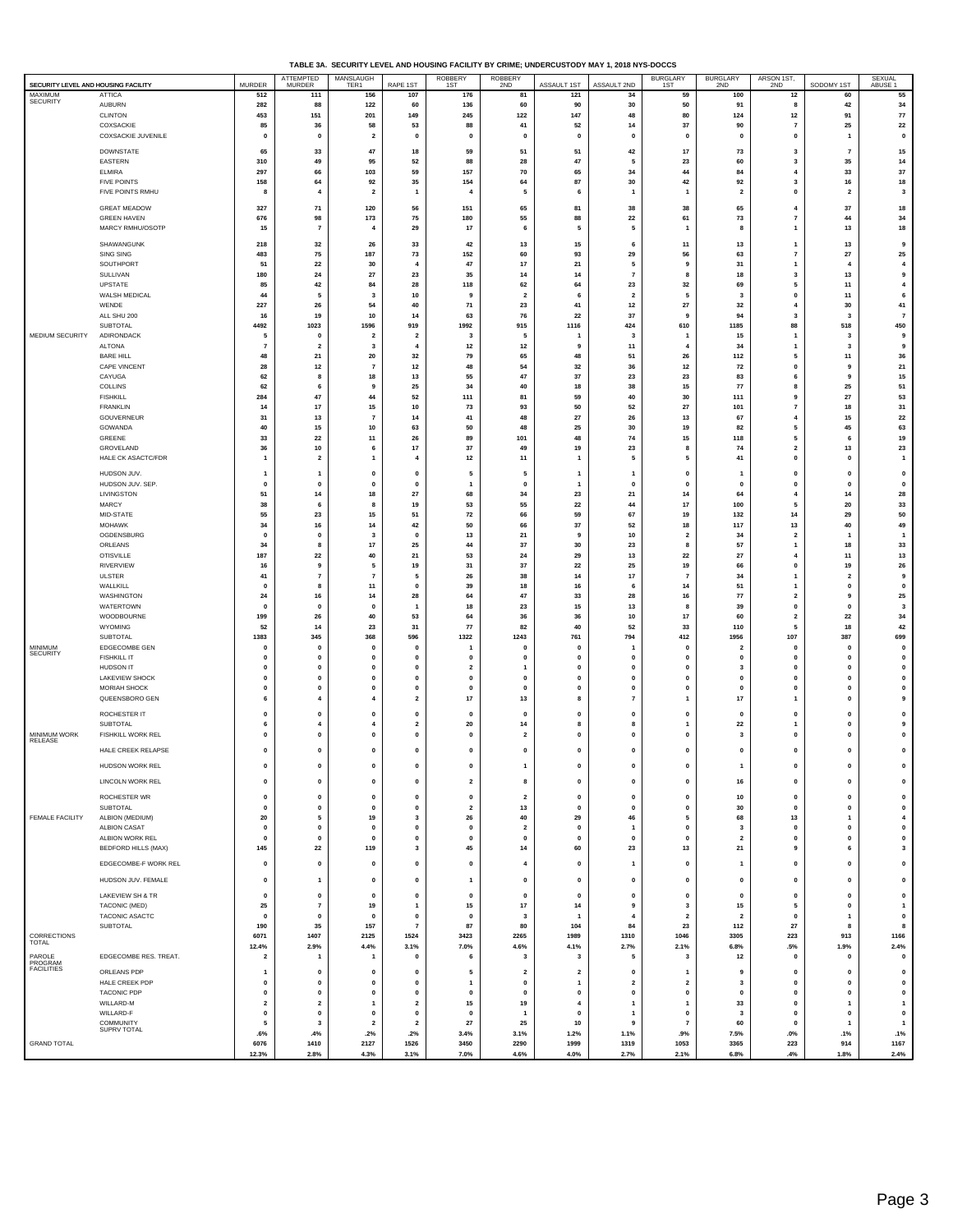|  | TABLE 3A. SECURITY LEVEL AND HOUSING FACILITY BY CRIME: UNDERCUSTODY MAY 1, 2018 NYS-DOCCS |
|--|--------------------------------------------------------------------------------------------|
|  |                                                                                            |

| SECURITY LEVEL AND HOUSING FACILITY |                                     | <b>MURDER</b>               | ATTEMPTED<br>MURDER         | MANSLAUGH<br>TER1               | RAPE 1ST                             | ROBBERY<br>1ST                  | ROBBERY<br>2ND                                | ASSAULT 1ST                      | ASSAULT 2ND                    | BURGLARY<br>1ST                | BURGLARY<br>2ND                      | ARSON 1ST,<br>2ND             | SODOMY 1ST                     | SEXUAL<br>ABUSE 1                  |
|-------------------------------------|-------------------------------------|-----------------------------|-----------------------------|---------------------------------|--------------------------------------|---------------------------------|-----------------------------------------------|----------------------------------|--------------------------------|--------------------------------|--------------------------------------|-------------------------------|--------------------------------|------------------------------------|
| <b>MAXIMUM</b><br>SECURITY          | ATTICA                              | 512                         | 111                         | 156                             | 107                                  | 176                             | 81                                            | 121                              | 34                             | 59                             | 100                                  | 12                            | 60                             | 55                                 |
|                                     | <b>AUBURN</b><br>CLINTON            | 282<br>453                  | 88<br>151                   | 122<br>201                      | 60<br>149                            | 136<br>245                      | 60<br>122                                     | 90<br>147                        | 30<br>48                       | 50<br>80                       | 91<br>124                            | 8<br>$12$                     | 42<br>91                       | 34<br>${\bf 77}$                   |
|                                     | COXSACKIE                           | 85                          | 36                          | 58                              | 53                                   | 88                              | 41                                            | 52                               | 14                             | 37                             | 90                                   | $\overline{7}$                | 25                             | 22                                 |
|                                     | <b>COXSACKIE JUVENILE</b>           | $\mathbf 0$                 | $\mathbf 0$                 | $\overline{\mathbf{2}}$         | $\mathbf 0$                          | $\mathbf{0}$                    | $\mathbf{0}$                                  | $\mathbf{0}$                     | $\mathbf 0$                    | 0                              | $\mathbf{0}$                         | $\mathbf 0$                   | $\mathbf{1}$                   | $\pmb{\mathsf{o}}$                 |
|                                     | <b>DOWNSTATE</b>                    | 65                          | 33                          | 47                              | 18                                   | 59                              | 51                                            | 51                               | 42                             | 17                             | 73                                   | 3                             | $\overline{7}$                 | 15                                 |
|                                     | EASTERN                             | 310                         | 49                          | 95                              | 52                                   | 88                              | 28                                            | 47                               | -5                             | 23                             | 60                                   | $\mathbf{3}$                  | 35                             | 14                                 |
|                                     | <b>ELMIRA</b><br><b>FIVE POINTS</b> | 297<br>158                  | 66<br>64                    | 103<br>92                       | 59<br>35                             | 157<br>154                      | 70<br>64                                      | 65<br>87                         | 34<br>30                       | 44<br>42                       | 84<br>92                             | $\overline{4}$<br>3           | 33<br>16                       | $37\,$<br>18                       |
|                                     | FIVE POINTS RMHU                    | -8                          | $\overline{\mathbf{4}}$     | $\overline{2}$                  | $\overline{1}$                       | $\overline{4}$                  | -5                                            | 6                                | $\overline{1}$                 | $\overline{1}$                 | $\overline{\mathbf{2}}$              | $\mathbf 0$                   | $\overline{\mathbf{2}}$        | $\mathbf{3}$                       |
|                                     | <b>GREAT MEADOW</b>                 | 327                         | 71                          | 120                             | 56                                   | 151                             | 65                                            | 81                               | 38                             | 38                             | 65                                   | $\overline{4}$                | 37                             | 18                                 |
|                                     | <b>GREEN HAVEN</b>                  | 676                         | 98                          | 173                             | 75                                   | 180                             | 55                                            | 88                               | 22                             | 61                             | 73                                   | $\overline{7}$                | 44                             | 34                                 |
|                                     | MARCY RMHU/OSOTP                    | 15                          | $\overline{7}$              | $\overline{4}$                  | 29                                   | 17                              | 6                                             | 5                                | 5                              | $\overline{1}$                 | 8                                    | $\mathbf{1}$                  | 13                             | 18                                 |
|                                     | SHAWANGUNK<br>SING SING             | 218<br>483                  | 32<br>75                    | 26<br>187                       | 33<br>73                             | 42<br>152                       | 13<br>60                                      | 15<br>93                         | 6<br>29                        | 11<br>56                       | 13<br>63                             | $\overline{7}$                | 13<br>${\bf 27}$               | 9<br>25                            |
|                                     | SOUTHPORT                           | 51                          | 22                          | 30                              | 4                                    | 47                              | 17                                            | 21                               | 5                              | 9                              | 31                                   | -1                            | $\overline{\bf 4}$             | $\overline{4}$                     |
|                                     | SULLIVAN                            | 180                         | 24                          | 27                              | 23                                   | 35                              | 14                                            | 14                               | $\overline{7}$                 | 8                              | 18                                   | 3                             | 13                             | 9                                  |
|                                     | UPSTATE<br>WALSH MEDICAL            | 85<br>44                    | 42<br>5                     | 84<br>3                         | 28<br>10                             | 118<br>9                        | 62<br>$\overline{\mathbf{2}}$                 | 64<br>6                          | 23<br>$\overline{\mathbf{2}}$  | 32<br>5                        | 69<br>$\mathbf{3}$                   | 5<br>$\mathbf 0$              | 11<br>11                       | $\boldsymbol{4}$<br>6              |
|                                     | WENDE                               | 227                         | 26                          | 54                              | 40                                   | 71                              | 23                                            | 41                               | $12$                           | 27                             | $32\,$                               | $\overline{4}$                | 30                             | 41                                 |
|                                     | ALL SHU 200                         | 16                          | 19                          | 10                              | 14                                   | 63                              | 76                                            | 22                               | 37                             | 9                              | 94                                   | $\mathbf{3}$                  | $\mathbf{3}$                   | $\overline{\mathbf{r}}$            |
| MEDIUM SECURITY                     | SUBTOTAL<br>ADIRONDACK              | 4492<br>5                   | 1023<br>$\mathbf 0$         | 1596<br>$\overline{\mathbf{2}}$ | 919<br>$\overline{\mathbf{2}}$       | 1992<br>$\overline{\mathbf{3}}$ | 915<br>5                                      | 1116<br>-1                       | 424<br>$\overline{\mathbf{3}}$ | 610<br>1                       | 1185<br>15                           | 88<br>-1                      | 518<br>$\overline{\mathbf{3}}$ | 450<br>9                           |
|                                     | <b>ALTONA</b>                       | -7                          | $\overline{2}$              | 3                               | $\overline{4}$                       | 12                              | 12                                            | 9                                | 11                             | 4                              | 34                                   | -1                            | 3                              | 9                                  |
|                                     | <b>BARE HILL</b><br>CAPE VINCENT    | 48<br>28                    | 21<br>12                    | 20<br>$\overline{7}$            | 32<br>$12$                           | 79<br>48                        | 65<br>54                                      | 48<br>32                         | 51<br>36                       | 26<br>$12\,$                   | 112<br>72                            | 5<br>$\pmb{0}$                | 11<br>9                        | 36<br>${\bf 21}$                   |
|                                     | CAYUGA                              | 62                          | 8                           | 18                              | 13                                   | 55                              | $\bf 47$                                      | 37                               | 23                             | 23                             | 83                                   | 6                             | 9                              | 15                                 |
|                                     | COLLINS                             | 62                          | 6                           | 9                               | 25                                   | 34                              | 40                                            | 18                               | 38                             | 15                             | 77                                   | 8                             | 25                             | 51                                 |
|                                     | <b>FISHKILL</b><br><b>FRANKLIN</b>  | 284<br>14                   | 47<br>17                    | 44<br>15                        | 52<br>10                             | 111<br>73                       | 81<br>93                                      | 59<br>50                         | 40<br>52                       | 30<br>27                       | 111<br>101                           | 9<br>$\overline{7}$           | 27<br>18                       | 53<br>31                           |
|                                     | GOUVERNEUR                          | 31                          | 13                          | $\overline{7}$                  | 14                                   | 41                              | 48                                            | ${\bf 27}$                       | 26                             | 13                             | 67                                   | $\overline{4}$                | 15                             | 22                                 |
|                                     | GOWANDA                             | 40                          | 15                          | 10                              | 63                                   | 50                              | 48                                            | 25                               | 30                             | 19                             | 82                                   | 5                             | 45                             | 63                                 |
|                                     | GREENE<br>GROVELAND                 | 33<br>36                    | 22<br>10                    | 11<br>6                         | 26<br>$17\,$                         | 89<br>37                        | 101<br>49                                     | 48<br>19                         | 74<br>23                       | 15<br>8                        | 118<br>74                            | 5<br>$\overline{\mathbf{2}}$  | 6<br>13                        | 19<br>23                           |
|                                     | HALE CK ASACTC/FDR                  | $\overline{1}$              | $\overline{2}$              | 1                               | $\overline{4}$                       | $12$                            | 11                                            | $\overline{1}$                   | -5                             | 5                              | 41                                   | $\mathbf 0$                   | $\mathbf 0$                    | $\overline{1}$                     |
|                                     | HUDSON JUV.                         | $\mathbf{1}$                | 1                           | $\mathbf{0}$                    | $\mathbf 0$                          | 5                               | 5                                             | -1                               | -1                             | $\mathbf 0$                    | -1                                   | $\mathbf{0}$                  | $\mathbf{0}$                   | $\pmb{0}$                          |
|                                     | HUDSON JUV. SEP.                    | $\mathbf 0$                 | $\mathbf 0$                 | $\mathbf 0$                     | $\mathbf 0$                          | $\mathbf{1}$                    | $\mathbf 0$                                   | 1                                | $\mathbf 0$                    | $\mathbf 0$                    | $\mathbf{0}$                         | $\mathbf 0$                   | $\mathbf{0}$                   | $\pmb{0}$                          |
|                                     | LIVINGSTON<br>MARCY                 | 51<br>38                    | 14<br>6                     | 18<br>8                         | ${\bf 27}$<br>19                     | 68<br>53                        | 34<br>55                                      | 23<br>22                         | 21<br>44                       | 14<br>17                       | 64<br>100                            | $\overline{4}$<br>5           | 14<br>20                       | 28<br>33                           |
|                                     | MID-STATE                           | 55                          | 23                          | 15                              | 51                                   | 72                              | 66                                            | 59                               | 67                             | 19                             | 132                                  | 14                            | 29                             | 50                                 |
|                                     | <b>MOHAWK</b><br>OGDENSBURG         | 34<br>$\mathbf 0$           | 16<br>$\mathbf 0$           | 14<br>3                         | 42<br>$\mathbf 0$                    | 50<br>13                        | 66<br>21                                      | $37\,$<br>9                      | 52<br>10                       | 18<br>$\overline{2}$           | 117<br>34                            | 13<br>$\overline{2}$          | 40<br>$\mathbf{1}$             | 49<br>$\overline{1}$               |
|                                     | ORLEANS                             | 34                          | 8                           | 17                              | 25                                   | 44                              | 37                                            | 30                               | 23                             | 8                              | 57                                   | $\mathbf{1}$                  | 18                             | 33                                 |
|                                     | <b>OTISVILLE</b>                    | 187                         | 22                          | 40                              | 21                                   | 53                              | 24                                            | 29                               | 13                             | 22                             | 27                                   | $\overline{4}$                | 11                             | 13                                 |
|                                     | <b>RIVERVIEW</b><br>ULSTER          | 16<br>41                    | 9<br>$\overline{7}$         | 5<br>$\overline{7}$             | 19<br>5                              | 31<br>26                        | 37<br>38                                      | 22<br>14                         | 25<br>17                       | 19<br>$\overline{7}$           | 66<br>34                             | $\mathbf 0$                   | 19<br>$\overline{\mathbf{2}}$  | 26<br>9                            |
|                                     | WALLKILL                            | $\Omega$                    | 8                           | 11                              | $\mathbf{0}$                         | 39                              | 18                                            | 16                               | 6                              | 14                             | 51                                   | -1                            | $\mathbf{0}$                   | $\pmb{\mathsf{o}}$                 |
|                                     | WASHINGTON                          | 24                          | 16                          | 14                              | 28                                   | 64                              | 47                                            | 33                               | 28                             | 16                             | ${\bf 77}$                           | $\overline{2}$                | 9                              | 25                                 |
|                                     | WATERTOWN<br>WOODBOURNE             | $\mathbf{0}$<br>199         | $\mathbf 0$<br>26           | $\mathbf{0}$<br>40              | $\overline{1}$<br>53                 | 18<br>64                        | 23<br>36                                      | 15<br>36                         | 13<br>10                       | 8<br>17                        | 39<br>60                             | $\mathbf 0$<br>$\overline{2}$ | $\mathbf{0}$<br>22             | $\mathbf 3$<br>34                  |
|                                     | WYOMING                             | 52                          | 14                          | 23                              | 31                                   | 77                              | 82                                            | 40                               | 52                             | 33                             | 110                                  | 5                             | 18                             | 42                                 |
| <b>MINIMUM</b>                      | SUBTOTAL                            | 1383                        | 345                         | 368                             | 596                                  | 1322                            | 1243                                          | 761                              | 794                            | 412                            | 1956                                 | 107                           | 387                            | 699                                |
| <b>SECURITY</b>                     | EDGECOMBE GEN<br><b>FISHKILL IT</b> | $\mathbf 0$<br>$\pmb{0}$    | $\mathbf 0$<br>$\mathbf 0$  | $\mathbf 0$<br>0                | $\mathbf 0$<br>$\pmb{0}$             | -1<br>$\mathbf 0$               | $\mathbf{0}$<br>$\pmb{0}$                     | $\mathbf 0$<br>$\mathbf 0$       | -1<br>0                        | 0<br>$\mathbf 0$               | $\overline{\mathbf{2}}$<br>$\pmb{0}$ | $\mathbf{0}$<br>$\pmb{0}$     | $\mathbf{0}$<br>$\pmb{0}$      | $\pmb{0}$<br>$\pmb{0}$             |
|                                     | <b>HUDSON IT</b>                    | $\mathbf{0}$                | $\mathbf{0}$                | $\mathbf 0$                     | $\mathbf 0$                          | $\overline{2}$                  | -1                                            | $\mathbf 0$                      | $\mathbf 0$                    | 0                              | $\mathbf{3}$                         | $\mathbf{0}$                  | $\mathbf{0}$                   | $\pmb{\mathsf{o}}$                 |
|                                     | LAKEVIEW SHOCK<br>MORIAH SHOCK      | $\mathbf 0$<br>$\mathbf{0}$ | 0<br>0                      | 0<br>0                          | $\mathbf 0$<br>$\pmb{0}$             | $\mathbf 0$<br>$\mathbf{0}$     | $\mathbf{0}$<br>$\mathbf{0}$                  | $\mathbf 0$<br>0                 | $\mathbf 0$<br>$\mathbf 0$     | 0<br>O                         | $\mathbf{0}$<br>$\mathbf{0}$         | $\mathbf 0$<br>$\mathbf{0}$   | $\mathbf{0}$<br>$\mathbf{0}$   | $\pmb{0}$<br>$\pmb{0}$             |
|                                     | QUEENSBORO GEN                      | 6                           | $\overline{4}$              | 4                               | $\overline{2}$                       | 17                              | 13                                            | 8                                | $\overline{7}$                 |                                | 17                                   | -1                            | $\mathbf{0}$                   | 9                                  |
|                                     | ROCHESTER IT                        | $\mathbf{0}$                | 0                           | 0                               | $\pmb{0}$                            | $\mathbf{0}$                    | $\mathbf{0}$                                  | $\mathbf 0$                      | 0                              | O                              | $\pmb{0}$                            | $\mathbf{0}$                  | $\mathbf{0}$                   | $\pmb{0}$                          |
|                                     | SUBTOTAL                            | 6                           | 4                           | $\overline{a}$                  | $\overline{\mathbf{2}}$              | 20                              | 14                                            | 8                                | 8                              | 1                              | 22                                   | -1                            | $\mathbf{0}$                   | 9                                  |
| <b>MINIMUM WORK</b><br>RELEASE      | <b>FISHKILL WORK REL</b>            | $\mathbf 0$                 | 0                           | 0                               | $\pmb{0}$                            | $\mathbf 0$                     | $\overline{2}$                                | 0                                | $\mathbf 0$                    | O                              | $\mathbf{3}$                         | $\mathbf 0$                   | 0                              | $\mathbf 0$                        |
|                                     | HALE CREEK RELAPSE                  | 0                           | $\mathbf 0$                 | 0                               | $\mathbf 0$                          | $\mathbf 0$                     | $\mathbf 0$                                   | $\mathbf 0$                      | 0                              | $\mathbf 0$                    | $\mathbf{0}$                         | $\mathbf 0$                   | 0                              | $\pmb{0}$                          |
|                                     | HUDSON WORK REL                     | $\mathbf 0$                 | $\mathbf{0}$                | $\mathbf{0}$                    | $\mathbf{0}$                         | $\mathbf{0}$                    | -1                                            | $\mathbf 0$                      | $\mathbf 0$                    | $\mathbf{0}$                   | -1                                   | $\Omega$                      | $\Omega$                       | $\mathbf{0}$                       |
|                                     | LINCOLN WORK REL                    | $\pmb{0}$                   | $\mathbf 0$                 | 0                               | $\pmb{0}$                            | $\overline{\mathbf{2}}$         | 8                                             | $\mathbf 0$                      | 0                              | $\mathbf 0$                    | 16                                   | $\pmb{0}$                     | $\pmb{0}$                      | $\pmb{0}$                          |
|                                     | ROCHESTER WR                        | $\pmb{0}$                   | $\pmb{0}$                   | 0                               | $\pmb{0}$                            | $\pmb{0}$                       | $\overline{\mathbf{2}}$                       | $\mathbf 0$                      | $\mathbf 0$                    | $\pmb{\mathsf{o}}$             | 10                                   | $\pmb{0}$                     | $\pmb{0}$                      | $\pmb{0}$                          |
|                                     | SUBTOTAL                            | $\pmb{\mathsf{o}}$          | $\mathbf 0$                 | 0                               | $\pmb{0}$                            | $\overline{\mathbf{2}}$         | 13                                            | $\mathbf 0$                      | $\mathbf{0}$                   | $\pmb{\mathsf{o}}$             | 30                                   | $\pmb{0}$                     | $\pmb{0}$                      | $\pmb{\mathsf{o}}$                 |
| <b>FEMALE FACILITY</b>              | ALBION (MEDIUM)<br>ALBION CASAT     | 20<br>$\pmb{0}$             | 5<br>$\pmb{0}$              | 19<br>0                         | $\overline{\mathbf{3}}$<br>$\pmb{0}$ | 26<br>$\pmb{0}$                 | 40<br>$\overline{\mathbf{2}}$                 | 29<br>$\mathbf 0$                | 46<br>$\mathbf{1}$             | 5<br>$\pmb{\mathsf{o}}$        | 68<br>$\mathbf{3}$                   | 13<br>$\mathbf{0}$            | $\mathbf{1}$<br>$\pmb{0}$      | $\boldsymbol{4}$<br>$\pmb{0}$      |
|                                     | ALBION WORK REL                     | $\mathbf 0$                 | $\pmb{0}$                   | $\mathbf{0}$                    | $\mathbf{0}$                         | $\mathbf{0}$                    | $\mathbf{0}$                                  | $\mathbf 0$                      | $\mathbf 0$                    | $\mathbf{0}$                   | $\overline{2}$                       | $\mathbf{0}$                  | $\mathbf{0}$                   | $\pmb{0}$                          |
|                                     | <b>BEDFORD HILLS (MAX)</b>          | 145                         | 22                          | 119                             | $\mathbf{3}$                         | 45                              | 14                                            | 60                               | 23                             | 13                             | 21                                   | 9                             | 6                              | $\mathbf{3}$                       |
|                                     | EDGECOMBE-F WORK REL                | $\mathbf 0$                 | $\mathbf 0$                 | $\mathbf{0}$                    | $\mathbf{0}$                         | $\mathbf{0}$                    | $\overline{4}$                                | $\mathbf 0$                      | $\mathbf{1}$                   | $\mathbf{0}$                   | $\mathbf{1}$                         | $\mathbf{0}$                  | $\mathbf{0}$                   | $\pmb{\mathsf{o}}$                 |
|                                     | HUDSON JUV. FEMALE                  | $\pmb{0}$                   | $\overline{1}$              | $\mathbf 0$                     | $\pmb{0}$                            | $\mathbf{1}$                    | $\pmb{\mathsf{o}}$                            | $\mathbf 0$                      | $\pmb{0}$                      | $\mathbf 0$                    | $\pmb{0}$                            | $\pmb{0}$                     | $\pmb{0}$                      | $\pmb{0}$                          |
|                                     | LAKEVIEW SH & TR                    | $\mathbf 0$                 | $\mathbf 0$                 | 0                               | $\pmb{0}$                            | $\pmb{0}$                       | $\pmb{0}$                                     | $\mathbf 0$                      | $\pmb{0}$                      | $\mathbf 0$                    | $\pmb{0}$                            | $\pmb{0}$                     | $\pmb{0}$                      | $\pmb{0}$                          |
|                                     | TACONIC (MED)                       | 25                          | $\overline{7}$              | 19                              | $\overline{1}$                       | 15                              | 17                                            | 14                               | 9                              | $\overline{\mathbf{3}}$        | 15                                   | 5                             | $\mathbf{0}$                   | $\mathbf{1}$                       |
|                                     | TACONIC ASACTC<br>SUBTOTAL          | $\mathbf 0$<br>190          | $\mathbf{o}$<br>35          | $\mathbf 0$<br>157              | $\mathbf 0$<br>$\scriptstyle\rm{7}$  | $\mathbf{0}$<br>87              | $\overline{\mathbf{3}}$<br>80                 | $\overline{1}$<br>104            | $\boldsymbol{A}$<br>84         | $\overline{2}$<br>23           | $\overline{\mathbf{2}}$<br>112       | $\mathbf{0}$<br>27            | $\mathbf{1}$<br>8              | $\pmb{0}$<br>8                     |
| <b>CORRECTIONS</b>                  |                                     | 6071                        | 1407                        | 2125                            | 1524                                 | 3423                            | 2265                                          | 1989                             | 1310                           | 1046                           | 3305                                 | 223                           | 913                            | 1166                               |
| TOTAL                               |                                     | 12.4%                       | 2.9%                        | 4.4%                            | 3.1%                                 | 7.0%                            | 4.6%                                          | 4.1%                             | 2.7%                           | 2.1%                           | 6.8%                                 | .5%                           | 1.9%                           | 2.4%                               |
| PAROLE<br>PROGRAM<br>FACILITIES     | EDGECOMBE RES. TREAT.               | $\overline{\mathbf{2}}$     | 1                           | $\mathbf{1}$                    | $\pmb{0}$                            | 6                               | 3                                             | $\overline{\mathbf{3}}$          | 5                              | 3                              | 12                                   | $\mathbf{0}$                  | $\pmb{0}$                      | $\pmb{\mathsf{o}}$                 |
|                                     | ORLEANS PDP<br>HALE CREEK PDP       | $\mathbf 0$                 | $\mathbf 0$<br>$\pmb{0}$    | 0<br>$\mathbf{0}$               | $\pmb{0}$<br>$\mathbf{0}$            | 5<br>$\mathbf{1}$               | $\overline{\mathbf{2}}$<br>$\pmb{\mathsf{o}}$ | $\overline{2}$<br>$\overline{1}$ | 0<br>$\overline{2}$            | $\overline{2}$                 | 9<br>$\mathbf{3}$                    | $\pmb{0}$<br>$\mathbf{0}$     | $\pmb{0}$<br>$\mathbf{0}$      | $\pmb{0}$<br>$\pmb{\mathsf{o}}$    |
|                                     | <b>TACONIC PDP</b>                  | $\mathbf 0$                 | $\mathbf 0$                 | $\mathbf{0}$                    | $\mathbf 0$                          | $\mathbf{0}$                    | $\mathbf{0}$                                  | $\mathbf 0$                      | $\mathbf{0}$                   | $\mathbf{0}$                   | $\mathbf{0}$                         | $\mathbf{0}$                  | $\mathbf{0}$                   | $\pmb{0}$                          |
|                                     | WILLARD-M                           | $\overline{\mathbf{2}}$     | $\overline{\mathbf{2}}$     | 1                               | $\overline{\mathbf{2}}$              | 15                              | 19                                            | $\overline{4}$                   | 1                              | $\overline{\mathbf{1}}$        | 33                                   | $\pmb{0}$                     | $\mathbf{1}$                   | $\mathbf{1}$                       |
|                                     | WILLARD-F<br>COMMUNITY              | $\mathbf 0$<br>5            | $\mathbf 0$<br>$\mathbf{3}$ | $\mathbf{0}$<br>$\overline{2}$  | $\pmb{0}$<br>$\overline{2}$          | $\mathbf{0}$<br>27              | $\overline{1}$<br>25                          | $\mathbf 0$<br>10                | -1<br>9                        | $\mathbf{0}$<br>$\overline{7}$ | $\overline{\mathbf{3}}$<br>60        | $\mathbf{0}$<br>$\Omega$      | $\mathbf{0}$<br>$\mathbf{1}$   | $\pmb{\mathsf{o}}$<br>$\mathbf{1}$ |
|                                     | <b>SUPRV TOTAL</b>                  | .6%                         | .4%                         | .2%                             | .2%                                  | 3.4%                            | 3.1%                                          | 1.2%                             | 1.1%                           | .9%                            | 7.5%                                 | $.0\%$                        | .1%                            | .1%                                |
| <b>GRAND TOTAL</b>                  |                                     | 6076<br>12.3%               | 1410<br>2.8%                | 2127<br>4.3%                    | 1526<br>3.1%                         | 3450<br>7.0%                    | 2290<br>4.6%                                  | 1999<br>4.0%                     | 1319<br>2.7%                   | 1053<br>2.1%                   | 3365<br>6.8%                         | 223<br>.4%                    | 914<br>1.8%                    | 1167                               |
|                                     |                                     |                             |                             |                                 |                                      |                                 |                                               |                                  |                                |                                |                                      |                               |                                | 2.4%                               |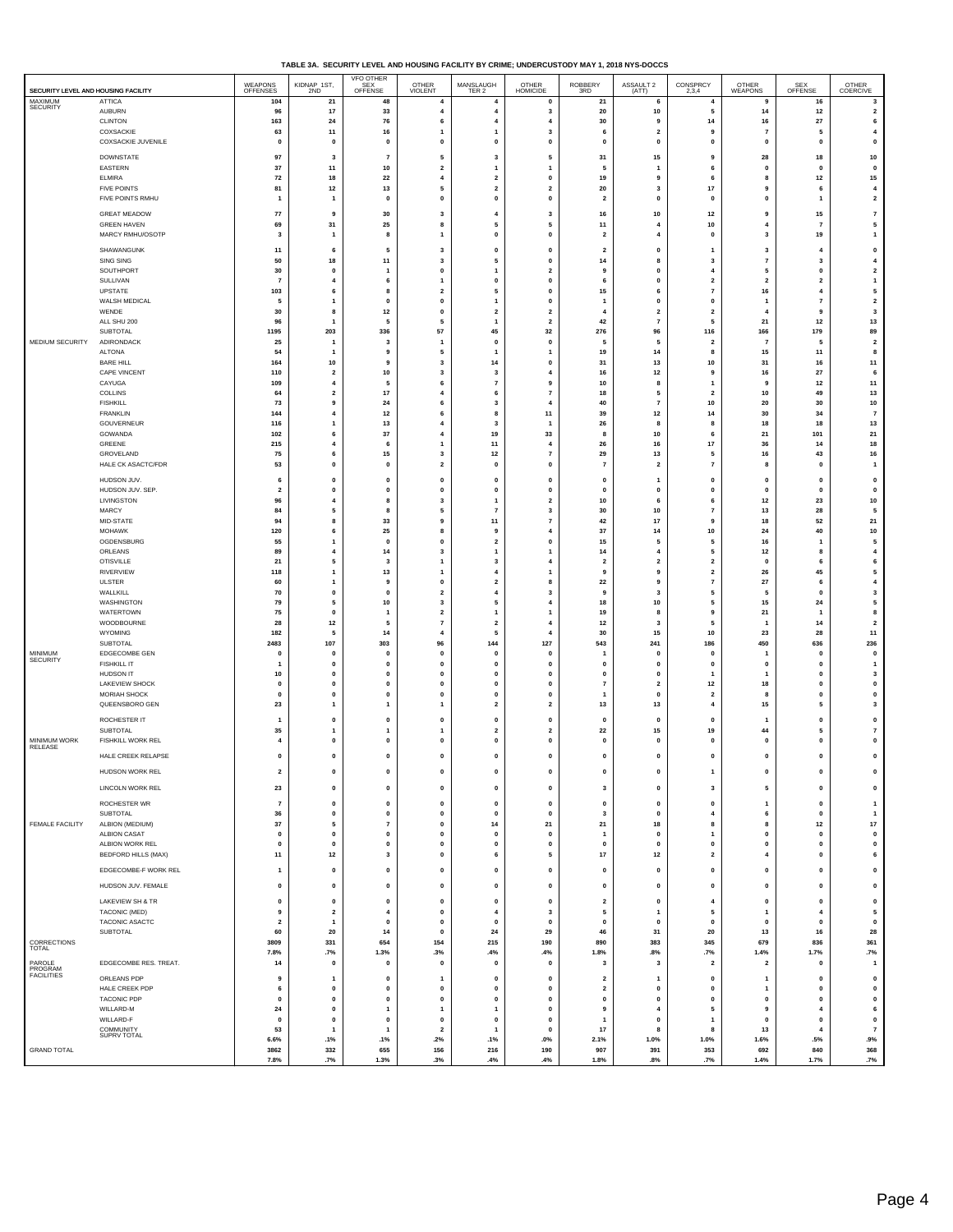| TABLE 3A. SECURITY LEVEL AND HOUSING FACILITY BY CRIME: UNDERCUSTODY MAY 1, 2018 NYS-DOCCS |
|--------------------------------------------------------------------------------------------|
|                                                                                            |

| SECURITY LEVEL AND HOUSING FACILITY |                                                         | WEAPONS<br>OFFENSES                | KIDNAP 1ST,<br>2ND                                                       | VFO OTHER<br>SEX<br>OFFENSE | <b>OTHER</b><br>VIOLENT                   | MANSLAUGH<br>TER 2                    | OTHER<br>HOMICIDE                      | ROBBERY<br>3RD          | ASSAULT 2<br>(ATT)              | CONSPRCY<br>2,3,4                            | OTHER<br><b>WEAPONS</b> | SEX<br>OFFENSE                                   | OTHER<br>COERCIVE                                        |
|-------------------------------------|---------------------------------------------------------|------------------------------------|--------------------------------------------------------------------------|-----------------------------|-------------------------------------------|---------------------------------------|----------------------------------------|-------------------------|---------------------------------|----------------------------------------------|-------------------------|--------------------------------------------------|----------------------------------------------------------|
| MAXIMUM<br><b>SECURITY</b>          | <b>ATTICA</b><br>AUBURN<br><b>CLINTON</b>               | 104<br>96<br>163                   | 21<br>17<br>24                                                           | 48<br>33<br>76              | $\overline{4}$<br>$\overline{4}$<br>6     | $\overline{4}$<br>4<br>$\overline{4}$ | $\mathbf{0}$<br>3<br>4                 | 21<br>20<br>30          | 6<br>10<br>9                    | $\overline{4}$<br>5<br>14                    | 9<br>14<br>16           | 16<br>$12$<br>27                                 | 3<br>$\overline{\mathbf{2}}$<br>6                        |
|                                     | COXSACKIE                                               | 63                                 | $11$                                                                     | 16                          | 1                                         | $\mathbf{1}$                          | 3                                      | 6                       | $\overline{\mathbf{2}}$         | 9                                            | $\scriptstyle\rm 7$     | 5                                                | $\overline{4}$                                           |
|                                     | COXSACKIE JUVENILE                                      | $\pmb{0}$                          | $\pmb{0}$                                                                | 0                           | $\mathbf 0$                               | $\pmb{0}$                             | $\pmb{0}$                              | 0                       | $\mathbf{0}$                    | $\mathbf{0}$                                 | $\pmb{0}$               | $\pmb{\mathsf{o}}$                               | $\mathbf 0$                                              |
|                                     | DOWNSTATE                                               | 97                                 | 3                                                                        | $\overline{7}$              | 5                                         | 3                                     | 5                                      | 31                      | 15                              | 9                                            | 28                      | 18                                               | 10                                                       |
|                                     | EASTERN                                                 | 37                                 | 11                                                                       | 10                          | $\overline{\mathbf{2}}$                   | $\mathbf{1}$                          | 1                                      | 5                       | $\mathbf{1}$                    | 6                                            | $\mathbf{0}$            | $\mathbf{0}$                                     | $\mathbf 0$                                              |
|                                     | ELMIRA                                                  | 72                                 | 18                                                                       | 22                          | $\overline{4}$                            | $\overline{2}$                        | $\mathbf 0$                            | 19                      | 9                               | 6                                            | 8                       | $12$                                             | 15                                                       |
|                                     | <b>FIVE POINTS</b>                                      | 81                                 | $12$                                                                     | 13                          | 5                                         | $\overline{\mathbf{2}}$               | $\overline{\mathbf{2}}$                | 20                      | 3                               | 17                                           | 9                       | 6                                                | $\overline{4}$                                           |
|                                     | FIVE POINTS RMHU                                        | -1                                 | $\mathbf{1}$                                                             | $\mathbf{0}$                | $\mathbf{0}$                              | $\mathbf{0}$                          | $\mathbf{0}$                           | $\overline{2}$          | $\mathbf{0}$                    | $\mathbf{0}$                                 | $\mathbf{0}$            | $\overline{1}$                                   | $\mathbf{2}$                                             |
|                                     | <b>GREAT MEADOW</b>                                     | ${\bf 77}$                         | 9                                                                        | 30                          | 3                                         | $\overline{4}$                        | 3                                      | 16                      | 10                              | $12\,$                                       | 9                       | 15                                               | $\overline{7}$                                           |
|                                     | <b>GREEN HAVEN</b>                                      | 69                                 | 31                                                                       | 25                          | 8                                         | 5                                     | 5                                      | 11                      | 4                               | 10                                           | $\overline{\mathbf{4}}$ | $\overline{7}$                                   | 5                                                        |
|                                     | MARCY RMHU/OSOTP                                        | 3                                  | $\overline{1}$                                                           | 8                           | $\overline{1}$                            | $\pmb{0}$                             | $\pmb{0}$                              | $\overline{2}$          | $\overline{4}$                  | $\pmb{0}$                                    | $\mathbf{3}$            | 19                                               | $\overline{1}$                                           |
|                                     | SHAWANGUNK                                              | 11                                 | 6                                                                        | 5                           | 3                                         | $\mathbf 0$                           | $\mathbf 0$                            | $\overline{\mathbf{2}}$ | $\mathbf 0$                     | $\mathbf{1}$                                 | 3                       | $\overline{4}$                                   | $\pmb{0}$                                                |
|                                     | SING SING                                               | 50                                 | 18                                                                       | 11                          | $\mathbf{3}$                              | 5                                     | $\pmb{0}$                              | 14                      | 8                               | 3                                            | $\overline{7}$          | 3                                                | $\overline{4}$                                           |
|                                     | SOUTHPORT                                               | 30                                 | $\mathbf{0}$                                                             | -1                          | $\mathbf{0}$                              | $\mathbf{1}$                          | $\overline{\mathbf{2}}$                | 9                       | $\mathbf 0$                     | $\overline{4}$                               | 5                       | $\mathbf 0$                                      | $\mathbf 2$                                              |
|                                     | SULLIVAN                                                | $\scriptstyle\rm 7$                | $\overline{4}$                                                           | 6                           | $\overline{1}$                            | $\pmb{0}$                             | $\pmb{0}$                              | 6                       | $\mathbf{0}$                    | $\overline{\mathbf{2}}$                      | $\overline{\mathbf{2}}$ | $\overline{\mathbf{2}}$                          | $\overline{1}$                                           |
|                                     | UPSTATE                                                 | 103                                | 6                                                                        | 8                           | $\mathbf{2}$                              | 5                                     | $\pmb{0}$                              | 15                      | 6                               | $\overline{7}$                               | 16                      | $\overline{4}$                                   | ${\bf 5}$                                                |
|                                     | WALSH MEDICAL                                           | 5                                  | $\mathbf{1}$                                                             | 0                           | $\mathbf 0$                               | $\mathbf{1}$                          | $\mathbf 0$                            | 1                       | $\mathbf 0$                     | $\mathbf 0$                                  | $\mathbf{1}$            | $\overline{7}$                                   | $\overline{\mathbf{2}}$                                  |
|                                     | WENDE                                                   | 30                                 | 8                                                                        | 12                          | $\pmb{0}$                                 | $\overline{\mathbf{2}}$               | $\overline{\mathbf{2}}$                | $\overline{4}$          | $\overline{\mathbf{2}}$         | $\overline{\mathbf{2}}$                      | $\overline{4}$          | 9                                                | 3                                                        |
|                                     | ALL SHU 200                                             | 96                                 | -1                                                                       | 5                           | 5                                         | $\mathbf{1}$                          | $\overline{\mathbf{2}}$                | 42                      | $\overline{7}$                  | 5                                            | 21                      | $12$                                             | 13                                                       |
| MEDIUM SECURITY                     | SUBTOTAL                                                | 1195                               | 203                                                                      | 336                         | 57                                        | 45                                    | 32                                     | 276                     | 96                              | 116                                          | 166                     | 179                                              | 89                                                       |
|                                     | ADIRONDACK                                              | 25                                 | 1                                                                        | 3                           | $\overline{1}$                            | $\mathbf{0}$                          | $\pmb{0}$                              | 5                       | 5                               | $\overline{\mathbf{2}}$                      | $\overline{7}$          | 5                                                | $\overline{\mathbf{2}}$                                  |
|                                     | <b>ALTONA</b><br><b>BARE HILL</b>                       | 54<br>164                          | -1<br>10                                                                 | 9<br>9                      | 5<br>3                                    | $\mathbf{1}$<br>14                    | -1<br>$\mathbf 0$<br>$\overline{4}$    | 19<br>31                | 14<br>13                        | 8<br>10                                      | 15<br>31                | 11<br>16                                         | 8<br>$11$                                                |
|                                     | CAPE VINCENT<br>CAYUGA<br>COLLINS                       | 110<br>109<br>64                   | $\overline{\mathbf{2}}$<br>$\overline{\bf 4}$<br>$\overline{\mathbf{2}}$ | 10<br>5<br>17               | $\mathbf{3}$<br>6<br>$\overline{4}$       | 3<br>$\overline{7}$<br>6              | 9<br>$\scriptstyle\rm{7}$              | 16<br>10<br>18          | 12<br>8<br>5                    | 9<br>$\mathbf{1}$<br>$\overline{\mathbf{2}}$ | 16<br>9<br>10           | $\bf 27$<br>12<br>49                             | 6<br>11<br>13                                            |
|                                     | <b>FISHKILL</b>                                         | 73                                 | 9                                                                        | 24                          | 6                                         | 3                                     | $\overline{4}$                         | 40                      | $\overline{7}$                  | 10                                           | 20                      | 30                                               | 10                                                       |
|                                     | <b>FRANKLIN</b>                                         | 144                                | 4                                                                        | 12                          | 6                                         | 8                                     | 11                                     | 39                      | 12                              | 14                                           | 30                      | 34                                               | $\overline{7}$                                           |
|                                     | GOUVERNEUR                                              | 116                                | 1                                                                        | 13                          | $\overline{4}$                            | 3                                     | 1                                      | 26                      | 8                               | 8                                            | 18                      | 18                                               | 13                                                       |
|                                     | GOWANDA                                                 | 102                                | 6                                                                        | 37                          | $\overline{4}$                            | 19                                    | 33                                     | 8                       | 10                              | 6                                            | 21                      | 101                                              | ${\bf 21}$                                               |
|                                     | GREENE                                                  | 215                                | $\overline{4}$                                                           | 6                           | $\overline{1}$                            | 11                                    | $\overline{4}$                         | 26                      | 16                              | $17\,$                                       | 36                      | 14                                               | 18                                                       |
|                                     | GROVELAND                                               | 75                                 | 6                                                                        | 15                          | $\mathbf{3}$                              | $12$                                  | $\overline{7}$                         | 29                      | 13                              | 5                                            | 16                      | 43                                               | 16                                                       |
|                                     | HALE CK ASACTC/FDR                                      | 53                                 | $\mathbf{0}$                                                             | 0                           | $\overline{2}$                            | $\mathbf 0$                           | $\mathbf{0}$                           | $\overline{7}$          | $\overline{2}$                  | $\overline{7}$                               | 8                       | $\mathbf 0$                                      | $\mathbf{1}$                                             |
|                                     | HUDSON JUV.                                             | 6                                  | $\pmb{0}$                                                                | 0                           | $\mathbf 0$                               | $\pmb{0}$                             | $\pmb{0}$                              | O                       | $\mathbf{1}$                    | $\pmb{0}$                                    | $\pmb{0}$               | $\mathbf 0$                                      | $\pmb{0}$                                                |
|                                     | HUDSON JUV. SEP.                                        | $\overline{\mathbf{2}}$            | $\mathbf{0}$                                                             | 0                           | $\mathbf 0$                               | $\mathbf 0$                           | 0                                      | $\Omega$                | $\mathbf 0$                     | $\mathbf 0$                                  | $\Omega$                | $\mathbf 0$                                      | $\mathbf 0$                                              |
|                                     | LIVINGSTON                                              | 96                                 | $\overline{4}$                                                           | 8                           | $\mathbf{3}$                              | $\mathbf{1}$                          | $\overline{\mathbf{2}}$                | 10                      | 6                               | 6                                            | 12                      | 23                                               | 10                                                       |
|                                     | MARCY                                                   | 84                                 | 5                                                                        | 8                           | 5                                         | $\overline{7}$                        | $\overline{\mathbf{3}}$                | 30                      | 10                              | $\overline{7}$                               | 13                      | 28                                               | 5                                                        |
|                                     | MID-STATE                                               | 94                                 | 8                                                                        | 33                          | 9                                         | 11                                    | $\overline{7}$                         | 42                      | 17                              | 9                                            | 18                      | 52                                               | 21                                                       |
|                                     | <b>MOHAWK</b>                                           | 120                                | 6                                                                        | 25                          | 8                                         | 9                                     | $\overline{4}$                         | 37                      | 14                              | 10                                           | ${\bf 24}$              | 40                                               | 10                                                       |
|                                     | OGDENSBURG                                              | 55                                 | -1                                                                       | $\mathbf 0$                 | $\pmb{\mathsf{o}}$                        | $\overline{2}$                        | $\mathbf{0}$                           | 15                      | 5                               | 5                                            | 16                      | -1                                               | 5                                                        |
|                                     | ORLEANS                                                 | 89                                 | $\overline{4}$                                                           | 14                          | $\mathbf{3}$                              | $\mathbf{1}$                          | 1                                      | 14                      | $\overline{4}$                  | 5                                            | 12                      | 8                                                | $\overline{4}$                                           |
|                                     | <b>OTISVILLE</b>                                        | 21                                 | 5                                                                        | 3                           | $\overline{1}$                            | 3                                     | 4                                      | $\overline{2}$          | $\overline{\mathbf{2}}$         | $\overline{\mathbf{2}}$                      | $\pmb{0}$               | 6                                                | 6                                                        |
|                                     | RIVERVIEW                                               | 118                                | $\mathbf{1}$                                                             | 13                          | $\mathbf{1}$                              | $\overline{4}$                        | 1                                      | 9                       | 9                               | $\overline{\mathbf{z}}$                      | 26                      | 45                                               | 5                                                        |
|                                     | ULSTER                                                  | 60                                 | $\mathbf{1}$                                                             | 9                           | $\pmb{0}$                                 | $\overline{\mathbf{2}}$               | 8                                      | 22                      | 9                               | $\overline{7}$                               | 27                      | 6                                                | $\bf{4}$                                                 |
|                                     | WALLKILL                                                | 70                                 | $\mathbf{0}$                                                             | $\mathbf 0$                 | $\overline{\mathbf{2}}$                   | $\overline{4}$                        | $\overline{\mathbf{3}}$                | 9                       | $\overline{\mathbf{3}}$         | 5                                            | 5                       | $\mathbf 0$                                      | 3                                                        |
|                                     | WASHINGTON                                              | 79                                 | 5                                                                        | 10                          | 3                                         | 5                                     | $\overline{4}$                         | 18                      | 10                              | 5                                            | 15                      | 24                                               | 5                                                        |
|                                     | WATERTOWN                                               | 75                                 | $\pmb{0}$                                                                | 1                           | $\overline{\mathbf{2}}$                   | $\mathbf{1}$                          | 1                                      | 19                      | 8                               | 9                                            | 21                      | 1                                                | 8                                                        |
|                                     | WOODBOURNE                                              | 28                                 | $12$                                                                     | 5                           | $\overline{7}$                            | $\overline{2}$                        | 4                                      | 12                      | $\overline{\mathbf{3}}$         | 5                                            | $\overline{1}$          | 14                                               | $\mathbf 2$                                              |
|                                     | WYOMING                                                 | 182                                | 5                                                                        | 14                          | $\overline{4}$                            | 5                                     | $\overline{4}$                         | 30                      | 15                              | 10                                           | 23                      | 28                                               | $11$                                                     |
|                                     | SUBTOTAL                                                | 2483                               | 107                                                                      | 303                         | 96                                        | 144                                   | 127                                    | 543                     | 241                             | 186                                          | 450                     | 636                                              | 236                                                      |
| MINIMUM<br>SECURITY                 | EDGECOMBE GEN<br><b>FISHKILL IT</b><br><b>HUDSON IT</b> | $\mathbf{0}$<br>$\mathbf{1}$<br>10 | $\mathbf{0}$<br>$\mathbf 0$<br>$\pmb{0}$                                 | 0<br>0<br>0                 | $\mathbf{0}$<br>$\pmb{0}$<br>$\mathbf{0}$ | $\mathbf 0$<br>$\pmb{0}$<br>$\pmb{0}$ | $\mathbf{0}$<br>$\pmb{0}$<br>$\pmb{0}$ | 1<br>0<br>0             | 0<br>$\mathbf 0$<br>$\mathbf 0$ | $\mathbf{0}$<br>$\mathbf 0$                  | -1<br>$\pmb{0}$<br>-1   | $\mathbf 0$<br>$\pmb{\mathsf{o}}$<br>$\mathbf 0$ | $\mathbf 0$<br>$\overline{1}$<br>$\overline{\mathbf{3}}$ |
|                                     | LAKEVIEW SHOCK                                          | $\mathbf{0}$                       | $\mathbf 0$                                                              | 0                           | $\mathbf 0$                               | $\mathbf 0$                           | $\mathbf 0$                            | $\overline{7}$          | $\overline{2}$                  | 12                                           | 18                      | 0                                                | $\pmb{0}$                                                |
|                                     | <b>MORIAH SHOCK</b>                                     | $\pmb{0}$                          | $\pmb{0}$                                                                | 0                           | $\pmb{0}$                                 | $\pmb{0}$                             | $\pmb{0}$                              | 1                       | $\mathbf 0$                     | $\overline{\mathbf{2}}$                      | 8                       | $\pmb{\mathsf{o}}$                               | 0                                                        |
|                                     | QUEENSBORO GEN<br>ROCHESTER IT                          | 23<br>-1                           | $\mathbf{1}$<br>0                                                        | $\mathbf{1}$<br>0           | 1<br>$\mathbf 0$                          | $\overline{2}$<br>$\mathbf{0}$        | $\overline{\mathbf{2}}$<br>$\pmb{0}$   | 13<br>0                 | 13<br>$\mathbf 0$               | $\overline{4}$<br>$\mathbf{0}$               | 15                      | 5<br>$\mathbf 0$                                 | $\overline{\mathbf{3}}$<br>$\mathbf 0$                   |
| MINIMUM WORK<br>RELEASE             | SUBTOTAL                                                | 35                                 | 1                                                                        | 1                           | 1                                         | $\overline{2}$                        | $\overline{2}$                         | 22                      | 15                              | 19                                           | 44                      | 5                                                | $\overline{7}$                                           |
|                                     | FISHKILL WORK REL                                       | $\overline{4}$                     | $\pmb{0}$                                                                | 0                           | $\mathbf 0$                               | $\pmb{0}$                             | $\pmb{0}$                              | O                       | $\mathbf 0$                     | $\mathbf 0$                                  | $\pmb{0}$               | $\pmb{\mathsf{o}}$                               | 0                                                        |
|                                     | HALE CREEK RELAPSE                                      | $\mathbf{0}$                       | $\mathbf{0}$                                                             | $\pmb{0}$                   | $\mathbf 0$                               | $\mathbf{0}$                          | $\pmb{0}$                              | $\mathbf 0$             | 0                               | $\pmb{0}$                                    | $\mathbf{0}$            | $\mathbf 0$                                      | $\mathbf 0$                                              |
|                                     | HUDSON WORK REL                                         | $\overline{\mathbf{2}}$            | $\mathbf{0}$                                                             | 0                           | 0                                         | $\mathbf{0}$                          | $\mathbf{0}$                           | 0                       | $\mathbf 0$                     | $\mathbf{1}$                                 | $\mathbf{0}$            | 0                                                | $\mathbf 0$                                              |
|                                     | LINCOLN WORK REL                                        | 23                                 | $\pmb{0}$                                                                | $\pmb{0}$                   | $\pmb{\mathsf{o}}$                        | $\pmb{0}$                             | $\pmb{0}$                              | 3                       | $\pmb{0}$                       | $\mathbf 3$                                  | 5                       | $\pmb{0}$                                        | $\mathbf 0$                                              |
| FEMALE FACILITY                     | <b>ROCHESTER WR</b>                                     | $\scriptstyle\rm 7$                | $\pmb{0}$                                                                | 0                           | $\pmb{0}$                                 | $\pmb{0}$                             | $\pmb{0}$                              | 0                       | $\mathbf 0$                     | $\pmb{0}$                                    | 1                       | $\pmb{0}$                                        | $\overline{1}$                                           |
|                                     | SUBTOTAL                                                | 36                                 | $\pmb{0}$                                                                | $\pmb{0}$                   | $\pmb{\mathsf{o}}$                        | $\pmb{0}$                             | $\pmb{0}$                              | 3                       | $\mathbf 0$                     | $\overline{4}$                               | 6                       | $\pmb{0}$                                        | $\overline{1}$                                           |
|                                     | ALBION (MEDIUM)                                         | 37                                 | 5                                                                        | $\overline{7}$              | $\pmb{0}$                                 | 14                                    | 21                                     | 21                      | 18                              | 8                                            | 8                       | $12\,$                                           | $17\,$                                                   |
|                                     | <b>ALBION CASAT</b>                                     | $\pmb{0}$                          | $\pmb{0}$                                                                | 0                           | $\pmb{0}$                                 | $\pmb{0}$                             | $\pmb{0}$                              | 1                       | $\mathbf 0$                     | $\mathbf{1}$                                 | $\pmb{0}$               | $\pmb{0}$                                        | $\pmb{0}$                                                |
|                                     | ALBION WORK REL                                         | $\pmb{0}$                          | $\pmb{0}$                                                                | $\pmb{0}$                   | $\pmb{\mathsf{o}}$                        | $\pmb{0}$                             | $\pmb{0}$                              | $\mathbf 0$             | $\mathbf 0$                     | $\pmb{0}$                                    | $\pmb{0}$               | $\pmb{0}$                                        | $\mathbf 0$                                              |
|                                     | <b>BEDFORD HILLS (MAX)</b>                              | 11                                 | $12\,$                                                                   | 3                           | $\mathbf{0}$                              | 6                                     | 5                                      | 17                      | 12                              | $\mathbf{2}$                                 | $\overline{\bf{4}}$     | $\mathbf 0$                                      | 6                                                        |
|                                     | EDGECOMBE-F WORK REL                                    | $\overline{1}$                     | $\mathbf{0}$                                                             | $\pmb{0}$                   | $\pmb{\mathsf{o}}$                        | $\mathbf{0}$                          | $\pmb{0}$                              | $\mathbf{0}$            | $\mathbf 0$                     | $\pmb{\mathsf{o}}$                           | $\mathbf{0}$            | $\pmb{0}$                                        | $\pmb{\mathsf{o}}$                                       |
|                                     | HUDSON JUV. FEMALE                                      | $\pmb{0}$                          | $\pmb{0}$                                                                | $\pmb{0}$                   | $\pmb{\mathsf{o}}$                        | $\pmb{0}$                             | $\pmb{0}$                              | 0                       | $\mathbf 0$                     | $\pmb{0}$                                    | $\pmb{0}$               | $\pmb{0}$                                        | $\mathbf 0$                                              |
|                                     | LAKEVIEW SH & TR                                        | $\pmb{0}$                          | $\pmb{0}$                                                                | $\pmb{0}$                   | $\pmb{0}$                                 | $\pmb{0}$                             | $\pmb{0}$                              | $\mathbf 2$             | $\mathbf{0}$                    | 4                                            | $\pmb{0}$               | $\pmb{0}$                                        | $\mathbf 0$                                              |
|                                     | <b>TACONIC (MED)</b>                                    | $\mathbf{9}$                       | $\overline{\mathbf{2}}$                                                  | $\boldsymbol{4}$            | $\pmb{\mathsf{o}}$                        | 4                                     | $\mathbf 3$                            | 5                       | $\overline{1}$                  | ${\bf 5}$                                    | $\mathbf{1}$            | $\boldsymbol{4}$                                 | ${\bf 5}$                                                |
|                                     | TACONIC ASACTC                                          | $\overline{\mathbf{2}}$            | $\mathbf{1}$                                                             | 0                           | $\pmb{0}$                                 | $\mathbf{0}$                          | $\mathbf{0}$                           | $\mathbf 0$             | $\pmb{0}$                       | $\mathbf{0}$                                 | $\mathbf{0}$            | $\mathbf 0$                                      | $\mathbf 0$                                              |
| CORRECTIONS<br>TOTAL                | SUBTOTAL                                                | 60<br>3809                         | 20<br>331                                                                | $14$<br>654                 | $\pmb{0}$<br>154                          | 24<br>215                             | 29<br>190                              | 46<br>890               | 31<br>383                       | 20<br>345                                    | 13<br>679               | 16<br>836                                        | 28<br>361                                                |
| PAROLE<br>PROGRAM                   | EDGECOMBE RES. TREAT.                                   | 7.8%                               | .7%                                                                      | 1.3%                        | .3%                                       | .4%                                   | .4%                                    | 1.8%                    | .8%                             | .7%                                          | 1.4%                    | 1.7%                                             | .7%                                                      |
| <b>FACILITIES</b>                   |                                                         | 14                                 | $\pmb{0}$                                                                | $\pmb{0}$                   | $\pmb{\mathsf{o}}$                        | $\pmb{0}$                             | $\pmb{0}$                              | 3                       | 3                               | $\overline{\mathbf{2}}$                      | $\overline{\mathbf{2}}$ | $\pmb{0}$                                        | $\overline{1}$                                           |
|                                     | ORLEANS PDP                                             | 9                                  | 1                                                                        | $\pmb{0}$                   | $\overline{1}$                            | $\pmb{0}$                             | $\pmb{0}$                              | $\overline{\mathbf{2}}$ | $\overline{1}$                  | $\pmb{0}$                                    | 1                       | $\pmb{0}$                                        | $\pmb{0}$                                                |
|                                     | HALE CREEK PDP                                          | 6                                  | $\pmb{0}$                                                                | $\pmb{0}$                   | $\pmb{\mathsf{o}}$                        | $\pmb{0}$                             | $\pmb{0}$                              | $\overline{\mathbf{2}}$ | $\mathbf 0$                     | $\pmb{0}$                                    | $\mathbf{1}$            | $\pmb{0}$                                        | $\mathbf 0$                                              |
|                                     | <b>TACONIC PDP</b>                                      | $\mathbf{0}$                       | $\mathbf{0}$                                                             | 0                           | $\mathbf{0}$                              | $\mathbf{0}$                          | 0                                      | $\mathbf 0$             | $\mathbf{0}$                    | $\mathbf{0}$                                 | $\mathbf{0}$            | $\mathbf 0$                                      | $\mathbf 0$                                              |
|                                     | WILLARD-M                                               | 24                                 | $\pmb{0}$                                                                | 1                           | $\overline{1}$                            | $\mathbf{1}$                          | $\pmb{0}$                              | 9                       | $\overline{4}$                  | 5                                            | 9                       | $\overline{\bf 4}$                               | 6                                                        |
|                                     | WILLARD-F                                               | $\mathbf{0}$                       | $\mathbf{0}$                                                             | $\mathbf{0}$                | $\pmb{\mathsf{o}}$                        | $\mathbf{0}$                          | $\mathbf{0}$                           | 1                       | $\pmb{0}$                       | $\mathbf{1}$                                 | $\mathbf{0}$            | $\pmb{0}$                                        | $\mathbf{0}$                                             |
| <b>GRAND TOTAL</b>                  | COMMUNITY<br>SUPRV TOTAL                                | 53<br>6.6%<br>3862                 | $\mathbf{1}$<br>.1%<br>332                                               | $\mathbf{1}$<br>.1%<br>655  | $\overline{2}$<br>.2%<br>156              | $\mathbf{1}$<br>.1%<br>216            | $\mathbf{0}$<br>$.0\%$<br>190          | 17<br>2.1%<br>907       | 8<br>1.0%<br>391                | 8<br>1.0%<br>353                             | 13<br>1.6%<br>692       | $\overline{4}$<br>.5%<br>840                     | $\overline{7}$<br>.9%<br>368                             |
|                                     |                                                         | 7.8%                               | .7%                                                                      | 1.3%                        | .3%                                       | .4%                                   | .4%                                    | 1.8%                    | .8%                             | .7%                                          | 1.4%                    | 1.7%                                             | .7%                                                      |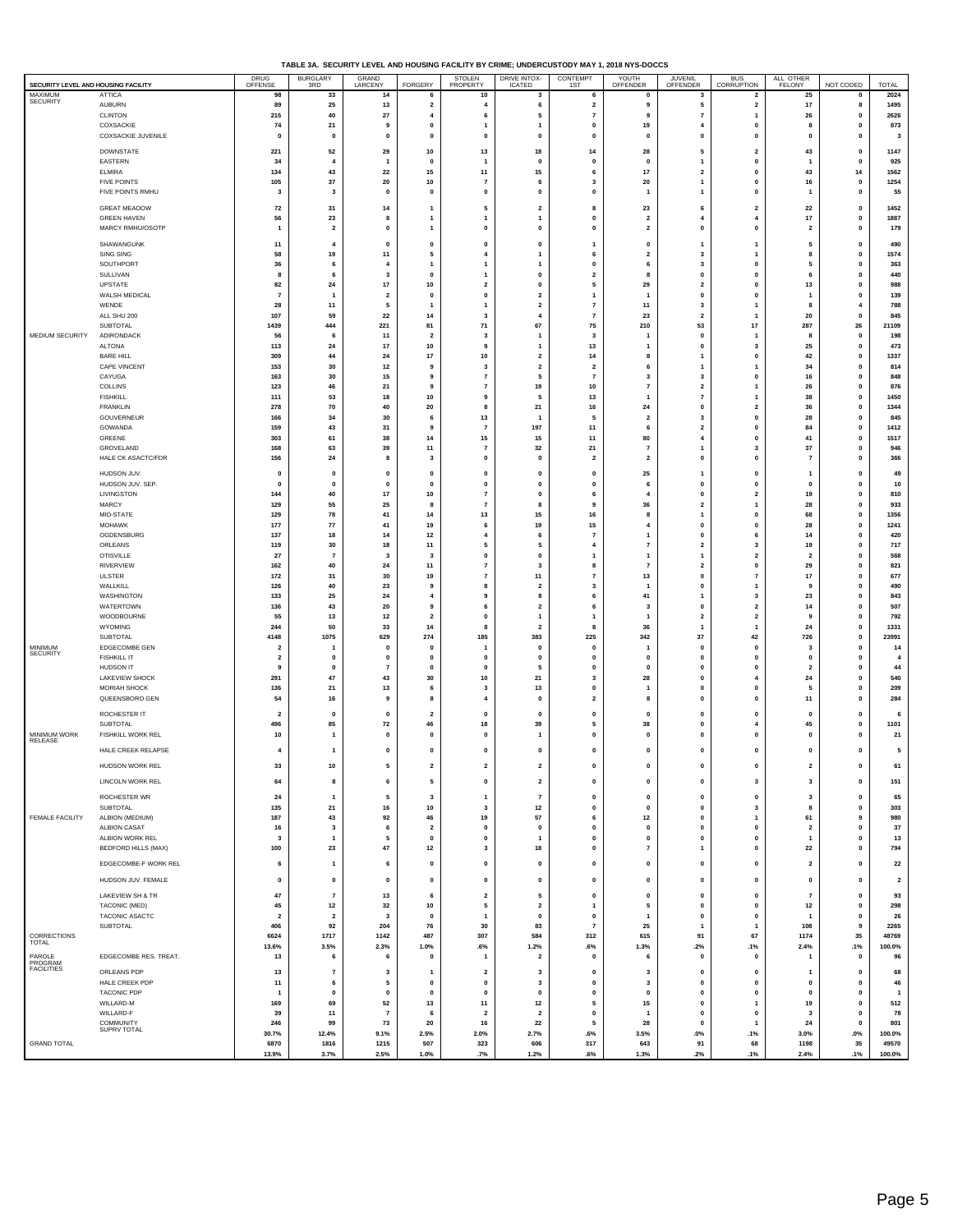| TABLE 3A. SECURITY LEVEL AND HOUSING FACILITY BY CRIME: UNDERCUSTODY MAY 1, 2018 NYS-DOCCS |  |
|--------------------------------------------------------------------------------------------|--|

| SECURITY LEVEL AND HOUSING FACILITY |                                         | DRUG<br>OFFENSE               | BURGLARY<br>3RD                 | GRAND<br>LARCENY               | FORGERY                      | STOLEN<br>PROPERTY                      | DRIVE INTOX-<br>ICATED                             | CONTEMPT                                       | YOUTH<br>OFFENDER                       | JUVENIL<br>OFFENDER                    | BUS<br>CORRUPTION                    | ALL OTHER<br>FELONY            | NOT CODED                   | <b>TOTAL</b>            |
|-------------------------------------|-----------------------------------------|-------------------------------|---------------------------------|--------------------------------|------------------------------|-----------------------------------------|----------------------------------------------------|------------------------------------------------|-----------------------------------------|----------------------------------------|--------------------------------------|--------------------------------|-----------------------------|-------------------------|
| MAXIMUM<br>SECURITY                 | <b>ATTICA</b>                           | 98                            | 33                              | 14                             | 6                            | 10                                      | 3                                                  | 6                                              | $\mathbf 0$                             | 3                                      | $\overline{2}$                       | 25                             | 0                           | 2024                    |
|                                     | <b>AUBURN</b><br>CLINTON                | 89<br>215                     | 25<br>40                        | 13<br>27                       | $\overline{\mathbf{2}}$<br>4 | 4<br>6                                  | 6<br>5                                             | $\overline{\mathbf{2}}$<br>$\scriptstyle\rm 7$ | 9<br>9                                  | 5<br>$\overline{7}$                    | $\overline{\mathbf{2}}$<br>1         | $17\,$<br>26                   | 8<br>$\pmb{0}$              | 1495<br>2626            |
|                                     | COXSACKIE                               | 74                            | ${\bf 21}$                      | 9                              | $\mathbf{0}$                 | $\mathbf{1}$                            | $\mathbf{1}$                                       | $\mathbf{0}$                                   | 19                                      | 4                                      | O                                    | -8                             | $\mathbf{0}$                | 873                     |
|                                     | COXSACKIE JUVENILE                      | $\pmb{0}$                     | $\mathbf 0$                     | $\mathbf{0}$                   | 0                            | 0                                       | $\mathbf 0$                                        | $\pmb{0}$                                      | $\pmb{0}$                               | $\mathbf 0$                            | o                                    | $\mathbf{0}$                   | $\pmb{0}$                   | $\mathbf{3}$            |
|                                     | DOWNSTATE<br>EASTERN                    | 221<br>34                     | 52<br>$\overline{4}$            | 29<br>$\mathbf{1}$             | 10<br>$\pmb{0}$              | 13<br>$\mathbf{1}$                      | 18<br>$\mathbf 0$                                  | 14<br>$\pmb{0}$                                | 28<br>$\pmb{0}$                         | 5<br>1                                 | $\overline{\mathbf{2}}$<br>$\pmb{0}$ | 43<br>$\mathbf{1}$             | 0<br>$\pmb{0}$              | 1147<br>925             |
|                                     | ELMIRA                                  | 134                           | 43                              | 22                             | 15                           | 11                                      | 15                                                 | 6                                              | 17                                      | $\overline{2}$                         | $\mathbf{0}$                         | 43                             | 14                          | 1562                    |
|                                     | <b>FIVE POINTS</b><br>FIVE POINTS RMHU  | 105<br>3                      | 37<br>3                         | 20<br>$\mathbf 0$              | 10<br>$\mathbf{0}$           | $\overline{7}$<br>0                     | 6<br>$\mathbf 0$                                   | $\overline{\mathbf{3}}$<br>$\mathbf{0}$        | 20<br>$\overline{1}$                    | $\mathbf{1}$<br>1                      | $\mathbf{0}$<br>o                    | 16<br>$\overline{1}$           | 0<br>$\pmb{0}$              | 1254<br>55              |
|                                     | <b>GREAT MEADOW</b>                     | 72                            | 31                              | 14                             | 1                            | 5                                       | $\overline{\mathbf{2}}$                            | 8                                              | 23                                      | 6                                      | $\overline{2}$                       | 22                             | $\mathbf 0$                 | 1452                    |
|                                     | <b>GREEN HAVEN</b>                      | 56                            | 23                              | 8                              | 1                            | 1                                       | $\overline{1}$                                     | $\pmb{\mathsf{o}}$                             | $\overline{\mathbf{2}}$                 |                                        | 4                                    | 17                             | $\pmb{0}$                   | 1887                    |
|                                     | MARCY RMHU/OSOTP                        | $\overline{1}$                | $\overline{\mathbf{2}}$         | $\mathbf 0$                    | 1                            | 0                                       | 0                                                  | $\mathbf{0}$                                   | $\overline{\mathbf{2}}$                 | $\mathbf 0$                            | $\mathbf{0}$                         | $\overline{2}$                 | 0                           | 179                     |
|                                     | SHAWANGUNK<br>SING SING                 | 11<br>58                      | $\overline{4}$<br>19            | $\mathbf 0$<br>11              | $\mathbf{0}$<br>5            | $\mathbf{0}$<br>4                       | $\mathbf{0}$<br>$\mathbf{1}$                       | -1<br>6                                        | $\mathbf{0}$<br>$\overline{\mathbf{2}}$ | 1<br>3                                 | 1<br>1                               | 5<br>8                         | $\mathbf{0}$<br>0           | 490<br>1574             |
|                                     | SOUTHPORT                               | 36                            | 6                               | $\overline{4}$                 | $\mathbf{1}$                 | 1                                       | 1                                                  | $\pmb{0}$                                      | 6                                       | 3                                      | 0                                    | 5                              | $\mathbf 0$                 | 363                     |
|                                     | SULLIVAN<br>UPSTATE                     | 8<br>82                       | 6<br>24                         | $\overline{\mathbf{3}}$<br>17  | $\mathbf{0}$<br>10           | $\mathbf{1}$<br>$\overline{\mathbf{2}}$ | $\mathbf{0}$<br>0                                  | $\overline{\mathbf{2}}$<br>5                   | 8<br>29                                 | $\mathbf{0}$<br>$\overline{2}$         | $\mathbf{0}$<br>$\mathbf{0}$         | 6<br>13                        | $\pmb{0}$<br>0              | 440<br>988              |
|                                     | WALSH MEDICAL                           | $\overline{7}$                | $\overline{1}$                  | $\overline{\mathbf{2}}$        | $\mathbf{0}$                 | $\pmb{0}$                               | $\mathbf{2}$                                       | $\mathbf{1}$                                   | $\overline{1}$                          | 0                                      | o                                    | $\overline{1}$                 | $\pmb{0}$                   | 139                     |
|                                     | WENDE<br>ALL SHU 200                    | 28<br>107                     | 11<br>59                        | 5<br>22                        | -1<br>14                     | $\mathbf{1}$<br>3                       | $\mathbf{2}$<br>$\overline{4}$                     | $\overline{7}$<br>$\scriptstyle\rm 7$          | 11<br>23                                | 3<br>$\overline{\mathbf{2}}$           | 1<br>1                               | 8<br>20                        | $\overline{4}$<br>$\pmb{0}$ | 788<br>845              |
|                                     | SUBTOTAL                                | 1439                          | 444                             | 221                            | 81                           | 71                                      | 67                                                 | 75                                             | 210                                     | 53                                     | 17                                   | 287                            | 26                          | 21109                   |
| MEDIUM SECURITY                     | ADIRONDACK<br><b>ALTONA</b>             | 56<br>113                     | -6<br>${\bf 24}$                | 11<br>17                       | $\overline{2}$<br>10         | 3<br>9                                  | $\overline{1}$<br>$\mathbf{1}$                     | $\overline{\mathbf{3}}$<br>13                  | -1<br>$\overline{1}$                    | $\mathbf 0$<br>0                       | 1<br>3                               | 8<br>25                        | 0<br>$\pmb{0}$              | 198<br>473              |
|                                     | <b>BARE HILL</b>                        | 309                           | 44                              | 24                             | 17                           | 10                                      | $\overline{\mathbf{2}}$                            | 14                                             | 8                                       | 1                                      | $\mathbf{0}$                         | 42                             | $\mathbf{0}$                | 1337                    |
|                                     | CAPE VINCENT<br>CAYUGA                  | 153<br>163                    | 30<br>30                        | 12<br>15                       | 9<br>9                       | 3<br>$\overline{7}$                     | $\overline{\mathbf{2}}$<br>5                       | $\overline{2}$<br>$\scriptstyle\rm 7$          | 6<br>3                                  | $\mathbf{1}$<br>3                      | 1<br>O                               | 34<br>16                       | 0<br>$\pmb{0}$              | 814<br>848              |
|                                     | <b>COLLINS</b>                          | 123                           | 46                              | 21                             | 9                            | $\overline{7}$                          | 19                                                 | 10                                             | $\overline{7}$                          | $\overline{2}$                         | 1                                    | 26                             | $\pmb{0}$                   | 876                     |
|                                     | <b>FISHKILL</b><br><b>FRANKLIN</b>      | 111<br>278                    | 53<br>70                        | 18<br>40                       | 10<br>20                     | 9<br>8                                  | 5<br>21                                            | 13<br>16                                       | $\overline{1}$<br>$\bf 24$              | $\overline{7}$<br>0                    | 1<br>$\overline{2}$                  | 38<br>36                       | $\mathbf 0$<br>$\pmb{0}$    | 1450<br>1344            |
|                                     | GOUVERNEUR                              | 166                           | 34                              | 30                             | 6                            | 13                                      | $\mathbf{1}$                                       | 5                                              | $\overline{\mathbf{2}}$                 | 3                                      | $\mathbf{0}$                         | 28                             | 0                           | 845                     |
|                                     | GOWANDA<br>GREENE                       | 159<br>303                    | 43<br>61                        | 31<br>38                       | 9<br>14                      | $\overline{7}$<br>15                    | 197<br>15                                          | 11<br>11                                       | 6<br>80                                 | $\overline{\mathbf{2}}$<br>4           | 0<br>$\mathbf{0}$                    | 84<br>41                       | $\pmb{0}$<br>$\mathbf{0}$   | 1412<br>1517            |
|                                     | GROVELAND                               | 168                           | 63                              | 39                             | 11                           | $\overline{7}$                          | 32                                                 | 21                                             | $\overline{7}$                          | 1                                      | 3                                    | 37                             | 0                           | 946                     |
|                                     | HALE CK ASACTC/FDR                      | 156                           | ${\bf 24}$                      | 8                              | 3                            | $\pmb{0}$                               | $\mathbf 0$                                        | $\overline{\mathbf{2}}$                        | $\mathbf{2}$                            | $\mathbf{0}$                           | O                                    | $\scriptstyle\rm 7$            | $\pmb{0}$                   | 366                     |
|                                     | HUDSON JUV.<br>HUDSON JUV. SEP.         | $\pmb{0}$<br>$\mathbf{0}$     | $\pmb{0}$<br>$\pmb{\mathsf{o}}$ | $\mathbf 0$<br>$\mathbf{0}$    | 0<br>$\mathbf{0}$            | 0<br>0                                  | $\mathbf 0$<br>$\mathbf 0$                         | $\pmb{0}$<br>$\pmb{0}$                         | 25<br>6                                 | 1<br>$\mathbf{0}$                      | 0<br>0                               | $\mathbf{1}$<br>$\mathbf{0}$   | $\pmb{0}$<br>$\pmb{0}$      | 49<br>10                |
|                                     | LIVINGSTON                              | 144                           | 40                              | 17                             | 10                           | 7                                       | 0                                                  | 6                                              | $\overline{\mathbf{4}}$                 | $\mathbf 0$                            | $\overline{\mathbf{2}}$              | 19                             | 0                           | 810                     |
|                                     | MARCY<br>MID-STATE                      | 129<br>129                    | 55<br>78                        | 25<br>41                       | 8<br>14                      | $\overline{7}$<br>13                    | 8<br>15                                            | 9<br>16                                        | 36<br>8                                 | $\overline{\mathbf{2}}$<br>1           | 1<br>$\mathbf{0}$                    | 28<br>68                       | $\pmb{0}$<br>$\pmb{0}$      | 933<br>1356             |
|                                     | <b>MOHAWK</b>                           | 177                           | 77                              | 41                             | 19                           | 6                                       | 19                                                 | 15                                             | $\overline{4}$                          | 0                                      | $\mathbf{0}$                         | 28                             | 0                           | 1241                    |
|                                     | OGDENSBURG<br>ORLEANS                   | 137<br>119                    | 18<br>30                        | 14<br>18                       | 12<br>11                     | 4<br>5                                  | 6<br>5                                             | $\scriptstyle\rm 7$<br>$\overline{4}$          | $\overline{1}$<br>$\overline{7}$        | 0<br>$\overline{2}$                    | 6<br>$\overline{\mathbf{3}}$         | 14<br>19                       | $\mathbf 0$<br>$\pmb{0}$    | 420<br>717              |
|                                     | <b>OTISVILLE</b>                        | 27                            | $\overline{7}$                  | - 3                            | 3                            | $\mathbf{0}$                            | 0                                                  | $\mathbf{1}$                                   | $\overline{1}$                          | $\mathbf{1}$                           | $\overline{2}$                       | $\overline{2}$                 | 0                           | 568                     |
|                                     | RIVERVIEW<br>ULSTER                     | 162<br>172                    | 40<br>31                        | 24<br>30                       | 11<br>19                     | $\overline{7}$<br>$\overline{7}$        | 3<br>11                                            | 8<br>$\overline{7}$                            | $\overline{7}$<br>13                    | $\overline{\mathbf{2}}$<br>$\mathbf 0$ | O<br>$\overline{7}$                  | 29<br>17                       | $\pmb{0}$<br>$\pmb{0}$      | 821<br>677              |
|                                     | WALLKILL                                | 126                           | 40                              | 23                             | 9                            | 8                                       | $\overline{\mathbf{2}}$                            | $\mathbf{3}$                                   | $\mathbf{1}$                            | 0                                      | 1                                    | 9                              | $\pmb{0}$                   | 490                     |
|                                     | WASHINGTON<br>WATERTOWN                 | 133<br>136                    | 25<br>43                        | 24<br>20                       | $\overline{4}$<br>9          | 9<br>6                                  | 8<br>$\overline{\mathbf{2}}$                       | 6<br>6                                         | 41<br>$\overline{\mathbf{3}}$           | 1<br>$\mathbf 0$                       | 3<br>$\overline{\mathbf{2}}$         | 23<br>14                       | $\pmb{0}$<br>0              | 843<br>507              |
|                                     | WOODBOURNE                              | 55                            | 13                              | 12                             | $\overline{\mathbf{2}}$      | 0                                       | $\overline{1}$                                     | $\mathbf{1}$                                   | $\overline{1}$                          | $\overline{\mathbf{2}}$                | $\overline{2}$                       | 9                              | $\pmb{0}$                   | 792                     |
|                                     | <b>WYOMING</b><br>SUBTOTAL              | 244<br>4148                   | 50<br>1075                      | 33<br>629                      | 14<br>274                    | 8<br>185                                | $\mathbf 2$<br>383                                 | 8<br>225                                       | 36<br>342                               | $\mathbf{1}$<br>37                     | 1<br>42                              | 24<br>726                      | $\pmb{0}$<br>0              | 1331<br>23991           |
| MINIMUM<br><b>SECURITY</b>          | EDGECOMBE GEN                           | $\overline{\mathbf{2}}$       | -1                              | $\mathbf{0}$                   | $\mathbf{0}$                 | 1                                       | $\mathbf 0$                                        | $\pmb{\mathsf{o}}$                             | -1                                      | 0                                      | O                                    | $\overline{\mathbf{3}}$        | $\pmb{0}$                   | 14                      |
|                                     | <b>FISHKILL IT</b><br>HUDSON IT         | $\overline{2}$<br>9           | $\mathbf 0$<br>$\mathbf 0$      | $\mathbf{0}$<br>$\overline{7}$ | $\mathbf{0}$<br>$\pmb{0}$    | $\mathbf{0}$<br>0                       | $\mathbf{0}$<br>5                                  | $\mathbf{0}$<br>$\pmb{0}$                      | $\mathbf{0}$<br>$\mathbf{0}$            | $\mathbf{0}$<br>$\mathbf{0}$           | $\mathbf{0}$<br>O                    | $\mathbf{0}$<br>$\overline{2}$ | $\pmb{0}$<br>$\pmb{0}$      | $\overline{4}$<br>44    |
|                                     | LAKEVIEW SHOCK                          | 291                           | 47                              | 43                             | 30                           | ${\bf 10}$                              | 21                                                 | $\mathbf 3$                                    | 28                                      | $\mathbf 0$                            | 4                                    | ${\bf 24}$                     | $\pmb{0}$                   | 540                     |
|                                     | <b>MORIAH SHOCK</b><br>QUEENSBORO GEN   | 136<br>54                     | ${\bf 21}$<br>16                | 13<br>9                        | 6<br>8                       | 3<br>$\overline{4}$                     | 13<br>$\mathbf 0$                                  | $\mathbf 0$<br>$\overline{\mathbf{2}}$         | -1<br>8                                 | $\mathbf 0$<br>$\mathbf 0$             | $\mathbf{0}$<br>0                    | -5<br>11                       | $\mathbf 0$<br>$\mathbf 0$  | 209<br>284              |
|                                     | ROCHESTER IT                            | $\overline{\mathbf{2}}$       | $\mathbf 0$                     | $\mathbf 0$                    | $\overline{\mathbf{2}}$      | $\mathbf 0$                             | $\mathbf{0}$                                       | $\mathbf{0}$                                   | $\mathbf{0}$                            | $\mathbf 0$                            | $\mathbf{0}$                         | $\mathbf{0}$                   | 0                           | 6                       |
| MINIMUM WORK                        | SUBTOTAL                                | 496                           | 85                              | 72                             | 46<br>$\mathbf{0}$           | 18                                      | 39                                                 | 5                                              | 38                                      | $\mathbf 0$                            | 4                                    | 45                             | $\pmb{0}$                   | 1101                    |
| RELEASE                             | FISHKILL WORK REL<br>HALE CREEK RELAPSE | 10                            | -1                              | $\mathbf 0$                    |                              | $\mathbf 0$                             | -1                                                 | $\mathbf{0}$                                   | $\mathbf{0}$                            | $\mathbf 0$                            | $\mathbf{0}$                         | $\mathbf{0}$                   | $\pmb{0}$                   | 21                      |
|                                     |                                         | $\overline{4}$                | $\overline{1}$                  | $\mathbf{0}$                   | $\mathbf{0}$                 | 0                                       | $\pmb{0}$                                          | $\mathbf{0}$                                   | $\pmb{0}$                               | $\mathbf{0}$                           | 0                                    | $\mathbf{0}$                   | $\pmb{0}$                   | 5                       |
|                                     | HUDSON WORK REL                         | 33                            | 10                              | 5                              | $\overline{2}$               | $\overline{\mathbf{2}}$                 | $\overline{\mathbf{2}}$                            | $\mathbf{r}$                                   | 0                                       | n                                      | n                                    |                                | 0                           | 61                      |
|                                     | <b>LINCOLN WORK REL</b><br>ROCHESTER WR | 64<br>24                      | 8                               | 6<br>5                         | 5<br>$\overline{\mathbf{3}}$ | 0<br>$\mathbf{1}$                       | $\overline{\mathbf{2}}$<br>$\overline{\mathbf{z}}$ | $\mathbf 0$<br>$\mathbf{0}$                    | $\mathbf 0$<br>$\mathbf{0}$             | $\mathbf 0$<br>$\mathbf{0}$            | 3<br>$\mathbf{0}$                    | $\mathbf{3}$                   | 0<br>$\pmb{0}$              | 151<br>65               |
|                                     | SUBTOTAL                                | 135                           | $\overline{1}$<br>21            | 16                             | 10                           | 3                                       | 12                                                 | $\pmb{0}$                                      | $\mathbf{0}$                            | $\mathbf{0}$                           | 3                                    | 3<br>8                         | $\pmb{0}$                   | 303                     |
| FEMALE FACILITY                     | ALBION (MEDIUM)<br><b>ALBION CASAT</b>  | 187                           | 43                              | 92<br>6                        | 46<br>$\overline{2}$         | 19<br>0                                 | 57<br>$\mathbf{0}$                                 | 6<br>$\pmb{0}$                                 | 12<br>$\mathbf{0}$                      | 0<br>$\mathbf{0}$                      | $\overline{1}$<br>$\mathbf{0}$       | 61<br>$\overline{2}$           | $\mathbf{9}$<br>$\pmb{0}$   | 980<br>37               |
|                                     | ALBION WORK REL                         | 16<br>3                       | $\mathbf{3}$<br>$\overline{1}$  | 5                              | $\pmb{0}$                    | $\pmb{0}$                               | 1                                                  | $\pmb{0}$                                      | $\pmb{0}$                               | $\mathbf{0}$                           | $\pmb{0}$                            | $\mathbf{1}$                   | $\pmb{0}$                   | 13                      |
|                                     | <b>BEDFORD HILLS (MAX)</b>              | 100                           | 23                              | 47                             | $12$                         | 3                                       | 18                                                 | $\pmb{0}$                                      | $\scriptstyle\rm 7$                     | $\overline{1}$                         | 0                                    | 22                             | $\pmb{0}$                   | 794                     |
|                                     | EDGECOMBE-F WORK REL                    | 6                             | $\overline{1}$                  | 6                              | $\pmb{0}$                    | 0                                       | $\pmb{0}$                                          | $\pmb{0}$                                      | $\pmb{0}$                               | 0                                      | 0                                    | $\overline{\mathbf{2}}$        | $\pmb{0}$                   | 22                      |
|                                     | HUDSON JUV. FEMALE                      | $\mathbf{0}$                  | $\pmb{0}$                       | 0                              | $\pmb{0}$                    | $\pmb{0}$                               | $\pmb{0}$                                          | $\pmb{0}$                                      | $\mathbf{0}$                            | $\pmb{0}$                              | $\mathbf{0}$                         | $\mathbf{0}$                   | $\mathbf 0$                 | $\overline{\mathbf{2}}$ |
|                                     | LAKEVIEW SH & TR                        | 47                            | $\overline{7}$                  | 13                             | 6                            | $\overline{2}$                          | 5                                                  | $\pmb{0}$                                      | $\mathbf{0}$                            | $\mathbf{0}$                           | $\mathbf{0}$                         | $\overline{7}$                 | $\mathbf{0}$                | 93                      |
|                                     | TACONIC (MED)<br>TACONIC ASACTC         | 45<br>$\overline{\mathbf{2}}$ | 12<br>$\mathbf{2}$              | 32<br>$\overline{\mathbf{3}}$  | 10<br>$\mathbf{0}$           | 5<br>$\overline{\phantom{a}}$           | $\overline{\mathbf{2}}$<br>$\pmb{0}$               | $\mathbf{1}$<br>$\pmb{0}$                      | 5<br>$\overline{1}$                     | $\mathbf{0}$<br>$\mathbf{0}$           | $\mathbf{0}$<br>$\mathbf{0}$         | 12<br>$\overline{1}$           | $\pmb{0}$<br>$\pmb{0}$      | 298<br>26               |
|                                     | SUBTOTAL                                | 406                           | 92                              | 204                            | 76                           | 30                                      | 83                                                 | $\overline{7}$                                 | 25                                      | 1                                      | 1                                    | 108                            | 9                           | 2265                    |
| CORRECTIONS<br><b>TOTAL</b>         |                                         | 6624<br>13.6%                 | 1717<br>3.5%                    | 1142<br>2.3%                   | 487<br>1.0%                  | 307<br>.6%                              | 584<br>1.2%                                        | 312<br>$.6\%$                                  | 615<br>1.3%                             | 91<br>.2%                              | 67<br>.1%                            | 1174<br>2.4%                   | 35<br>.1%                   | 48769<br>100.0%         |
| PAROLE<br>PROGRAM<br>FACILITIES     | EDGECOMBE RES. TREAT.                   | 13                            | -6                              | 6                              | $\mathbf{0}$                 | $\mathbf{1}$                            | $\overline{\mathbf{2}}$                            | $\mathbf{0}$                                   | 6                                       | $\Omega$                               | $\mathfrak{a}$                       | $\overline{1}$                 | $\mathbf 0$                 | 96                      |
|                                     | ORLEANS PDP                             | 13                            | $\overline{7}$                  | - 3                            | -1                           | $\overline{\mathbf{2}}$                 | 3                                                  | $\mathbf{0}$                                   | $\overline{\mathbf{3}}$                 | $\mathbf{0}$                           | $\mathbf{0}$                         | $\mathbf{1}$                   | $\pmb{0}$                   | 68                      |
|                                     | HALE CREEK PDP<br><b>TACONIC PDP</b>    | 11<br>-1                      | 6<br>$\pmb{\mathsf{o}}$         | 5<br>$\mathbf 0$               | $\pmb{0}$<br>$\pmb{0}$       | 0<br>$\mathbf{0}$                       | 3<br>$\pmb{0}$                                     | $\pmb{0}$<br>$\pmb{0}$                         | 3<br>$\pmb{\mathsf{o}}$                 | $\mathbf{0}$<br>$\mathbf{0}$           | $\pmb{0}$<br>$\pmb{0}$               | $\pmb{0}$<br>$\mathbf{0}$      | $\pmb{0}$<br>$\pmb{0}$      | 46<br>$\overline{1}$    |
|                                     | WILLARD-M                               | 169                           | 69                              | 52                             | 13<br>6                      | 11                                      | 12                                                 | 5                                              | 15                                      | $\mathbf{0}$<br>$\mathbf{0}$           | 1<br>$\mathbf{0}$                    | 19                             | $\pmb{0}$                   | 512                     |
|                                     | WILLARD-F<br>COMMUNITY                  | 39<br>246                     | 11<br>99                        | $\overline{7}$<br>73           | 20                           | $\overline{\mathbf{2}}$<br>$16\,$       | $\overline{\mathbf{2}}$<br>22                      | $\pmb{0}$<br>5                                 | $\overline{1}$<br>28                    | $\mathbf{0}$                           | $\overline{1}$                       | 3<br>${\bf 24}$                | $\pmb{0}$<br>$\pmb{0}$      | 78<br>801               |
| <b>GRAND TOTAL</b>                  | SUPRV TOTAL                             | 30.7%                         | 12.4%                           | 9.1%                           | 2.5%                         | 2.0%                                    | 2.7%<br>606                                        | .6%                                            | 3.5%<br>643                             | $.0\%$                                 | .1%<br>68                            | $3.0\%$                        | $.0\%$                      | 100.0%<br>49570         |
|                                     |                                         | 6870<br>13.9%                 | 1816<br>3.7%                    | 1215<br>2.5%                   | 507<br>1.0%                  | 323<br>.7%                              | 1.2%                                               | 317<br>$.6\%$                                  | 1.3%                                    | 91<br>.2%                              | .1%                                  | 1198<br>2.4%                   | 35<br>.1%                   | 100.0%                  |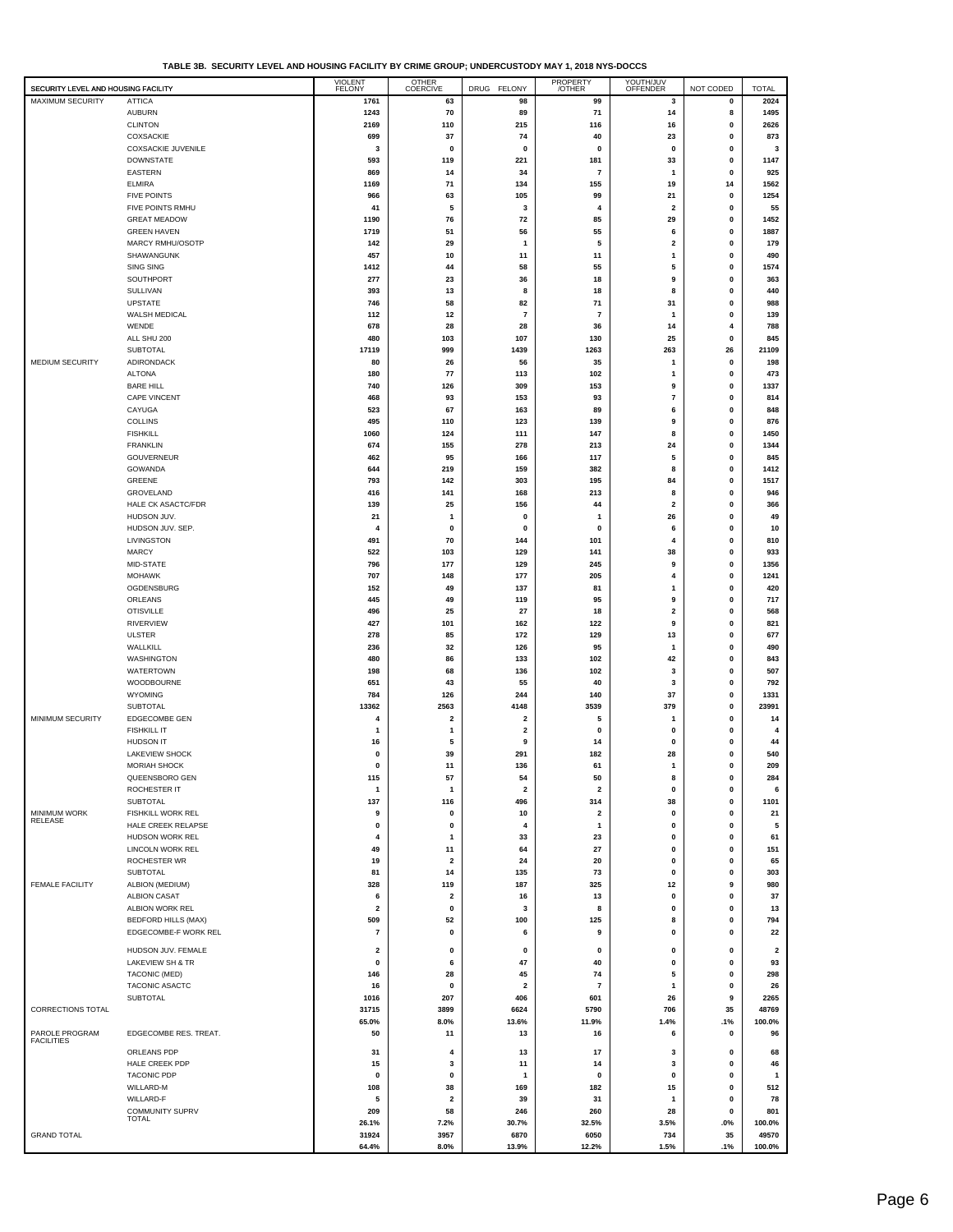| TABLE 3B. SECURITY LEVEL AND HOUSING FACILITY BY CRIME GROUP: UNDERCUSTODY MAY 1. 2018 NYS-DOCCS |  |
|--------------------------------------------------------------------------------------------------|--|
|                                                                                                  |  |

| SECURITY LEVEL AND HOUSING FACILITY |                                         | <b>VIOLENT</b><br>FELONY | <b>OTHER</b><br>COERCIVE       | DRUG FELONY                                        | PROPERTY<br>/OTHER             | YOUTH/JUV<br>OFFENDER        | NOT CODED                   | <b>TOTAL</b>            |
|-------------------------------------|-----------------------------------------|--------------------------|--------------------------------|----------------------------------------------------|--------------------------------|------------------------------|-----------------------------|-------------------------|
| MAXIMUM SECURITY                    | <b>ATTICA</b>                           | 1761                     | 63                             | 98                                                 | 99                             | 3                            | 0                           | 2024                    |
|                                     | <b>AUBURN</b>                           | 1243                     | 70                             | 89                                                 | 71                             | 14                           | 8                           | 1495                    |
|                                     | <b>CLINTON</b>                          | 2169                     | 110                            | 215                                                | 116                            | 16                           | 0<br>$\mathbf 0$            | 2626<br>873             |
|                                     | COXSACKIE<br>COXSACKIE JUVENILE         | 699<br>3                 | 37<br>0                        | 74<br>0                                            | 40<br>0                        | 23<br>0                      | 0                           | 3                       |
|                                     | <b>DOWNSTATE</b>                        | 593                      | 119                            | 221                                                | 181                            | 33                           | $\mathbf 0$                 | 1147                    |
|                                     | <b>EASTERN</b>                          | 869                      | 14                             | 34                                                 | $\overline{\mathbf{r}}$        | 1                            | $\mathbf 0$                 | 925                     |
|                                     | <b>ELMIRA</b>                           | 1169                     | 71                             | 134                                                | 155                            | 19                           | 14                          | 1562                    |
|                                     | <b>FIVE POINTS</b>                      | 966                      | 63                             | 105                                                | 99                             | 21                           | $\mathbf 0$                 | 1254                    |
|                                     | FIVE POINTS RMHU<br><b>GREAT MEADOW</b> | 41<br>1190               | 5<br>76                        | 3<br>72                                            | 4<br>85                        | 2<br>29                      | $\mathbf 0$<br>$\mathbf 0$  | 55<br>1452              |
|                                     | <b>GREEN HAVEN</b>                      | 1719                     | 51                             | 56                                                 | 55                             | 6                            | $\mathbf 0$                 | 1887                    |
|                                     | MARCY RMHU/OSOTP                        | 142                      | 29                             | $\mathbf{1}$                                       | 5                              | 2                            | 0                           | 179                     |
|                                     | SHAWANGUNK                              | 457                      | 10                             | 11                                                 | 11                             | $\mathbf{1}$                 | $\mathbf 0$                 | 490                     |
|                                     | <b>SING SING</b>                        | 1412                     | 44                             | 58                                                 | 55                             | 5                            | $\mathbf 0$                 | 1574                    |
|                                     | SOUTHPORT<br>SULLIVAN                   | 277<br>393               | 23<br>13                       | 36<br>8                                            | 18<br>18                       | 9<br>8                       | 0<br>$\mathbf 0$            | 363<br>440              |
|                                     | <b>UPSTATE</b>                          | 746                      | 58                             | 82                                                 | 71                             | 31                           | $\mathbf 0$                 | 988                     |
|                                     | WALSH MEDICAL                           | 112                      | 12                             | 7                                                  | $\overline{\mathbf{r}}$        | 1                            | $\mathbf 0$                 | 139                     |
|                                     | WENDE                                   | 678                      | 28                             | 28                                                 | 36                             | 14                           | $\overline{4}$              | 788                     |
|                                     | ALL SHU 200                             | 480                      | 103                            | 107                                                | 130                            | 25                           | $\mathbf 0$                 | 845                     |
| MEDIUM SECURITY                     | <b>SUBTOTAL</b><br>ADIRONDACK           | 17119<br>80              | 999<br>26                      | 1439<br>56                                         | 1263<br>35                     | 263<br>$\mathbf{1}$          | 26<br>$\mathbf 0$           | 21109<br>198            |
|                                     | <b>ALTONA</b>                           | 180                      | 77                             | 113                                                | 102                            | 1                            | $\mathbf 0$                 | 473                     |
|                                     | <b>BARE HILL</b>                        | 740                      | 126                            | 309                                                | 153                            | 9                            | $\mathbf 0$                 | 1337                    |
|                                     | CAPE VINCENT                            | 468                      | 93                             | 153                                                | 93                             | 7                            | $\mathbf 0$                 | 814                     |
|                                     | CAYUGA                                  | 523                      | 67                             | 163                                                | 89                             | 6                            | 0                           | 848                     |
|                                     | <b>COLLINS</b>                          | 495                      | 110                            | 123                                                | 139                            | 9                            | $\mathbf 0$<br>0            | 876                     |
|                                     | <b>FISHKILL</b><br><b>FRANKLIN</b>      | 1060<br>674              | 124<br>155                     | 111<br>278                                         | 147<br>213                     | 8<br>24                      | $\mathbf 0$                 | 1450<br>1344            |
|                                     | GOUVERNEUR                              | 462                      | 95                             | 166                                                | 117                            | 5                            | $\mathbf 0$                 | 845                     |
|                                     | GOWANDA                                 | 644                      | 219                            | 159                                                | 382                            | 8                            | $\mathbf 0$                 | 1412                    |
|                                     | GREENE                                  | 793                      | 142                            | 303                                                | 195                            | 84                           | $\mathbf 0$                 | 1517                    |
|                                     | GROVELAND<br>HALE CK ASACTC/FDR         | 416<br>139               | 141<br>25                      | 168<br>156                                         | 213<br>44                      | 8<br>$\overline{\mathbf{2}}$ | $\mathbf 0$<br>$\pmb{0}$    | 946<br>366              |
|                                     | HUDSON JUV.                             | 21                       | $\mathbf{1}$                   | 0                                                  | $\mathbf{1}$                   | 26                           | $\mathbf 0$                 | 49                      |
|                                     | HUDSON JUV. SEP.                        | 4                        | 0                              | 0                                                  | 0                              | 6                            | $\mathbf 0$                 | 10                      |
|                                     | LIVINGSTON                              | 491                      | 70                             | 144                                                | 101                            | 4                            | 0                           | 810                     |
|                                     | <b>MARCY</b>                            | 522                      | 103                            | 129                                                | 141                            | 38                           | $\mathbf 0$                 | 933                     |
|                                     | MID-STATE<br><b>MOHAWK</b>              | 796<br>707               | 177<br>148                     | 129<br>177                                         | 245<br>205                     | 9<br>4                       | $\mathbf 0$<br>$\mathbf 0$  | 1356<br>1241            |
|                                     | OGDENSBURG                              | 152                      | 49                             | 137                                                | 81                             | 1                            | $\mathbf 0$                 | 420                     |
|                                     | ORLEANS                                 | 445                      | 49                             | 119                                                | 95                             | 9                            | $\mathbf 0$                 | 717                     |
|                                     | <b>OTISVILLE</b>                        | 496                      | 25                             | 27                                                 | 18                             | 2                            | $\mathbf 0$                 | 568                     |
|                                     | <b>RIVERVIEW</b>                        | 427                      | 101                            | 162                                                | 122                            | 9                            | $\mathbf 0$                 | 821                     |
|                                     | <b>ULSTER</b>                           | 278<br>236               | 85                             | 172                                                | 129                            | 13<br>1                      | $\pmb{0}$                   | 677<br>490              |
|                                     | WALLKILL<br>WASHINGTON                  | 480                      | 32<br>86                       | 126<br>133                                         | 95<br>102                      | 42                           | $\mathbf 0$<br>$\mathbf 0$  | 843                     |
|                                     | <b>WATERTOWN</b>                        | 198                      | 68                             | 136                                                | 102                            | 3                            | 0                           | 507                     |
|                                     | WOODBOURNE                              | 651                      | 43                             | 55                                                 | 40                             | 3                            | $\mathbf 0$                 | 792                     |
|                                     | WYOMING                                 | 784                      | 126                            | 244                                                | 140                            | 37                           | 0                           | 1331                    |
|                                     | SUBTOTAL<br><b>EDGECOMBE GEN</b>        | 13362                    | 2563                           | 4148                                               | 3539                           | 379                          | 0<br>$\mathbf 0$            | 23991                   |
| MINIMUM SECURITY                    | <b>FISHKILL IT</b>                      | 4<br>1                   | $\overline{2}$<br>$\mathbf{1}$ | $\overline{\mathbf{c}}$<br>$\overline{\mathbf{2}}$ | 5<br>0                         | 1<br>0                       | $\mathbf 0$                 | 14<br>$\overline{4}$    |
|                                     | <b>HUDSON IT</b>                        | 16                       | 5                              | 9                                                  | 14                             | 0                            | $\pmb{0}$                   | 44                      |
|                                     | LAKEVIEW SHOCK                          | 0                        | 39                             | 291                                                | 182                            | 28                           | $\pmb{0}$                   | 540                     |
|                                     | MORIAH SHOCK                            | 0                        | 11                             | 136                                                | 61                             | 1                            | $\mathbf{0}$                | 209                     |
|                                     | QUEENSBORO GEN                          | 115                      | 57                             | 54                                                 | 50                             | 8<br>$\pmb{0}$               | $\pmb{0}$<br>$\pmb{0}$      | 284                     |
|                                     | ROCHESTER IT<br>SUBTOTAL                | $\mathbf{1}$<br>137      | $\overline{\mathbf{1}}$<br>116 | $\overline{\mathbf{2}}$<br>496                     | $\overline{\mathbf{2}}$<br>314 | 38                           | 0                           | 6<br>1101               |
| MINIMUM WORK                        | <b>FISHKILL WORK REL</b>                | 9                        | 0                              | 10                                                 | 2                              | 0                            | $\pmb{0}$                   | 21                      |
| <b>RELEASE</b>                      | HALE CREEK RELAPSE                      | 0                        | 0                              | 4                                                  | 1                              | 0                            | 0                           | 5                       |
|                                     | HUDSON WORK REL                         | 4                        | $\overline{\mathbf{1}}$        | 33                                                 | 23                             | 0                            | $\mathbf 0$                 | 61                      |
|                                     | LINCOLN WORK REL                        | 49                       | 11<br>$\overline{\mathbf{2}}$  | 64                                                 | 27<br>20                       | 0<br>$\pmb{0}$               | $\pmb{0}$                   | 151                     |
|                                     | ROCHESTER WR<br>SUBTOTAL                | 19<br>81                 | 14                             | 24<br>135                                          | 73                             | 0                            | $\mathbf 0$<br>$\mathbf 0$  | 65<br>303               |
| <b>FEMALE FACILITY</b>              | ALBION (MEDIUM)                         | 328                      | 119                            | 187                                                | 325                            | 12                           | 9                           | 980                     |
|                                     | <b>ALBION CASAT</b>                     | 6                        | $\overline{\mathbf{2}}$        | 16                                                 | 13                             | $\pmb{0}$                    | $\mathbf{0}$                | 37                      |
|                                     | ALBION WORK REL                         | $\overline{\mathbf{2}}$  | $\pmb{0}$                      | 3                                                  | 8                              | $\pmb{0}$                    | $\mathbf 0$                 | 13                      |
|                                     | <b>BEDFORD HILLS (MAX)</b>              | 509                      | 52                             | 100                                                | 125                            | 8                            | $\mathbf{0}$                | 794                     |
|                                     | EDGECOMBE-F WORK REL                    | $\overline{\mathbf{r}}$  | 0                              | 6                                                  | 9                              | 0                            | 0                           | 22                      |
|                                     | HUDSON JUV. FEMALE                      | $\overline{\mathbf{2}}$  | 0                              | $\mathbf 0$                                        | $\mathbf{0}$                   | 0                            | 0                           | $\overline{\mathbf{2}}$ |
|                                     | LAKEVIEW SH & TR                        | 0                        | 6                              | 47<br>45                                           | 40                             | $\pmb{0}$<br>5               | $\mathbf{0}$<br>$\mathbf 0$ | 93                      |
|                                     | TACONIC (MED)<br>TACONIC ASACTC         | 146<br>16                | 28<br>$\mathbf 0$              | $\overline{\mathbf{2}}$                            | 74<br>7                        | 1                            | $\mathbf 0$                 | 298<br>26               |
|                                     | SUBTOTAL                                | 1016                     | 207                            | 406                                                | 601                            | 26                           | 9                           | 2265                    |
| CORRECTIONS TOTAL                   |                                         | 31715                    | 3899                           | 6624                                               | 5790                           | 706                          | 35                          | 48769                   |
|                                     |                                         | 65.0%                    | 8.0%                           | 13.6%                                              | 11.9%                          | 1.4%                         | .1%                         | 100.0%                  |
| PAROLE PROGRAM<br><b>FACILITIES</b> | EDGECOMBE RES. TREAT.                   | 50                       | 11                             | 13                                                 | 16                             | 6                            | $\mathbf 0$                 | 96                      |
|                                     | ORLEANS PDP                             | 31                       | 4                              | 13                                                 | 17                             | 3                            | $\mathbf 0$                 | 68                      |
|                                     | HALE CREEK PDP                          | 15                       | 3                              | 11                                                 | 14                             | 3                            | 0                           | 46                      |
|                                     | <b>TACONIC PDP</b><br>WILLARD-M         | 0<br>108                 | $\pmb{0}$<br>38                | $\mathbf{1}$<br>169                                | 0<br>182                       | $\pmb{0}$<br>15              | $\mathbf 0$<br>$\mathbf 0$  | $\mathbf{1}$<br>512     |
|                                     | WILLARD-F                               | 5                        | $\overline{\mathbf{2}}$        | 39                                                 | 31                             | 1                            | $\mathbf 0$                 | 78                      |
|                                     | COMMUNITY SUPRV                         | 209                      | 58                             | 246                                                | 260                            | 28                           | 0                           | 801                     |
|                                     | TOTAL                                   | 26.1%                    | 7.2%                           | 30.7%                                              | 32.5%                          | 3.5%                         | .0%                         | 100.0%                  |
| <b>GRAND TOTAL</b>                  |                                         | 31924<br>64.4%           | 3957<br>8.0%                   | 6870<br>13.9%                                      | 6050<br>12.2%                  | 734<br>1.5%                  | 35<br>.1%                   | 49570<br>100.0%         |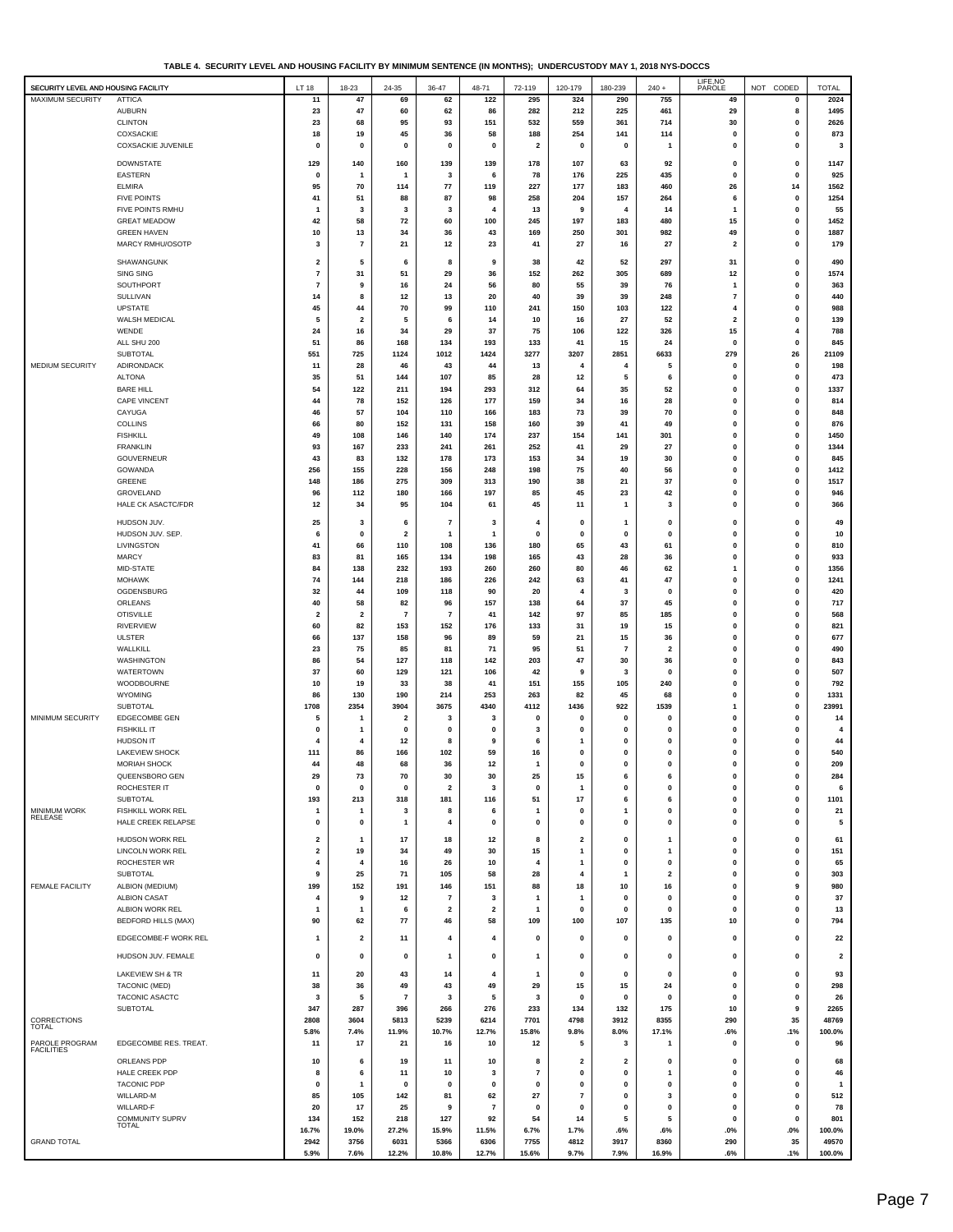| TABLE 4. SECURITY LEVEL AND HOUSING FACILITY BY MINIMUM SENTENCE (IN MONTHS); UNDERCUSTODY MAY 1, 2018 NYS-DOCCS |  |
|------------------------------------------------------------------------------------------------------------------|--|
|------------------------------------------------------------------------------------------------------------------|--|

|                                     | TABLE 4. SECURITT LEVEL AND HOUSING PACILITED I MINIMUM SENTENCE (IN MONTHS), UNDERCUSTOD I MATTI, ZUTO NTS-DOCCS |                         |                         |                      |                         |                         |                         |                    |                          |                   |                           |                              |                         |
|-------------------------------------|-------------------------------------------------------------------------------------------------------------------|-------------------------|-------------------------|----------------------|-------------------------|-------------------------|-------------------------|--------------------|--------------------------|-------------------|---------------------------|------------------------------|-------------------------|
| SECURITY LEVEL AND HOUSING FACILITY |                                                                                                                   | LT 18                   | 18-23                   | 24-35                | 36-47                   | 48-71                   | 72-119                  | 120-179            | 180-239                  | $240 +$           | LIFE, NO<br>PAROLE        | NOT CODED                    | <b>TOTAL</b>            |
| <b>MAXIMUM SECURITY</b>             | <b>ATTICA</b>                                                                                                     | 11                      | 47                      | 69                   | 62                      | 122                     | 295                     | 324                | 290                      | 755               | 49                        | $\pmb{0}$                    | 2024                    |
|                                     | <b>AUBURN</b>                                                                                                     | 23                      | 47                      | 60                   | 62                      | 86                      | 282                     | 212                | 225                      | 461               | 29                        | 8                            | 1495                    |
|                                     | <b>CLINTON</b>                                                                                                    | 23                      | 68                      | 95                   | 93                      | 151                     | 532                     | 559                | 361                      | 714               | 30                        | $\pmb{0}$                    | 2626                    |
|                                     | COXSACKIE                                                                                                         | 18                      | 19                      | 45                   | 36                      | 58                      | 188                     | 254                | 141                      | 114               | $\mathbf 0$               | $\mathbf 0$                  | 873                     |
|                                     | <b>COXSACKIE JUVENILE</b>                                                                                         | $\pmb{0}$               | 0                       | $\pmb{0}$            | 0                       | $\pmb{0}$               | $\overline{\mathbf{2}}$ | $\pmb{0}$          | $\pmb{0}$                | $\mathbf{1}$      | $\pmb{0}$                 | $\mathbf{0}$                 | 3                       |
|                                     | <b>DOWNSTATE</b>                                                                                                  | 129                     | 140                     | 160                  | 139                     | 139                     | 178                     | 107                | 63                       | 92                | 0                         | 0                            | 1147                    |
|                                     | EASTERN                                                                                                           | $\mathbf 0$             | 1                       | 1                    | $\mathbf{3}$            | 6                       | 78                      | 176                | 225                      | 435               | $\pmb{0}$                 | $\mathbf 0$                  | 925                     |
|                                     | <b>ELMIRA</b>                                                                                                     | 95                      | 70                      | 114                  | ${\bf 77}$              | 119                     | 227                     | 177                | 183                      | 460               | 26                        | 14                           | 1562                    |
|                                     | <b>FIVE POINTS</b>                                                                                                | 41                      | 51                      | 88                   | 87                      | 98                      | 258                     | 204                | 157                      | 264               | 6                         | $\mathbf{0}$                 | 1254                    |
|                                     | FIVE POINTS RMHU                                                                                                  | -1                      | 3                       | 3                    | $\mathbf 3$             | $\overline{\mathbf{4}}$ | 13                      | 9                  | 4                        | 14                | $\mathbf{1}$              | $\pmb{0}$                    | 55                      |
|                                     | <b>GREAT MEADOW</b>                                                                                               | 42                      | 58                      | 72                   | 60                      | 100                     | 245                     | 197                | 183                      | 480               | 15                        | 0                            | 1452                    |
|                                     | <b>GREEN HAVEN</b><br>MARCY RMHU/OSOTP                                                                            | 10                      | 13                      | 34                   | 36                      | 43                      | 169                     | 250                | 301                      | 982               | 49                        | $\pmb{0}$                    | 1887                    |
|                                     |                                                                                                                   | 3                       | $\overline{\mathbf{r}}$ | 21                   | 12                      | 23                      | 41                      | 27                 | 16                       | 27                | $\overline{\mathbf{2}}$   | 0                            | 179                     |
|                                     | SHAWANGUNK                                                                                                        | $\mathbf 2$             | 5                       | 6                    | 8                       | 9                       | 38                      | 42                 | 52                       | 297               | 31                        | 0                            | 490                     |
|                                     | <b>SING SING</b>                                                                                                  | $\overline{\mathbf{r}}$ | 31                      | 51                   | 29                      | 36                      | 152                     | 262                | 305                      | 689               | 12                        | $\mathbf{0}$                 | 1574                    |
|                                     | SOUTHPORT                                                                                                         | $\overline{7}$          | 9                       | 16                   | 24                      | 56                      | 80                      | 55                 | 39                       | 76                | $\mathbf{1}$              | $\mathbf{0}$                 | 363                     |
|                                     | SULLIVAN                                                                                                          | 14                      | 8                       | 12                   | 13                      | 20                      | 40                      | 39                 | 39                       | 248               | $\overline{7}$            | 0                            | 440                     |
|                                     | <b>UPSTATE</b>                                                                                                    | 45                      | 44                      | 70                   | 99                      | 110                     | 241                     | 150                | 103                      | 122               | 4                         | 0                            | 988                     |
|                                     | WALSH MEDICAL                                                                                                     | 5                       | 2                       | 5                    | 6                       | 14                      | 10                      | 16                 | 27                       | 52                | $\overline{\mathbf{2}}$   | 0                            | 139                     |
|                                     | WENDE<br>ALL SHU 200                                                                                              | 24                      | 16                      | 34<br>168            | 29<br>134               | 37<br>193               | 75<br>133               | 106                | 122<br>15                | 326               | 15<br>$\pmb{0}$           | 4<br>$\mathbf{0}$            | 788<br>845              |
|                                     | SUBTOTAL                                                                                                          | 51<br>551               | 86<br>725               | 1124                 | 1012                    | 1424                    | 3277                    | 41<br>3207         | 2851                     | 24<br>6633        | 279                       | 26                           | 21109                   |
| MEDIUM SECURITY                     | ADIRONDACK                                                                                                        | 11                      | 28                      | 46                   | 43                      | 44                      | 13                      | 4                  | 4                        | 5                 | $\mathbf 0$               | 0                            | 198                     |
|                                     | <b>ALTONA</b>                                                                                                     | 35                      | 51                      | 144                  | 107                     | 85                      | 28                      | 12                 | 5                        | 6                 | $\mathbf 0$               | $\pmb{0}$                    | 473                     |
|                                     | <b>BARE HILL</b>                                                                                                  | 54                      | 122                     | 211                  | 194                     | 293                     | 312                     | 64                 | 35                       | 52                | $\pmb{0}$                 | 0                            | 1337                    |
|                                     | <b>CAPE VINCENT</b>                                                                                               | 44                      | 78                      | 152                  | 126                     | 177                     | 159                     | 34                 | 16                       | 28                | $\mathbf{0}$              | $\mathbf{0}$                 | 814                     |
|                                     | CAYUGA                                                                                                            | 46                      | 57                      | 104                  | 110                     | 166                     | 183                     | 73                 | 39                       | 70                | $\pmb{0}$                 | $\mathbf{0}$                 | 848                     |
|                                     | <b>COLLINS</b>                                                                                                    | 66                      | 80                      | 152                  | 131                     | 158                     | 160                     | 39                 | 41                       | 49                | $\mathbf 0$               | $\mathbf 0$                  | 876                     |
|                                     | <b>FISHKILL</b>                                                                                                   | 49                      | 108                     | 146                  | 140                     | 174                     | 237                     | 154                | 141                      | 301               | $\pmb{0}$                 | $\mathbf{0}$                 | 1450                    |
|                                     | <b>FRANKLIN</b>                                                                                                   | 93                      | 167                     | 233                  | 241                     | 261                     | 252                     | 41                 | 29                       | 27                | 0                         | $\mathbf{0}$                 | 1344                    |
|                                     | GOUVERNEUR                                                                                                        | 43                      | 83                      | 132                  | 178                     | 173                     | 153                     | 34                 | 19                       | 30                | $\mathbf{0}$              | 0                            | 845                     |
|                                     | GOWANDA<br>GREENE                                                                                                 | 256<br>148              | 155<br>186              | 228<br>275           | 156<br>309              | 248<br>313              | 198<br>190              | 75<br>38           | 40<br>21                 | 56<br>37          | 0<br>0                    | $\bf{0}$<br>0                | 1412<br>1517            |
|                                     | GROVELAND                                                                                                         | 96                      | 112                     | 180                  | 166                     | 197                     | 85                      | 45                 | 23                       | 42                | 0                         | $\bf{0}$                     | 946                     |
|                                     | HALE CK ASACTC/FDR                                                                                                | 12                      | 34                      | 95                   | 104                     | 61                      | 45                      | 11                 | $\mathbf{1}$             | 3                 | 0                         | 0                            | 366                     |
|                                     |                                                                                                                   |                         |                         |                      |                         |                         |                         |                    |                          |                   |                           |                              |                         |
|                                     | HUDSON JUV.                                                                                                       | 25                      | 3                       | 6                    | $\boldsymbol{7}$        | 3                       | 4                       | 0                  | -1                       | 0                 | $\mathbf 0$               | 0                            | 49                      |
|                                     | HUDSON JUV. SEP.                                                                                                  | 6                       | $\mathbf 0$             | $\mathbf 2$          | $\mathbf{1}$            | $\mathbf{1}$            | $\mathbf 0$             | $\mathbf{0}$       | $\mathbf{0}$             | $\bf{0}$          | $\pmb{0}$                 | 0                            | 10                      |
|                                     | LIVINGSTON<br><b>MARCY</b>                                                                                        | 41                      | 66                      | 110                  | 108                     | 136                     | 180                     | 65                 | 43                       | 61                | $\pmb{0}$                 | $\mathbf{0}$<br>$\mathbf{0}$ | 810                     |
|                                     | MID-STATE                                                                                                         | 83<br>84                | 81<br>138               | 165<br>232           | 134<br>193              | 198<br>260              | 165<br>260              | 43<br>80           | 28<br>46                 | 36<br>62          | $\pmb{0}$<br>$\mathbf{1}$ | $\mathbf{0}$                 | 933<br>1356             |
|                                     | <b>MOHAWK</b>                                                                                                     | 74                      | 144                     | 218                  | 186                     | 226                     | 242                     | 63                 | 41                       | 47                | $\pmb{0}$                 | $\mathbf{0}$                 | 1241                    |
|                                     | OGDENSBURG                                                                                                        | 32                      | 44                      | 109                  | 118                     | 90                      | 20                      | $\overline{4}$     | 3                        | $\mathbf 0$       | $\mathbf{0}$              | 0                            | 420                     |
|                                     | ORLEANS                                                                                                           | 40                      | 58                      | 82                   | 96                      | 157                     | 138                     | 64                 | 37                       | 45                | 0                         | 0                            | 717                     |
|                                     | <b>OTISVILLE</b>                                                                                                  | $\overline{\mathbf{2}}$ | $\overline{\mathbf{2}}$ | $\overline{7}$       | $\overline{7}$          | 41                      | 142                     | 97                 | 85                       | 185               | 0                         | $\bf{0}$                     | 568                     |
|                                     | <b>RIVERVIEW</b>                                                                                                  | 60                      | 82                      | 153                  | 152                     | 176                     | 133                     | 31                 | 19                       | 15                | $\mathbf{0}$              | 0                            | 821                     |
|                                     | <b>ULSTER</b>                                                                                                     | 66                      | 137                     | 158                  | 96                      | 89                      | 59                      | 21                 | 15                       | 36                | $\mathbf{0}$              | $\bf{0}$                     | 677                     |
|                                     | WALLKILL                                                                                                          | 23                      | 75                      | 85                   | 81                      | 71                      | 95                      | 51                 | $\overline{\phantom{a}}$ | 2                 | 0                         | 0                            | 490                     |
|                                     | <b>WASHINGTON</b>                                                                                                 | 86                      | 54                      | 127                  | 118                     | 142                     | 203                     | 47                 | 30                       | 36                | $\pmb{0}$                 | 0                            | 843                     |
|                                     | <b>WATERTOWN</b>                                                                                                  | 37                      | 60                      | 129                  | 121                     | 106                     | 42                      | 9                  | 3                        | 0                 | $\mathbf 0$               | 0                            | 507                     |
|                                     | WOODBOURNE                                                                                                        | 10                      | 19                      | 33                   | 38                      | 41                      | 151                     | 155                | 105                      | 240               | $\pmb{0}$                 | 0                            | 792                     |
|                                     | WYOMING<br>SUBTOTAL                                                                                               | 86<br>1708              | 130<br>2354             | 190<br>3904          | 214<br>3675             | 253<br>4340             | 263<br>4112             | 82<br>1436         | 45<br>922                | 68<br>1539        | $\pmb{0}$<br>$\mathbf{1}$ | 0<br>0                       | 1331<br>23991           |
| MINIMUM SECURITY                    | EDGECOMBE GEN                                                                                                     | 5                       | 1                       | 2                    | 3                       | 3                       | $\pmb{0}$               | $\mathbf{0}$       | $\pmb{0}$                | 0                 | $\mathbf 0$               | $\mathbf{0}$                 | 14                      |
|                                     | <b>FISHKILL IT</b>                                                                                                | $\mathbf 0$             | $\mathbf{1}$            | $\mathbf 0$          | $\mathbf 0$             | $\mathbf 0$             | 3                       | $\mathbf{0}$       | $\Omega$                 | $\bf{0}$          | $\mathbf 0$               | 0                            | $\overline{4}$          |
|                                     | <b>HUDSON IT</b>                                                                                                  | 4                       | 4                       | 12                   | 8                       | 9                       | 6                       | $\mathbf{1}$       | $\Omega$                 | $\Omega$          | $\mathbf 0$               | 0                            | 44                      |
|                                     | <b>LAKEVIEW SHOCK</b>                                                                                             | 111                     | 86                      | 166                  | 102                     | 59                      | 16                      | 0                  | $\mathbf{0}$             | 0                 | 0                         | 0                            | 540                     |
|                                     | <b>MORIAH SHOCK</b>                                                                                               | 44                      | 48                      | 68                   | 36                      | 12                      |                         | Ō                  |                          |                   |                           |                              | 209                     |
|                                     | QUEENSBORO GEN                                                                                                    | 29                      | 73                      | 70                   | 30                      | 30                      | 25                      | 15                 | 6                        | 6                 | $\pmb{0}$                 | 0                            | 284                     |
|                                     | ROCHESTER IT                                                                                                      | 0                       | 0                       | 0                    | $\overline{\mathbf{2}}$ | 3                       | $\mathbf 0$             | $\mathbf{1}$       | $\mathbf{0}$             | 0                 | $\pmb{0}$                 | $\mathbf{0}$                 | 6                       |
|                                     | SUBTOTAL                                                                                                          | 193                     | 213                     | 318                  | 181                     | 116                     | 51                      | 17                 | 6                        | 6                 | 0                         | 0                            | 1101                    |
| MINIMUM WORK<br>RELEASE             | FISHKILL WORK REL                                                                                                 |                         | 1                       | 3                    | 8                       | 6                       | $\mathbf{1}$            | $\mathbf{0}$       | 1                        | 0                 | $\pmb{0}$                 | $\bf{0}$                     | 21                      |
|                                     | HALE CREEK RELAPSE                                                                                                | $\mathbf 0$             | 0                       | 1                    | 4                       | 0                       | 0                       | $\pmb{0}$          | $\pmb{0}$                | 0                 | $\pmb{0}$                 | 0                            | 5                       |
|                                     | HUDSON WORK REL                                                                                                   | $\overline{\mathbf{2}}$ | 1                       | 17                   | 18                      | 12                      | 8                       | 2                  | $\pmb{0}$                | $\mathbf{1}$      | $\mathbf 0$               | $\mathbf 0$                  | 61                      |
|                                     | <b>LINCOLN WORK REL</b>                                                                                           | $\overline{\mathbf{2}}$ | 19                      | 34                   | 49                      | 30                      | 15                      | $\mathbf{1}$       | $\mathbf{0}$             | 1                 | $\mathbf 0$               | 0                            | 151                     |
|                                     | ROCHESTER WR                                                                                                      | 4                       | 4                       | 16                   | 26                      | 10                      | 4                       | -1                 | $\mathbf{0}$             | 0                 | $\mathbf 0$               | $\mathbf 0$                  | 65                      |
|                                     | SUBTOTAL                                                                                                          | 9                       | 25                      | 71                   | 105                     | 58                      | 28                      | 4                  | $\mathbf{1}$             | $\mathbf{2}$      | $\pmb{0}$                 | 0                            | 303                     |
| FEMALE FACILITY                     | ALBION (MEDIUM)<br><b>ALBION CASAT</b>                                                                            | 199<br>4                | 152<br>9                | 191<br>12            | 146<br>$\overline{7}$   | 151<br>3                | 88<br>$\mathbf 1$       | 18<br>$\mathbf{1}$ | 10<br>$\pmb{0}$          | 16<br>0           | $\pmb{0}$<br>$\pmb{0}$    | 9<br>0                       | 980<br>37               |
|                                     | ALBION WORK REL                                                                                                   | -1                      | 1                       | 6                    | $\overline{\mathbf{2}}$ | $\overline{\mathbf{2}}$ | $\mathbf{1}$            | 0                  | $\pmb{0}$                | 0                 | $\pmb{0}$                 | $\mathbf 0$                  | 13                      |
|                                     | <b>BEDFORD HILLS (MAX)</b>                                                                                        | 90                      | 62                      | 77                   | 46                      | 58                      | 109                     | 100                | 107                      | 135               | 10                        | 0                            | 794                     |
|                                     |                                                                                                                   |                         |                         |                      |                         |                         |                         |                    |                          |                   |                           |                              |                         |
|                                     | EDGECOMBE-F WORK REL                                                                                              | 1                       | 2                       | 11                   | 4                       | 4                       | 0                       | 0                  | 0                        | 0                 | 0                         | 0                            | 22                      |
|                                     | HUDSON JUV. FEMALE                                                                                                | 0                       | $\mathbf 0$             | 0                    | 1                       | 0                       | $\mathbf 1$             | $\mathbf{0}$       | $\pmb{0}$                | 0                 | $\mathbf 0$               | 0                            | $\overline{\mathbf{2}}$ |
|                                     |                                                                                                                   |                         |                         |                      |                         |                         |                         |                    |                          |                   |                           |                              |                         |
|                                     | LAKEVIEW SH & TR<br>TACONIC (MED)                                                                                 | 11<br>38                | 20<br>36                | 43                   | 14<br>43                | 4<br>49                 | $\mathbf{1}$<br>29      | $\mathbf{0}$<br>15 | $\pmb{0}$<br>15          | $\mathbf 0$<br>24 | 0<br>0                    | $\mathbf 0$<br>0             | 93<br>298               |
|                                     | TACONIC ASACTC                                                                                                    | 3                       | 5                       | 49<br>$\overline{7}$ | 3                       | 5                       | 3                       | $\mathbf{0}$       | $\mathbf 0$              | 0                 | 0                         | $\mathbf 0$                  | 26                      |
|                                     | SUBTOTAL                                                                                                          | 347                     | 287                     | 396                  | 266                     | 276                     | 233                     | 134                | 132                      | 175               | 10                        | 9                            | 2265                    |
| CORRECTIONS                         |                                                                                                                   | 2808                    | 3604                    | 5813                 | 5239                    | 6214                    | 7701                    | 4798               | 3912                     | 8355              | 290                       | 35                           | 48769                   |
| TOTAL                               |                                                                                                                   | 5.8%                    | 7.4%                    | 11.9%                | 10.7%                   | 12.7%                   | 15.8%                   | 9.8%               | 8.0%                     | 17.1%             | .6%                       | .1%                          | 100.0%                  |
| PAROLE PROGRAM                      | EDGECOMBE RES. TREAT.                                                                                             | 11                      | 17                      | 21                   | 16                      | 10                      | 12                      | 5                  | 3                        | 1                 | 0                         | $\mathbf 0$                  | 96                      |
| <b>FACILITIES</b>                   | ORLEANS PDP                                                                                                       | 10                      | 6                       | 19                   | 11                      | 10                      | 8                       | $\overline{2}$     | $\overline{\mathbf{2}}$  | 0                 | $\pmb{0}$                 | $\pmb{0}$                    | 68                      |
|                                     | HALE CREEK PDP                                                                                                    | 8                       | 6                       | 11                   | 10                      | 3                       | $\overline{7}$          | 0                  | $\mathbf{0}$             | $\mathbf{1}$      | $\pmb{0}$                 | $\mathbf{0}$                 | 46                      |
|                                     | <b>TACONIC PDP</b>                                                                                                | 0                       | 1                       | $\mathbf 0$          | $\mathbf{0}$            | $\mathbf{0}$            | $\mathbf 0$             | 0                  | $\mathbf{0}$             | 0                 | $\pmb{0}$                 | 0                            | -1                      |
|                                     | WILLARD-M                                                                                                         | 85                      | 105                     | 142                  | 81                      | 62                      | 27                      | $\overline{7}$     | $\mathbf{0}$             | 3                 | $\pmb{0}$                 | $\mathbf{0}$                 | 512                     |
|                                     | WILLARD-F                                                                                                         | 20                      | 17                      | 25                   | 9                       | $\overline{7}$          | $\mathbf 0$             | 0                  | $\mathbf{0}$             | 0                 | $\pmb{0}$                 | $\mathbf{0}$                 | 78                      |
|                                     | <b>COMMUNITY SUPRV</b>                                                                                            | 134                     | 152                     | 218                  | 127                     | 92                      | 54                      | 14                 | 5                        | 5                 | $\pmb{0}$                 | $\mathbf 0$                  | 801                     |
|                                     | <b>TOTAL</b>                                                                                                      | 16.7%                   | 19.0%                   | 27.2%                | 15.9%                   | 11.5%                   | 6.7%                    | 1.7%               | .6%                      | .6%               | $.0\%$                    | $.0\%$                       | 100.0%                  |
| <b>GRAND TOTAL</b>                  |                                                                                                                   | 2942                    | 3756                    | 6031                 | 5366                    | 6306                    | 7755                    | 4812               | 3917                     | 8360              | 290                       | 35                           | 49570                   |
|                                     |                                                                                                                   | 5.9%                    | 7.6%                    | 12.2%                | 10.8%                   | 12.7%                   | 15.6%                   | 9.7%               | 7.9%                     | 16.9%             | .6%                       | .1%                          | 100.0%                  |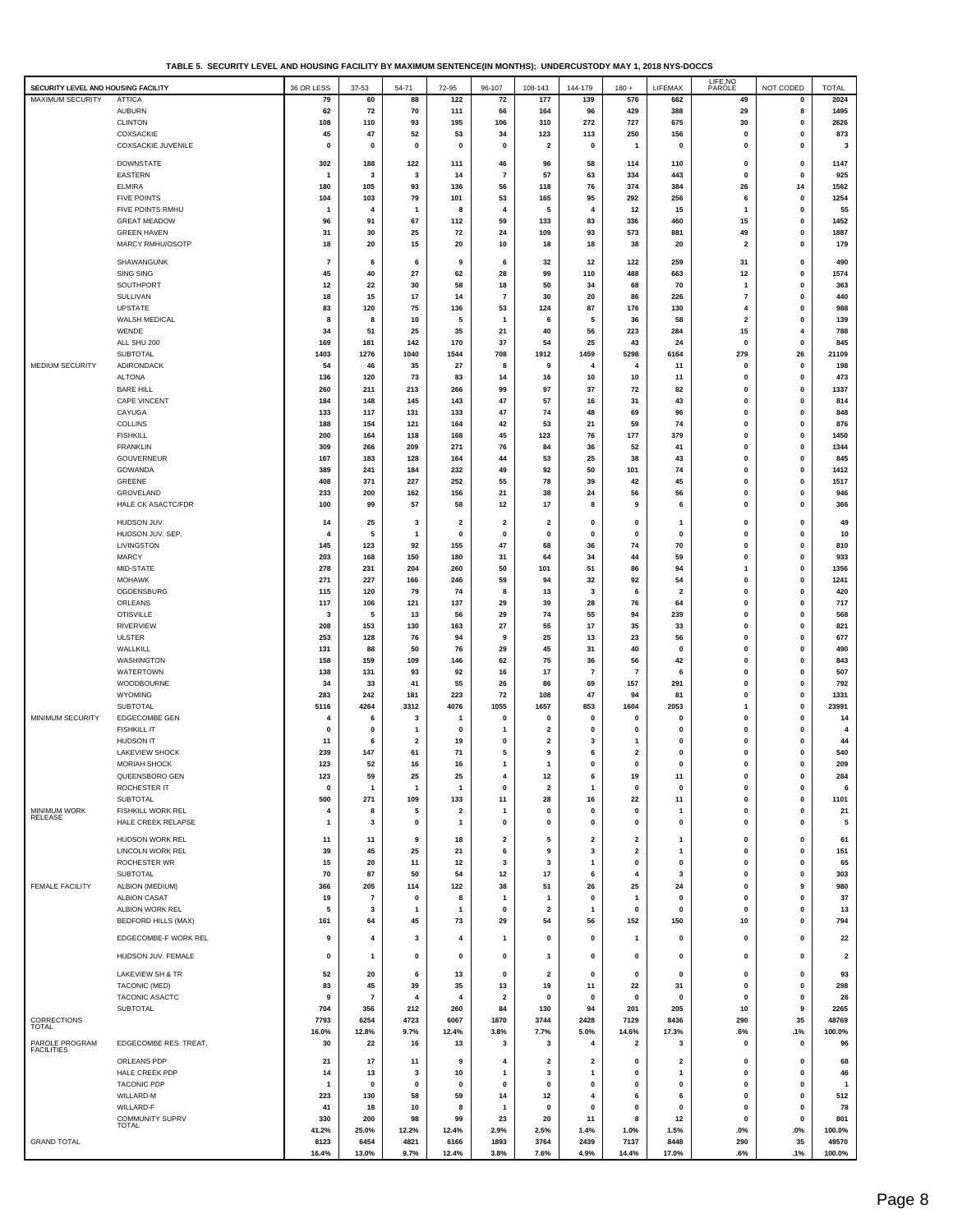| TABLE 5. SECURITY LEVEL AND HOUSING FACILITY BY MAXIMUM SENTENCE(IN MONTHS); UNDERCUSTODY MAY 1, 2018 NYS-DOCCS |  |
|-----------------------------------------------------------------------------------------------------------------|--|
|-----------------------------------------------------------------------------------------------------------------|--|

|                                     |                                               |              |                      |                         |                         |                               |                                    |                   |                                         |                           | LIFE, NO                      |                              |                         |
|-------------------------------------|-----------------------------------------------|--------------|----------------------|-------------------------|-------------------------|-------------------------------|------------------------------------|-------------------|-----------------------------------------|---------------------------|-------------------------------|------------------------------|-------------------------|
| SECURITY LEVEL AND HOUSING FACILITY |                                               | 36 OR LESS   | 37-53                | 54-71                   | 72-95                   | 96-107                        | 108-143                            | 144-179           | $180 +$                                 | LIFEMAX                   | PAROLE                        | NOT CODED                    | <b>TOTAL</b>            |
| MAXIMUM SECURITY                    | ATTICA<br><b>AUBURN</b>                       | 79<br>62     | 60<br>72             | 88<br>70                | 122<br>111              | 72<br>66                      | 177<br>164                         | 139<br>96         | 576<br>429                              | 662<br>388                | 49<br>29                      | 0<br>8                       | 2024<br>1495            |
|                                     | <b>CLINTON</b>                                | 108          | 110                  | 93                      | 195                     | 106                           | 310                                | 272               | 727                                     | 675                       | 30                            | 0                            | 2626                    |
|                                     | COXSACKIE                                     | 45           | 47                   | 52                      | 53                      | 34                            | 123                                | 113               | 250                                     | 156                       | 0                             | $\mathbf 0$                  | 873                     |
|                                     | <b>COXSACKIE JUVENILE</b>                     | $\mathbf 0$  | 0                    | $\mathbf 0$             | $\mathbf 0$             | $\Omega$                      | $\overline{\mathbf{2}}$            | $\mathbf 0$       | $\mathbf{1}$                            | $\mathbf{0}$              | $\mathbf 0$                   | $\mathbf 0$                  | 3                       |
|                                     | <b>DOWNSTATE</b>                              | 302          | 188                  | 122                     | 111                     | 46                            | 96                                 | 58                | 114                                     | 110                       | 0                             | 0                            | 1147                    |
|                                     | <b>EASTERN</b>                                |              | 3                    | 3                       | 14                      | $\overline{7}$                | 57                                 | 63                | 334                                     | 443                       | $\mathbf 0$                   | $\mathbf 0$                  | 925                     |
|                                     | <b>ELMIRA</b>                                 | 180          | 105                  | 93                      | 136                     | 56                            | 118                                | 76                | 374                                     | 384                       | 26                            | 14                           | 1562                    |
|                                     | <b>FIVE POINTS</b>                            | 104          | 103                  | 79                      | 101                     | 53                            | 165                                | 95                | 292                                     | 256                       | 6                             | 0                            | 1254                    |
|                                     | FIVE POINTS RMHU                              | -1           | 4                    | 1                       | 8                       | 4                             | 5                                  | 4                 | 12                                      | 15                        | $\mathbf{1}$                  | 0                            | 55                      |
|                                     | <b>GREAT MEADOW</b>                           | 96           | 91                   | 67                      | 112                     | 59                            | 133                                | 83                | 336                                     | 460                       | 15                            | 0<br>0                       | 1452<br>1887            |
|                                     | <b>GREEN HAVEN</b><br>MARCY RMHU/OSOTP        | 31<br>18     | 30<br>20             | 25<br>15                | 72<br>20                | 24<br>10                      | 109<br>18                          | 93<br>18          | 573<br>38                               | 881<br>20                 | 49<br>$\overline{\mathbf{2}}$ | 0                            | 179                     |
|                                     |                                               |              |                      |                         |                         |                               |                                    |                   |                                         |                           |                               |                              |                         |
|                                     | SHAWANGUNK<br><b>SING SING</b>                | 7<br>45      | 6<br>40              | 6<br>27                 | 9<br>62                 | 6<br>28                       | 32<br>99                           | 12<br>110         | 122<br>488                              | 259<br>663                | 31<br>12                      | $\mathbf{0}$<br>$\mathbf 0$  | 490<br>1574             |
|                                     | SOUTHPORT                                     | 12           | 22                   | 30                      | 58                      | 18                            | 50                                 | 34                | 68                                      | 70                        | -1                            | $\mathbf{0}$                 | 363                     |
|                                     | SULLIVAN                                      | 18           | 15                   | 17                      | 14                      | $\overline{7}$                | 30                                 | 20                | 86                                      | 226                       | $\overline{7}$                | 0                            | 440                     |
|                                     | UPSTATE                                       | 83           | 120                  | 75                      | 136                     | 53                            | 124                                | 87                | 176                                     | 130                       | 4                             | 0                            | 988                     |
|                                     | WALSH MEDICAL                                 |              | 8                    | 10                      | 5                       |                               | 6                                  | 5                 | 36                                      | 58                        | $\overline{2}$                | 0                            | 139                     |
|                                     | WENDE                                         | 34           | 51                   | 25                      | 35                      | 21                            | 40<br>54                           | 56<br>25          | 223<br>43                               | 284                       | 15<br>$\mathbf 0$             | 4<br>$\mathbf 0$             | 788<br>845              |
|                                     | ALL SHU 200<br>SUBTOTAL                       | 169<br>1403  | 181<br>1276          | 142<br>1040             | 170<br>1544             | 37<br>708                     | 1912                               | 1459              | 5298                                    | 24<br>6164                | 279                           | 26                           | 21109                   |
| MEDIUM SECURITY                     | ADIRONDACK                                    | 54           | 46                   | 35                      | 27                      | 8                             | 9                                  | 4                 | 4                                       | 11                        | 0                             | 0                            | 198                     |
|                                     | <b>ALTONA</b>                                 | 136          | 120                  | 73                      | 83                      | 14                            | 16                                 | 10                | 10                                      | 11                        | 0                             | 0                            | 473                     |
|                                     | <b>BARE HILL</b>                              | 260          | 211                  | 213                     | 266                     | 99                            | 97                                 | 37                | 72                                      | 82                        | 0                             | 0                            | 1337                    |
|                                     | <b>CAPE VINCENT</b>                           | 184          | 148                  | 145                     | 143                     | 47                            | 57                                 | 16                | 31                                      | 43                        | 0                             | $\mathbf 0$                  | 814                     |
|                                     | CAYUGA<br><b>COLLINS</b>                      | 133<br>188   | 117<br>154           | 131<br>121              | 133<br>164              | 47<br>42                      | 74<br>53                           | 48<br>21          | 69<br>59                                | 96<br>74                  | $\mathbf{0}$<br>0             | $\mathbf 0$<br>$\mathbf 0$   | 848<br>876              |
|                                     | <b>FISHKILL</b>                               | 200          | 164                  | 118                     | 168                     | 45                            | 123                                | 76                | 177                                     | 379                       | $\mathbf 0$                   | $\mathbf 0$                  | 1450                    |
|                                     | <b>FRANKLIN</b>                               | 309          | 266                  | 209                     | 271                     | 76                            | 84                                 | 36                | 52                                      | 41                        | $\mathbf 0$                   | $\mathbf 0$                  | 1344                    |
|                                     | <b>GOUVERNEUR</b>                             | 167          | 183                  | 128                     | 164                     | 44                            | 53                                 | 25                | 38                                      | 43                        | $\mathbf 0$                   | $\mathbf{0}$                 | 845                     |
|                                     | GOWANDA                                       | 389          | 241                  | 184                     | 232                     | 49                            | 92                                 | 50                | 101                                     | 74                        | $\mathbf 0$                   | $\mathbf{0}$                 | 1412                    |
|                                     | GREENE<br><b>GROVELAND</b>                    | 408<br>233   | 371<br>200           | 227<br>162              | 252<br>156              | 55<br>21                      | 78<br>38                           | 39<br>24          | 42<br>56                                | 45<br>56                  | $\mathbf 0$<br>$\mathbf 0$    | $\mathbf{0}$<br>$\mathbf 0$  | 1517<br>946             |
|                                     | HALE CK ASACTC/FDR                            | 100          | 99                   | 57                      | 58                      | 12                            | 17                                 | 8                 | 9                                       | 6                         | $\mathbf{0}$                  | 0                            | 366                     |
|                                     |                                               |              |                      |                         |                         |                               |                                    |                   |                                         |                           |                               |                              |                         |
|                                     | HUDSON JUV.                                   | 14           | 25                   | 3                       | $\overline{\mathbf{2}}$ | $\overline{\mathbf{2}}$       | $\overline{\mathbf{2}}$            | 0                 | 0                                       | $\mathbf{1}$              | 0                             | 0                            | 49                      |
|                                     | HUDSON JUV. SEP<br>LIVINGSTON                 | 145          | 5<br>123             | 1<br>92                 | $\mathbf 0$<br>155      | $\mathbf 0$<br>47             | 0<br>68                            | 0<br>36           | 0<br>74                                 | $\mathbf{0}$<br>70        | 0<br>0                        | 0<br>$\mathbf 0$             | 10<br>810               |
|                                     | <b>MARCY</b>                                  | 203          | 168                  | 150                     | 180                     | 31                            | 64                                 | 34                | 44                                      | 59                        | $\mathbf 0$                   | $\mathbf 0$                  | 933                     |
|                                     | MID-STATE                                     | 278          | 231                  | 204                     | 260                     | 50                            | 101                                | 51                | 86                                      | 94                        | -1                            | $\mathbf 0$                  | 1356                    |
|                                     | <b>MOHAWK</b>                                 | 271          | 227                  | 166                     | 246                     | 59                            | 94                                 | 32                | 92                                      | 54                        | $\mathbf 0$                   | $\mathbf 0$                  | 1241                    |
|                                     | OGDENSBURG                                    | 115          | 120                  | 79                      | 74                      | 8                             | 13                                 | 3                 | 6                                       | $\overline{\mathbf{2}}$   | $\mathbf 0$                   | $\mathbf{0}$                 | 420                     |
|                                     | ORLEANS<br><b>OTISVILLE</b>                   | 117<br>3     | 106<br>5             | 121<br>13               | 137<br>56               | 29<br>29                      | 39<br>74                           | 28<br>55          | 76<br>94                                | 64<br>239                 | $\mathbf 0$<br>$\mathbf 0$    | $\mathbf{0}$<br>$\mathbf 0$  | 717<br>568              |
|                                     | <b>RIVERVIEW</b>                              | 208          | 153                  | 130                     | 163                     | 27                            | 55                                 | 17                | 35                                      | 33                        | $\mathbf{0}$                  | $\mathbf{0}$                 | 821                     |
|                                     | <b>ULSTER</b>                                 | 253          | 128                  | 76                      | 94                      | 9                             | 25                                 | 13                | 23                                      | 56                        | $\mathbf 0$                   | $\mathbf{0}$                 | 677                     |
|                                     | WALLKILL                                      | 131          | 88                   | 50                      | 76                      | 29                            | 45                                 | 31                | 40                                      | $\mathbf{0}$              | 0                             | 0                            | 490                     |
|                                     | WASHINGTON                                    | 158          | 159                  | 109                     | 146                     | 62                            | 75                                 | 36                | 56                                      | 42                        | 0                             | 0                            | 843                     |
|                                     | WATERTOWN                                     | 138          | 131                  | 93                      | 92                      | 16                            | 17                                 | $\overline{7}$    | $\overline{7}$                          | 6                         | 0                             | 0                            | 507                     |
|                                     | WOODBOURNE<br>WYOMING                         | 34<br>283    | 33<br>242            | 41<br>181               | 55<br>223               | 26<br>72                      | 86<br>108                          | 69<br>47          | 157<br>94                               | 291<br>81                 | 0<br>0                        | $\mathbf 0$<br>0             | 792<br>1331             |
|                                     | <b>SUBTOTAL</b>                               | 5116         | 4264                 | 3312                    | 4076                    | 1055                          | 1657                               | 853               | 1604                                    | 2053                      | $\mathbf{1}$                  | 0                            | 23991                   |
| MINIMUM SECURITY                    | <b>EDGECOMBE GEN</b>                          |              | 6                    | 3                       |                         | 0                             | 0                                  | 0                 | 0                                       | $\mathbf 0$               | 0                             | 0                            | 14                      |
|                                     | <b>FISHKILL IT</b>                            | $\Omega$     | 0                    | 1                       | 0                       |                               | $\overline{\mathbf{2}}$            | 0                 | 0                                       | $\mathbf{0}$              | 0                             | 0                            | 4                       |
|                                     | <b>HUDSON IT</b>                              | 11           | 6                    | $\overline{\mathbf{2}}$ | 19                      | $\mathbf 0$                   | $\overline{\mathbf{2}}$            | 3                 | 1                                       | 0                         | 0                             | 0                            | 44                      |
|                                     | LAKEVIEW SHOCK<br><b>MORIAH SHOCK</b>         | 239<br>123   | 147<br>52            | 61<br>16                | 71<br>16                | 5<br>$\mathbf{1}$             | $\boldsymbol{9}$<br>$\overline{1}$ | 6<br>$\mathbf 0$  | $\overline{\mathbf{2}}$<br>$\mathbf{0}$ | $\pmb{0}$<br>$\mathbf{0}$ | $\mathbf{0}$<br>$\mathbf{0}$  | $\mathbf{0}$<br>$\mathbf{0}$ | 540<br>209              |
|                                     | QUEENSBORO GEN                                | 123          | 59                   | 25                      | 25                      | 4                             | $12$                               | 6                 | 19                                      | 11                        | $\pmb{0}$                     | $\mathbf 0$                  | 284                     |
|                                     | ROCHESTER IT                                  | $\mathbf{0}$ | $\mathbf{1}$         | $\overline{1}$          | $\overline{1}$          | $\mathbf 0$                   | $\mathbf{2}$                       | 1                 | $\pmb{0}$                               | $\pmb{0}$                 | $\pmb{0}$                     | $\pmb{0}$                    | 6                       |
|                                     | <b>SUBTOTAL</b>                               | 500          | 271                  | 109                     | 133                     | 11                            | 28                                 | 16                | 22                                      | 11                        | $\pmb{0}$                     | 0                            | 1101                    |
| MINIMUM WORK<br><b>RELEASE</b>      | FISHKILL WORK REL                             | 4            | 8                    | 5                       | $\overline{\mathbf{2}}$ | -1                            | $\pmb{0}$                          | 0                 | $\mathbf 0$                             | $\mathbf{1}$              | $\mathbf 0$                   | $\mathbf{0}$                 | 21                      |
|                                     | HALE CREEK RELAPSE                            | -1           | 3                    | 0                       | -1                      | $\pmb{0}$                     | $\pmb{0}$                          | 0                 | $\pmb{0}$                               | $\pmb{0}$                 | $\pmb{0}$                     | 0                            | 5                       |
|                                     | <b>HUDSON WORK REL</b>                        | 11           | 11                   | 9                       | 18                      | 2                             | 5                                  | 2                 | $\overline{\mathbf{2}}$                 | 1                         | 0                             | 0                            | 61                      |
|                                     | <b>LINCOLN WORK REL</b>                       | 39           | 45                   | 25                      | 21                      | 6                             | 9                                  | 3                 | $\overline{\mathbf{2}}$                 | 1                         | 0                             | 0                            | 151                     |
|                                     | <b>ROCHESTER WR</b><br>SUBTOTAL               | 15<br>70     | 20<br>87             | 11<br>50                | 12<br>54                | 3<br>12                       | 3<br>17                            | 1<br>6            | $\pmb{0}$<br>4                          | $\pmb{0}$<br>3            | 0<br>0                        | 0<br>0                       | 65<br>303               |
| <b>FEMALE FACILITY</b>              | ALBION (MEDIUM)                               | 366          | 205                  | 114                     | 122                     | 38                            | 51                                 | 26                | 25                                      | 24                        | 0                             | 9                            | 980                     |
|                                     | <b>ALBION CASAT</b>                           | 19           | $\overline{7}$       | 0                       | 8                       | -1                            | $\mathbf{1}$                       | 0                 | $\overline{1}$                          | $\mathbf{0}$              | $\pmb{0}$                     | 0                            | 37                      |
|                                     | ALBION WORK REL                               | 5            | 3                    | 1                       | $\mathbf{1}$            | $\mathbf 0$                   | $\overline{\mathbf{2}}$            | 1                 | $\pmb{0}$                               | $\pmb{0}$                 | $\mathbf 0$                   | 0                            | 13                      |
|                                     | <b>BEDFORD HILLS (MAX)</b>                    | 161          | 64                   | 45                      | 73                      | 29                            | 54                                 | 56                | 152                                     | 150                       | 10                            | 0                            | 794                     |
|                                     | EDGECOMBE-F WORK REL                          | 9            | 4                    | 3                       | $\overline{4}$          | -1                            | $\pmb{0}$                          | 0                 | 1                                       | $\pmb{0}$                 | 0                             | 0                            | 22                      |
|                                     | HUDSON JUV. FEMALE                            | 0            | 1                    | 0                       | 0                       | $\mathbf 0$                   | $\mathbf{1}$                       | 0                 | 0                                       | 0                         | 0                             | 0                            | $\overline{\mathbf{2}}$ |
|                                     |                                               |              |                      |                         |                         |                               |                                    |                   |                                         |                           |                               |                              |                         |
|                                     | LAKEVIEW SH & TR                              | 52           | 20                   | 6                       | 13                      | $\pmb{0}$                     | $\overline{\mathbf{2}}$            | 0                 | $\pmb{0}$                               | $\pmb{0}$                 | $\mathbf 0$                   | $\pmb{0}$                    | 93                      |
|                                     | <b>TACONIC (MED)</b><br><b>TACONIC ASACTC</b> | 83<br>9      | 45<br>$\overline{7}$ | 39<br>4                 | 35<br>$\overline{4}$    | 13<br>$\overline{\mathbf{2}}$ | 19<br>$\pmb{0}$                    | 11<br>$\mathbf 0$ | 22<br>$\mathbf 0$                       | 31<br>$\pmb{0}$           | $\pmb{0}$<br>$\mathbf 0$      | 0<br>$\pmb{0}$               | 298<br>26               |
|                                     | SUBTOTAL                                      | 704          | 356                  | 212                     | 260                     | 84                            | 130                                | 94                | 201                                     | 205                       | 10                            | 9                            | 2265                    |
| CORRECTIONS                         |                                               | 7793         | 6254                 | 4723                    | 6067                    | 1870                          | 3744                               | 2428              | 7129                                    | 8436                      | 290                           | 35                           | 48769                   |
| <b>TOTAL</b>                        |                                               | 16.0%        | 12.8%                | 9.7%                    | 12.4%                   | 3.8%                          | 7.7%                               | 5.0%              | 14.6%                                   | 17.3%                     | .6%                           | .1%                          | 100.0%                  |
| PAROLE PROGRAM<br><b>FACILITIES</b> | EDGECOMBE RES. TREAT.                         | 30           | 22                   | 16                      | 13                      | 3                             | 3                                  | 4                 | $\overline{\mathbf{2}}$                 | 3                         | $\mathbf 0$                   | 0                            | 96                      |
|                                     | ORLEANS PDP                                   | 21           | 17                   | 11                      | 9                       | 4                             | $\overline{\mathbf{2}}$            | 2                 | $\mathbf 0$                             | $\overline{\mathbf{2}}$   | $\mathbf 0$                   | $\mathbf{0}$                 | 68                      |
|                                     | HALE CREEK PDP                                | 14           | 13                   | 3                       | 10                      | -1                            | 3                                  | 1                 | $\pmb{0}$                               | 1                         | $\mathbf 0$                   | $\mathbf 0$                  | 46                      |
|                                     | <b>TACONIC PDP</b>                            | -1           | 0                    | 0                       | $\mathbf 0$             | $\mathbf 0$                   | $\pmb{0}$                          | 0                 | $\pmb{0}$                               | $\pmb{0}$                 | $\mathbf{0}$                  | 0                            | $\overline{1}$          |
|                                     | WILLARD-M<br>WILLARD-F                        | 223<br>41    | 130<br>18            | 58<br>10                | 59<br>8                 | 14<br>-1                      | 12<br>$\pmb{0}$                    | 4<br>$\mathbf 0$  | 6<br>$\pmb{0}$                          | 6<br>$\pmb{0}$            | $\mathbf 0$<br>$\mathbf{0}$   | $\mathbf 0$<br>$\mathbf{0}$  | 512<br>78               |
|                                     | COMMUNITY SUPRV                               | 330          | 200                  | 98                      | 99                      | 23                            | 20                                 | 11                | 8                                       | 12                        | $\mathbf 0$                   | $\mathbf{0}$                 | 801                     |
|                                     | <b>TOTAL</b>                                  | 41.2%        | 25.0%                | 12.2%                   | 12.4%                   | 2.9%                          | 2.5%                               | 1.4%              | 1.0%                                    | 1.5%                      | .0%                           | .0%                          | 100.0%                  |
| <b>GRAND TOTAL</b>                  |                                               | 8123         | 6454                 | 4821                    | 6166                    | 1893                          | 3764                               | 2439              | 7137                                    | 8448                      | 290                           | 35                           | 49570                   |
|                                     |                                               | 16.4%        | 13.0%                | 9.7%                    | 12.4%                   | 3.8%                          | 7.6%                               | 4.9%              | 14.4%                                   | 17.0%                     | .6%                           | .1%                          | 100.0%                  |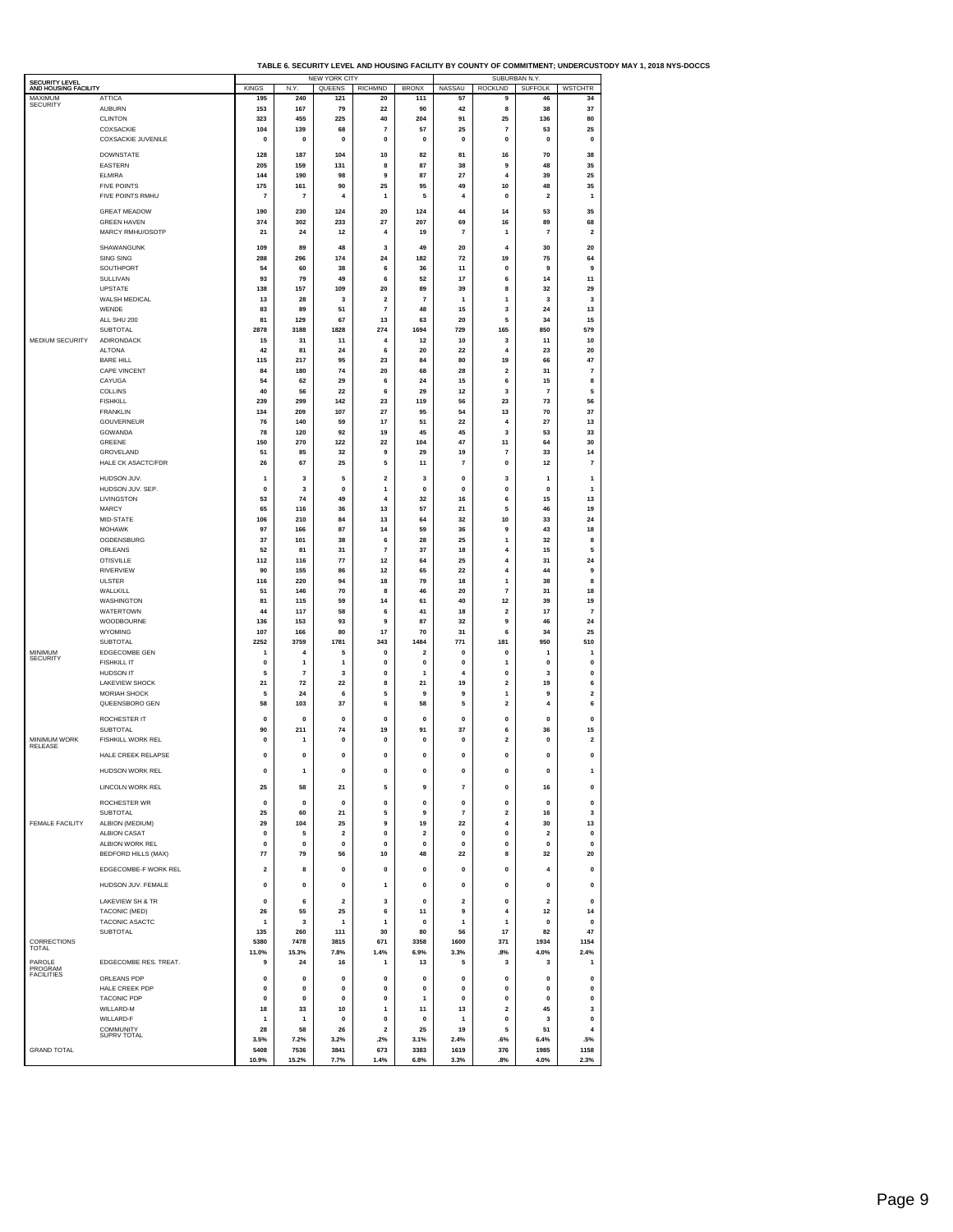|  | TABLE 6. SECURITY LEVEL AND HOUSING FACILITY BY COUNTY OF COMMITMENT: UNDERCUSTODY MAY 1. 2018 NYS-DOCCS |
|--|----------------------------------------------------------------------------------------------------------|
|  |                                                                                                          |

|                                        |                                         |                   |                | <b>NEW YORK CITY</b> |                                           |                         | .                       | SUBURBAN N.Y.                |                | טטטוםשטוט ווי                |
|----------------------------------------|-----------------------------------------|-------------------|----------------|----------------------|-------------------------------------------|-------------------------|-------------------------|------------------------------|----------------|------------------------------|
| SECURITY LEVEL<br>AND HOUSING FACILITY |                                         | <b>KINGS</b>      | N.Y.           | QUEENS               | <b>RICHMND</b>                            | <b>BRONX</b>            | NASSAU                  | <b>ROCKLND</b>               | <b>SUFFOLK</b> | <b>WSTCHTR</b>               |
| MAXIMUM<br><b>SECURITY</b>             | <b>ATTICA</b>                           | 195               | 240            | 121                  | 20                                        | 111                     | 57                      | 9                            | 46             | 34                           |
|                                        | <b>AUBURN</b><br><b>CLINTON</b>         | 153<br>323        | 167<br>455     | 79<br>225            | 22<br>40                                  | 90<br>204               | 42<br>91                | 8<br>25                      | 38<br>136      | 37<br>80                     |
|                                        | COXSACKIE                               | 104               | 139            | 68                   | $\overline{7}$                            | 57                      | 25                      | $\overline{7}$               | 53             | 25                           |
|                                        | <b>COXSACKIE JUVENILE</b>               | $\mathbf{0}$      | $\mathbf{0}$   | $\mathbf{0}$         | $\mathbf{0}$                              | $\mathbf 0$             | $\mathbf 0$             | $\mathbf{0}$                 | $\mathbf{0}$   | $\mathbf 0$                  |
|                                        | <b>DOWNSTATE</b>                        |                   | 187            |                      |                                           |                         | 81                      |                              | 70             | 38                           |
|                                        | <b>EASTERN</b>                          | 128<br>205        | 159            | 104<br>131           | 10<br>8                                   | 82<br>87                | 38                      | 16<br>9                      | 48             | 35                           |
|                                        | <b>ELMIRA</b>                           | 144               | 190            | 98                   | 9                                         | 87                      | 27                      | $\overline{4}$               | 39             | 25                           |
|                                        | <b>FIVE POINTS</b>                      | 175               | 161            | 90                   | 25                                        | 95                      | 49                      | 10                           | 48             | 35                           |
|                                        | FIVE POINTS RMHU                        | $\overline{7}$    | $\overline{7}$ | 4                    | $\mathbf{1}$                              | 5                       | $\overline{a}$          | $\mathbf{0}$                 | $\overline{2}$ | 1                            |
|                                        | <b>GREAT MEADOW</b>                     | 190               | 230            | 124                  | 20                                        | 124                     | 44                      | 14                           | 53             | 35                           |
|                                        | <b>GREEN HAVEN</b>                      | 374               | 302            | 233                  | 27                                        | 207                     | 69                      | 16                           | 89             | 68                           |
|                                        | MARCY RMHU/OSOTP                        | 21                | 24             | 12                   | $\overline{4}$                            | 19                      | $\overline{7}$          | $\mathbf{1}$                 | $\overline{7}$ | $\mathbf 2$                  |
|                                        | SHAWANGUNK                              | 109               | 89             | 48                   | 3                                         | 49                      | 20                      | 4                            | 30             | 20                           |
|                                        | SING SING                               | 288               | 296            | 174                  | 24                                        | 182                     | 72                      | 19                           | 75             | 64                           |
|                                        | SOUTHPORT                               | 54                | 60             | 38                   | 6                                         | 36                      | 11                      | $\mathbf{0}$                 | 9              | 9                            |
|                                        | SULLIVAN                                | 93                | 79             | 49                   | 6                                         | 52                      | 17                      | 6                            | 14             | 11                           |
|                                        | <b>UPSTATE</b>                          | 138               | 157            | 109                  | 20                                        | 89<br>$\overline{7}$    | 39                      | 8                            | 32             | 29                           |
|                                        | WALSH MEDICAL<br>WENDE                  | 13<br>83          | 28<br>89       | 3<br>51              | $\overline{\mathbf{2}}$<br>$\overline{7}$ | 48                      | 1<br>15                 | 1<br>3                       | 3<br>24        | 3<br>13                      |
|                                        | ALL SHU 200                             | 81                | 129            | 67                   | 13                                        | 63                      | 20                      | 5                            | 34             | 15                           |
|                                        | SUBTOTAL                                | 2878              | 3188           | 1828                 | 274                                       | 1694                    | 729                     | 165                          | 850            | 579                          |
| MEDIUM SECURITY                        | <b>ADIRONDACK</b>                       | 15                | 31             | 11                   | 4                                         | 12                      | 10                      | 3                            | 11             | 10                           |
|                                        | <b>ALTONA</b>                           | 42                | 81             | 24                   | 6                                         | 20                      | 22                      | $\overline{4}$               | 23             | 20                           |
|                                        | <b>BARE HILL</b><br><b>CAPE VINCENT</b> | 115               | 217            | 95<br>74             | 23                                        | 84                      | 80                      | 19                           | 66<br>31       | 47<br>$\overline{7}$         |
|                                        | CAYUGA                                  | 84<br>54          | 180<br>62      | 29                   | 20<br>6                                   | 68<br>24                | 28<br>15                | $\overline{\mathbf{2}}$<br>6 | 15             | 8                            |
|                                        | COLLINS                                 | 40                | 56             | 22                   | 6                                         | 29                      | 12                      | 3                            | $\overline{7}$ | 5                            |
|                                        | <b>FISHKILL</b>                         | 239               | 299            | 142                  | 23                                        | 119                     | 56                      | 23                           | 73             | 56                           |
|                                        | <b>FRANKLIN</b>                         | 134               | 209            | 107                  | 27                                        | 95                      | 54                      | 13                           | 70             | 37                           |
|                                        | GOUVERNEUR                              | 76                | 140            | 59                   | 17                                        | 51                      | 22                      | $\overline{4}$               | 27             | 13                           |
|                                        | GOWANDA<br>GREENE                       | 78<br>150         | 120<br>270     | 92<br>122            | 19<br>22                                  | 45<br>104               | 45<br>47                | 3<br>11                      | 53<br>64       | 33<br>30                     |
|                                        | GROVELAND                               | 51                | 85             | 32                   | 9                                         | 29                      | 19                      | $\overline{7}$               | 33             | 14                           |
|                                        | HALE CK ASACTC/FDR                      | 26                | 67             | 25                   | 5                                         | 11                      | 7                       | 0                            | 12             | 7                            |
|                                        |                                         |                   |                |                      |                                           |                         |                         |                              |                |                              |
|                                        | HUDSON JUV.<br>HUDSON JUV. SEP.         | 1<br>0            | 3<br>3         | 5<br>0               | $\overline{\mathbf{2}}$<br>$\mathbf{1}$   | 3<br>0                  | 0<br>0                  | 3<br>$\pmb{0}$               | 1<br>0         | 1<br>1                       |
|                                        | LIVINGSTON                              | 53                | 74             | 49                   | 4                                         | 32                      | 16                      | 6                            | 15             | 13                           |
|                                        | MARCY                                   | 65                | 116            | 36                   | 13                                        | 57                      | 21                      | 5                            | 46             | 19                           |
|                                        | MID-STATE                               | 106               | 210            | 84                   | 13                                        | 64                      | 32                      | 10                           | 33             | 24                           |
|                                        | <b>MOHAWK</b>                           | 97                | 166            | 87                   | 14                                        | 59                      | 36                      | 9                            | 43             | 18                           |
|                                        | OGDENSBURG                              | 37                | 101            | 38                   | 6                                         | 28                      | 25                      | $\mathbf{1}$                 | 32             | 8                            |
|                                        | ORLEANS<br><b>OTISVILLE</b>             | 52<br>112         | 81<br>116      | 31<br>77             | $\overline{7}$<br>12                      | 37<br>64                | 18<br>25                | $\overline{4}$<br>4          | 15<br>31       | 5<br>24                      |
|                                        | <b>RIVERVIEW</b>                        | 90                | 155            | 86                   | 12                                        | 65                      | 22                      | 4                            | 44             | 9                            |
|                                        | ULSTER                                  | 116               | 220            | 94                   | 18                                        | 79                      | 18                      | $\overline{1}$               | 38             | 8                            |
|                                        | WALLKILL                                | 51                | 146            | 70                   | 8                                         | 46                      | 20                      | $\overline{7}$               | 31             | 18                           |
|                                        | WASHINGTON                              | 81                | 115            | 59                   | 14                                        | 61                      | 40                      | 12                           | 39             | 19                           |
|                                        | WATERTOWN                               | 44                | 117            | 58                   | 6                                         | 41                      | 18                      | $\overline{\mathbf{2}}$      | 17             | $\overline{7}$               |
|                                        | WOODBOURNE<br><b>WYOMING</b>            | 136<br>107        | 153<br>166     | 93<br>80             | 9<br>17                                   | 87<br>70                | 32<br>31                | 9<br>6                       | 46<br>34       | 24<br>25                     |
|                                        | SUBTOTAL                                | 2252              | 3759           | 1781                 | 343                                       | 1484                    | 771                     | 181                          | 950            | 510                          |
| MINIMUM                                | EDGECOMBE GEN                           | $\mathbf{1}$      | 4              | 5                    | 0                                         | $\overline{\mathbf{2}}$ | 0                       | $\pmb{0}$                    | 1              | 1                            |
| <b>SECURITY</b>                        | <b>FISHKILL IT</b>                      | 0                 | 1              | $\mathbf{1}$         | 0                                         | 0                       | 0                       | 1                            | $\bf{0}$       | 0                            |
|                                        | <b>HUDSON IT</b>                        | 5                 | 7              | 3                    | 0                                         | 1                       | $\overline{4}$          | $\pmb{0}$                    | 3              | 0                            |
|                                        | <b>LAKEVIEW SHOCK</b>                   | 21                | 72             | 22                   | 8                                         | 21                      | 19                      | $\mathbf 2$                  | 19             | 6                            |
|                                        | <b>MORIAH SHOCK</b><br>QUEENSBORO GEN   | 5<br>58           | 24<br>103      | 6<br>37              | 5<br>6                                    | 9<br>58                 | 9<br>5                  | 1<br>$\overline{\mathbf{2}}$ | 9<br>4         | $\overline{\mathbf{2}}$<br>6 |
|                                        |                                         |                   |                |                      |                                           |                         |                         |                              |                |                              |
|                                        | ROCHESTER IT                            | 0                 | O              | 0                    | 0                                         | 0                       | 0                       | 0                            | 0              | 0                            |
| <b>MINIMUM WORK</b>                    | <b>SUBTOTAL</b><br>FISHKILL WORK REL    | 90<br>$\mathbf 0$ | 211<br>1       | 74<br>$\mathbf 0$    | 19<br>$\mathbf 0$                         | 91<br>0                 | 37<br>0                 | 6<br>$\overline{2}$          | 36<br>0        | 15<br>$\overline{2}$         |
| <b>RELEASE</b>                         |                                         |                   |                |                      |                                           |                         |                         |                              |                |                              |
|                                        | HALE CREEK RELAPSE                      | $\mathbf 0$       | $\mathbf 0$    | 0                    | $\mathbf{0}$                              | $\mathbf 0$             | $\mathbf{0}$            | 0                            | 0              | $\mathbf 0$                  |
|                                        | HUDSON WORK REL                         | 0                 | $\mathbf{1}$   | 0                    | $\pmb{0}$                                 | $\pmb{0}$               | $\pmb{0}$               | $\pmb{0}$                    | 0              | 1                            |
|                                        | LINCOLN WORK REL                        | 25                | 58             | 21                   | 5                                         | 9                       | $\overline{\mathbf{r}}$ | 0                            | 16             | 0                            |
|                                        |                                         |                   |                |                      |                                           |                         |                         |                              |                |                              |
|                                        | ROCHESTER WR                            | $\mathbf{0}$      | $\mathbf{0}$   | $\mathbf{0}$         | $\mathbf 0$                               | $\mathbf 0$             | 0                       | $\mathbf{0}$                 | $\mathbf{0}$   | 0                            |
| FEMALE FACILITY                        | SUBTOTAL<br>ALBION (MEDIUM)             | 25<br>29          | 60<br>104      | 21<br>25             | 5<br>9                                    | 9<br>19                 | $\overline{7}$<br>22    | $\mathbf 2$<br>4             | 16<br>30       | 3<br>13                      |
|                                        | <b>ALBION CASAT</b>                     | 0                 | 5              | $\overline{2}$       | 0                                         | $\overline{2}$          | 0                       | $\mathbf{0}$                 | $\overline{2}$ | 0                            |
|                                        | ALBION WORK REL                         | $\pmb{0}$         | $\pmb{0}$      | $\pmb{0}$            | $\pmb{0}$                                 | $\pmb{0}$               | 0                       | $\pmb{0}$                    | 0              | $\pmb{0}$                    |
|                                        | <b>BEDFORD HILLS (MAX)</b>              | 77                | 79             | 56                   | 10                                        | 48                      | 22                      | 8                            | 32             | 20                           |
|                                        | EDGECOMBE-F WORK REL                    | $\overline{2}$    | 8              | 0                    | $\mathbf{0}$                              | $\mathbf{0}$            | $\mathbf{0}$            | $\mathbf{0}$                 | 4              | $\mathbf{0}$                 |
|                                        |                                         |                   |                |                      |                                           |                         |                         |                              |                |                              |
|                                        | HUDSON JUV. FEMALE                      | 0                 | 0              | 0                    | $\mathbf{1}$                              | 0                       | 0                       | $\pmb{0}$                    | 0              | 0                            |
|                                        | <b>LAKEVIEW SH &amp; TR</b>             | 0                 | 6              | $\mathbf 2$          | 3                                         | 0                       | $\mathbf 2$             | $\pmb{0}$                    | $\overline{2}$ | 0                            |
|                                        | TACONIC (MED)                           | 26                | 55             | 25                   | 6                                         | 11                      | 9                       | $\overline{4}$               | 12             | 14                           |
|                                        | TACONIC ASACTC                          | $\mathbf{1}$      | 3              | $\mathbf{1}$         | $\mathbf{1}$                              | $\mathbf 0$             | 1                       | $\mathbf{1}$                 | $\mathbf{0}$   | $\mathbf{0}$                 |
| CORRECTIONS                            | SUBTOTAL                                | 135<br>5380       | 260<br>7478    | 111<br>3815          | 30<br>671                                 | 80<br>3358              | 56<br>1600              | 17<br>371                    | 82<br>1934     | 47<br>1154                   |
| <b>TOTAL</b>                           |                                         | 11.0%             | 15.3%          | 7.8%                 | 1.4%                                      | 6.9%                    | 3.3%                    | .8%                          | 4.0%           | 2.4%                         |
| PAROLE                                 | EDGECOMBE RES. TREAT.                   | 9                 | 24             | 16                   | $\mathbf{1}$                              | 13                      | 5                       | 3                            | 3              | $\mathbf{1}$                 |
| PROGRAM<br>FACILITIES                  |                                         |                   |                |                      |                                           |                         |                         |                              |                |                              |
|                                        | ORLEANS PDP<br>HALE CREEK PDP           | 0<br>$\mathbf{0}$ | 0<br>$\pmb{0}$ | 0<br>0               | 0<br>$\pmb{0}$                            | 0<br>0                  | 0<br>$\pmb{0}$          | 0<br>0                       | 0<br>0         | 0<br>$\mathbf 0$             |
|                                        | <b>TACONIC PDP</b>                      | $\mathbf{0}$      | $\mathbf{0}$   | $\mathbf{0}$         | $\mathbf 0$                               | 1                       | $\mathbf{0}$            | $\mathbf{0}$                 | 0              | 0                            |
|                                        | WILLARD-M                               | 18                | 33             | 10                   | $\mathbf{1}$                              | 11                      | 13                      | $\mathbf 2$                  | 45             | 3                            |
|                                        | WILLARD-F                               | -1                | -1             | $\pmb{0}$            | $\pmb{0}$                                 | $\pmb{0}$               | 1                       | $\pmb{0}$                    | 3              | $\pmb{0}$                    |
|                                        | COMMUNITY<br><b>SUPRV TOTAL</b>         | 28                | 58             | 26                   | $\overline{2}$                            | 25                      | 19                      | 5                            | 51             | $\overline{4}$               |
| <b>GRAND TOTAL</b>                     |                                         | 3.5%<br>5408      | 7.2%<br>7536   | 3.2%<br>3841         | .2%<br>673                                | 3.1%<br>3383            | 2.4%<br>1619            | .6%<br>376                   | 6.4%<br>1985   | .5%<br>1158                  |
|                                        |                                         | 10.9%             | 15.2%          | 7.7%                 | 1.4%                                      | 6.8%                    | 3.3%                    | .8%                          | 4.0%           | 2.3%                         |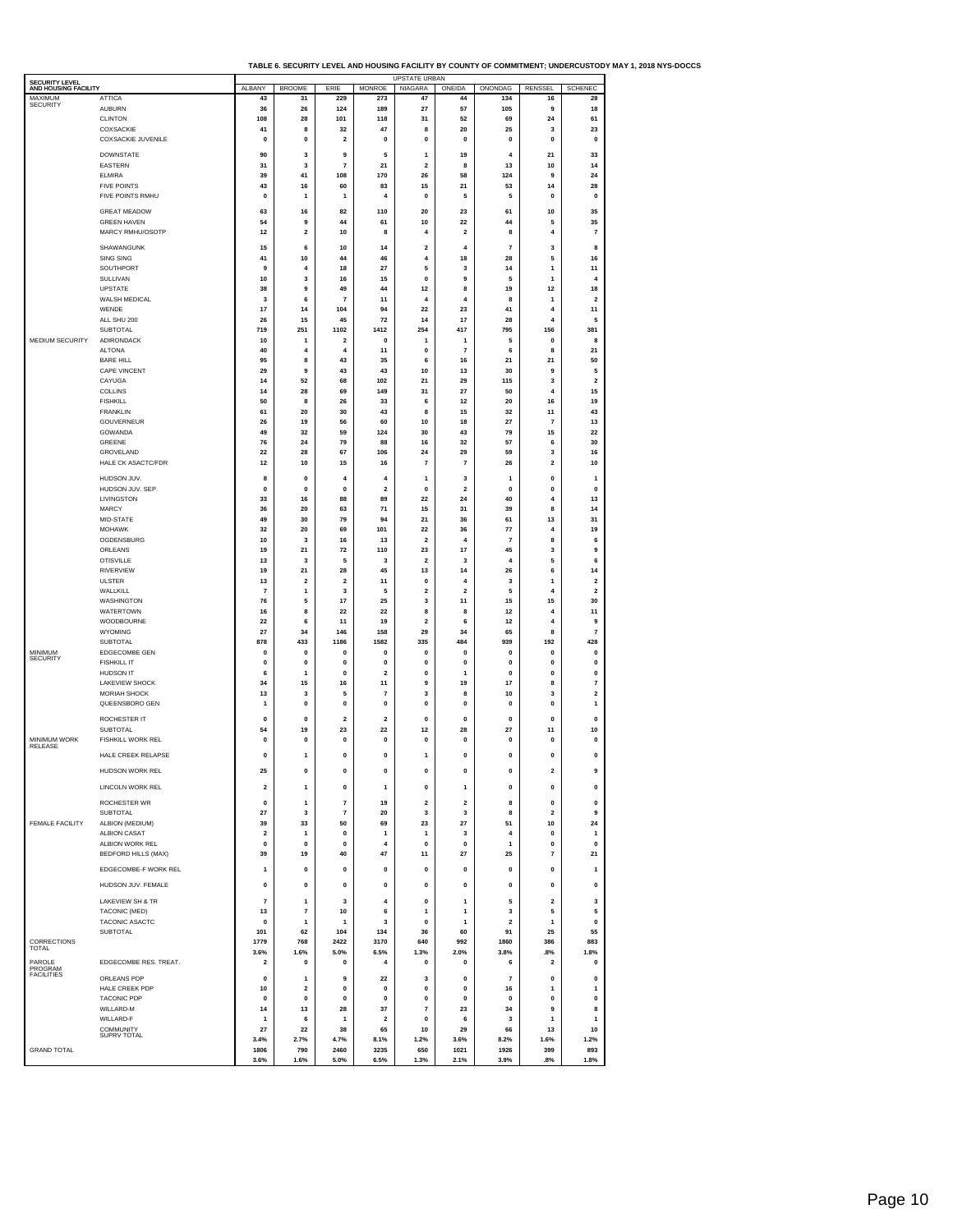| TABLE 6. SECURITY LEVEL AND HOUSING FACILITY BY COUNTY OF COMMITMENT: UNDERCUSTODY MAY 1, 2018 NYS-DOCCS |  |
|----------------------------------------------------------------------------------------------------------|--|
|                                                                                                          |  |

| SECURITY LEVEL                  |                                        |                               |                         |                                           |                                         | <b>UPSTATE URBAN</b>     |                               |                         |                        |                                        |
|---------------------------------|----------------------------------------|-------------------------------|-------------------------|-------------------------------------------|-----------------------------------------|--------------------------|-------------------------------|-------------------------|------------------------|----------------------------------------|
| AND HOUSING FACILITY<br>MAXIMUM | <b>ATTICA</b>                          | ALBANY<br>43                  | <b>BROOME</b><br>31     | ERIE<br>229                               | <b>MONROE</b><br>273                    | <b>NIAGARA</b><br>47     | ONEIDA<br>44                  | ONONDAG<br>134          | RENSSEL<br>16          | <b>SCHENEC</b><br>28                   |
| SECURITY                        | <b>AUBURN</b>                          | 36                            | 26                      | 124                                       | 189                                     | 27                       | 57                            | 105                     | 9                      | 18                                     |
|                                 | <b>CLINTON</b><br>COXSACKIE            | 108<br>41                     | 28<br>8                 | 101<br>32                                 | 118<br>47                               | 31<br>8                  | 52<br>20                      | 69<br>25                | 24<br>3                | 61<br>23                               |
|                                 | COXSACKIE JUVENILE                     | $\mathbf{0}$                  | 0                       | $\overline{\mathbf{2}}$                   | $\mathbf 0$                             | 0                        | $\mathbf{0}$                  | 0                       | $\mathbf 0$            | $\mathbf 0$                            |
|                                 | <b>DOWNSTATE</b>                       | 90                            | 3                       | 9                                         | 5                                       | 1                        | 19                            | 4                       | 21                     | 33                                     |
|                                 | EASTERN                                | 31                            | 3                       | 7                                         | 21                                      | 2                        | 8                             | 13                      | 10                     | 14                                     |
|                                 | <b>ELMIRA</b>                          | 39                            | 41                      | 108                                       | 170                                     | 26                       | 58                            | 124                     | 9                      | 24                                     |
|                                 | <b>FIVE POINTS</b><br>FIVE POINTS RMHU | 43<br>0                       | 16<br>1                 | 60<br>1                                   | 83<br>4                                 | 15<br>0                  | 21<br>5                       | 53<br>5                 | 14<br>0                | 28<br>$\pmb{0}$                        |
|                                 | <b>GREAT MEADOW</b>                    | 63                            | 16                      | 82                                        | 110                                     | 20                       | 23                            | 61                      | 10                     | 35                                     |
|                                 | <b>GREEN HAVEN</b>                     | 54                            | 9                       | 44                                        | 61                                      | 10                       | 22                            | 44                      | 5                      | 35                                     |
|                                 | MARCY RMHU/OSOTP                       | 12                            | $\overline{\mathbf{2}}$ | 10                                        | 8                                       | 4                        | $\overline{2}$                | 8                       | $\overline{4}$         | $\overline{7}$                         |
|                                 | SHAWANGUNK                             | 15                            | 6                       | 10                                        | 14                                      | 2                        | $\overline{4}$                | $\overline{7}$          | 3                      | 8                                      |
|                                 | SING SING<br>SOUTHPORT                 | 41<br>9                       | 10<br>$\overline{4}$    | 44<br>18                                  | 46<br>27                                | $\overline{\bf{4}}$<br>5 | 18<br>3                       | 28<br>14                | 5<br>1                 | 16<br>11                               |
|                                 | SULLIVAN                               | 10                            | 3                       | 16                                        | 15                                      | $\mathbf{0}$             | 9                             | 5                       | 1                      | $\pmb{4}$                              |
|                                 | UPSTATE                                | 38                            | 9                       | 49                                        | 44                                      | 12                       | 8                             | 19                      | 12                     | 18                                     |
|                                 | WALSH MEDICAL<br>WENDE                 | 3<br>17                       | 6<br>14                 | 7<br>104                                  | 11<br>94                                | 4<br>22                  | $\overline{4}$<br>23          | 8<br>41                 | 1<br>4                 | $\mathbf 2$<br>11                      |
|                                 | ALL SHU 200                            | 26                            | 15                      | 45                                        | 72                                      | 14                       | 17                            | 28                      | $\overline{4}$         | 5                                      |
|                                 | <b>SUBTOTAL</b>                        | 719                           | 251                     | 1102                                      | 1412                                    | 254                      | 417                           | 795                     | 156                    | 381                                    |
| MEDIUM SECURITY                 | ADIRONDACK<br><b>ALTONA</b>            | 10<br>40                      | 1<br>4                  | $\overline{\mathbf{2}}$<br>$\overline{4}$ | $\mathbf 0$<br>11                       | 1<br>0                   | 1<br>$\overline{7}$           | 5<br>6                  | $\mathbf 0$<br>8       | 8<br>21                                |
|                                 | <b>BARE HILL</b>                       | 95                            | 8                       | 43                                        | 35                                      | 6                        | 16                            | 21                      | 21                     | 50                                     |
|                                 | CAPE VINCENT<br>CAYUGA                 | 29<br>14                      | 9<br>52                 | 43<br>68                                  | 43<br>102                               | 10<br>21                 | 13<br>29                      | 30<br>115               | 9<br>3                 | 5<br>$\mathbf 2$                       |
|                                 | COLLINS                                | 14                            | 28                      | 69                                        | 149                                     | 31                       | 27                            | 50                      | $\overline{4}$         | 15                                     |
|                                 | <b>FISHKILL</b>                        | 50                            | 8                       | 26                                        | 33                                      | 6                        | 12                            | 20                      | 16                     | 19                                     |
|                                 | <b>FRANKLIN</b><br>GOUVERNEUR          | 61<br>26                      | 20<br>19                | 30<br>56                                  | 43<br>60                                | 8<br>10                  | 15<br>18                      | 32<br>27                | 11<br>$\overline{7}$   | 43<br>13                               |
|                                 | GOWANDA                                | 49                            | 32                      | 59                                        | 124                                     | 30                       | 43                            | 79                      | 15                     | 22                                     |
|                                 | GREENE                                 | 76                            | 24                      | 79                                        | 88                                      | 16                       | 32                            | 57                      | 6                      | 30                                     |
|                                 | GROVELAND<br>HALE CK ASACTC/FDR        | 22<br>$12$                    | 28<br>10                | 67<br>15                                  | 106<br>16                               | 24<br>$\overline{7}$     | 29<br>$\overline{\mathbf{r}}$ | 59<br>26                | 3<br>$\mathbf 2$       | 16<br>10                               |
|                                 | HUDSON JUV.                            | 8                             | 0                       | 4                                         | $\overline{4}$                          | 1                        | 3                             | 1                       | $\pmb{0}$              | $\mathbf{1}$                           |
|                                 | HUDSON JUV. SEP                        | $\pmb{0}$                     | $\pmb{0}$               | $\pmb{0}$                                 | $\overline{\mathbf{2}}$                 | $\mathbf 0$              | $\overline{2}$                | $\mathbf 0$             | $\pmb{0}$              | $\pmb{0}$                              |
|                                 | LIVINGSTON                             | 33                            | 16                      | 88                                        | 89                                      | 22                       | 24                            | 40                      | $\overline{4}$         | 13                                     |
|                                 | <b>MARCY</b><br>MID-STATE              | 36<br>49                      | 20<br>30                | 63<br>79                                  | ${\bf 71}$<br>94                        | 15<br>21                 | 31<br>36                      | 39<br>61                | 8<br>13                | 14<br>31                               |
|                                 | <b>MOHAWK</b>                          | 32                            | 20                      | 69                                        | 101                                     | 22                       | 36                            | 77                      | $\overline{4}$         | 19                                     |
|                                 | OGDENSBURG                             | 10                            | 3                       | 16                                        | 13                                      | $\overline{\mathbf{2}}$  | $\overline{4}$                | $\overline{7}$          | 8                      | 6                                      |
|                                 | ORLEANS<br><b>OTISVILLE</b>            | 19<br>13                      | 21<br>3                 | 72<br>5                                   | 110<br>3                                | 23<br>2                  | 17<br>3                       | 45<br>$\overline{4}$    | 3<br>5                 | 9<br>$\bf{6}$                          |
|                                 | <b>RIVERVIEW</b>                       | 19                            | 21                      | 28                                        | 45                                      | 13                       | 14                            | 26                      | 6                      | 14                                     |
|                                 | <b>ULSTER</b><br>WALLKILL              | 13<br>$\overline{\mathbf{r}}$ | $\overline{2}$<br>1     | 2<br>3                                    | 11<br>5                                 | 0<br>2                   | $\overline{4}$<br>$\mathbf 2$ | 3<br>5                  | 1<br>$\overline{4}$    | $\overline{\mathbf{2}}$<br>$\mathbf 2$ |
|                                 | WASHINGTON                             | 76                            | 5                       | 17                                        | 25                                      | 3                        | 11                            | 15                      | 15                     | 30                                     |
|                                 | WATERTOWN                              | ${\bf 16}$                    | 8                       | 22                                        | 22                                      | 8                        | 8                             | 12                      | $\overline{4}$         | 11                                     |
|                                 | WOODBOURNE<br>WYOMING                  | 22<br>27                      | 6<br>34                 | 11<br>146                                 | 19<br>158                               | $\overline{2}$<br>29     | 6<br>34                       | 12<br>65                | $\boldsymbol{4}$<br>8  | 9<br>$\overline{7}$                    |
|                                 | SUBTOTAL                               | 878                           | 433                     | 1186                                      | 1582                                    | 335                      | 484                           | 939                     | 192                    | 428                                    |
| MINIMUM<br><b>SECURITY</b>      | EDGECOMBE GEN                          | $\mathbf{0}$                  | $\mathbf{0}$            | $\mathbf{0}$                              | $\mathbf{0}$                            | 0                        | $\bf{0}$                      | $\mathbf{0}$            | $\mathbf{0}$           | $\pmb{0}$                              |
|                                 | <b>FISHKILL IT</b><br><b>HUDSON IT</b> | 0<br>6                        | 0<br>1                  | 0<br>$\pmb{0}$                            | 0<br>$\overline{\mathbf{2}}$            | 0<br>0                   | 0<br>1                        | 0<br>$\mathbf 0$        | 0<br>$\pmb{0}$         | 0<br>$\pmb{0}$                         |
|                                 | <b>LAKEVIEW SHOCK</b>                  | 34                            | 15                      | 16                                        | 11                                      | 9                        | 19                            | 17                      | 8                      | $\overline{\mathbf{r}}$                |
|                                 | MORIAH SHOCK<br>QUEENSBORO GEN         | 13<br>1                       | 3<br>$\pmb{0}$          | 5<br>$\pmb{0}$                            | $\overline{\mathbf{7}}$<br>$\pmb{0}$    | 3<br>$\mathbf{0}$        | 8<br>$\mathbf{0}$             | 10<br>$\mathbf{0}$      | 3<br>$\pmb{0}$         | $\mathbf 2$<br>$\mathbf{1}$            |
|                                 |                                        |                               |                         |                                           |                                         |                          |                               |                         |                        |                                        |
|                                 | ROCHESTER IT<br><b>SUBTOTAL</b>        | 0<br>54                       | $\pmb{0}$<br>19         | 2<br>23                                   | $\mathbf 2$<br>22                       | $\mathbf 0$<br>12        | $\mathbf 0$<br>28             | 0<br>27                 | 0<br>11                | $\pmb{0}$<br>10                        |
| MINIMUM WORK                    | FISHKILL WORK REL                      | 0                             | 0                       | 0                                         | 0                                       | 0                        | 0                             | 0                       | 0                      | 0                                      |
| RELEASE                         | HALE CREEK RELAPSE                     | $\mathbf{0}$                  | 1                       | $\mathbf 0$                               | $\mathbf 0$                             | 1                        | $\mathbf{0}$                  | $\mathbf 0$             | $\mathbf{0}$           | $\mathbf{0}$                           |
|                                 | HUDSON WORK REL                        | 25                            | 0                       | o                                         | 0                                       | o                        | o                             | 0                       | 2                      | я                                      |
|                                 | LINCOLN WORK REL                       | $\mathbf 2$                   | 1                       | 0                                         | $\mathbf{1}$                            | 0                        | 1                             | 0                       | $\pmb{0}$              | 0                                      |
|                                 |                                        |                               |                         |                                           |                                         |                          |                               |                         |                        |                                        |
|                                 | ROCHESTER WR<br><b>SUBTOTAL</b>        | $\pmb{0}$<br>27               | 1<br>3                  | 7<br>$\overline{7}$                       | 19<br>20                                | 2<br>3                   | 2<br>3                        | 8<br>8                  | 0<br>$\mathbf 2$       | $\pmb{0}$<br>9                         |
| <b>FEMALE FACILITY</b>          | ALBION (MEDIUM)                        | 39                            | 33                      | 50                                        | 69                                      | 23                       | 27                            | 51                      | 10                     | 24                                     |
|                                 | <b>ALBION CASAT</b><br>ALBION WORK REL | $\mathbf 2$<br>$\pmb{0}$      | 1<br>$\pmb{0}$          | $\pmb{0}$<br>$\pmb{0}$                    | $\mathbf{1}$<br>$\overline{\mathbf{4}}$ | 1<br>$\pmb{0}$           | 3<br>$\pmb{0}$                | 4<br>$\mathbf{1}$       | $\pmb{0}$<br>$\pmb{0}$ | $\mathbf{1}$<br>$\pmb{\mathsf{o}}$     |
|                                 | <b>BEDFORD HILLS (MAX)</b>             | 39                            | 19                      | 40                                        | 47                                      | 11                       | 27                            | 25                      | $\overline{7}$         | 21                                     |
|                                 | EDGECOMBE-F WORK REL                   | 1                             | $\mathbf 0$             | $\mathbf 0$                               | $\mathbf{0}$                            | $\mathbf{0}$             | $\mathbf{0}$                  | $\mathbf 0$             | $\mathbf 0$            | 1                                      |
|                                 | HUDSON JUV. FEMALE                     | $\mathbf{0}$                  | $\mathbf{0}$            | $\mathbf{0}$                              | $\mathbf{0}$                            | $\mathbf{0}$             | $\mathbf{0}$                  | $\mathbf{0}$            | $\mathbf{0}$           | $\mathbf{0}$                           |
|                                 |                                        |                               |                         |                                           |                                         |                          |                               |                         |                        |                                        |
|                                 | LAKEVIEW SH & TR<br>TACONIC (MED)      | $\overline{7}$<br>13          | 1<br>$\overline{7}$     | 3<br>10                                   | 4<br>6                                  | $\pmb{0}$<br>1           | 1<br>1                        | 5<br>3                  | 2<br>5                 | 3<br>5                                 |
|                                 | TACONIC ASACTC                         | 0                             | 1                       | 1                                         | 3                                       | $\mathbf{0}$             | 1                             | 2                       | $\mathbf{1}$           | 0                                      |
|                                 | <b>SUBTOTAL</b>                        | 101                           | 62                      | 104                                       | 134                                     | 36                       | 60                            | 91                      | 25                     | 55                                     |
| CORRECTIONS<br>TOTAL            |                                        | 1779<br>3.6%                  | 768<br>1.6%             | 2422<br>5.0%                              | 3170<br>6.5%                            | 640<br>1.3%              | 992<br>2.0%                   | 1860<br>3.8%            | 386<br>.8%             | 883<br>1.8%                            |
| PAROLE                          | EDGECOMBE RES. TREAT.                  | $\overline{\mathbf{2}}$       | $\pmb{0}$               | $\mathbf{0}$                              | $\overline{4}$                          | $\mathbf{0}$             | $\mathbf{0}$                  | 6                       | $\overline{2}$         | $\pmb{0}$                              |
| PROGRAM<br><b>FACILITIES</b>    | ORLEANS PDP                            | 0                             | 1                       | 9                                         | 22                                      | 3                        | 0                             | $\overline{\mathbf{r}}$ | $\mathbf{0}$           | 0                                      |
|                                 | HALE CREEK PDP                         | 10                            | $\mathbf 2$             | $\mathbf{0}$                              | 0                                       | $\mathbf{0}$             | $\mathbf{0}$                  | 16                      | 1                      | 1                                      |
|                                 | <b>TACONIC PDP</b><br>WILLARD-M        | 0<br>14                       | 0<br>13                 | 0<br>28                                   | 0<br>37                                 | 0<br>$\overline{7}$      | 0<br>23                       | 0<br>34                 | 0<br>9                 | 0<br>8                                 |
|                                 | WILLARD-F                              | 1                             | 6                       | 1                                         | $\overline{\mathbf{2}}$                 | $\Omega$                 | 6                             | 3                       | 1                      | $\mathbf{1}$                           |
|                                 | COMMUNITY<br>SUPRV TOTAL               | 27                            | 22                      | 38                                        | 65                                      | $10$                     | 29                            | 66                      | 13                     | 10                                     |
| <b>GRAND TOTAL</b>              |                                        | 3.4%<br>1806                  | 2.7%<br>790             | 4.7%<br>2460                              | 8.1%<br>3235                            | 1.2%<br>650              | 3.6%<br>1021                  | 8.2%<br>1926            | 1.6%<br>399            | 1.2%<br>893                            |
|                                 |                                        | 3.6%                          | 1.6%                    | 5.0%                                      | 6.5%                                    | 1.3%                     | 2.1%                          | 3.9%                    | .8%                    | 1.8%                                   |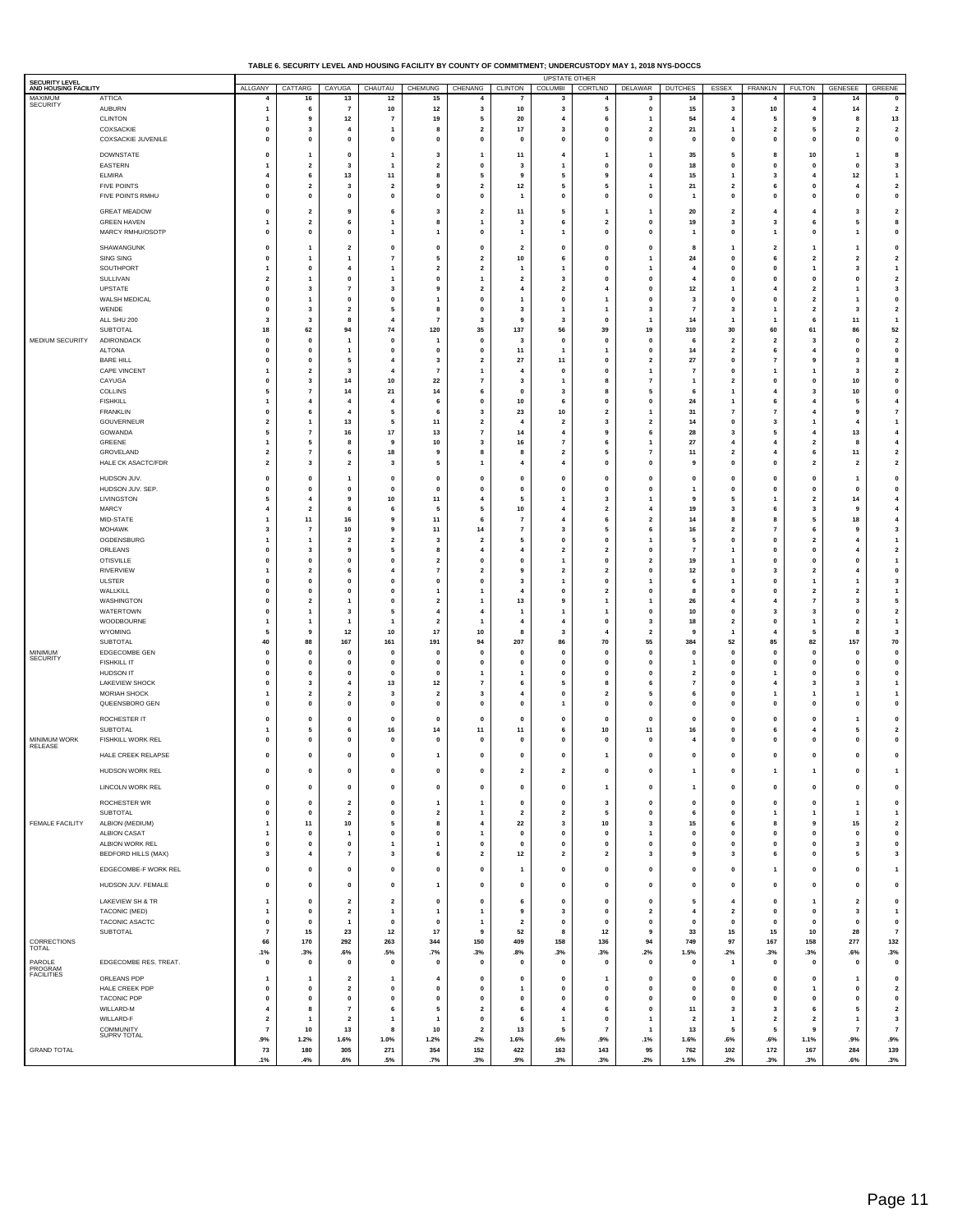#### **TABLE 6. SECURITY LEVEL AND HOUSING FACILITY BY COUNTY OF COMMITMENT; UNDERCUSTODY MAY 1, 2018 NYS-DOCCS**

| SECURITY LEVEL<br>AND HOUSING FACILITY |                                               | ALLGANY                                | CATTARG                                   | CAYUGA                                    | CHAUTAU                                 | CHEMUNG                                   | CHENANG                                 | <b>CLINTON</b>                            | <b>UPSTATE OTHER</b><br><b>COLUMBI</b>    | CORTLND                                 | DELAWAR                                 | <b>DUTCHES</b>                            | ESSEX                                     | FRANKLN                          | <b>FULTON</b>                                      | <b>GENESEE</b>                            | GREENE                                    |
|----------------------------------------|-----------------------------------------------|----------------------------------------|-------------------------------------------|-------------------------------------------|-----------------------------------------|-------------------------------------------|-----------------------------------------|-------------------------------------------|-------------------------------------------|-----------------------------------------|-----------------------------------------|-------------------------------------------|-------------------------------------------|----------------------------------|----------------------------------------------------|-------------------------------------------|-------------------------------------------|
| MAXIMUM<br><b>SECURITY</b>             | <b>ATTICA</b>                                 | $\overline{4}$                         | 16                                        | 13                                        | 12                                      | 15                                        | $\overline{4}$                          |                                           | 3                                         | $\overline{4}$                          | 3                                       | 14                                        | 3                                         | $\overline{4}$                   | 3                                                  | 14                                        | 0                                         |
|                                        | <b>AUBURN</b><br><b>CLINTON</b>               | $\overline{1}$<br>1                    | 6<br>9                                    | $\overline{7}$<br>$12$                    | 10<br>$\overline{7}$                    | $12$<br>19                                | 3<br>5                                  | 10<br>20                                  | $\overline{\mathbf{3}}$<br>$\overline{4}$ | 5<br>6                                  | $\pmb{0}$<br>1                          | 15<br>54                                  | $\overline{\mathbf{3}}$<br>$\overline{4}$ | 10<br>5                          | $\overline{4}$<br>9                                | ${\bf 14}$<br>8                           | $\mathbf{2}$<br>13                        |
|                                        | COXSACKIE                                     | $\mathbf 0$                            | $\overline{\mathbf{3}}$                   | $\overline{4}$                            | -1                                      | 8                                         | $\overline{\mathbf{2}}$                 | 17                                        | 3                                         | $\mathbf{0}$                            | $\overline{\mathbf{2}}$                 | 21                                        | $\overline{1}$                            | $\overline{\mathbf{2}}$          | 5                                                  | $\overline{\mathbf{2}}$                   | $\overline{\mathbf{2}}$                   |
|                                        | COXSACKIE JUVENILE                            | $\mathbf{0}$                           | $\mathbf{0}$                              | $\mathbf{0}$                              | $\mathbf 0$                             | $\mathbf 0$                               | $\mathbf{0}$                            | $\mathbf{0}$                              | $\mathbf{0}$                              | $\Omega$                                | $\mathbf{0}$                            | $\mathbf 0$                               | $\mathbf{0}$                              | 0                                | $\mathbf{0}$                                       | $\mathbf{0}$                              | $\pmb{\mathsf{o}}$                        |
|                                        | <b>DOWNSTATE</b><br>EASTERN                   | $\mathbf 0$<br>$\overline{\mathbf{1}}$ | $\overline{1}$<br>$\overline{\mathbf{2}}$ | $\mathbf 0$<br>3                          | 1<br>-1                                 | 3<br>$\overline{\mathbf{2}}$              | 1<br>0                                  | 11<br>3                                   | 4<br>$\mathbf{1}$                         | $\Omega$                                | $\mathbf{1}$<br>$\mathbf 0$             | 35<br>18                                  | 5<br>$\pmb{0}$                            | 8<br>$\mathbf 0$                 | 10<br>$\mathbf 0$                                  | $\mathbf{1}$<br>$\mathbf{0}$              | 8<br>$\mathbf{3}$                         |
|                                        | <b>ELMIRA</b>                                 | $\overline{4}$                         | 6                                         | 13                                        | 11                                      | 8                                         | 5                                       | 9                                         | 5                                         | 9                                       | 4                                       | 15                                        | $\overline{1}$                            | 3                                | $\overline{4}$                                     | $12$                                      | $\mathbf{1}$                              |
|                                        | <b>FIVE POINTS</b><br>FIVE POINTS RMHU        | $\mathbf{0}$<br>0                      | $\overline{2}$<br>$\mathbf{0}$            | 3<br>0                                    | $\overline{\mathbf{2}}$<br>$\Omega$     | 9<br>$\mathbf{0}$                         | $\overline{2}$<br>$\mathbf{0}$          | 12<br>$\overline{1}$                      | 5<br>$\mathbf{0}$                         | 5<br>$\Omega$                           | $\mathbf{1}$<br>$\mathbf 0$             | 21<br>$\overline{1}$                      | $\overline{\mathbf{2}}$<br>$\pmb{0}$      | 6<br>$\mathbf 0$                 | $\mathbf{0}$<br>0                                  | $\overline{4}$<br>$\mathbf{0}$            | $\mathbf{2}$<br>$\pmb{0}$                 |
|                                        | <b>GREAT MEADOW</b>                           | $\pmb{0}$                              | $\overline{\mathbf{2}}$                   | 9                                         | 6                                       | 3                                         | $\overline{\mathbf{2}}$                 | 11                                        | 5                                         | -1                                      | -1                                      | 20                                        | $\mathbf{2}$                              | -4                               | $\overline{4}$                                     | $\mathbf{3}$                              | $\mathbf{2}$                              |
|                                        | <b>GREEN HAVEN</b>                            | 1                                      | $\overline{\mathbf{2}}$                   | 6                                         |                                         | 8                                         | 1                                       | 3                                         | 6                                         | $\overline{\mathbf{2}}$                 | $\pmb{0}$                               | 19                                        | 3                                         | 3                                | 6                                                  | 5                                         | 8                                         |
|                                        | MARCY RMHU/OSOTP                              | $\mathbf 0$                            | $\mathbf 0$                               | $\mathbf 0$                               | 1                                       | $\overline{1}$                            | 0                                       | $\overline{1}$                            | $\overline{1}$                            | $\mathbf{0}$                            | $\pmb{0}$                               | 1                                         | $\pmb{0}$                                 | $\mathbf{1}$                     | $\mathbf 0$                                        | $\mathbf{1}$                              | $\pmb{\mathsf{o}}$                        |
|                                        | SHAWANGUNK<br>SING SING                       | $\mathbf 0$<br>$\mathbf{0}$            | 1                                         | $\overline{\mathbf{2}}$<br>$\overline{1}$ | 0<br>$\overline{7}$                     | $\mathbf 0$<br>5                          | 0<br>$\overline{2}$                     | $\overline{\mathbf{2}}$<br>$10\,$         | $\mathbf{0}$<br>6                         | $\mathbf{0}$<br>$\Omega$                | 0                                       | 8<br>${\bf 24}$                           | 1<br>$\mathbf{0}$                         | $\overline{\mathbf{2}}$<br>6     | 1<br>$\overline{2}$                                | $\mathbf{1}$<br>$\overline{2}$            | 0<br>$\mathbf{2}$                         |
|                                        | SOUTHPORT                                     | $\overline{\mathbf{1}}$                | $\mathbf{0}$                              | $\overline{4}$                            | 1                                       | $\overline{\mathbf{2}}$                   | $\overline{\mathbf{2}}$                 | -1                                        | $\mathbf{1}$                              | $\Omega$                                | -1<br>-1                                | 4                                         | 0                                         | 0                                | $\mathbf{1}$                                       | 3                                         | $\mathbf{1}$                              |
|                                        | SULLIVAN                                      | $\overline{\mathbf{2}}$                | $\overline{1}$                            | $\mathbf 0$                               | 1                                       | $\mathbf 0$                               | $\mathbf{1}$                            | $\overline{\mathbf{2}}$                   | $\mathbf{3}$                              | $\mathbf 0$                             | $\pmb{0}$                               | $\overline{\mathbf{4}}$                   | $\pmb{0}$                                 | $\mathbf 0$                      | $\mathbf 0$                                        | $\pmb{0}$                                 | $\mathbf{2}$                              |
|                                        | UPSTATE<br>WALSH MEDICAL                      | 0<br>$\mathbf 0$                       | $\mathbf{3}$<br>$\overline{1}$            | $\overline{7}$<br>$\mathbf 0$             | 3<br>$\mathbf{0}$                       | 9<br>1                                    | $\overline{2}$<br>0                     | $\overline{4}$<br>$\overline{1}$          | $\overline{\mathbf{2}}$<br>$\mathbf{0}$   | $\Delta$                                | $\mathbf{0}$<br>$\pmb{0}$               | $12$<br>3                                 | $\mathbf{1}$<br>$\pmb{0}$                 | $\boldsymbol{4}$<br>$\mathbf{0}$ | $\overline{\mathbf{2}}$<br>$\overline{\mathbf{2}}$ | $\mathbf{1}$<br>$\mathbf{1}$              | $\mathbf 3$<br>$\pmb{0}$                  |
|                                        | WENDE                                         | $\mathbf{0}$                           | $\overline{\mathbf{3}}$<br>$\mathbf{3}$   | $\overline{\mathbf{2}}$<br>8              | 5<br>$\overline{\mathbf{4}}$            | 8                                         | $\mathbf{0}$<br>3                       | 3<br>9                                    | $\mathbf{3}$                              | -1<br>$\Omega$                          | $\overline{\mathbf{3}}$<br>$\mathbf{1}$ | $\overline{7}$                            | 3                                         | -1                               | $\overline{\mathbf{2}}$                            | $\overline{\mathbf{3}}$                   | $\overline{2}$                            |
|                                        | ALL SHU 200<br>SUBTOTAL                       | 3<br>18                                | 62                                        | 94                                        | 74                                      | $\overline{7}$<br>120                     | 35                                      | 137                                       | 56                                        | 39                                      | 19                                      | 14<br>310                                 | $\mathbf{1}$<br>30                        | 60                               | 6<br>61                                            | 11<br>86                                  | $\mathbf{1}$<br>52                        |
| MEDIUM SECURITY                        | ADIRONDACK                                    | $\mathbf{o}$                           | $\mathbf 0$                               | -1                                        | $\mathbf{0}$                            | -1                                        | $\mathbf{0}$                            | 3                                         | $\mathbf 0$                               | $\mathbf 0$                             | $\mathbf{0}$                            | 6                                         | $\overline{2}$                            | $\overline{2}$                   | 3                                                  | $\mathbf{0}$                              | $\mathbf{2}$                              |
|                                        | <b>ALTONA</b><br><b>BARE HILL</b>             | $\mathbf 0$<br>$\mathbf 0$             | $\mathbf{0}$<br>$\mathbf 0$               | 1<br>5                                    | $\mathbf{0}$                            | $\mathbf 0$<br>3                          | 0<br>$\overline{\mathbf{2}}$            | 11<br>27                                  | $\overline{1}$<br>11                      | $\mathbf{0}$                            | $\pmb{0}$<br>$\overline{\mathbf{2}}$    | 14<br>27                                  | $\overline{\mathbf{2}}$<br>$\pmb{0}$      | 6<br>$\overline{7}$              | 4<br>9                                             | $\pmb{0}$<br>$\mathbf{3}$                 | $\pmb{0}$<br>8                            |
|                                        | <b>CAPE VINCENT</b>                           | $\mathbf{1}$<br>$\mathbf 0$            | $\overline{\mathbf{2}}$                   | 3                                         | $\overline{4}$                          | $\overline{7}$                            | 1<br>$\overline{7}$                     | $\overline{4}$                            | $\mathbf 0$                               | $\Omega$                                | $\mathbf{1}$<br>$\overline{7}$          | $\overline{7}$                            | 0                                         | $\mathbf{1}$                     | $\mathbf{1}$<br>$\mathbf 0$                        | $\mathbf{3}$                              | $\mathbf{2}$                              |
|                                        | CAYUGA<br>COLLINS                             | 5                                      | $\mathbf{3}$<br>$\overline{7}$            | 14<br>14                                  | 10<br>21                                | 22<br>14                                  | 6                                       | 3<br>$\mathbf{0}$                         | $\overline{1}$<br>$\mathbf{3}$            |                                         | 5                                       | 1<br>6                                    | $\overline{\mathbf{2}}$<br>$\overline{1}$ | $\pmb{0}$<br>$\overline{4}$      | $\overline{\mathbf{3}}$                            | 10<br>10                                  | $\pmb{0}$<br>$\pmb{\mathsf{o}}$           |
|                                        | <b>FISHKILL</b>                               | $\mathbf{1}$                           | $\boldsymbol{4}$<br>6                     | $\overline{4}$<br>$\overline{4}$          | $\overline{\mathbf{4}}$<br>5            | 6                                         | $\mathbf{0}$                            | 10                                        | 6                                         | $\Omega$<br>$\overline{2}$              | $\mathbf{0}$<br>$\mathbf{1}$            | 24                                        | $\mathbf{1}$<br>$\overline{7}$            | 6<br>$\overline{7}$              | $\overline{4}$<br>$\overline{4}$                   | 5                                         | $\boldsymbol{4}$                          |
|                                        | <b>FRANKLIN</b><br>GOUVERNEUR                 | $\pmb{0}$<br>$\overline{\mathbf{2}}$   | 1                                         | 13                                        | 5                                       | 6<br>11                                   | 3<br>$\overline{2}$                     | 23<br>$\overline{\mathbf{4}}$             | 10<br>$\overline{\mathbf{2}}$             | 3                                       | $\overline{2}$                          | 31<br>14                                  | $\mathbf{0}$                              | 3                                | $\mathbf{1}$                                       | 9<br>4                                    | $\scriptstyle\rm 7$<br>$\mathbf{1}$       |
|                                        | GOWANDA<br>GREENE                             | 5<br>$\overline{1}$                    | $\overline{7}$<br>5                       | 16<br>8                                   | 17<br>9                                 | 13<br>10                                  | $\overline{7}$<br>3                     | 14<br>16                                  | $\overline{\mathbf{4}}$<br>$\overline{7}$ | 9                                       | 6<br>1                                  | 28<br>27                                  | 3<br>$\overline{4}$                       | 5<br>$\overline{4}$              | $\overline{4}$<br>$\overline{\mathbf{2}}$          | 13<br>8                                   | $\boldsymbol{4}$<br>$\boldsymbol{4}$      |
|                                        | GROVELAND                                     | $\overline{\mathbf{2}}$                | $\overline{7}$                            | 6                                         | 18                                      | 9                                         | 8                                       | 8                                         | $\overline{2}$                            | -5                                      | $\overline{7}$                          | 11                                        | $\overline{\mathbf{2}}$                   | $\boldsymbol{4}$                 | 6                                                  | 11                                        | $\overline{\mathbf{2}}$                   |
|                                        | HALE CK ASACTC/FDR                            | $\overline{\mathbf{2}}$                | $\mathbf{3}$                              | $\overline{\mathbf{2}}$                   | $\overline{\mathbf{3}}$                 | 5                                         | 1                                       | $\overline{4}$                            | $\overline{4}$                            | $\mathbf{0}$                            | $\pmb{0}$                               | 9                                         | $\pmb{0}$                                 | $\mathbf{0}$                     | $\overline{\mathbf{2}}$                            | $\overline{\mathbf{2}}$                   | $\overline{\mathbf{2}}$                   |
|                                        | HUDSON JUV.<br>HUDSON JUV. SEP.               | $\mathbf 0$<br>$\mathbf 0$             | $\mathbf 0$<br>$\mathbf 0$                | 1<br>O                                    | $\mathbf 0$<br>$\mathbf{0}$             | $\mathbf 0$<br>$\mathbf 0$                | 0<br>0                                  | $\mathbf 0$<br>$\mathbf 0$                | $\pmb{0}$<br>$\mathbf{0}$                 | $\mathbf{0}$<br>$\mathbf{0}$            | $\pmb{0}$                               | 0                                         | $\pmb{0}$                                 | $\pmb{0}$<br>$\mathbf{0}$        | $\mathbf 0$<br>$\mathbf 0$                         | $\mathbf{1}$<br>$\mathbf 0$               | $\pmb{0}$<br>$\pmb{\mathsf{o}}$           |
|                                        | LIVINGSTON                                    | 5                                      | $\boldsymbol{4}$                          | 9                                         | 10                                      | 11                                        | $\overline{4}$                          | 5                                         | -1                                        | $\mathbf{3}$                            | $\pmb{0}$<br>$\mathbf{1}$               | -1<br>9                                   | $\pmb{0}$<br>5                            | $\overline{1}$                   | $\overline{\mathbf{2}}$                            | 14                                        | $\pmb{4}$                                 |
|                                        | MARCY                                         | $\overline{4}$                         | $\overline{\mathbf{2}}$                   | 6                                         | 6                                       | 5                                         | 5                                       | 10                                        | $\overline{4}$                            | $\overline{\mathbf{2}}$                 | 4                                       | 19                                        | 3                                         | 6                                | 3<br>5                                             | 9                                         | 4                                         |
|                                        | MID-STATE<br><b>MOHAWK</b>                    | $\mathbf{1}$<br>3                      | 11<br>$\overline{7}$                      | 16<br>10                                  | 9<br>9                                  | 11<br>11                                  | 6<br>14                                 | $\overline{7}$<br>$\overline{7}$          | $\overline{4}$<br>3                       | 6<br>5                                  | $\mathbf{2}$<br>6                       | 14<br>16                                  | 8<br>$\overline{\mathbf{2}}$              | 8<br>$\overline{7}$              | 6                                                  | 18<br>9                                   | $\boldsymbol{4}$<br>$\mathbf{3}$          |
|                                        | OGDENSBURG                                    | $\overline{1}$<br>$\mathbf{0}$         | $\overline{1}$                            | $\overline{\mathbf{2}}$                   | $\overline{2}$                          | 3<br>8                                    | $\overline{2}$                          | 5                                         | $\pmb{0}$<br>$\overline{2}$               | $\mathbf{0}$                            | 1<br>$\mathbf{0}$                       | 5<br>$\overline{7}$                       | $\pmb{0}$<br>$\overline{1}$               | $\mathbf 0$                      | $\overline{\mathbf{2}}$<br>$\mathbf{0}$            | $\overline{4}$                            | $\overline{1}$                            |
|                                        | ORLEANS<br><b>OTISVILLE</b>                   | $\mathbf 0$                            | $\mathbf{3}$<br>$\mathbf{0}$              | 9<br>$\mathbf 0$                          | 5<br>$\mathbf{0}$                       | $\overline{\mathbf{2}}$                   | $\overline{4}$<br>0                     | $\overline{4}$<br>$\mathbf{0}$            | $\mathbf{1}$                              | $\overline{\mathbf{2}}$<br>$\mathbf 0$  | $\overline{\mathbf{2}}$                 | 19                                        | $\overline{1}$                            | $\mathbf 0$<br>$\pmb{0}$         | 0                                                  | $\overline{4}$<br>$\pmb{0}$               | $\mathbf{2}$<br>$\overline{1}$            |
|                                        | <b>RIVERVIEW</b>                              | 1                                      | $\overline{2}$                            | 6                                         |                                         | $\overline{7}$                            | $\overline{\mathbf{2}}$                 | 9                                         | $\overline{\mathbf{2}}$                   | $\overline{2}$<br>$\Omega$              | $\pmb{0}$                               | $12$                                      | $\pmb{0}$                                 | 3                                | $\overline{2}$                                     | $\overline{4}$                            | $\pmb{\mathsf{o}}$                        |
|                                        | <b>ULSTER</b><br>WALLKILL                     | 0<br>$\mathbf 0$                       | $\mathbf{0}$<br>$\mathbf 0$               | $\mathbf 0$<br>$\mathbf 0$                | $\mathbf 0$<br>$\mathbf 0$              | 0<br>1                                    | 0<br>1                                  | 3<br>$\overline{4}$                       | -1<br>$\pmb{0}$                           | $\overline{2}$                          | 1<br>$\pmb{0}$                          | 6<br>8                                    | $\mathbf{1}$<br>$\pmb{0}$                 | $\mathbf 0$<br>$\mathbf 0$       | 1<br>$\overline{\mathbf{2}}$                       | $\overline{1}$<br>$\overline{\mathbf{2}}$ | $\mathbf{3}$<br>$\mathbf{1}$              |
|                                        | WASHINGTON                                    | $\mathbf{0}$                           | $\overline{\mathbf{2}}$                   | 1                                         | $\mathbf 0$                             | $\overline{2}$                            | -1                                      | 13                                        | 9                                         |                                         | -1                                      | 26                                        | $\overline{4}$                            | $\overline{4}$                   | $\overline{7}$                                     | $\mathbf{3}$                              | 5                                         |
|                                        | WATERTOWN<br>WOODBOURNE                       | $\mathbf{0}$<br>$\overline{1}$         | $\overline{1}$<br>$\overline{1}$          | 3<br>$\overline{1}$                       | 5<br>$\mathbf{1}$                       | $\overline{4}$<br>$\overline{\mathbf{2}}$ | $\overline{4}$<br>1                     | $\overline{\mathbf{1}}$<br>$\overline{4}$ | $\mathbf{1}$<br>$\overline{4}$            | $\mathbf{0}$                            | $\mathbf 0$<br>3                        | 10<br>18                                  | 0<br>$\mathbf{2}$                         | $\mathbf{3}$<br>$\mathbf{0}$     | 3<br>$\mathbf{1}$                                  | $\mathbf 0$<br>$\overline{\mathbf{2}}$    | $\overline{\mathbf{2}}$<br>$\overline{1}$ |
|                                        | WYOMING                                       | 5                                      | 9                                         | $12$                                      | 10                                      | $17\,$                                    | 10                                      | 8                                         | $\mathbf{3}$                              |                                         | $\mathbf{2}$                            | 9                                         | $\overline{1}$                            | 4                                | 5                                                  | 8                                         | $\mathbf 3$                               |
| MINIMUM                                | SUBTOTAL<br>EDGECOMBE GEN                     | 40<br>$\mathbf 0$                      | 88<br>$\pmb{0}$                           | 167<br>O                                  | 161<br>$\mathbf 0$                      | 191<br>$\mathbf 0$                        | 94<br>0                                 | 207<br>$\mathbf 0$                        | 86<br>$\mathbf{0}$                        | 70<br>$\mathbf{0}$                      | 55<br>$\pmb{0}$                         | 384<br>0                                  | 52<br>$\pmb{0}$                           | 85<br>$\mathbf{0}$               | 82<br>$\mathbf 0$                                  | 157<br>$\pmb{0}$                          | 70<br>$\mathbf 0$                         |
| SECURITY                               | <b>FISHKILL IT</b>                            | 0                                      | $\mathbf{0}$<br>$\mathbf 0$               | 0                                         | $\mathbf{0}$<br>$\mathbf{0}$            | $\mathbf 0$                               | $\mathbf 0$                             | $\mathbf{0}$                              | $\mathbf{0}$<br>$\mathbf{0}$              | $\Omega$<br>$\mathbf{0}$                | $\mathbf 0$                             | $\mathbf{1}$                              | 0                                         | $\mathbf 0$                      | 0                                                  | $\mathbf 0$                               | $\pmb{0}$                                 |
|                                        | <b>HUDSON IT</b><br>LAKEVIEW SHOCK            | $\mathbf 0$<br>$\mathbf{0}$            | $\mathbf{3}$                              | $\mathbf 0$<br>$\overline{4}$             | 13                                      | $\mathbf 0$<br>$12$                       | $\mathbf{1}$<br>$\overline{7}$          | 6                                         | 5                                         |                                         | $\mathbf 0$<br>6                        | $\overline{\mathbf{2}}$<br>$\overline{7}$ | $\pmb{0}$<br>$\mathbf{0}$                 | $\mathbf{1}$<br>-4               | 0<br>$\overline{\mathbf{3}}$                       | $\mathbf 0$<br>$\mathbf{3}$               | $\pmb{\mathsf{o}}$<br>$\mathbf{1}$        |
|                                        | <b>MORIAH SHOCK</b><br>QUEENSBORO GEN         | 1<br>$\pmb{0}$                         | $\overline{\mathbf{2}}$<br>$\mathbf 0$    | $\overline{\mathbf{2}}$<br>$\mathbf 0$    | 3<br>$\mathbf 0$                        | $\overline{\mathbf{2}}$<br>$\mathbf 0$    | 3<br>0                                  | $\overline{4}$<br>$\mathbf 0$             | $\pmb{0}$<br>$\mathbf{1}$                 | $\overline{\mathbf{2}}$<br>$\mathbf{0}$ | 5<br>$\pmb{0}$                          | 6<br>$\mathbf 0$                          | $\pmb{0}$<br>$\pmb{0}$                    | $\mathbf{0}$                     | 1<br>$\mathbf 0$                                   | $\overline{1}$<br>$\mathbf 0$             | $\mathbf{1}$<br>$\pmb{\mathsf{o}}$        |
|                                        |                                               | $\mathbf 0$                            | 0                                         |                                           | $\mathbf 0$                             |                                           |                                         | $\mathbf{0}$                              | $\mathbf{0}$                              | $\mathbf{0}$                            |                                         |                                           |                                           | $\mathbf 0$                      | 0                                                  |                                           | 0                                         |
|                                        | <b>ROCHESTER IT</b><br><b>SUBTOTAL</b>        | -1                                     | 5                                         | 0<br>6                                    | 16                                      | 0<br>14                                   | 0<br>11                                 | 11                                        | 6                                         | 10                                      | 0<br>11                                 | 0<br>16                                   | $\pmb{0}$<br>$\mathbf{0}$                 | -6                               | 4                                                  | $\mathbf{1}$<br>5                         | $\overline{\mathbf{2}}$                   |
| MINIMUM WORK<br>RELEASE                | FISHKILL WORK REL                             | 0                                      | 0                                         | $\mathbf 0$                               | $\mathbf 0$                             | $\mathbf 0$                               | $\mathbf 0$                             | $\Omega$                                  | $\Omega$                                  | $\Omega$                                | $\mathbf{0}$                            | 4                                         | $\mathbf 0$                               | $\mathbf 0$                      | 0                                                  | $\mathbf 0$                               | $\pmb{0}$                                 |
|                                        | HALE CREEK RELAPSE                            | $\mathbf{0}$                           | $\mathbf{0}$                              | $\mathbf{0}$                              | $\mathbf{0}$                            | -1                                        | $\mathbf{0}$                            | $\mathbf{0}$                              | $\mathbf{0}$                              | -1                                      | $\mathbf{0}$                            | $\mathbf 0$                               | $\mathbf{0}$                              | $\pmb{0}$                        | $\mathbf{0}$                                       | $\mathbf{0}$                              | $\pmb{0}$                                 |
|                                        | HUDSON WORK REL                               |                                        |                                           |                                           |                                         |                                           |                                         |                                           |                                           |                                         |                                         |                                           |                                           |                                  |                                                    |                                           |                                           |
|                                        | LINCOLN WORK REL                              | $\mathbf 0$                            | $\pmb{0}$                                 | $\mathbf 0$                               | $\mathbf 0$                             | $\mathbf 0$                               | $\pmb{0}$                               | $\pmb{0}$                                 | $\pmb{0}$                                 | $\mathbf{1}$                            | $\pmb{0}$                               | 1                                         | $\mathbf 0$                               | $\pmb{0}$                        | $\pmb{0}$                                          | $\pmb{0}$                                 | $\pmb{0}$                                 |
|                                        | ROCHESTER WR                                  | 0                                      | $\pmb{0}$<br>$\mathbf{0}$                 | $\overline{\mathbf{2}}$                   | $\mathbf 0$                             | 1                                         | 1                                       | $\pmb{0}$                                 | $\mathbf{0}$                              | 3                                       | $\pmb{0}$                               | 0                                         | $\pmb{0}$                                 | $\pmb{0}$                        | $\pmb{0}$                                          | $\overline{1}$                            | $\pmb{0}$                                 |
| <b>FEMALE FACILITY</b>                 | SUBTOTAL<br>ALBION (MEDIUM)                   | $\pmb{0}$<br>$\mathbf{1}$              | 11                                        | $\mathbf{2}$<br>10                        | $\mathbf 0$<br>5                        | $\mathbf{2}$<br>8                         | $\mathbf{1}$<br>4                       | $\mathbf{2}$<br>22                        | $\mathbf{2}$<br>$\overline{\mathbf{3}}$   | 5<br>10                                 | $\pmb{0}$<br>3                          | 6<br>15                                   | $\pmb{0}$<br>6                            | $\overline{1}$<br>8              | $\mathbf{1}$<br>9                                  | $\overline{1}$<br>${\bf 15}$              | $\mathbf{1}$<br>$\overline{\mathbf{2}}$   |
|                                        | <b>ALBION CASAT</b>                           | $\overline{1}$                         | $\pmb{0}$                                 | 1                                         | $\mathbf 0$                             | $\mathbf 0$                               | $\mathbf{1}$                            | $\pmb{0}$                                 | $\pmb{0}$                                 | $\mathbf 0$<br>$\mathbf{0}$             | $\mathbf{1}$                            | $\mathbf 0$                               | $\mathbf 0$                               | $\pmb{0}$                        | $\mathbf 0$<br>$\mathbf 0$                         | $\pmb{0}$                                 | $\pmb{0}$                                 |
|                                        | ALBION WORK REL<br><b>BEDFORD HILLS (MAX)</b> | $\pmb{0}$<br>$\mathbf{3}$              | $\pmb{\mathsf{o}}$<br>$\boldsymbol{4}$    | $\pmb{0}$<br>$\overline{7}$               | $\mathbf{1}$<br>$\overline{\mathbf{3}}$ | $\overline{1}$<br>6                       | 0<br>$\overline{\mathbf{2}}$            | $\pmb{\mathsf{o}}$<br>$12$                | $\pmb{0}$<br>$\overline{\mathbf{2}}$      | $\overline{2}$                          | $\pmb{0}$<br>3                          | $\mathbf 0$<br>9                          | $\pmb{0}$<br>$\mathbf 3$                  | $\pmb{0}$<br>6                   | $\mathbf 0$                                        | $\mathbf{3}$<br>5                         | $\pmb{0}$<br>$\mathbf{3}$                 |
|                                        | EDGECOMBE-F WORK REL                          | $\pmb{0}$                              | $\pmb{\mathsf{o}}$                        | $\pmb{0}$                                 | $\mathbf 0$                             | $\pmb{0}$                                 | $\mathbf{0}$                            | $\overline{1}$                            | $\mathbf{0}$                              | $\mathbf{0}$                            | $\mathbf{0}$                            | 0                                         | $\pmb{0}$                                 | $\mathbf{1}$                     | $\mathbf 0$                                        | $\pmb{0}$                                 | $\mathbf{1}$                              |
|                                        | HUDSON JUV. FEMALE                            | $\pmb{0}$                              | $\mathbf 0$                               | $\pmb{\mathsf{o}}$                        | $\mathbf 0$                             | $\mathbf{1}$                              | $\pmb{0}$                               | $\pmb{\mathsf{o}}$                        | $\mathbf 0$                               | $\pmb{0}$                               | $\pmb{0}$                               | $\pmb{0}$                                 | $\pmb{0}$                                 | $\pmb{0}$                        | $\pmb{0}$                                          | $\pmb{0}$                                 | $\pmb{0}$                                 |
|                                        | LAKEVIEW SH & TR                              | $\overline{1}$                         | $\pmb{0}$                                 | $\overline{\mathbf{2}}$                   | $\overline{\mathbf{2}}$                 | $\pmb{0}$                                 | $\pmb{0}$                               | 6                                         | $\pmb{0}$                                 | $\mathbf 0$                             | $\pmb{0}$                               | 5                                         | $\overline{\mathbf{4}}$                   | $\pmb{0}$                        | $\mathbf{1}$                                       | $\overline{\mathbf{2}}$                   | $\mathbf 0$                               |
|                                        | TACONIC (MED)                                 | $\overline{1}$                         | $\mathbf{0}$                              | $\overline{\mathbf{2}}$                   | $\overline{1}$                          | $\overline{1}$                            | $\mathbf{1}$                            | 9                                         | $\mathbf{3}$                              | $\mathbf{0}$                            | $\mathbf{2}$                            | $\overline{4}$                            | $\mathbf{2}$                              | $\mathbf 0$                      | $\pmb{0}$                                          | $\mathbf{3}$                              | $\mathbf{1}$                              |
|                                        | TACONIC ASACTC<br>SUBTOTAL                    | 0<br>$\overline{7}$                    | $\mathbf 0$<br>15                         | $\overline{\mathbf{1}}$<br>23             | $\mathbf 0$<br>12                       | 0<br>$17\,$                               | $\mathbf{1}$<br>9                       | $\overline{2}$<br>52                      | $\mathbf 0$<br>8                          | $\Omega$<br>$12$                        | $\mathbf 0$<br>$\boldsymbol{9}$         | 0<br>33                                   | 0<br>15                                   | $\mathbf 0$<br>15                | $\mathbf 0$<br>10                                  | $\mathbf{0}$<br>28                        | $\pmb{0}$<br>$\overline{7}$               |
| CORRECTIONS<br><b>TOTAL</b>            |                                               | 66                                     | 170                                       | 292                                       | 263                                     | 344                                       | 150                                     | 409                                       | 158                                       | 136                                     | 94                                      | 749                                       | 97                                        | 167                              | 158                                                | 277                                       | 132                                       |
| PAROLE                                 | EDGECOMBE RES. TREAT.                         | .1%<br>$\mathbf 0$                     | .3%<br>$\mathbf 0$                        | .6%<br>$\mathbf 0$                        | .5%<br>$\mathbf 0$                      | .7%<br>$\mathbf 0$                        | .3%<br>0                                | .8%<br>$\mathbf 0$                        | .3%<br>$\mathbf{0}$                       | .3%<br>$\pmb{0}$                        | .2%<br>$\pmb{0}$                        | 1.5%<br>0                                 | .2%<br>$\overline{1}$                     | .3%<br>$\mathbf{0}$              | .3%<br>$\mathbf 0$                                 | .6%<br>$\pmb{0}$                          | .3%<br>$\mathbf 0$                        |
| PROGRAM<br>FACILITIES                  | ORLEANS PDP                                   | $\overline{1}$                         | $\overline{1}$                            | $\overline{\mathbf{2}}$                   | $\mathbf{1}$                            | $\overline{\bf 4}$                        | 0                                       | $\pmb{0}$                                 | $\pmb{0}$                                 | $\mathbf{1}$                            | $\pmb{0}$                               | $\mathbf 0$                               | $\mathbf 0$                               | $\pmb{0}$                        | $\mathbf 0$                                        | $\overline{1}$                            | $\pmb{0}$                                 |
|                                        | HALE CREEK PDP                                | $\pmb{0}$                              | $\mathbf{0}$                              | $\overline{\mathbf{2}}$                   | $\mathbf{0}$                            | $\pmb{0}$                                 | $\mathbf{0}$                            | $\overline{1}$                            | $\mathbf{0}$                              | $\mathbf{0}$                            | $\pmb{\mathsf{o}}$                      | $\mathbf{0}$                              | $\pmb{0}$                                 | $\mathbf{0}$                     | $\overline{1}$                                     | $\mathbf{0}$                              | $\mathbf{2}$                              |
|                                        | <b>TACONIC PDP</b><br>WILLARD-M               | $\pmb{0}$<br>$\overline{4}$            | $\mathbf 0$<br>8                          | $\pmb{0}$<br>$\overline{7}$               | $\mathbf{0}$<br>6                       | $\pmb{0}$<br>5                            | $\mathbf{0}$<br>$\overline{\mathbf{2}}$ | $\mathbf{0}$<br>6                         | $\mathbf 0$<br>$\overline{4}$             | $\Omega$<br>6                           | $\mathbf{0}$<br>$\pmb{0}$               | $\mathbf{0}$<br>11                        | $\pmb{0}$<br>$\mathbf 3$                  | $\mathbf{0}$<br>$\mathbf{3}$     | $\mathbf 0$<br>6                                   | $\pmb{0}$<br>5                            | $\pmb{0}$<br>$\overline{2}$               |
|                                        | WILLARD-F                                     | $\overline{\mathbf{2}}$                | -1                                        | $\overline{2}$                            | -1                                      | $\mathbf{1}$                              | $\mathbf{0}$                            | 6                                         |                                           | $\mathbf{0}$                            | $\mathbf{1}$                            | $\overline{2}$                            | $\overline{1}$                            | $\overline{2}$                   | $\mathbf{2}$                                       | $\mathbf{1}$                              | $\mathbf{3}$                              |
|                                        | COMMUNITY<br>SUPRV TOTAL                      | $\scriptstyle{7}$<br>.9%               | 10<br>1.2%                                | 13<br>1.6%                                | 8<br>1.0%                               | 10<br>1.2%                                | $\overline{\mathbf{2}}$<br>.2%          | 13<br>1.6%                                | 5<br>.6%                                  | $\scriptstyle\rm 7$<br>.9%              | $\overline{1}$<br>.1%                   | 13<br>1.6%                                | 5<br>$.6\%$                               | 5<br>$.6\%$                      | 9<br>1.1%                                          | $\overline{7}$<br>.9%                     | $\scriptstyle\rm 7$<br>.9%                |
| <b>GRAND TOTAL</b>                     |                                               | 73                                     | 180                                       | 305                                       | 271                                     | 354                                       | 152                                     | 422                                       | 163                                       | 143                                     | 95                                      | 762                                       | 102                                       | 172                              | 167                                                | 284                                       | 139                                       |
|                                        |                                               | .1%                                    | .4%                                       | .6%                                       | .5%                                     | .7%                                       | .3%                                     | .9%                                       | .3%                                       | .3%                                     | .2%                                     | 1.5%                                      | .2%                                       | .3%                              | .3%                                                | .6%                                       | .3%                                       |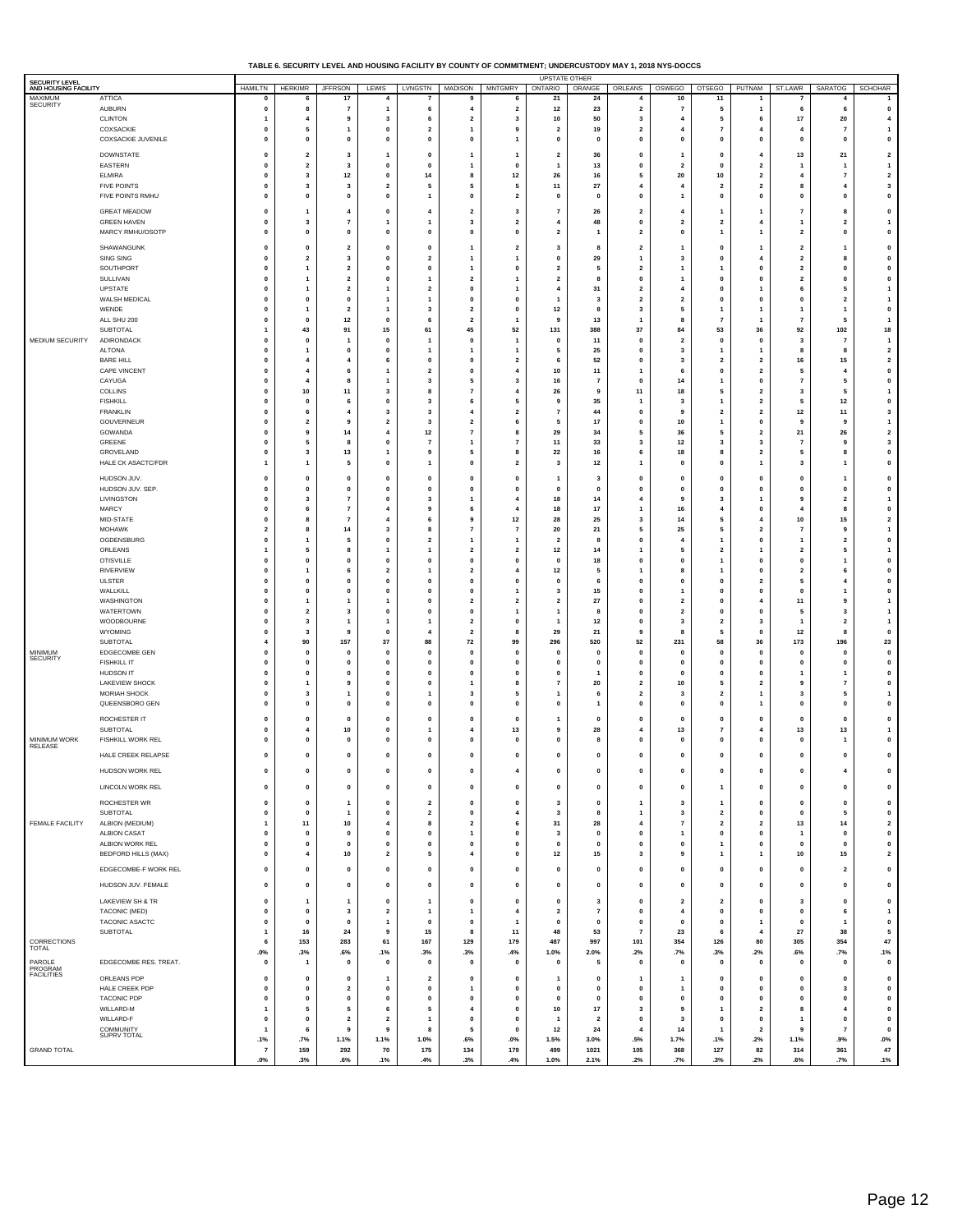| TABLE 6. SECURITY LEVEL AND HOUSING FACILITY BY COUNTY OF COMMITMENT: UNDERCUSTODY MAY 1. 2018 NYS-DOCCS |  |
|----------------------------------------------------------------------------------------------------------|--|
|                                                                                                          |  |

| SECURITY LEVEL                         | <b>UPSTATE OTHER</b>                    |                                        |                                |                                        |                                        |                                           |                                           |                                         |                              |                               |                                                    |                                           |                                         |                                                    |                                           |                              |                                                                                                                                                                                                                                                                                                                                                                                                                              |
|----------------------------------------|-----------------------------------------|----------------------------------------|--------------------------------|----------------------------------------|----------------------------------------|-------------------------------------------|-------------------------------------------|-----------------------------------------|------------------------------|-------------------------------|----------------------------------------------------|-------------------------------------------|-----------------------------------------|----------------------------------------------------|-------------------------------------------|------------------------------|------------------------------------------------------------------------------------------------------------------------------------------------------------------------------------------------------------------------------------------------------------------------------------------------------------------------------------------------------------------------------------------------------------------------------|
| AND HOUSING FACILITY<br>MAXIMUM        | <b>ATTICA</b>                           | <b>HAMILTN</b><br>$\mathbf{0}$         | <b>HERKIMR</b>                 | <b>JFFRSON</b><br>17                   | LEWIS                                  | LVNGSTN                                   | <b>MADISON</b><br>9                       | <b>MNTGMRY</b><br>6                     | ONTARIO<br>21                | ORANGE<br>24                  | ORLEANS<br>$\overline{4}$                          | OSWEGO<br>10                              | <b>OTSEGO</b><br>11                     | PUTNAM                                             | ST.LAWR<br>$\overline{7}$                 | SARATOG<br>$\overline{4}$    | SCHOHAR                                                                                                                                                                                                                                                                                                                                                                                                                      |
| SECURITY                               | <b>AUBURN</b>                           | $\mathbf 0$                            | 8                              | $\overline{7}$                         | $\mathbf{1}$                           | 6                                         | 4                                         | $\overline{\mathbf{2}}$                 | 12                           | 23                            | $\overline{\mathbf{2}}$                            | $\overline{7}$                            | 5                                       | -1                                                 | 6                                         | 6                            | $\mathbf 0$                                                                                                                                                                                                                                                                                                                                                                                                                  |
|                                        | <b>CLINTON</b><br>COXSACKIE             | 1<br>$\mathbf{0}$                      | $\overline{4}$<br>5            | 9<br>-1                                | 3<br>$\mathbf{0}$                      | 6<br>$\overline{2}$                       | $\overline{\mathbf{2}}$<br>$\mathbf{1}$   | 3<br>9                                  | 10<br>$\overline{2}$         | 50<br>19                      | 3<br>$\overline{\mathbf{2}}$                       | $\overline{4}$<br>$\overline{4}$          | 5<br>7                                  | 6<br>4                                             | 17<br>4                                   | 20<br>$\overline{7}$         | 4<br>$\overline{1}$                                                                                                                                                                                                                                                                                                                                                                                                          |
|                                        | COXSACKIE JUVENILE                      | $\mathbf 0$                            | $\mathbf{0}$                   | $\mathbf 0$                            | $\mathbf 0$                            | 0                                         | $\mathbf 0$                               | 1                                       | 0                            | $\mathbf 0$                   | $\mathbf 0$                                        | $\mathbf 0$                               | $\mathbf{0}$                            | $\mathbf 0$                                        | $\mathbf{0}$                              | 0                            | 0                                                                                                                                                                                                                                                                                                                                                                                                                            |
|                                        | DOWNSTATE                               | $\mathbf{0}$                           | $\overline{2}$                 | $\mathbf{3}$                           | $\mathbf{1}$                           | $\mathbf{0}$                              | $\mathbf{1}$                              | 1                                       | $\overline{2}$               | 36                            | $\mathbf 0$                                        | $\mathbf{1}$                              | $\mathbf{0}$                            | 4                                                  | 13                                        | 21                           | $\overline{2}$                                                                                                                                                                                                                                                                                                                                                                                                               |
|                                        | EASTERN                                 | $\pmb{0}$                              | $\overline{\mathbf{2}}$        | 3                                      | $\mathbf 0$                            | $\pmb{0}$                                 | $\overline{1}$                            | $\pmb{0}$                               |                              | 13                            | $\pmb{0}$                                          | $\overline{\mathbf{2}}$                   | $\mathbf{0}$                            | $\overline{\mathbf{2}}$                            | 1                                         | 1                            | 1                                                                                                                                                                                                                                                                                                                                                                                                                            |
|                                        | <b>ELMIRA</b><br><b>FIVE POINTS</b>     | $\pmb{0}$<br>$\mathbf 0$               | 3<br>3                         | 12<br>$\overline{\mathbf{3}}$          | $\mathbf 0$<br>$\overline{\mathbf{2}}$ | 14<br>5                                   | 8<br>5                                    | 12<br>5                                 | 26<br>11                     | 16<br>27                      | 5<br>$\overline{4}$                                | 20<br>$\overline{4}$                      | 10<br>$\overline{2}$                    | $\overline{\mathbf{2}}$<br>$\overline{2}$          | 4<br>8                                    | $\overline{\mathbf{r}}$<br>4 | $\overline{\mathbf{2}}$<br>3                                                                                                                                                                                                                                                                                                                                                                                                 |
|                                        | FIVE POINTS RMHU                        | $\pmb{0}$                              | $\mathbf 0$                    | $\mathbf 0$                            | $\mathbf{0}$                           | $\mathbf{1}$                              | $\mathbf{0}$                              | $\mathbf{2}$                            | $\pmb{0}$                    | $\pmb{0}$                     | $\pmb{0}$                                          | $\mathbf{1}$                              | 0                                       | $\pmb{0}$                                          | 0                                         | 0                            | $\pmb{0}$                                                                                                                                                                                                                                                                                                                                                                                                                    |
|                                        | <b>GREAT MEADOW</b>                     | $\mathbf 0$                            | $\mathbf{1}$                   | $\overline{4}$                         | $\mathbf 0$                            | 4                                         | $\overline{2}$                            | 3                                       | $\overline{7}$               | 26                            | $\overline{\mathbf{2}}$                            | 4                                         | 1                                       | $\mathbf{1}$                                       | $\overline{7}$                            | 8                            | $\mathbf 0$                                                                                                                                                                                                                                                                                                                                                                                                                  |
|                                        | <b>GREEN HAVEN</b>                      | $\pmb{0}$                              | 3                              | -7                                     | 1                                      | 1                                         | $\mathbf{3}$                              | $\overline{\mathbf{2}}$                 | 4                            | 48                            | $\pmb{0}$                                          | $\overline{\mathbf{2}}$                   | $\overline{\mathbf{2}}$                 | $\overline{4}$                                     | 1                                         | $\overline{\mathbf{2}}$      | $\mathbf{1}$                                                                                                                                                                                                                                                                                                                                                                                                                 |
|                                        | MARCY RMHU/OSOTP                        | $\mathbf{0}$                           | $\mathbf 0$                    | $\mathbf{0}$                           | $\mathbf{0}$                           | $\mathbf{0}$                              | $\mathbf{0}$                              | $\mathbf{0}$                            | $\overline{2}$               | $\mathbf{1}$                  | $\overline{2}$                                     | $\mathbf{0}$                              | 1                                       | $\mathbf{1}$                                       | $\overline{2}$                            | $\mathbf{0}$                 | $\mathbf 0$                                                                                                                                                                                                                                                                                                                                                                                                                  |
|                                        | SHAWANGUNK                              | $\mathbf 0$                            | $\mathbf{0}$<br>$\overline{2}$ | $\overline{\mathbf{2}}$                | $\mathbf{0}$                           | $\pmb{0}$                                 | $\mathbf{1}$<br>$\overline{1}$            | $\overline{\mathbf{2}}$                 | 3                            | 8                             | $\overline{\mathbf{2}}$<br>$\overline{1}$          | $\overline{1}$                            | 0<br>$\mathbf{0}$                       | -1<br>4                                            | $\overline{\mathbf{2}}$<br>$\overline{2}$ | 1                            | 0                                                                                                                                                                                                                                                                                                                                                                                                                            |
|                                        | <b>SING SING</b><br>SOUTHPORT           | $\mathbf 0$<br>$\pmb{0}$               | $\mathbf{1}$                   | 3<br>$\overline{\mathbf{2}}$           | $\mathbf 0$<br>$\mathbf{0}$            | $\overline{\mathbf{2}}$<br>0              | $\overline{1}$                            | 1<br>$\pmb{0}$                          | 0<br>$\overline{2}$          | 29<br>5                       | $\overline{\mathbf{2}}$                            | 3<br>$\mathbf{1}$                         |                                         | $\pmb{0}$                                          | $\overline{\mathbf{2}}$                   | 8<br>0                       | 0<br>$\pmb{0}$                                                                                                                                                                                                                                                                                                                                                                                                               |
|                                        | SULLIVAN                                | $\mathbf{0}$                           | -1                             | $\overline{2}$                         | $\mathbf{0}$                           | $\mathbf{1}$                              | $\overline{2}$                            | 1                                       | $\overline{2}$               | 8                             | $\mathbf 0$                                        | $\mathbf{1}$                              | 0                                       | $\mathbf 0$                                        | $\overline{2}$                            | $\mathbf{0}$                 | $\mathbf{0}$                                                                                                                                                                                                                                                                                                                                                                                                                 |
|                                        | UPSTATE<br>WALSH MEDICAL                | $\pmb{0}$<br>$\pmb{0}$                 | $\mathbf{1}$<br>$\mathbf{0}$   | $\overline{\mathbf{2}}$<br>$\mathbf 0$ | 1<br>1                                 | $\overline{\mathbf{2}}$<br>$\overline{1}$ | $\mathbf{0}$<br>$\mathbf{0}$              | $\mathbf{1}$<br>0                       | 4<br>1                       | 31<br>$\mathbf{3}$            | $\overline{\mathbf{2}}$<br>$\overline{\mathbf{2}}$ | $\overline{4}$<br>$\overline{\mathbf{2}}$ | 0<br>0                                  | 1<br>$\pmb{0}$                                     | 6<br>$\mathbf{0}$                         | 5<br>$\mathbf 2$             | $\mathbf{1}$<br>1                                                                                                                                                                                                                                                                                                                                                                                                            |
|                                        | WENDE                                   | $\mathbf 0$                            | $\overline{1}$                 | $\overline{\mathbf{2}}$                | $\mathbf{1}$                           | 3                                         | $\overline{\mathbf{2}}$                   | 0                                       | 12                           | 8                             | 3                                                  | 5                                         | 1                                       | $\mathbf{1}$                                       | 1                                         | $\mathbf{1}$                 | $\mathbf 0$                                                                                                                                                                                                                                                                                                                                                                                                                  |
|                                        | ALL SHU 200<br><b>SUBTOTAL</b>          | $\pmb{0}$<br>$\mathbf{1}$              | $\mathbf 0$<br>43              | $12$<br>91                             | $\mathbf 0$<br>15                      | 6<br>61                                   | $\overline{\mathbf{2}}$<br>45             | 1<br>52                                 | 9<br>131                     | 13<br>388                     | $\mathbf{1}$<br>37                                 | 8<br>84                                   | 7<br>53                                 | 1<br>36                                            | 7<br>92                                   | 5<br>102                     | 1<br>18                                                                                                                                                                                                                                                                                                                                                                                                                      |
| MEDIUM SECURITY                        | ADIRONDACK                              | $\mathbf 0$                            | $\mathbf{0}$                   | $\mathbf{1}$                           | $\mathbf 0$                            | 1                                         | $\mathbf 0$                               | $\mathbf{1}$                            | $\mathbf{0}$                 | 11                            | $\mathbf 0$                                        | $\overline{\mathbf{2}}$                   | $\mathbf{0}$                            | $\mathbf 0$                                        | 3                                         | 7                            | $\overline{1}$                                                                                                                                                                                                                                                                                                                                                                                                               |
|                                        | <b>ALTONA</b>                           | $\pmb{0}$                              | $\overline{1}$                 | $\mathbf{0}$                           | $\mathbf{0}$                           | $\overline{1}$                            | $\overline{1}$                            | $\mathbf{1}$                            | 5                            | 25                            | $\pmb{0}$                                          | $\mathbf{3}$                              | 1                                       | $\mathbf{1}$                                       | 8                                         | 8                            | $\mathbf 2$                                                                                                                                                                                                                                                                                                                                                                                                                  |
|                                        | <b>BARE HILL</b><br><b>CAPE VINCENT</b> | $\mathbf{0}$<br>$\pmb{0}$              | 4<br>$\overline{4}$            |                                        | 6<br>1                                 | $\mathbf{0}$<br>$\overline{\mathbf{2}}$   | $\mathbf{0}$<br>$\mathbf{0}$              | $\overline{\mathbf{2}}$<br>4            | 6<br>10                      | 52<br>$11$                    | $\mathbf 0$<br>$\mathbf{1}$                        | $\overline{\mathbf{3}}$<br>6              | $\overline{2}$<br>0                     | $\overline{2}$<br>$\overline{\mathbf{2}}$          | 16<br>5                                   | 15<br>4                      | $\mathbf 2$<br>0                                                                                                                                                                                                                                                                                                                                                                                                             |
|                                        | CAYUGA                                  | $\pmb{0}$                              | $\overline{4}$                 | 8                                      | $\overline{1}$                         | 3                                         | 5                                         | 3                                       | 16                           | $\overline{7}$                | $\pmb{0}$                                          | 14                                        | 1                                       | $\pmb{0}$                                          | $\overline{7}$                            | 5                            | $\mathbf 0$                                                                                                                                                                                                                                                                                                                                                                                                                  |
|                                        | COLLINS<br><b>FISHKILL</b>              | $\mathbf 0$<br>$\pmb{0}$               | 10<br>$\pmb{0}$                | 11<br>6                                | 3<br>$\mathbf 0$                       | 8<br>3                                    | $\overline{7}$<br>6                       | 4<br>5                                  | 26<br>9                      | 9<br>35                       | 11<br>$\overline{\mathbf{1}}$                      | 18<br>$\mathbf{3}$                        | 5<br>1                                  | $\overline{\mathbf{2}}$<br>$\overline{\mathbf{2}}$ | 3<br>5                                    | 5<br>12                      | $\mathbf{1}$<br>0                                                                                                                                                                                                                                                                                                                                                                                                            |
|                                        | <b>FRANKLIN</b>                         | $\mathbf{0}$                           | 6                              | -4                                     | $\overline{\mathbf{3}}$                | $\overline{\mathbf{3}}$                   | 4                                         | $\mathbf{2}$                            | $\overline{7}$               | 44                            | $\mathbf 0$                                        | 9                                         | $\overline{\mathbf{2}}$                 | $\overline{2}$                                     | $12$                                      | 11                           | 3                                                                                                                                                                                                                                                                                                                                                                                                                            |
|                                        | GOUVERNEUR                              | $\mathbf 0$                            | $\overline{2}$                 | 9                                      | $\overline{\mathbf{2}}$                | 3                                         | $\overline{2}$                            | 6                                       | 5                            | 17                            | $\mathbf 0$                                        | 10                                        | 1                                       | 0                                                  | 9                                         | 9                            | $\mathbf{1}$                                                                                                                                                                                                                                                                                                                                                                                                                 |
|                                        | GOWANDA<br>GREENE                       | $\pmb{0}$<br>$\mathbf{0}$              | 9<br>5                         | 14<br>-8                               | 4<br>$\mathbf{0}$                      | 12<br>$\overline{7}$                      | $\overline{7}$<br>$\mathbf{1}$            | 8<br>$\overline{7}$                     | 29<br>11                     | 34<br>33                      | 5<br>3                                             | 36<br>12                                  | 5<br>3                                  | $\overline{\mathbf{2}}$<br>3                       | 21<br>$\overline{7}$                      | 26<br>9                      | $\overline{\mathbf{2}}$<br>3                                                                                                                                                                                                                                                                                                                                                                                                 |
|                                        | GROVELAND                               | $\pmb{0}$                              | 3                              | 13                                     | $\mathbf{1}$                           | 9                                         | 5                                         | 8                                       | 22                           | 16                            | 6                                                  | 18                                        | 8                                       | $\overline{\mathbf{2}}$                            | 5                                         | 8                            | 0                                                                                                                                                                                                                                                                                                                                                                                                                            |
|                                        | HALE CK ASACTC/FDR                      | $\overline{1}$                         | $\overline{1}$                 | 5                                      | $\mathbf 0$                            | $\overline{1}$                            | $\mathbf{0}$                              | $\mathbf{2}$                            | 3                            | 12                            | $\overline{1}$                                     | $\mathbf{0}$                              | $\mathbf{0}$                            | $\mathbf{1}$                                       | 3                                         | 1                            | 0                                                                                                                                                                                                                                                                                                                                                                                                                            |
|                                        | HUDSON JUV.<br>HUDSON JUV. SEP.         | $\pmb{0}$                              | $\pmb{0}$                      | $\mathbf 0$                            | $\mathbf 0$                            | $\pmb{0}$                                 | $\mathbf 0$                               | $\pmb{0}$                               | 1                            | $\mathbf{3}$<br>$\mathbf{0}$  | $\pmb{0}$                                          | $\pmb{0}$                                 | 0                                       | $\pmb{0}$                                          | $\pmb{\mathsf{o}}$                        | 1                            | $\mathbf 0$<br>$\mathbf 0$                                                                                                                                                                                                                                                                                                                                                                                                   |
|                                        | LIVINGSTON                              | $\pmb{0}$<br>$\pmb{0}$                 | $\mathbf{0}$<br>3              | $\mathbf 0$<br>$\overline{7}$          | $\mathbf 0$<br>0                       | 0<br>3                                    | $\mathbf{0}$<br>$\overline{1}$            | $\pmb{0}$<br>4                          | $\mathbf{0}$<br>18           | 14                            | $\pmb{0}$<br>$\overline{4}$                        | $\mathbf 0$<br>9                          | $\mathbf{0}$<br>3                       | $\mathbf 0$<br>$\mathbf{1}$                        | $\mathbf 0$<br>9                          | 0<br>2                       | $\mathbf{1}$                                                                                                                                                                                                                                                                                                                                                                                                                 |
|                                        | <b>MARCY</b>                            | $\pmb{0}$                              | 6                              | $\overline{7}$                         | $\overline{4}$                         | 9                                         | 6                                         | 4                                       | 18                           | 17                            | $\overline{1}$                                     | 16                                        | 4                                       | $\pmb{0}$                                          | 4                                         | 8                            | 0                                                                                                                                                                                                                                                                                                                                                                                                                            |
|                                        | MID-STATE<br><b>MOHAWK</b>              | $\mathbf 0$<br>$\overline{\mathbf{2}}$ | 8<br>8                         | $\overline{7}$<br>14                   | 4<br>3                                 | 6<br>8                                    | 9<br>$\overline{7}$                       | $12$<br>$\overline{7}$                  | 28<br>20                     | 25<br>21                      | 3<br>5                                             | 14<br>25                                  | 5<br>5                                  | 4<br>$\overline{\mathbf{2}}$                       | 10<br>7                                   | 15<br>9                      | $\mathbf{2}% =\mathbf{2}+\mathbf{2}+\mathbf{3}+\mathbf{4}+\mathbf{5}+\mathbf{5}+\mathbf{5}+\mathbf{6}+\mathbf{6}+\mathbf{5}+\mathbf{6}+\mathbf{5}+\mathbf{6}+\mathbf{6}+\mathbf{5}+\mathbf{6}+\mathbf{6}+\mathbf{5}+\mathbf{6}+\mathbf{6}+\mathbf{6}+\mathbf{5}+\mathbf{6}+\mathbf{6}+\mathbf{6}+\mathbf{6}+\mathbf{6}+\mathbf{6}+\mathbf{6}+\mathbf{6}+\mathbf{6}+\mathbf{6}+\mathbf{6}+\mathbf{6}+\mathbf{6}+\mathbf$<br>1 |
|                                        | OGDENSBURG                              | $\mathbf{0}$                           | -1                             | -5                                     | $\mathbf{0}$                           | $\overline{\mathbf{2}}$                   | $\mathbf{1}$                              | $\mathbf{1}$                            | $\overline{2}$               | -8                            | $\mathbf 0$                                        | $\overline{4}$                            | 1                                       | $\mathbf 0$                                        | 1                                         | $\overline{2}$               | $\mathbf 0$                                                                                                                                                                                                                                                                                                                                                                                                                  |
|                                        | ORLEANS                                 | $\mathbf{1}$                           | 5                              | 8                                      | $\mathbf{1}$                           | 1                                         | $\overline{2}$                            | $\overline{\mathbf{2}}$                 | 12                           | 14                            | $\overline{1}$                                     | 5                                         | 2                                       | $\overline{1}$                                     | $\overline{2}$                            | 5                            | $\mathbf{1}$                                                                                                                                                                                                                                                                                                                                                                                                                 |
|                                        | <b>OTISVILLE</b><br><b>RIVERVIEW</b>    | $\pmb{0}$<br>$\mathbf 0$               | $\mathbf{0}$<br>-1             | $\mathbf{0}$<br>- 6                    | $\mathbf{0}$<br>$\overline{2}$         | $\pmb{0}$<br>$\mathbf{1}$                 | $\mathbf{0}$<br>$\overline{2}$            | $\pmb{0}$<br>$\overline{4}$             | 0<br>$12$                    | 18<br>5                       | $\pmb{0}$<br>-1                                    | $\mathbf{0}$<br>8                         | 1<br>1                                  | $\pmb{0}$<br>$\mathbf 0$                           | 0<br>$\overline{2}$                       | 1<br>6                       | 0<br>$\mathbf{0}$                                                                                                                                                                                                                                                                                                                                                                                                            |
|                                        | <b>ULSTER</b>                           | $\pmb{0}$                              | $\mathbf 0$                    | $\mathbf 0$                            | $\mathbf{0}$                           | $\pmb{0}$                                 | $\mathbf 0$                               | $\pmb{0}$                               | 0                            | 6                             | $\pmb{0}$                                          | 0                                         | 0                                       | $\overline{\mathbf{2}}$                            | 5                                         | 4                            | 0                                                                                                                                                                                                                                                                                                                                                                                                                            |
|                                        | WALLKILL<br>WASHINGTON                  | $\pmb{0}$<br>$\mathbf 0$               | $\pmb{0}$<br>$\overline{1}$    | $\mathbf 0$<br>$\mathbf{1}$            | $\mathbf{0}$<br>1                      | $\pmb{0}$<br>0                            | $\mathbf{0}$<br>$\overline{2}$            | $\mathbf{1}$<br>$\overline{\mathbf{2}}$ | 3<br>$\overline{\mathbf{2}}$ | 15<br>27                      | $\pmb{0}$<br>$\mathbf 0$                           | $\mathbf{1}$<br>$\overline{\mathbf{2}}$   | 0<br>$\mathbf{0}$                       | $\pmb{0}$<br>$\overline{a}$                        | $\mathbf 0$<br>11                         | 1<br>9                       | $\mathbf 0$<br>$\overline{1}$                                                                                                                                                                                                                                                                                                                                                                                                |
|                                        | WATERTOWN                               | $\pmb{0}$                              | $\overline{\mathbf{2}}$        | 3                                      | $\mathbf 0$                            | 0                                         | $\pmb{0}$                                 | $\mathbf{1}$                            | 1                            | 8                             | $\pmb{0}$                                          | $\overline{\mathbf{2}}$                   | 0                                       | $\pmb{0}$                                          | 5                                         | 3                            | $\mathbf{1}$                                                                                                                                                                                                                                                                                                                                                                                                                 |
|                                        | WOODBOURNE                              | $\mathbf{0}$                           | $\overline{\mathbf{3}}$        | $\mathbf{1}$                           | $\mathbf{1}$                           | $\mathbf{1}$                              | $\overline{2}$                            | $\pmb{0}$                               | -1                           | 12                            | $\mathbf 0$                                        | $\overline{\mathbf{3}}$                   | $\overline{2}$                          | 3                                                  | 1                                         | $\mathbf{2}$                 | $\mathbf{1}$                                                                                                                                                                                                                                                                                                                                                                                                                 |
|                                        | WYOMING<br>SUBTOTAL                     | $\mathbf 0$<br>$\overline{4}$          | 3<br>90                        | 9<br>157                               | $\mathbf 0$<br>$37\,$                  | 4<br>88                                   | $\overline{2}$<br>72                      | 8<br>99                                 | 29<br>296                    | 21<br>520                     | 9<br>52                                            | 8<br>231                                  | 5<br>58                                 | 0<br>36                                            | 12<br>173                                 | 8<br>196                     | $\mathbf 0$<br>23                                                                                                                                                                                                                                                                                                                                                                                                            |
| MINIMUM<br>SECURITY                    | EDGECOMBE GEN                           | $\mathbf{0}$                           | $\mathbf 0$                    | $\mathbf 0$                            | $\mathbf 0$                            | $\mathbf{0}$                              | $\mathbf{0}$                              | $\mathbf 0$                             | $\mathbf{0}$                 | $\mathbf{0}$                  | $\mathbf 0$                                        | $\mathbf 0$                               | 0                                       | $\mathbf 0$                                        | 0                                         | 0                            | $\mathbf 0$                                                                                                                                                                                                                                                                                                                                                                                                                  |
|                                        | <b>FISHKILL IT</b><br><b>HUDSON IT</b>  | $\pmb{0}$<br>$\mathbf{0}$              | $\mathbf 0$<br>$\mathbf 0$     | $\mathbf{0}$<br>$\mathbf 0$            | 0<br>$\mathbf{0}$                      | 0<br>$\mathbf{0}$                         | $\mathbf{0}$<br>$\mathbf{0}$              | $\pmb{0}$<br>$\pmb{0}$                  | $\pmb{0}$<br>$\mathbf{0}$    | 0<br>-1                       | $\pmb{0}$<br>$\mathbf 0$                           | $\pmb{0}$<br>$\mathbf{0}$                 | 0<br>$\mathbf{0}$                       | $\pmb{0}$<br>$\mathbf 0$                           | $\mathbf 0$                               | 0<br>$\mathbf{1}$            | 0<br>$\mathbf 0$                                                                                                                                                                                                                                                                                                                                                                                                             |
|                                        | <b>LAKEVIEW SHOCK</b>                   | $\mathbf 0$                            | -1                             | 9                                      | $\mathbf 0$                            | 0                                         | $\mathbf{1}$                              | 8                                       | 7                            | 20                            | $\overline{\mathbf{z}}$                            | 10                                        | 5                                       | $\overline{\mathbf{2}}$                            | 9                                         | $\overline{\mathbf{r}}$      | $\mathbf 0$                                                                                                                                                                                                                                                                                                                                                                                                                  |
|                                        | <b>MORIAH SHOCK</b><br>QUEENSBORO GEN   | $\pmb{0}$<br>$\mathbf{0}$              | 3<br>$\mathbf{0}$              | $\mathbf{1}$<br>$\mathbf{0}$           | $\mathbf{0}$<br>$\mathbf{0}$           | $\overline{1}$<br>$\mathbf{0}$            | $\mathbf{3}$<br>$\mathbf{0}$              | 5<br>$\mathbf{0}$                       | 1<br>$\mathbf{0}$            | 6                             | $\overline{\mathbf{2}}$<br>$\mathbf 0$             | $\mathbf{3}$<br>$\mathbf 0$               | $\overline{\mathbf{2}}$<br>$\mathbf{0}$ | $\mathbf{1}$                                       | $\overline{\mathbf{3}}$<br>$\mathbf{0}$   | 5<br>$\mathbf{0}$            | 1<br>$\mathbf 0$                                                                                                                                                                                                                                                                                                                                                                                                             |
|                                        |                                         |                                        |                                |                                        |                                        |                                           |                                           |                                         |                              | 1                             |                                                    |                                           |                                         | $\mathbf{1}$                                       |                                           |                              |                                                                                                                                                                                                                                                                                                                                                                                                                              |
|                                        | ROCHESTER IT<br>SUBTOTAL                | $\mathbf 0$<br>$\mathbf 0$             | $\mathbf{0}$<br>4              | $\mathbf{0}$<br>10                     | 0<br>$\mathbf 0$                       | $\pmb{0}$<br>1                            | $\mathbf{0}$<br>$\overline{4}$            | 0<br>13                                 | 1<br>9                       | $\mathbf 0$<br>28             | $\pmb{0}$<br>$\overline{4}$                        | $\mathbf{0}$<br>13                        | $\mathbf{0}$<br>7                       | $\mathbf 0$<br>4                                   | 0<br>13                                   | 0<br>13                      | 0<br>$\mathbf{1}$                                                                                                                                                                                                                                                                                                                                                                                                            |
| MINIMUM WORK<br>RELEASE                | FISHKILL WORK REL                       | $\pmb{0}$                              | $\pmb{0}$                      | $\mathbf 0$                            | 0                                      | 0                                         | $\mathbf 0$                               | $\pmb{0}$                               | $\pmb{0}$                    | 8                             | $\pmb{0}$                                          | $\pmb{0}$                                 | 0                                       | $\pmb{0}$                                          | $\pmb{\mathsf{o}}$                        | 1                            | $\pmb{0}$                                                                                                                                                                                                                                                                                                                                                                                                                    |
|                                        | HALE CREEK RELAPSE                      | $\mathbf 0$                            | $\mathbf{0}$                   | $\mathbf 0$                            | 0                                      | 0                                         | $\mathbf{0}$                              | 0                                       | $\mathbf 0$                  | 0                             | $\mathbf 0$                                        | $\mathbf 0$                               | 0                                       | $\mathbf 0$                                        | $\mathbf{0}$                              | 0                            | 0                                                                                                                                                                                                                                                                                                                                                                                                                            |
|                                        | HUDSON WORK REL                         | $\mathbf{0}$                           | $\mathbf 0$                    | $\mathbf 0$                            | $\mathbf 0$                            | $\mathbf{0}$                              | $\mathbf{0}$                              | $\overline{4}$                          | $\mathbf{0}$                 | $\mathbf 0$                   | $\mathbf 0$                                        | 0                                         | $\mathbf{0}$                            | $\mathbf{0}$                                       | $\mathbf{0}$                              | 4                            | $\mathbf{0}$                                                                                                                                                                                                                                                                                                                                                                                                                 |
|                                        | LINCOLN WORK REL                        | $\pmb{0}$                              | $\pmb{\mathsf{o}}$             | $\pmb{0}$                              | $\pmb{0}$                              | $\mathbf 0$                               | $\pmb{0}$                                 | $\mathbf 0$                             | $\pmb{0}$                    | $\pmb{0}$                     | $\pmb{\mathsf{o}}$                                 | $\pmb{0}$                                 | $\mathbf{1}$                            | $\pmb{0}$                                          | $\pmb{0}$                                 | $\pmb{0}$                    | $\pmb{0}$                                                                                                                                                                                                                                                                                                                                                                                                                    |
|                                        | ROCHESTER WR                            | $\pmb{0}$                              | $\pmb{0}$                      | $\overline{1}$                         | $\mathbf 0$                            | $\overline{\mathbf{2}}$                   | $\pmb{0}$                                 | $\pmb{0}$                               | 3                            | $\pmb{0}$                     | $\overline{1}$                                     | $\mathbf{3}$                              | 1                                       | $\pmb{0}$                                          | $\pmb{0}$                                 | 0                            | $\mathbf 0$                                                                                                                                                                                                                                                                                                                                                                                                                  |
|                                        | <b>SUBTOTAL</b>                         | $\mathbf{0}$                           | $\mathbf{0}$                   | $\mathbf{1}$                           | $\pmb{0}$                              | $\mathbf{2}$                              | $\mathbf{0}$                              | $\overline{4}$                          | $\overline{\mathbf{3}}$      | 8                             | $\overline{1}$                                     | $\mathbf{3}$                              | $\overline{\mathbf{2}}$                 | $\mathbf{0}$                                       | $\mathbf{0}$                              | 5                            | $\pmb{0}$                                                                                                                                                                                                                                                                                                                                                                                                                    |
| FEMALE FACILITY                        | ALBION (MEDIUM)<br><b>ALBION CASAT</b>  | $\mathbf{1}$<br>$\pmb{0}$              | 11                             | 10                                     | $\overline{\mathbf{4}}$<br>$\pmb{0}$   | 8<br>$\mathbf 0$                          | $\overline{\mathbf{2}}$<br>$\overline{1}$ | 6<br>$\pmb{0}$                          | 31<br>3                      | 28<br>$\pmb{\mathsf{o}}$      | $\overline{4}$<br>$\pmb{0}$                        | $\overline{7}$                            | $\overline{\mathbf{2}}$<br>0            | $\overline{\mathbf{2}}$<br>$\pmb{0}$               | 13<br>$\overline{1}$                      | 14<br>0                      | $\overline{\mathbf{2}}$<br>$\pmb{0}$                                                                                                                                                                                                                                                                                                                                                                                         |
|                                        | ALBION WORK REL                         | $\pmb{0}$                              | $\pmb{0}$<br>$\mathbf{0}$      | $\pmb{0}$<br>$\mathbf 0$               | $\pmb{0}$                              | $\pmb{0}$                                 | $\pmb{0}$                                 | $\mathbf{0}$                            | $\mathbf{0}$                 | $\pmb{0}$                     | $\pmb{0}$                                          | $\mathbf{1}$<br>$\mathbf{0}$              | 1                                       | $\mathbf{0}$                                       | $\mathbf{0}$                              | $\mathbf{0}$                 | $\mathbf{0}$                                                                                                                                                                                                                                                                                                                                                                                                                 |
|                                        | <b>BEDFORD HILLS (MAX)</b>              | $\pmb{0}$                              | $\overline{4}$                 | 10                                     | $\overline{\mathbf{2}}$                | 5                                         | $\overline{4}$                            | $\mathbf 0$                             | 12                           | 15                            | 3                                                  | 9                                         | 1                                       | $\overline{1}$                                     | 10                                        | 15                           | $\overline{\mathbf{2}}$                                                                                                                                                                                                                                                                                                                                                                                                      |
|                                        | EDGECOMBE-F WORK REL                    | $\pmb{0}$                              | $\pmb{0}$                      | $\mathbf 0$                            | $\pmb{0}$                              | 0                                         | $\mathbf 0$                               | $\mathbf 0$                             | $\mathbf 0$                  | $\mathbf 0$                   | $\pmb{0}$                                          | $\pmb{0}$                                 | 0                                       | 0                                                  | 0                                         | $\mathbf{2}$                 | $\mathbf 0$                                                                                                                                                                                                                                                                                                                                                                                                                  |
|                                        | HUDSON JUV. FEMALE                      | $\pmb{0}$                              | $\mathbf 0$                    | $\mathbf 0$                            | $\pmb{0}$                              | $\mathbf 0$                               | $\mathbf{0}$                              | $\mathbf 0$                             | $\mathbf{0}$                 | $\mathbf 0$                   | $\pmb{0}$                                          | $\mathbf{0}$                              | $\mathbf{0}$                            | $\mathbf{0}$                                       | $\mathbf{0}$                              | $\mathbf{0}$                 | $\mathbf{0}$                                                                                                                                                                                                                                                                                                                                                                                                                 |
|                                        | LAKEVIEW SH & TR                        | $\pmb{0}$                              | $\mathbf{1}$                   | $\overline{1}$                         | $\mathbf 0$                            | $\mathbf{1}$                              | $\pmb{0}$                                 | $\pmb{0}$                               | $\pmb{0}$                    | $\mathbf{3}$                  | $\pmb{\mathsf{o}}$                                 | $\overline{\mathbf{2}}$                   | $\overline{\mathbf{2}}$                 | $\pmb{0}$                                          | 3                                         | 0                            | $\mathbf 0$                                                                                                                                                                                                                                                                                                                                                                                                                  |
|                                        | <b>TACONIC (MED)</b>                    | $\mathbf 0$                            | $\pmb{0}$                      | $\mathbf{3}$                           | $\overline{2}$                         | 1                                         | $\overline{1}$                            | 4                                       | $\overline{2}$               | $\scriptstyle\rm{7}$          | $\pmb{0}$                                          | $\overline{4}$                            | $\bf{0}$                                | $\mathbf 0$                                        | $\mathbf{0}$                              | 6                            | $\mathbf{1}$                                                                                                                                                                                                                                                                                                                                                                                                                 |
|                                        | TACONIC ASACTC<br><b>SUBTOTAL</b>       | $\pmb{0}$<br>$\mathbf{1}$              | $\pmb{0}$<br>16                | $\mathbf{0}$<br>24                     | $\overline{1}$<br>9                    | 0<br>15                                   | $\pmb{0}$<br>8                            | $\mathbf{1}$<br>11                      | $\pmb{0}$<br>48              | $\pmb{0}$<br>53               | $\pmb{0}$<br>$\overline{\mathbf{r}}$               | $\pmb{0}$<br>23                           | 0<br>6                                  | $\overline{1}$<br>$\overline{4}$                   | $\pmb{\mathsf{o}}$<br>27                  | 1<br>38                      | $\pmb{0}$<br>5                                                                                                                                                                                                                                                                                                                                                                                                               |
| CORRECTIONS<br>TOTAL                   |                                         | 6                                      | 153                            | 283                                    | 61                                     | 167                                       | 129                                       | 179                                     | 487                          | 997                           | 101                                                | 354                                       | 126                                     | 80                                                 | 305                                       | 354                          | 47                                                                                                                                                                                                                                                                                                                                                                                                                           |
|                                        |                                         | $.0\%$                                 | .3%                            | .6%                                    | .1%                                    | .3%                                       | .3%                                       | .4%                                     | 1.0%                         | 2.0%                          | .2%                                                | .7%                                       | .3%                                     | .2%                                                | .6%                                       | .7%                          | .1%                                                                                                                                                                                                                                                                                                                                                                                                                          |
| PAROLE<br>PROGRAM<br><b>FACILITIES</b> | EDGECOMBE RES. TREAT.                   | $\mathbf 0$                            | $\overline{1}$                 | $\mathbf 0$                            | $\pmb{0}$                              | 0                                         | $\mathbf{0}$                              | 0                                       | $\pmb{0}$                    | 5                             | $\pmb{0}$                                          | $\mathbf 0$                               | $\mathbf 0$                             | $\mathbf{0}$                                       | $\mathbf{0}$                              | 0                            | $\mathbf 0$                                                                                                                                                                                                                                                                                                                                                                                                                  |
|                                        | ORLEANS PDP<br>HALE CREEK PDP           | $\pmb{0}$<br>$\mathbf 0$               | $\pmb{0}$<br>$\mathbf{0}$      | $\mathbf 0$<br>$\overline{2}$          | $\overline{1}$<br>$\pmb{0}$            | $\mathbf{2}$<br>0                         | $\mathbf 0$<br>$\mathbf{1}$               | $\pmb{0}$<br>$\mathbf 0$                | 1<br>$\mathbf{0}$            | $\pmb{0}$<br>$\mathbf{0}$     | $\overline{1}$<br>$\mathbf 0$                      | $\overline{1}$<br>$\mathbf{1}$            | $\mathbf{0}$<br>$\mathbf{0}$            | $\pmb{0}$<br>$\mathbf 0$                           | $\pmb{\mathsf{o}}$<br>$\mathbf{0}$        | 0<br>3                       | $\mathbf 0$<br>$\mathbf 0$                                                                                                                                                                                                                                                                                                                                                                                                   |
|                                        | <b>TACONIC PDP</b>                      | $\pmb{0}$                              | $\pmb{0}$                      | $\pmb{0}$                              | $\mathbf 0$                            | 0                                         | $\pmb{0}$                                 | $\mathbf 0$                             | $\mathbf 0$                  | $\pmb{0}$                     | $\pmb{0}$                                          | $\pmb{0}$                                 | 0                                       | $\pmb{0}$                                          | $\pmb{0}$                                 | 0                            | $\pmb{0}$                                                                                                                                                                                                                                                                                                                                                                                                                    |
|                                        | WILLARD-M                               | $\mathbf{1}$                           | 5                              | 5                                      | 6                                      | 5                                         | $\overline{4}$                            | $\mathbf 0$                             | 10                           | 17                            | 3                                                  | 9                                         | 1                                       | $\overline{2}$                                     | 8                                         | 4                            | $\mathbf{0}$                                                                                                                                                                                                                                                                                                                                                                                                                 |
|                                        | WILLARD-F<br>COMMUNITY                  | $\mathbf 0$<br>$\overline{1}$          | $\mathbf{0}$<br>6              | $\overline{\mathbf{z}}$<br>9           | $\overline{\mathbf{2}}$<br>9           | 1<br>8                                    | $\mathbf{0}$<br>5                         | 0<br>$\pmb{0}$                          | 1<br>$12$                    | $\overline{\mathbf{2}}$<br>24 | $\mathbf 0$<br>$\overline{4}$                      | $\mathbf{3}$<br>14                        | $\mathbf 0$<br>$\mathbf{1}$             | 0<br>$\mathbf{2}$                                  | $\overline{1}$<br>9                       | 0<br>$\overline{7}$          | $\mathbf 0$<br>$\mathbf 0$                                                                                                                                                                                                                                                                                                                                                                                                   |
|                                        | SUPRV TOTAL                             | .1%                                    | .7%                            | 1.1%                                   | 1.1%                                   | 1.0%                                      | .6%                                       | .0%                                     | 1.5%                         | 3.0%                          | .5%                                                | 1.7%                                      | .1%                                     | .2%                                                | 1.1%                                      | .9%                          | .0%                                                                                                                                                                                                                                                                                                                                                                                                                          |
| <b>GRAND TOTAL</b>                     |                                         | $\overline{7}$<br>.0%                  | 159<br>.3%                     | 292<br>.6%                             | 70<br>.1%                              | 175<br>.4%                                | 134<br>.3%                                | 179<br>.4%                              | 499<br>1.0%                  | 1021<br>2.1%                  | 105<br>.2%                                         | 368<br>.7%                                | 127<br>.3%                              | 82<br>.2%                                          | 314<br>.6%                                | 361<br>.7%                   | 47<br>.1%                                                                                                                                                                                                                                                                                                                                                                                                                    |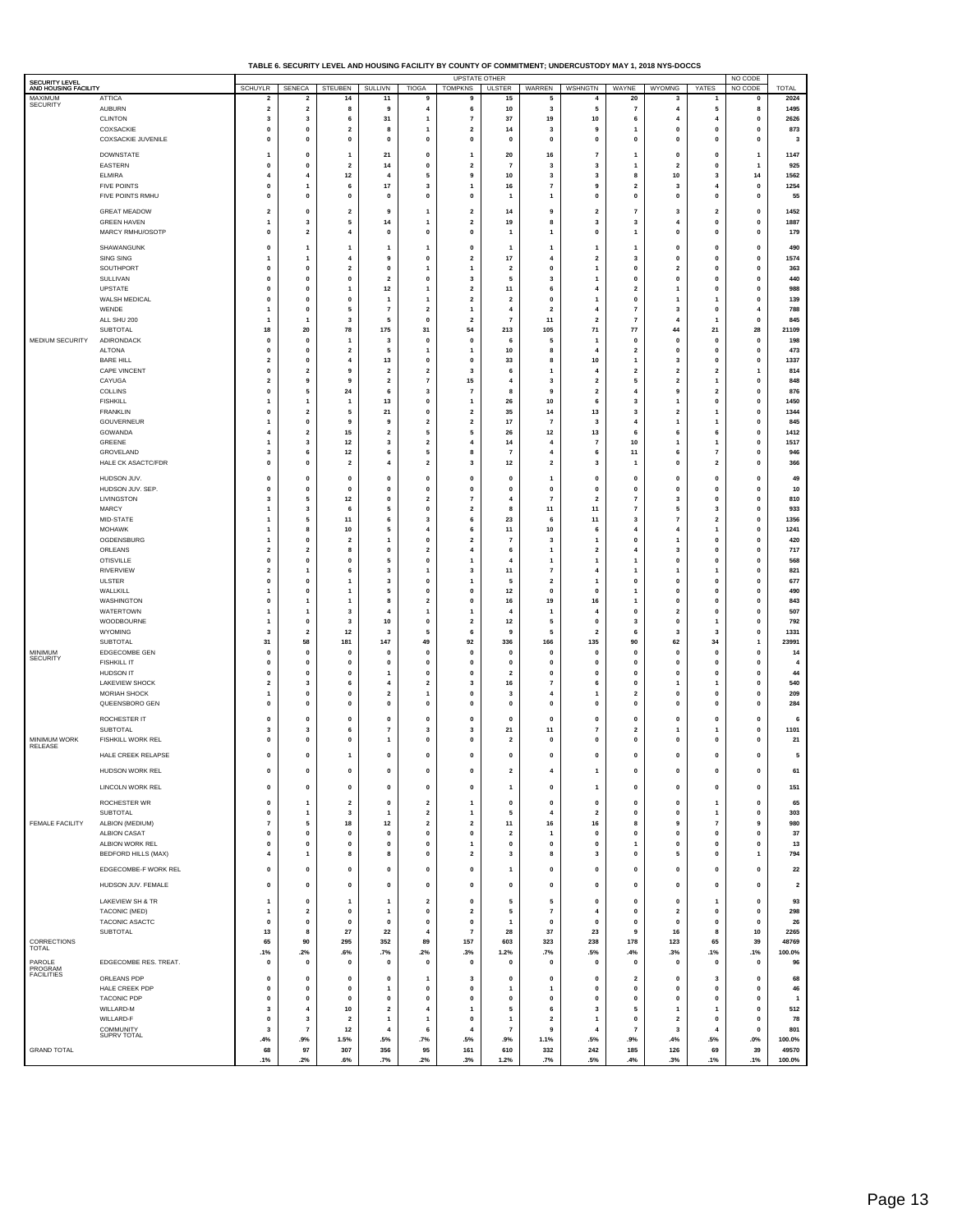| TABLE 6. SECURITY LEVEL AND HOUSING FACILITY BY COUNTY OF COMMITMENT: UNDERCUSTODY MAY 1. 2018 NYS-DOCCS |  |
|----------------------------------------------------------------------------------------------------------|--|
|                                                                                                          |  |

| SECURITY LEVEL                                                                                                                 |                                        |                                           |                                         |                              |                                  |                              | <b>UPSTATE OTHER</b>                      |                                           |                               |                                           |                                         |                                                    |                                | NO CODE                     |                                |
|--------------------------------------------------------------------------------------------------------------------------------|----------------------------------------|-------------------------------------------|-----------------------------------------|------------------------------|----------------------------------|------------------------------|-------------------------------------------|-------------------------------------------|-------------------------------|-------------------------------------------|-----------------------------------------|----------------------------------------------------|--------------------------------|-----------------------------|--------------------------------|
|                                                                                                                                | <b>ATTICA</b>                          | <b>SCHUYLR</b><br>$\overline{\mathbf{2}}$ | SENECA<br>$\overline{\mathbf{2}}$       | STEUBEN<br>14                | SULLIVN<br>11                    | <b>TIOGA</b><br>g            | <b>TOMPKNS</b><br>9                       | <b>ULSTER</b><br>15                       | WARREN<br>5                   | WSHNGTN<br>$\overline{4}$                 | WAYNE<br>20                             | <b>WYOMNG</b><br>3                                 | YATES<br>1                     | NO CODE<br>0                | <b>TOTAL</b><br>2024           |
| <b>SECURITY</b>                                                                                                                | <b>AUBURN</b>                          | $\overline{\mathbf{2}}$                   | 2                                       | 8                            | 9                                | 4                            | 6                                         | 10                                        | 3                             | 5                                         | $\overline{7}$                          | $\overline{4}$                                     | 5                              | 8                           | 1495                           |
|                                                                                                                                | <b>CLINTON</b>                         | 3                                         | 3<br>$\mathbf{0}$                       | 6                            | 31                               | 1                            | $\scriptstyle\rm{7}$                      | 37                                        | 19                            | 10                                        | 6                                       | $\overline{4}$                                     | 4                              | 0                           | 2626                           |
|                                                                                                                                | COXSACKIE<br>COXSACKIE JUVENILE        | $\mathbf{0}$<br>$\mathbf{0}$              | 0                                       | $\overline{\mathbf{2}}$<br>0 | 8<br>$\mathbf{0}$                | 1<br>0                       | $\overline{2}$<br>$\mathbf 0$             | 14<br>$\mathbf 0$                         | 3<br>$\bf{0}$                 | 9<br>0                                    | 1<br>$\mathbf{0}$                       | $\mathbf{0}$<br>$\mathbf{0}$                       | $\pmb{0}$<br>$\mathbf{0}$      | $\mathbf 0$<br>0            | 873<br>$\overline{\mathbf{3}}$ |
|                                                                                                                                | <b>DOWNSTATE</b>                       | 1                                         | $\mathbf{0}$                            | $\mathbf{1}$                 | 21                               | $\mathbf{0}$                 | $\mathbf{1}$                              | 20                                        | 16                            | $\overline{\mathbf{r}}$                   | $\mathbf{1}$                            | $\mathbf{0}$                                       | 0                              | $\mathbf{1}$                | 1147                           |
| AND HOUSING FACILITY<br>MAXIMUM<br>MEDIUM SECURITY<br>MINIMUM<br><b>SECURITY</b><br>MINIMUM WORK<br>RELEASE<br>FEMALE FACILITY | EASTERN                                | 0                                         | 0                                       | 2                            | 14                               | 0                            | $\mathbf 2$                               | $\overline{7}$                            | 3                             | 3                                         | 1                                       | $\overline{\mathbf{2}}$                            | 0                              | $\overline{1}$              | 925                            |
|                                                                                                                                | <b>ELMIRA</b>                          | 4                                         | 4                                       | $12$                         | 4                                | 5                            | 9                                         | 10                                        | 3                             | 3                                         | 8                                       | $10\,$                                             | 3                              | 14                          | 1562                           |
|                                                                                                                                | <b>FIVE POINTS</b><br>FIVE POINTS RMHU | $\mathbf{0}$<br>0                         | 1<br>0                                  | 6<br>0                       | 17<br>$\mathbf 0$                | 3<br>0                       | $\mathbf{1}$<br>$\pmb{0}$                 | 16<br>$\mathbf{1}$                        | $\overline{7}$<br>1           | 9<br>$\pmb{0}$                            | $\overline{\mathbf{2}}$<br>0            | 3<br>0                                             | 4<br>0                         | 0<br>0                      | 1254<br>55                     |
|                                                                                                                                | <b>GREAT MEADOW</b>                    | 2                                         | 0                                       | 2                            | 9                                | 1                            | $\overline{\mathbf{2}}$                   | 14                                        | 9                             | $\overline{\mathbf{c}}$                   | $\overline{7}$                          | 3                                                  | 2                              | $\pmb{0}$                   | 1452                           |
|                                                                                                                                | <b>GREEN HAVEN</b>                     | 1                                         | 3                                       | 5                            | 14                               | 1                            | $\mathbf 2$                               | 19                                        | 8                             | 3                                         | 3                                       | $\overline{4}$                                     | 0                              | $\pmb{0}$                   | 1887                           |
|                                                                                                                                | MARCY RMHU/OSOTP                       | $\mathbf{0}$                              | $\mathbf{2}$                            | $\overline{4}$               | $\mathbf 0$                      | $\mathbf{0}$                 | $\mathbf{0}$                              | $\mathbf{1}$                              | 1                             | $\mathbf{0}$                              | $\mathbf{1}$                            | $\mathbf{0}$                                       | $\pmb{0}$                      | $\mathbf 0$                 | 179                            |
|                                                                                                                                | SHAWANGUNK                             | 0                                         | $\mathbf{1}$                            | $\mathbf{1}$                 | 1                                | 1                            | $\pmb{0}$                                 | $\mathbf{1}$                              | 1                             | $\overline{1}$                            | $\overline{1}$                          | $\mathbf{0}$                                       | 0                              | 0                           | 490                            |
|                                                                                                                                | SING SING<br>SOUTHPORT                 | 1<br>0                                    | $\mathbf{1}$<br>0                       | 4<br>2                       | 9<br>$\mathbf 0$                 | 0<br>1                       | $\overline{\mathbf{2}}$<br>$\mathbf{1}$   | 17<br>$\mathbf 2$                         | $\overline{a}$<br>0           | $\overline{\mathbf{2}}$<br>1              | 3<br>$\pmb{0}$                          | $\mathbf{0}$<br>$\overline{\mathbf{2}}$            | 0<br>0                         | $\pmb{0}$<br>0              | 1574<br>363                    |
|                                                                                                                                | SULLIVAN                               | $\mathbf{0}$                              | $\mathbf{0}$                            | $\pmb{0}$                    | $\overline{2}$                   | $\mathbf{0}$                 | 3                                         | 5                                         | 3                             | $\mathbf{1}$                              | $\mathbf{0}$                            | $\mathbf{0}$                                       | $\pmb{0}$                      | $\mathbf 0$                 | 440                            |
|                                                                                                                                | UPSTATE                                | 0                                         | 0                                       | 1                            | 12                               | 1                            | $\overline{\mathbf{2}}$                   | 11                                        | 6                             | $\overline{\mathbf{4}}$                   | $\overline{\mathbf{2}}$                 | 1                                                  | 0                              | 0                           | 988                            |
|                                                                                                                                | WALSH MEDICAL<br>WENDE                 | 0<br>1                                    | $\pmb{0}$<br>0                          | 0<br>5                       | $\overline{1}$<br>$\overline{7}$ | 1<br>$\overline{\mathbf{2}}$ | $\mathbf 2$<br>$\mathbf{1}$               | $\overline{\mathbf{2}}$<br>$\overline{4}$ | $\mathbf 0$<br>$\overline{2}$ | $\overline{1}$<br>$\overline{4}$          | $\pmb{0}$<br>$\overline{7}$             | 1<br>3                                             | 1<br>0                         | $\pmb{0}$<br>4              | 139<br>788                     |
|                                                                                                                                | ALL SHU 200                            | 1                                         | 1                                       | 3                            | 5                                | 0                            | $\mathbf 2$                               | $\overline{7}$                            | 11                            | $\mathbf 2$                               | $\overline{7}$                          | $\overline{4}$                                     | 1                              | 0                           | 845                            |
|                                                                                                                                | <b>SUBTOTAL</b><br>ADIRONDACK          | 18<br>$\mathbf{0}$                        | 20<br>$\mathbf{0}$                      | 78<br>1                      | 175<br>3                         | 31<br>$\mathbf{0}$           | 54<br>$\pmb{0}$                           | 213<br>-6                                 | 105<br>5                      | 71<br>$\mathbf{1}$                        | 77<br>$\mathbf{0}$                      | 44<br>$\mathbf 0$                                  | 21<br>$\mathbf{0}$             | 28<br>$\mathbf{0}$          | 21109<br>198                   |
|                                                                                                                                | <b>ALTONA</b>                          | 0                                         | 0                                       | $\mathbf 2$                  | 5                                | 1                            | $\mathbf{1}$                              | $10\,$                                    | 8                             | 4                                         | $\overline{\mathbf{2}}$                 | $\mathbf{0}$                                       | $\pmb{0}$                      | $\pmb{0}$                   | 473                            |
|                                                                                                                                | <b>BARE HILL</b>                       | $\overline{2}$                            | $\mathbf{0}$                            | $\overline{4}$               | 13                               | $\mathbf{0}$                 | $\mathbf{0}$                              | 33                                        | 8                             | 10                                        | $\mathbf{1}$                            | 3                                                  | $\mathbf{0}$                   | $\pmb{0}$                   | 1337                           |
|                                                                                                                                | CAPE VINCENT<br>CAYUGA                 | 0<br>$\overline{2}$                       | $\overline{\mathbf{2}}$<br>9            | 9<br>9                       | $\overline{2}$<br>$\overline{2}$ | $\overline{\mathbf{2}}$<br>7 | 3<br>15                                   | 6<br>$\overline{4}$                       | 1<br>3                        | 4<br>$\mathbf 2$                          | $\overline{\mathbf{2}}$<br>5            | $\overline{\mathbf{2}}$<br>$\overline{\mathbf{2}}$ | 2<br>1                         | $\overline{1}$<br>$\pmb{0}$ | 814<br>848                     |
|                                                                                                                                | COLLINS                                | $\mathbf{0}$                              | 5                                       | 24                           | 6                                | 3                            | $\overline{7}$                            | 8                                         | 9                             | $\overline{\mathbf{2}}$                   | $\overline{\bf{4}}$                     | 9                                                  | $\overline{2}$                 | 0                           | 876                            |
|                                                                                                                                | <b>FISHKILL</b>                        | 1                                         | $\mathbf{1}$                            | 1                            | 13                               | 0                            | $\mathbf{1}$                              | 26                                        | 10                            | 6                                         | 3                                       | $\overline{1}$                                     | 0                              | 0                           | 1450                           |
|                                                                                                                                | <b>FRANKLIN</b><br>GOUVERNEUR          | $\mathbf{0}$<br>1                         | $\mathbf 2$<br>0                        | 5<br>9                       | 21<br>9                          | $\mathbf{0}$<br>2            | $\overline{2}$<br>$\overline{\mathbf{z}}$ | 35<br>17                                  | 14<br>$\overline{7}$          | 13<br>3                                   | 3<br>$\overline{\bf{4}}$                | $\overline{2}$<br>$\mathbf{1}$                     | $\mathbf{1}$<br>1              | $\pmb{0}$<br>0              | 1344<br>845                    |
|                                                                                                                                | GOWANDA                                | $\overline{4}$                            | $\overline{\mathbf{2}}$                 | 15                           | $\overline{2}$                   | 5                            | 5                                         | 26                                        | 12                            | 13                                        | 6                                       | 6                                                  | 6                              | $\pmb{0}$                   | 1412                           |
|                                                                                                                                | GREENE<br>GROVELAND                    | 1<br>3                                    | $\overline{\mathbf{3}}$<br>6            | $12$<br>12                   | 3<br>6                           | $\mathbf{2}$<br>5            | $\overline{4}$<br>8                       | 14<br>$\overline{7}$                      | 4<br>$\overline{4}$           | $\overline{7}$<br>6                       | 10<br>11                                | 1<br>6                                             | $\mathbf{1}$<br>$\overline{7}$ | $\mathbf 0$<br>0            | 1517<br>946                    |
|                                                                                                                                | HALE CK ASACTC/FDR                     | 0                                         | $\mathbf 0$                             | $\overline{\mathbf{2}}$      | $\overline{4}$                   | $\overline{\mathbf{2}}$      | 3                                         | $12$                                      | $\overline{2}$                | 3                                         | 1                                       | $\mathbf{0}$                                       | $\mathbf 2$                    | $\pmb{0}$                   | 366                            |
|                                                                                                                                | HUDSON JUV.                            | 0                                         | $\pmb{0}$                               | $\pmb{0}$                    | $\mathbf 0$                      | $\bf{0}$                     | $\pmb{0}$                                 | $\pmb{0}$                                 | 1                             | $\pmb{0}$                                 | $\pmb{0}$                               | $\mathbf{0}$                                       | 0                              | $\pmb{0}$                   | 49                             |
|                                                                                                                                | HUDSON JUV. SEP.                       | $\mathbf{0}$                              | $\mathbf{0}$                            | $\mathbf{0}$                 | $\mathbf{0}$                     | $\mathbf{0}$                 | $\mathbf{0}$                              | $\mathbf{0}$                              | $\mathbf 0$                   | $\mathbf{0}$                              | $\mathbf{0}$                            | $\mathbf{0}$                                       | $\pmb{0}$                      | $\mathbf 0$                 | 10                             |
|                                                                                                                                | LIVINGSTON                             | 3<br>1                                    | 5<br>3                                  | $12$                         | 0                                | $\overline{\mathbf{2}}$      | $\scriptstyle\rm{7}$                      | 4<br>8                                    | $\overline{7}$                | $\mathbf 2$                               | $\overline{7}$                          | 3                                                  | 0<br>3                         | 0                           | 810                            |
|                                                                                                                                | <b>MARCY</b><br>MID-STATE              | 1                                         | 5                                       | 6<br>11                      | 5<br>6                           | 0<br>3                       | $\mathbf 2$<br>6                          | 23                                        | 11<br>6                       | 11<br>11                                  | $\overline{7}$<br>3                     | 5<br>$\overline{7}$                                | 2                              | $\pmb{0}$<br>$\pmb{0}$      | 933<br>1356                    |
|                                                                                                                                | <b>MOHAWK</b>                          | 1                                         | 8                                       | 10                           | 5                                | 4                            | 6                                         | $11$                                      | 10                            | 6                                         | $\overline{4}$                          | 4                                                  | 1                              | 0                           | 1241                           |
|                                                                                                                                | OGDENSBURG<br>ORLEANS                  | 1<br>$\overline{2}$                       | $\mathbf{0}$<br>2                       | $\overline{2}$<br>8          | $\mathbf{1}$<br>$\mathbf 0$      | $\mathbf{0}$<br>2            | $\overline{2}$<br>4                       | $\overline{7}$<br>6                       | 3<br>1                        | $\overline{1}$<br>$\overline{\mathbf{c}}$ | $\mathbf{0}$<br>4                       | 1<br>3                                             | $\mathbf{0}$<br>0              | $\mathbf 0$<br>0            | 420<br>717                     |
|                                                                                                                                | <b>OTISVILLE</b>                       | 0                                         | $\pmb{0}$                               | 0                            | 5                                | 0                            | $\mathbf{1}$                              | $\overline{4}$                            | 1                             | $\overline{1}$                            | 1                                       | $\mathbf{0}$                                       | 0                              | $\pmb{0}$                   | 568                            |
|                                                                                                                                | <b>RIVERVIEW</b>                       | $\overline{2}$                            | $\mathbf{1}$                            | 6                            | 3                                | 1                            | 3                                         | 11                                        | $\overline{7}$                | 4                                         | 1                                       | 1                                                  | 1                              | $\pmb{0}$                   | 821                            |
|                                                                                                                                | <b>ULSTER</b><br>WALLKILL              | 0<br>1                                    | 0<br>$\pmb{0}$                          | 1<br>1                       | 3<br>5                           | 0<br>0                       | $\mathbf{1}$<br>$\pmb{0}$                 | 5<br>$12$                                 | $\overline{\mathbf{2}}$<br>0  | 1<br>$\pmb{0}$                            | $\pmb{0}$<br>1                          | 0<br>$\mathbf{0}$                                  | 0<br>0                         | 0<br>$\pmb{0}$              | 677<br>490                     |
|                                                                                                                                | WASHINGTON                             | $\mathbf{0}$                              | $\mathbf{1}$                            | 1                            | 8                                | 2                            | $\pmb{0}$                                 | 16                                        | 19                            | 16                                        | 1                                       | $\mathbf{0}$                                       | $\mathbf{0}$                   | 0                           | 843                            |
|                                                                                                                                | WATERTOWN                              | 1                                         | 1                                       | 3                            | $\overline{4}$                   | 1                            | $\mathbf{1}$                              | $\overline{4}$                            | 1                             | $\overline{\mathbf{4}}$                   | $\pmb{0}$                               | $\overline{\mathbf{2}}$                            | 0                              | 0                           | 507                            |
|                                                                                                                                | WOODBOURNE<br>WYOMING                  | 1<br>3                                    | $\mathbf{0}$<br>$\overline{\mathbf{2}}$ | 3<br>12                      | 10<br>3                          | $\pmb{\mathsf{o}}$<br>5      | $\mathbf{2}$<br>6                         | $12$<br>9                                 | 5<br>5                        | $\pmb{0}$<br>$\overline{2}$               | 3<br>6                                  | $\mathbf{0}$<br>3                                  | 1<br>3                         | $\pmb{0}$<br>0              | 792<br>1331                    |
|                                                                                                                                | SUBTOTAL                               | 31                                        | 58                                      | 181                          | 147                              | 49                           | 92                                        | 336                                       | 166                           | 135                                       | 90                                      | 62                                                 | 34                             | $\overline{1}$              | 23991                          |
|                                                                                                                                | EDGECOMBE GEN<br><b>FISHKILL IT</b>    | $\mathbf{0}$<br>0                         | $\mathbf{0}$<br>0                       | $\mathbf{0}$<br>0            | $\mathbf 0$<br>0                 | $\mathbf{0}$<br>0            | $\mathbf{0}$<br>$\pmb{0}$                 | $\mathbf 0$<br>$\pmb{0}$                  | $\mathbf 0$<br>$\mathbf 0$    | $\mathbf 0$<br>$\pmb{0}$                  | $\mathbf{0}$<br>$\pmb{0}$               | $\mathbf{0}$<br>$\mathbf{0}$                       | $\mathbf{0}$<br>0              | $\mathbf 0$<br>0            | 14<br>$\overline{4}$           |
|                                                                                                                                | <b>HUDSON IT</b>                       | $\mathbf{0}$                              | $\mathbf{0}$                            | $\mathbf{0}$                 | -1                               | $\mathbf{0}$                 | $\mathbf{0}$                              | $\overline{\mathbf{2}}$                   | 0                             | $\mathbf{0}$                              | $\mathbf{0}$                            | $\mathbf{0}$                                       | $\pmb{0}$                      | $\pmb{0}$                   | 44                             |
|                                                                                                                                | <b>LAKEVIEW SHOCK</b>                  | $\overline{\mathbf{2}}$                   | 3                                       | 6                            | 4                                | 2                            | 3                                         | 16                                        | $\overline{7}$                | 6                                         | $\mathbf{0}$                            | 1                                                  | 1                              | 0                           | 540                            |
|                                                                                                                                | MORIAH SHOCK<br>QUEENSBORO GEN         | 1<br>$\mathbf{0}$                         | $\pmb{0}$<br>$\mathbf{0}$               | 0<br>$\mathbf{0}$            | $\overline{2}$<br>$\mathbf 0$    | 1<br>$\bf{0}$                | $\pmb{0}$<br>$\mathbf{0}$                 | 3<br>$\mathbf{0}$                         | $\overline{4}$<br>$\mathbf 0$ | $\mathbf{1}$<br>$\pmb{0}$                 | $\overline{\mathbf{2}}$<br>$\mathbf{0}$ | $\mathbf{0}$<br>$\mathbf{0}$                       | $\pmb{0}$<br>$\pmb{0}$         | $\pmb{0}$<br>$\mathbf 0$    | 209<br>284                     |
|                                                                                                                                | ROCHESTER IT                           | 0                                         | 0                                       | 0                            | 0                                | 0                            | $\pmb{0}$                                 | $\mathbf{0}$                              | $\mathbf 0$                   | $\pmb{0}$                                 | $\mathbf 0$                             | $\mathbf{0}$                                       | 0                              | $\pmb{0}$                   | 6                              |
|                                                                                                                                | <b>SUBTOTAL</b>                        | 3                                         | 3                                       | 6                            | 7                                | 3                            | 3                                         | 21                                        | 11                            | 7                                         | $\overline{\mathbf{2}}$                 | 1                                                  | 1                              | 0                           | 1101                           |
|                                                                                                                                | FISHKILL WORK REL                      | 0                                         | 0                                       | 0                            | $\mathbf{1}$                     | 0                            | $\pmb{0}$                                 | $\mathbf 2$                               | 0                             | $\pmb{0}$                                 | 0                                       | 0                                                  | 0                              | 0                           | 21                             |
|                                                                                                                                | HALE CREEK RELAPSE                     | $\mathbf{0}$                              | $\mathbf{0}$                            | $\mathbf{1}$                 | 0                                | $\bf{0}$                     | $\mathbf{0}$                              | $\mathbf{0}$                              | $\bf{0}$                      | $\pmb{0}$                                 | $\mathbf{0}$                            | $\mathbf{0}$                                       | $\mathbf{0}$                   | $\mathbf{0}$                | 5                              |
|                                                                                                                                | HUDSON WORK REL                        | 0                                         | $\mathbf{0}$                            | $\mathbf{0}$                 | $\mathbf 0$                      | $\bf{0}$                     | $\mathbf{0}$                              | $\overline{2}$                            | 4                             | -1                                        | $\mathbf{0}$                            | $\mathbf{0}$                                       | $\pmb{0}$                      | $\mathbf 0$                 | 61                             |
|                                                                                                                                | LINCOLN WORK REL                       | 0                                         | $\pmb{0}$                               | 0                            | $\pmb{0}$                        | $\pmb{0}$                    | $\pmb{0}$                                 | $\mathbf{1}$                              | $\pmb{0}$                     | $\mathbf{1}$                              | 0                                       | 0                                                  | 0                              | $\pmb{0}$                   | 151                            |
|                                                                                                                                | ROCHESTER WR                           | 0                                         | 1                                       | 2                            | $\pmb{0}$                        | $\overline{\mathbf{2}}$      | $\mathbf{1}$                              | $\pmb{0}$                                 | 0                             | $\pmb{0}$                                 | 0                                       | 0                                                  | 1                              | 0                           | 65                             |
|                                                                                                                                | SUBTOTAL                               | $\mathbf{0}$                              | $\mathbf{1}$                            | 3                            | $\mathbf{1}$                     | $\overline{2}$               | $\mathbf{1}$                              | 5                                         | $\overline{4}$                | $\overline{\mathbf{2}}$                   | $\mathbf{0}$                            | $\mathbf{0}$                                       | $\mathbf{1}$                   | $\mathbf 0$                 | 303                            |
|                                                                                                                                | ALBION (MEDIUM)                        | $\overline{7}$                            | 5                                       | 18                           | $12$                             | $\overline{\mathbf{2}}$      | $\overline{\mathbf{2}}$                   | $11$                                      | 16                            | 16                                        | 8                                       | 9                                                  | $\overline{\mathbf{r}}$        | 9                           | 980                            |
|                                                                                                                                | <b>ALBION CASAT</b><br>ALBION WORK REL | 0<br>$\mathbf{0}$                         | $\pmb{0}$<br>$\mathbf{0}$               | 0<br>$\pmb{0}$               | $\pmb{0}$<br>$\pmb{0}$           | $\pmb{0}$<br>$\mathbf{0}$    | $\pmb{0}$<br>$\overline{1}$               | $\mathbf 2$<br>$\mathbf{0}$               | 1<br>$\mathbf{0}$             | $\pmb{0}$<br>$\pmb{0}$                    | $\pmb{0}$<br>$\mathbf{1}$               | $\pmb{0}$<br>$\mathbf{0}$                          | 0<br>$\pmb{0}$                 | $\pmb{0}$<br>$\mathbf 0$    | 37<br>13                       |
|                                                                                                                                | <b>BEDFORD HILLS (MAX)</b>             | $\overline{4}$                            | 1                                       | 8                            | 8                                | 0                            | $\overline{\mathbf{2}}$                   | 3                                         | 8                             | 3                                         | 0                                       | 5                                                  | 0                              | $\overline{1}$              | 794                            |
|                                                                                                                                | EDGECOMBE-F WORK REL                   | 0                                         | 0                                       | 0                            | $\pmb{0}$                        | $\pmb{0}$                    | $\mathbf 0$                               | $\mathbf{1}$                              | 0                             | $\mathbf 0$                               | 0                                       | 0                                                  | 0                              | $\pmb{0}$                   | 22                             |
|                                                                                                                                | HUDSON JUV. FEMALE                     | $\mathbf{0}$                              | $\mathbf{0}$                            | $\pmb{0}$                    | $\pmb{0}$                        | $\pmb{0}$                    | $\pmb{0}$                                 | $\pmb{0}$                                 | $\mathbf{0}$                  | $\pmb{0}$                                 | $\mathbf{0}$                            | $\mathbf 0$                                        | $\mathbf{0}$                   | $\mathbf 0$                 | $\overline{\mathbf{2}}$        |
|                                                                                                                                | LAKEVIEW SH & TR                       | $\mathbf{1}$                              | 0                                       | 1                            | $\overline{1}$                   | $\mathbf 2$                  | $\pmb{0}$                                 | 5                                         | 5                             | $\pmb{0}$                                 | $\pmb{0}$                               | 0                                                  | $\mathbf{1}$                   | 0                           | 93                             |
|                                                                                                                                | TACONIC (MED)                          | 1                                         | $\mathbf{2}$                            | 0                            | $\mathbf{1}$                     | $\mathbf 0$                  | $\mathbf 2$                               | 5                                         | $\overline{7}$                | 4                                         | $\mathbf{0}$                            | $\overline{\mathbf{2}}$                            | 0                              | $\pmb{0}$                   | 298                            |
|                                                                                                                                | TACONIC ASACTC                         | 0                                         | 0                                       | 0                            | $\pmb{0}$                        | $\pmb{0}$                    | $\pmb{0}$                                 | $\mathbf{1}$                              | $\pmb{0}$                     | $\pmb{0}$                                 | 0                                       | 0                                                  | 0                              | 0                           | 26                             |
| CORRECTIONS                                                                                                                    | <b>SUBTOTAL</b>                        | 13<br>65                                  | 8<br>90                                 | 27<br>295                    | 22<br>352                        | $\overline{4}$<br>89         | $\overline{7}$<br>157                     | 28<br>603                                 | 37<br>323                     | 23<br>238                                 | 9<br>178                                | 16<br>123                                          | 8<br>65                        | 10<br>39                    | 2265<br>48769                  |
| <b>TOTAL</b>                                                                                                                   |                                        | .1%                                       | .2%                                     | $.6\%$                       | .7%                              | .2%                          | .3%                                       | 1.2%                                      | .7%                           | .5%                                       | .4%                                     | .3%                                                | .1%                            | .1%                         | 100.0%                         |
| PAROLE<br>PROGRAM                                                                                                              | EDGECOMBE RES. TREAT.                  | $\mathbf{0}$                              | $\mathbf{0}$                            | $\mathbf{0}$                 | $\mathbf{0}$                     | $\mathbf{0}$                 | $\mathbf{0}$                              | $\mathbf{0}$                              | $\mathbf{0}$                  | $\mathbf{0}$                              | $\mathbf{0}$                            | $\mathbf{0}$                                       | $\mathbf{0}$                   | $\mathbf 0$                 | 96                             |
| <b>FACILITIES</b>                                                                                                              | ORLEANS PDP                            | 0                                         | 0                                       | 0                            | $\pmb{0}$                        | 1                            | 3                                         | $\mathbf{0}$                              | 0                             | $\pmb{0}$                                 | $\overline{\mathbf{2}}$                 | $\mathbf{0}$                                       | 3                              | 0                           | 68                             |
|                                                                                                                                | HALE CREEK PDP<br><b>TACONIC PDP</b>   | $\mathbf{0}$<br>0                         | $\mathbf{0}$<br>0                       | $\mathbf{0}$<br>0            | $\mathbf{1}$<br>$\pmb{0}$        | $\mathbf 0$<br>$\pmb{0}$     | $\mathbf{0}$<br>$\pmb{0}$                 | $\overline{1}$<br>$\pmb{0}$               | 1<br>0                        | 0<br>$\pmb{0}$                            | $\Omega$<br>$\mathbf{0}$                | $\Omega$<br>0                                      | $\mathbf{0}$<br>0              | $\mathbf{0}$<br>0           | 46<br>$\overline{1}$           |
|                                                                                                                                | WILLARD-M                              | 3                                         | $\overline{4}$                          | 10                           | $\mathbf{2}$                     | $\overline{\mathbf{4}}$      | $\mathbf{1}$                              | 5                                         | 6                             | 3                                         | 5                                       | $\mathbf{1}$                                       | $\mathbf{1}$                   | $\mathbf 0$                 | 512                            |
|                                                                                                                                | WILLARD-F                              | 0                                         | 3                                       | $\overline{\mathbf{2}}$      | $\overline{\mathbf{1}}$          | 1                            | $\mathbf 0$                               | $\mathbf{1}$                              | $\overline{\mathbf{2}}$       | 1                                         | $\mathbf{0}$                            | $\overline{\mathbf{2}}$                            | 0                              | 0                           | 78                             |
|                                                                                                                                | COMMUNITY<br>SUPRV TOTAL               | 3<br>.4%                                  | $\overline{7}$<br>.9%                   | $12$<br>1.5%                 | $\overline{4}$<br>.5%            | 6<br>.7%                     | 4<br>.5%                                  | $\overline{\mathbf{7}}$<br>.9%            | 9<br>1.1%                     | $\overline{\mathbf{4}}$<br>.5%            | $\overline{7}$<br>.9%                   | 3<br>.4%                                           | 4<br>.5%                       | $\pmb{0}$<br>$.0\%$         | 801<br>100.0%                  |
| <b>GRAND TOTAL</b>                                                                                                             |                                        | 68                                        | 97                                      | 307                          | 356                              | 95                           | 161                                       | 610                                       | 332                           | 242                                       | 185                                     | 126                                                | 69                             | 39                          | 49570                          |
|                                                                                                                                |                                        | .1%                                       | .2%                                     | .6%                          | .7%                              | .2%                          | .3%                                       | 1.2%                                      | .7%                           | .5%                                       | .4%                                     | .3%                                                | .1%                            | .1%                         | 100.0%                         |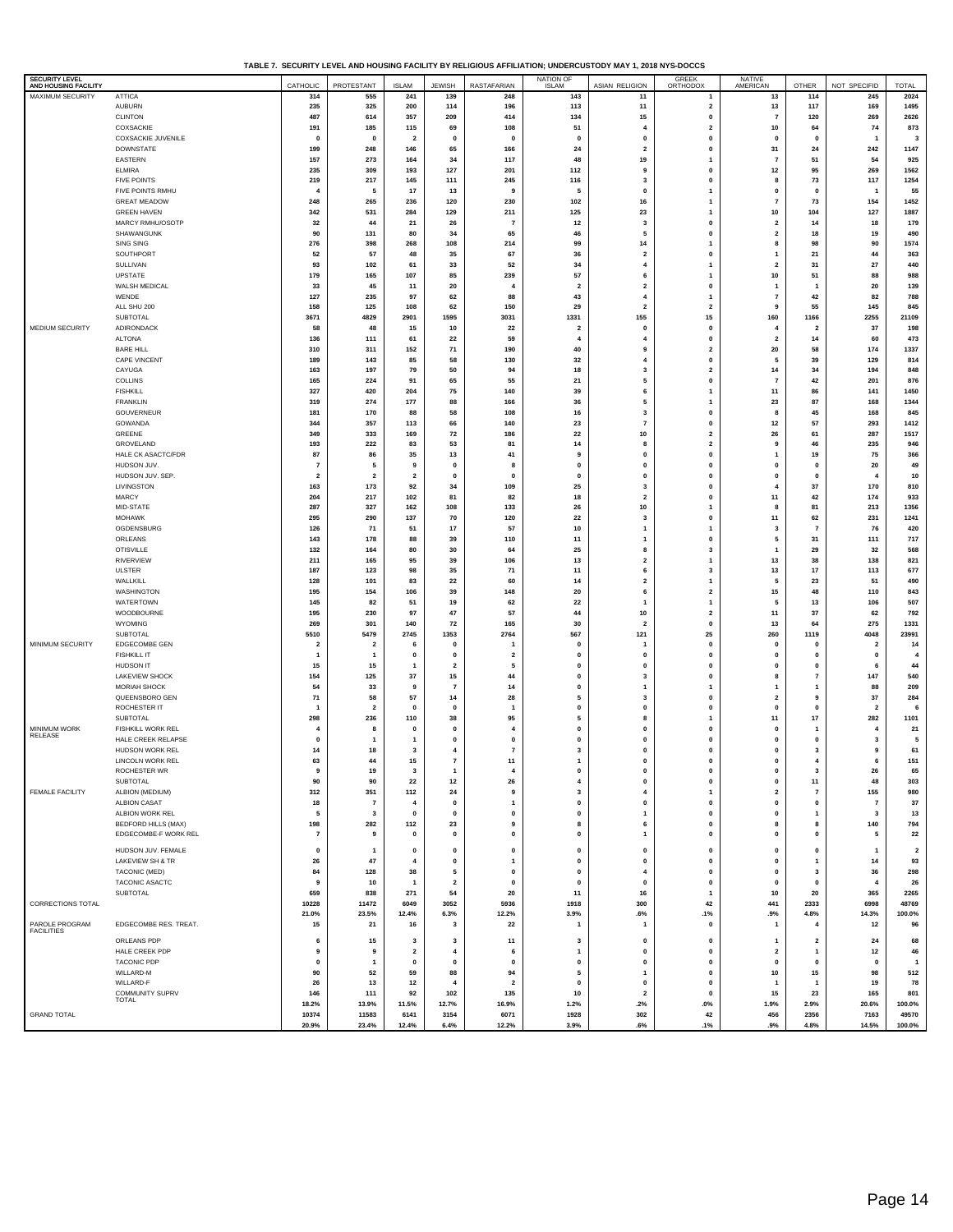**TABLE 7. SECURITY LEVEL AND HOUSING FACILITY BY RELIGIOUS AFFILIATION; UNDERCUSTODY MAY 1, 2018 NYS-DOCCS**

| SECURITY LEVEL<br>AND HOUSING FACILITY |                                                    | CATHOLIC             | PROTESTANT                              | <b>ISLAM</b>            | <b>JEWISH</b>           | <b>RASTAFARIAN</b>      | NATION OF                | <b>ASIAN RELIGION</b>   | <b>GREEK</b><br>ORTHODOX             | NATIVE<br>AMERICAN                        | OTHER                       | NOT SPECIFID                            | <b>TOTAL</b>            |
|----------------------------------------|----------------------------------------------------|----------------------|-----------------------------------------|-------------------------|-------------------------|-------------------------|--------------------------|-------------------------|--------------------------------------|-------------------------------------------|-----------------------------|-----------------------------------------|-------------------------|
| MAXIMUM SECURITY                       | <b>ATTICA</b>                                      | 314                  | 555                                     | 241                     | 139                     | 248                     | 143                      | 11                      | $\overline{1}$                       | 13                                        | 114                         | 245                                     | 2024                    |
|                                        | <b>AUBURN</b>                                      | 235                  | 325                                     | 200                     | 114                     | 196                     | 113                      | 11                      | $\overline{\mathbf{2}}$              | 13                                        | 117                         | 169                                     | 1495                    |
|                                        | <b>CLINTON</b>                                     | 487                  | 614                                     | 357                     | 209                     | 414                     | 134                      | 15                      | $\mathbf 0$                          | $\overline{7}$                            | 120                         | 269                                     | 2626                    |
|                                        | COXSACKIE                                          | 191                  | 185                                     | 115                     | 69                      | 108                     | 51                       | 4                       | $\overline{\mathbf{2}}$              | 10                                        | 64                          | 74                                      | 873                     |
|                                        | <b>COXSACKIE JUVENILE</b>                          | 0                    | $\mathbf 0$                             | $\overline{\mathbf{2}}$ | 0                       | $\pmb{0}$               | 0                        | 0                       | $\mathbf 0$                          | 0                                         | $\mathbf{0}$                | $\mathbf{1}$                            | $\mathbf{3}$            |
|                                        | <b>DOWNSTATE</b>                                   | 199                  | 248                                     | 146                     | 65                      | 166                     | 24                       | $\overline{\mathbf{2}}$ | $\pmb{0}$                            | 31                                        | 24                          | 242                                     | 1147                    |
|                                        | EASTERN                                            | 157                  | 273                                     | 164                     | 34                      | 117                     | 48                       | 19                      | $\mathbf{1}$                         | $\scriptstyle\rm 7$                       | 51                          | 54                                      | 925                     |
|                                        | ELMIRA                                             | 235                  | 309                                     | 193                     | 127                     | 201                     | 112                      | 9                       | $\mathbf 0$                          | $12$                                      | 95                          | 269                                     | 1562                    |
|                                        | <b>FIVE POINTS</b>                                 | 219                  | 217                                     | 145                     | 111                     | 245                     | 116                      | 3                       | $\mathbf{0}$                         | 8                                         | 73                          | 117                                     | 1254                    |
|                                        | FIVE POINTS RMHU                                   |                      | 5                                       | 17                      | 13                      | 9                       | 5                        | $\mathbf 0$             | $\overline{1}$                       | 0                                         | $\mathbf 0$                 | -1                                      | 55                      |
|                                        | <b>GREAT MEADOW</b>                                | 248                  | 265                                     | 236                     | 120                     | 230                     | 102                      | 16                      | $\mathbf{1}$                         | $\overline{7}$                            | 73                          | 154                                     | 1452                    |
|                                        | <b>GREEN HAVEN</b>                                 | 342                  | 531                                     | 284                     | 129                     | 211                     | 125                      | 23                      | $\mathbf{1}$<br>$\mathbf{0}$         | 10                                        | 104                         | 127                                     | 1887                    |
|                                        | MARCY RMHU/OSOTP                                   | 32<br>90             | 44<br>131                               | 21<br>80                | 26                      | $\overline{7}$          | $12$<br>46               | 3<br>5                  | $\mathbf 0$                          | $\overline{\mathbf{2}}$<br>$\overline{2}$ | 14                          | 18                                      | 179                     |
|                                        | SHAWANGUNK<br>SING SING                            | 276                  | 398                                     | 268                     | 34<br>108               | 65<br>214               | 99                       | 14                      | $\mathbf{1}$                         | 8                                         | 18<br>98                    | 19<br>90                                | 490<br>1574             |
|                                        | SOUTHPORT                                          | -52                  | 57                                      | 48                      | 35                      | 67                      | 36                       | $\overline{\mathbf{2}}$ | $\mathbf{0}$                         | $\mathbf{1}$                              | 21                          | 44                                      | 363                     |
|                                        | SULLIVAN                                           | 93                   | 102                                     | 61                      | 33                      | 52                      | 34                       | 4                       | $\mathbf{1}$                         | $\overline{\mathbf{2}}$                   | 31                          | 27                                      | 440                     |
|                                        | UPSTATE                                            | 179                  | 165                                     | 107                     | 85                      | 239                     | 57                       | 6                       | $\mathbf{1}$                         | 10                                        | 51                          | 88                                      | 988                     |
|                                        | WALSH MEDICAL                                      | 33                   | 45                                      | 11                      | 20                      | $\overline{\mathbf{4}}$ | $\overline{2}$           | $\overline{2}$          | $\pmb{0}$                            | $\overline{1}$                            | -1                          | 20                                      | 139                     |
|                                        | WENDE                                              | 127                  | 235                                     | 97                      | 62                      | 88                      | 43                       | 4                       | $\mathbf{1}$                         | $\overline{7}$                            | 42                          | 82                                      | 788                     |
|                                        | ALL SHU 200                                        | 158                  | 125                                     | 108                     | 62                      | 150                     | 29                       | $\overline{2}$          | $\overline{\mathbf{2}}$              | 9                                         | 55                          | 145                                     | 845                     |
|                                        | SUBTOTAL                                           | 3671                 | 4829                                    | 2901                    | 1595                    | 3031                    | 1331                     | 155                     | 15                                   | 160                                       | 1166                        | 2255                                    | 21109                   |
| MEDIUM SECURITY                        | ADIRONDACK                                         | 58                   | 48                                      | 15                      | 10                      | 22                      | $\overline{2}$           | $\bf{0}$                | $\pmb{0}$                            | 4                                         | $\overline{2}$              | 37                                      | 198                     |
|                                        | <b>ALTONA</b>                                      | 136                  | 111                                     | 61                      | 22                      | 59                      | $\overline{4}$           | 4                       | $\mathbf 0$                          | $\overline{\mathbf{2}}$                   | 14                          | 60                                      | 473                     |
|                                        | <b>BARE HILL</b>                                   | 310                  | 311                                     | 152                     | 71                      | 190                     | 40                       | 9                       | $\overline{\mathbf{2}}$              | 20                                        | 58                          | 174                                     | 1337                    |
|                                        | <b>CAPE VINCENT</b>                                | 189                  | 143                                     | 85                      | 58                      | 130                     | 32                       | 4                       | $\mathbf 0$                          | 5                                         | 39                          | 129                                     | 814                     |
|                                        | CAYUGA                                             | 163                  | 197                                     | 79                      | 50                      | 94                      | 18                       | $\overline{\mathbf{3}}$ | $\overline{\mathbf{2}}$              | 14                                        | 34                          | 194                                     | 848                     |
|                                        | COLLINS                                            | 165                  | 224                                     | 91                      | 65                      | 55                      | 21                       | 5                       | $\mathbf 0$                          | $\overline{7}$                            | 42                          | 201                                     | 876                     |
|                                        | <b>FISHKILL</b>                                    | 327                  | 420                                     | 204                     | 75                      | 140                     | 39                       | 6                       | $\overline{1}$                       | 11                                        | 86                          | 141                                     | 1450                    |
|                                        | <b>FRANKLIN</b>                                    | 319                  | 274                                     | 177                     | 88                      | 166                     | 36                       | 5                       | $\overline{1}$                       | 23                                        | 87                          | 168                                     | 1344                    |
|                                        | GOUVERNEUR                                         | 181                  | 170                                     | 88                      | 58                      | 108                     | 16                       | 3                       | $\mathbf 0$                          | 8                                         | 45                          | 168                                     | 845                     |
|                                        | GOWANDA                                            | 344                  | 357                                     | 113                     | 66                      | 140                     | 23                       | $\overline{7}$          | $\mathbf{0}$                         | $12$                                      | 57                          | 293                                     | 1412                    |
|                                        | GREENE                                             | 349                  | 333                                     | 169                     | 72                      | 186                     | 22                       | 10                      | $\overline{\mathbf{2}}$              | 26                                        | 61                          | 287                                     | 1517                    |
|                                        | GROVELAND                                          | 193                  | 222<br>86                               | 83                      | 53                      | 81                      | 14<br>9                  | 8                       | $\overline{\mathbf{2}}$<br>$\pmb{0}$ | 9<br>$\overline{\mathbf{1}}$              | 46                          | 235                                     | 946                     |
|                                        | HALE CK ASACTC/FDR<br>HUDSON JUV.                  | 87<br>$\overline{7}$ | 5                                       | 35<br>9                 | 13<br>$\mathbf 0$       | 41<br>8                 | $\pmb{0}$                | 0<br>0                  | $\pmb{0}$                            | 0                                         | 19<br>$\mathbf{0}$          | 75<br>20                                | 366<br>49               |
|                                        | HUDSON JUV. SEP.                                   | $\overline{2}$       | $\overline{2}$                          | $\overline{\mathbf{2}}$ | $\mathbf{0}$            | $\mathbf 0$             | $\pmb{0}$                | 0                       | $\mathbf 0$                          | 0                                         | $\mathbf 0$                 | 4                                       | 10                      |
|                                        | LIVINGSTON                                         | 163                  | 173                                     | 92                      | 34                      | 109                     | 25                       | 3                       | $\pmb{0}$                            | $\overline{4}$                            | 37                          | 170                                     | 810                     |
|                                        | MARCY                                              | 204                  | 217                                     | 102                     | 81                      | 82                      | 18                       | $\overline{2}$          | $\mathbf{0}$                         | 11                                        | 42                          | 174                                     | 933                     |
|                                        | MID-STATE                                          | 287                  | 327                                     | 162                     | 108                     | 133                     | 26                       | 10                      | $\mathbf{1}$                         | 8                                         | 81                          | 213                                     | 1356                    |
|                                        | <b>MOHAWK</b>                                      | 295                  | 290                                     | 137                     | 70                      | 120                     | 22                       | 3                       | $\pmb{0}$                            | 11                                        | 62                          | 231                                     | 1241                    |
|                                        | OGDENSBURG                                         | 126                  | 71                                      | 51                      | 17                      | 57                      | $10$                     | 1                       | $\mathbf{1}$                         | 3                                         | $\overline{7}$              | 76                                      | 420                     |
|                                        | ORLEANS                                            | 143                  | 178                                     | 88                      | 39                      | 110                     | 11                       | 1                       | $\mathbf 0$                          | 5                                         | 31                          | 111                                     | 717                     |
|                                        | <b>OTISVILLE</b>                                   | 132                  | 164                                     | 80                      | 30                      | 64                      | 25                       | 8                       | 3                                    | $\mathbf{1}$                              | 29                          | 32                                      | 568                     |
|                                        | <b>RIVERVIEW</b>                                   | 211                  | 165                                     | 95                      | 39                      | 106                     | 13                       | $\overline{\mathbf{2}}$ | $\mathbf{1}$                         | 13                                        | 38                          | 138                                     | 821                     |
|                                        | <b>ULSTER</b>                                      | 187                  | 123                                     | 98                      | 35                      | 71                      | 11                       | 6                       | 3                                    | 13                                        | 17                          | 113                                     | 677                     |
|                                        | WALLKILL                                           | 128                  | 101                                     | 83                      | 22                      | 60                      | 14                       | $\overline{\mathbf{2}}$ | $\mathbf{1}$                         | 5                                         | 23                          | 51                                      | 490                     |
|                                        | WASHINGTON                                         | 195                  | 154                                     | 106                     | 39                      | 148                     | 20                       | 6                       | $\overline{\mathbf{2}}$              | $15\,$                                    | 48                          | 110                                     | 843                     |
|                                        | WATERTOWN                                          | 145                  | 82                                      | 51                      | 19                      | 62                      | 22                       | 1                       | $\mathbf{1}$                         | 5                                         | 13                          | 106                                     | 507                     |
|                                        | WOODBOURNE                                         | 195                  | 230                                     | 97                      | 47                      | 57                      | 44                       | 10                      | $\overline{\mathbf{2}}$              | 11                                        | 37                          | 62                                      | 792                     |
|                                        | WYOMING                                            | 269                  | 301                                     | 140                     | 72                      | 165                     | 30                       | $\overline{\mathbf{2}}$ | $\mathbf 0$                          | 13                                        | 64                          | 275                                     | 1331                    |
|                                        | SUBTOTAL                                           | 5510                 | 5479                                    | 2745                    | 1353                    | 2764                    | 567                      | 121                     | 25                                   | 260                                       | 1119                        | 4048                                    | 23991                   |
| MINIMUM SECURITY                       | EDGECOMBE GEN<br><b>FISHKILL IT</b>                | $\overline{2}$       | $\overline{\mathbf{2}}$<br>$\mathbf{1}$ | 6<br>$\mathbf{0}$       | 0<br>$\mathbf 0$        | 1<br>$\overline{2}$     | $\mathbf 0$<br>$\pmb{0}$ | 1<br>$\mathbf{0}$       | $\mathbf 0$<br>$\pmb{0}$             | 0<br>$\mathbf 0$                          | $\mathbf 0$<br>$\mathbf{0}$ | $\overline{\mathbf{2}}$<br>$\mathbf{0}$ | 14<br>$\overline{4}$    |
|                                        | HUDSON IT                                          | 1<br>15              | 15                                      | 1                       | $\overline{\mathbf{2}}$ | 5                       | $\pmb{0}$                | 0                       | $\mathbf 0$                          | $\pmb{0}$                                 | $\mathbf 0$                 | 6                                       | 44                      |
|                                        | LAKEVIEW SHOCK                                     | 154                  | 125                                     | 37                      | 15                      | 44                      | $\pmb{0}$                | 3                       | $\pmb{0}$                            | 8                                         | $\overline{7}$              | 147                                     | 540                     |
|                                        | MORIAH SHOCK                                       | 54                   | 33                                      | 9                       | $\overline{7}$          | 14                      | $\pmb{0}$                | 1                       | $\mathbf{1}$                         | $\mathbf{1}$                              | $\overline{1}$              | 88                                      | 209                     |
|                                        | QUEENSBORO GEN                                     | 71                   | 58                                      | 57                      | 14                      | 28                      | 5                        | 3                       | $\mathbf{0}$                         | $\overline{2}$                            | 9                           | 37                                      | 284                     |
|                                        | ROCHESTER IT                                       | 1                    | $\overline{\mathbf{2}}$                 | $\mathbf{0}$            | $\mathbf 0$             | $\overline{1}$          | $\pmb{0}$                | 0                       | $\mathbf{0}$                         | 0                                         | $\mathbf{0}$                | $\overline{\mathbf{2}}$                 | 6                       |
|                                        | SUBTOTAL                                           | 298                  | 236                                     | 110                     | 38                      | 95                      | 5                        | 8                       | $\mathbf{1}$                         | $11$                                      | 17                          | 282                                     | 1101                    |
| MINIMUM WORK                           | <b>FISHKILL WORK REL</b>                           |                      | 8                                       | 0                       | $\mathbf 0$             | $\overline{4}$          | $\pmb{0}$                | $\mathbf{0}$            | $\mathbf{0}$                         | $\mathbf 0$                               |                             | 4                                       | ${\bf 21}$              |
| RELEASE                                | HALE CREEK RELAPSE                                 | $\mathbf 0$          | $\mathbf{1}$                            | 1                       | $\Omega$                | $\mathbf 0$             | $\mathbf{0}$             | $\mathbf 0$             | $\mathbf{0}$                         | $\mathbf 0$                               | $\mathbf 0$                 | 3                                       | 5                       |
|                                        | HUDSON WORK REL                                    | 14                   | 18                                      | 3                       | $\overline{4}$          | $\scriptstyle\rm 7$     | 3                        | 0                       | $\mathbf{0}$                         | $\mathbf 0$                               | 3                           | 9                                       | 61                      |
|                                        | LINCOLN WORK REL                                   | 63                   | 44                                      | 15                      | $\overline{7}$          | 11                      | $\overline{1}$           | $\mathbf 0$             | $\mathbf{0}$                         | $\mathbf 0$                               | $\overline{4}$              | 6                                       | 151                     |
|                                        | ROCHESTER WR                                       |                      | 19                                      |                         |                         |                         |                          |                         |                                      |                                           |                             | 26                                      |                         |
|                                        | SUBTOTAL                                           | 90                   | 90                                      | 22                      | 12                      | 26                      | $\overline{4}$           | 0                       | $\mathbf{0}$                         | $\mathbf 0$                               | 11                          | 48                                      | 303                     |
| FEMALE FACILITY                        | ALBION (MEDIUM)                                    | 312                  | 351                                     | 112                     | 24                      | 9                       | 3                        | 4                       | $\mathbf{1}$                         | $\overline{\mathbf{2}}$                   | $\overline{7}$              | 155                                     | 980                     |
|                                        | <b>ALBION CASAT</b>                                | 18                   | $\overline{7}$                          | 4                       | 0                       | $\mathbf{1}$            | $\pmb{0}$                | 0                       | $\mathbf 0$                          | $\pmb{0}$                                 | $\mathbf 0$                 | $\overline{7}$                          | 37                      |
|                                        | ALBION WORK REL                                    | 5                    | $\mathbf{3}$                            | $\mathbf{0}$            | $\mathbf 0$             | $\mathbf{0}$            | $\pmb{0}$                | 1                       | $\pmb{0}$                            | $\mathbf 0$                               | -1                          | 3                                       | 13                      |
|                                        | <b>BEDFORD HILLS (MAX)</b><br>EDGECOMBE-F WORK REL | 198                  | 282<br>9                                | 112                     | 23<br>$\mathbf 0$       | 9<br>$\pmb{0}$          | 8<br>$\pmb{0}$           | 6<br>$\mathbf{1}$       | $\mathbf 0$                          | 8<br>$\mathbf 0$                          | 8<br>$\mathbf 0$            | 140                                     | 794                     |
|                                        |                                                    | $\overline{7}$       |                                         | $\mathbf 0$             |                         |                         |                          |                         | $\pmb{0}$                            |                                           |                             | 5                                       | 22                      |
|                                        | HUDSON JUV. FEMALE                                 | 0                    | $\mathbf{1}$                            | $\mathbf 0$             | $\mathbf{0}$            | $\mathbf{0}$            | $\pmb{0}$                | $\mathbf{0}$            | $\mathbf{0}$                         | $\mathbf 0$                               | $\mathbf 0$                 | -1                                      | $\overline{\mathbf{2}}$ |
|                                        | LAKEVIEW SH & TR                                   | 26                   | 47                                      | $\overline{4}$          | $\mathbf 0$             | $\mathbf{1}$            | $\pmb{0}$                | 0                       | $\mathbf 0$                          | $\pmb{0}$                                 | $\overline{1}$              | 14                                      | 93                      |
|                                        | TACONIC (MED)                                      | 84                   | 128                                     | 38                      | 5                       | $\mathbf{0}$            | $\pmb{0}$                | $\overline{4}$          | $\pmb{0}$                            | $\mathbf 0$                               | $\overline{\mathbf{3}}$     | 36                                      | 298                     |
|                                        | TACONIC ASACTC                                     | 9                    | 10                                      | $\mathbf{1}$            | $\overline{\mathbf{2}}$ | 0                       | $\pmb{0}$                | 0                       | $\mathbf 0$                          | 0                                         | $\mathbf{0}$                | $\overline{\mathbf{4}}$                 | 26                      |
|                                        | SUBTOTAL                                           | 659                  | 838                                     | 271                     | 54                      | 20                      | 11                       | 16                      | $\mathbf{1}$                         | 10                                        | 20                          | 365                                     | 2265                    |
| CORRECTIONS TOTAL                      |                                                    | 10228                | 11472                                   | 6049                    | 3052                    | 5936                    | 1918                     | 300                     | 42                                   | 441                                       | 2333                        | 6998                                    | 48769                   |
|                                        |                                                    | 21.0%                | 23.5%                                   | 12.4%                   | 6.3%                    | 12.2%                   | 3.9%                     | .6%                     | .1%                                  | .9%                                       | 4.8%                        | 14.3%                                   | 100.0%                  |
| PAROLE PROGRAM<br><b>FACILITIES</b>    | EDGECOMBE RES. TREAT.                              | 15                   | 21                                      | 16                      | 3                       | 22                      |                          | $\mathbf{1}$            | $\mathbf 0$                          | $\overline{\mathbf{1}}$                   | $\overline{4}$              | 12                                      | 96                      |
|                                        | ORLEANS PDP                                        | 6                    | 15                                      | 3                       | 3                       | 11                      | 3                        | 0                       | $\mathbf 0$                          | $\mathbf{1}$                              | $\overline{\mathbf{2}}$     | 24                                      | 68                      |
|                                        | HALE CREEK PDP                                     | 9                    | 9                                       | $\overline{\mathbf{2}}$ | 4                       | 6                       | $\overline{1}$           | $\mathbf{0}$            | $\pmb{0}$                            | $\overline{2}$                            | -1                          | 12                                      | 46                      |
|                                        | <b>TACONIC PDP</b>                                 | 0                    | $\mathbf{1}$                            | 0                       | $\mathbf{0}$            | 0                       | $\pmb{0}$                | 0                       | $\mathbf 0$                          | 0                                         | $\mathbf{0}$                | 0                                       | $\mathbf{1}$            |
|                                        | WILLARD-M                                          | 90                   | 52                                      | 59                      | 88                      | 94                      | 5                        | 1                       | $\pmb{0}$                            | 10                                        | 15                          | 98                                      | 512                     |
|                                        | WILLARD-F                                          | 26                   | 13                                      | 12                      | $\overline{4}$          | $\overline{2}$          | $\pmb{0}$                | 0                       | $\mathbf 0$                          | -1                                        | $\overline{1}$              | 19                                      | 78                      |
|                                        | COMMUNITY SUPRV<br>TOTAL                           | 146                  | 111                                     | 92                      | 102                     | 135                     | 10                       | $\overline{2}$          | $\pmb{0}$                            | 15                                        | 23                          | 165                                     | 801                     |
|                                        |                                                    | 18.2%                | 13.9%                                   | 11.5%                   | 12.7%                   | 16.9%                   | 1.2%                     | .2%                     | $.0\%$                               | 1.9%                                      | 2.9%                        | 20.6%                                   | 100.0%                  |
| <b>GRAND TOTAL</b>                     |                                                    | 10374<br>20.9%       | 11583<br>23.4%                          | 6141<br>12.4%           | 3154<br>6.4%            | 6071<br>12.2%           | 1928<br>3.9%             | 302<br>.6%              | 42<br>.1%                            | 456<br>.9%                                | 2356<br>4.8%                | 7163<br>14.5%                           | 49570<br>100.0%         |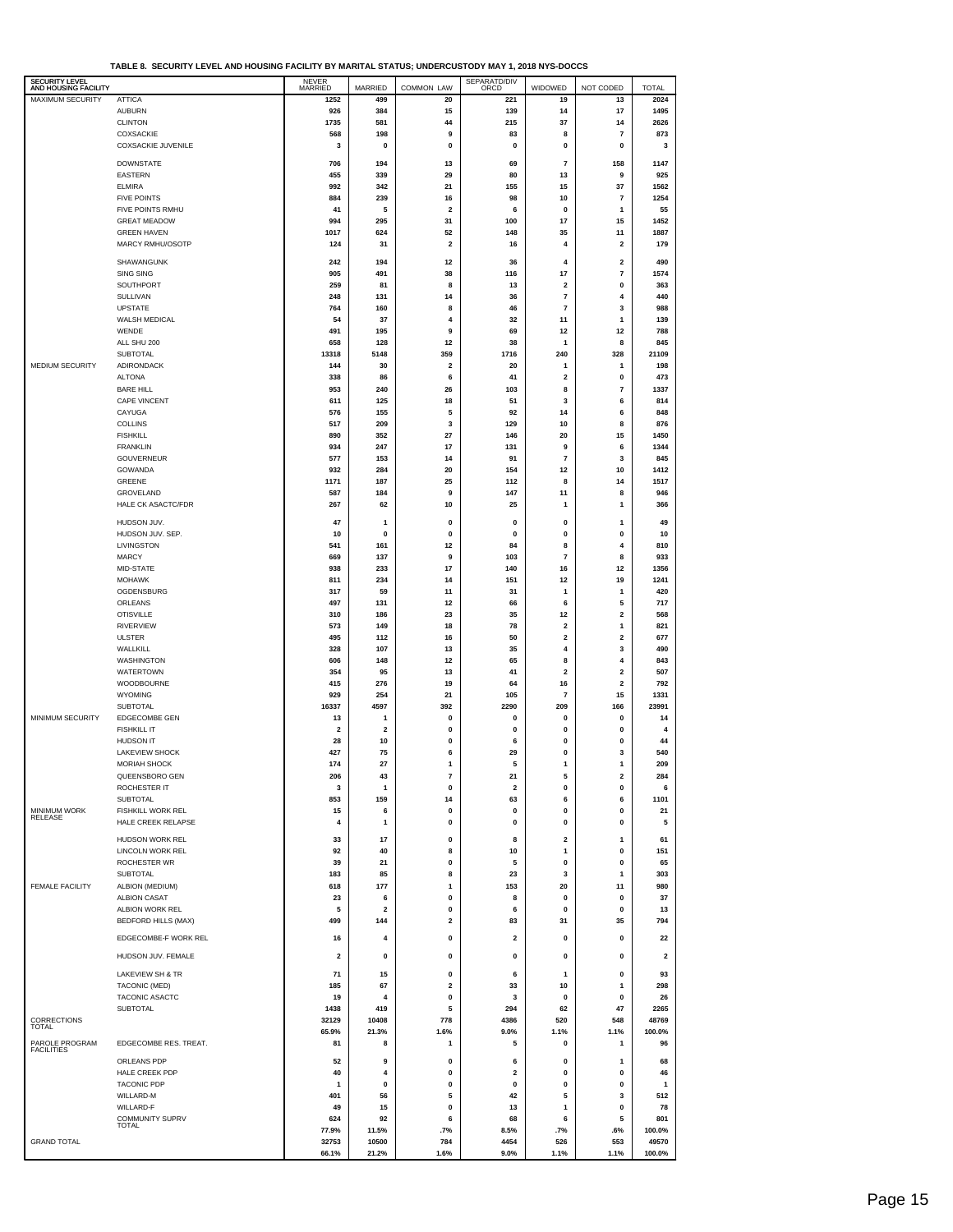| TABLE 8. SECURITY LEVEL AND HOUSING FACILITY BY MARITAL STATUS: UNDERCUSTODY MAY 1. 2018 NYS-DOCCS |
|----------------------------------------------------------------------------------------------------|
|----------------------------------------------------------------------------------------------------|

|                                               | IABLE 6. SECURII I LEVEL AND HOUSING FACILI I DI MARIIAL SIATUS, UNDERCUSTUDI MATI, ZUIG NIS-DOCCS |                         |                         |                         |                         |                         |                         |                         |
|-----------------------------------------------|----------------------------------------------------------------------------------------------------|-------------------------|-------------------------|-------------------------|-------------------------|-------------------------|-------------------------|-------------------------|
| <b>SECURITY LEVEL</b><br>AND HOUSING FACILITY |                                                                                                    | NEVER<br>MARRIED        | MARRIED                 | <b>COMMON LAW</b>       | SEPARATD/DIV<br>ORCD    | WIDOWED                 | NOT CODED               | <b>TOTAL</b>            |
| MAXIMUM SECURITY                              | <b>ATTICA</b>                                                                                      | 1252                    | 499                     | 20                      | 221                     | 19                      | 13                      | 2024                    |
|                                               | <b>AUBURN</b>                                                                                      | 926                     | 384                     | 15                      | 139                     | 14                      | 17                      | 1495                    |
|                                               | <b>CLINTON</b>                                                                                     | 1735                    | 581                     | 44                      | 215                     | 37                      | 14                      | 2626                    |
|                                               | <b>COXSACKIE</b>                                                                                   | 568                     | 198                     | 9                       | 83                      | 8                       | $\overline{7}$          | 873                     |
|                                               | <b>COXSACKIE JUVENILE</b>                                                                          | 3                       | $\pmb{0}$               | 0                       | 0                       | 0                       | $\pmb{0}$               | 3                       |
|                                               |                                                                                                    |                         |                         |                         |                         |                         |                         |                         |
|                                               | <b>DOWNSTATE</b>                                                                                   | 706                     | 194                     | 13                      | 69                      | 7                       | 158                     | 1147                    |
|                                               | EASTERN                                                                                            | 455                     | 339                     | 29                      | 80                      | 13                      | 9                       | 925                     |
|                                               | <b>ELMIRA</b>                                                                                      | 992                     | 342                     | 21                      | 155                     | 15                      | 37                      | 1562                    |
|                                               | <b>FIVE POINTS</b>                                                                                 | 884                     | 239                     | 16                      | 98                      | 10                      | 7                       | 1254                    |
|                                               | FIVE POINTS RMHU                                                                                   | 41                      | 5                       | $\overline{\mathbf{2}}$ | 6                       | 0                       | $\mathbf{1}$            | 55                      |
|                                               | <b>GREAT MEADOW</b>                                                                                | 994                     | 295                     | 31                      | 100                     | 17                      | 15                      | 1452                    |
|                                               | <b>GREEN HAVEN</b>                                                                                 | 1017                    | 624                     | 52                      | 148                     | 35                      | 11                      | 1887                    |
|                                               | MARCY RMHU/OSOTP                                                                                   | 124                     | 31                      | 2                       | 16                      | 4                       | $\overline{\mathbf{2}}$ | 179                     |
|                                               |                                                                                                    |                         |                         |                         |                         |                         |                         |                         |
|                                               | SHAWANGUNK                                                                                         | 242                     | 194                     | 12                      | 36                      | 4                       | $\mathbf 2$             | 490                     |
|                                               | SING SING                                                                                          | 905                     | 491                     | 38                      | 116                     | 17                      | $\overline{7}$          | 1574                    |
|                                               | SOUTHPORT                                                                                          | 259                     | 81                      | 8                       | 13                      | 2                       | 0                       | 363                     |
|                                               | SULLIVAN                                                                                           | 248                     | 131                     | 14                      | 36                      | 7                       | 4                       | 440                     |
|                                               | <b>UPSTATE</b>                                                                                     | 764                     | 160                     | 8                       | 46                      | 7                       | 3                       | 988                     |
|                                               | WALSH MEDICAL                                                                                      | 54                      | 37                      | 4                       | 32                      | 11                      | 1                       | 139                     |
|                                               | WENDE                                                                                              | 491                     | 195                     | 9                       | 69                      | 12                      | 12                      | 788                     |
|                                               | ALL SHU 200                                                                                        | 658                     | 128                     | 12                      | 38                      | 1                       | 8                       | 845                     |
|                                               | <b>SUBTOTAL</b>                                                                                    | 13318                   | 5148                    | 359                     | 1716                    | 240                     | 328                     | 21109                   |
| <b>MEDIUM SECURITY</b>                        | <b>ADIRONDACK</b>                                                                                  | 144                     | 30                      | 2                       | 20                      | 1                       | 1                       | 198                     |
|                                               | <b>ALTONA</b>                                                                                      | 338                     | 86                      | 6                       | 41                      | $\overline{\mathbf{2}}$ | $\pmb{0}$               | 473                     |
|                                               |                                                                                                    |                         |                         |                         |                         |                         |                         |                         |
|                                               | <b>BARE HILL</b><br><b>CAPE VINCENT</b>                                                            | 953<br>611              | 240<br>125              | 26<br>18                | 103<br>51               | 8<br>3                  | $\overline{7}$<br>6     | 1337<br>814             |
|                                               |                                                                                                    |                         |                         |                         |                         |                         |                         |                         |
|                                               | CAYUGA                                                                                             | 576                     | 155                     | 5                       | 92                      | 14                      | 6                       | 848                     |
|                                               | <b>COLLINS</b>                                                                                     | 517                     | 209                     | 3                       | 129                     | 10                      | 8                       | 876                     |
|                                               | <b>FISHKILL</b>                                                                                    | 890                     | 352                     | 27                      | 146                     | 20                      | 15                      | 1450                    |
|                                               | <b>FRANKLIN</b>                                                                                    | 934                     | 247                     | 17                      | 131                     | 9                       | 6                       | 1344                    |
|                                               | <b>GOUVERNEUR</b>                                                                                  | 577                     | 153                     | 14                      | 91                      | 7                       | 3                       | 845                     |
|                                               | GOWANDA                                                                                            | 932                     | 284                     | 20                      | 154                     | 12                      | 10                      | 1412                    |
|                                               | <b>GREENE</b>                                                                                      | 1171                    | 187                     | 25                      | 112                     | 8                       | 14                      | 1517                    |
|                                               | GROVELAND                                                                                          | 587                     | 184                     | 9                       | 147                     | 11                      | 8                       | 946                     |
|                                               | HALE CK ASACTC/FDR                                                                                 | 267                     | 62                      | 10                      | 25                      | 1                       | 1                       | 366                     |
|                                               |                                                                                                    |                         |                         |                         |                         |                         |                         |                         |
|                                               | HUDSON JUV.                                                                                        | 47                      | $\mathbf{1}$            | 0                       | $\mathbf 0$             | 0                       | $\mathbf{1}$            | 49                      |
|                                               | HUDSON JUV. SEP.                                                                                   | 10                      | $\mathbf{0}$            | 0                       | 0                       | 0                       | 0                       | 10                      |
|                                               | LIVINGSTON                                                                                         | 541                     | 161                     | 12                      | 84                      | 8                       | 4                       | 810                     |
|                                               | <b>MARCY</b>                                                                                       | 669                     | 137                     | 9                       | 103                     | 7                       | 8                       | 933                     |
|                                               | MID-STATE                                                                                          | 938                     | 233                     | 17                      | 140                     | 16                      | 12                      | 1356                    |
|                                               | <b>MOHAWK</b>                                                                                      | 811                     | 234                     | 14                      | 151                     | 12                      | 19                      | 1241                    |
|                                               | OGDENSBURG                                                                                         | 317                     | 59                      | 11                      | 31                      | 1                       | 1                       | 420                     |
|                                               | ORLEANS                                                                                            | 497                     | 131                     | 12                      | 66                      | 6                       | 5                       | 717                     |
|                                               | <b>OTISVILLE</b>                                                                                   | 310                     | 186                     | 23                      | 35                      | 12                      | $\overline{\mathbf{2}}$ | 568                     |
|                                               | <b>RIVERVIEW</b>                                                                                   | 573                     | 149                     | 18                      | 78                      | 2                       | 1                       | 821                     |
|                                               | <b>ULSTER</b>                                                                                      | 495                     | 112                     | 16                      | 50                      | 2                       | $\mathbf 2$             | 677                     |
|                                               | WALLKILL                                                                                           | 328                     | 107                     | 13                      | 35                      | 4                       | 3                       | 490                     |
|                                               | WASHINGTON                                                                                         | 606                     | 148                     | 12                      | 65                      | 8                       | 4                       | 843                     |
|                                               | <b>WATERTOWN</b>                                                                                   | 354                     | 95                      | 13                      | 41                      | 2                       | $\mathbf 2$             | 507                     |
|                                               | WOODBOURNE                                                                                         | 415                     | 276                     | 19                      | 64                      | 16                      | $\mathbf 2$             | 792                     |
|                                               | <b>WYOMING</b>                                                                                     | 929                     | 254                     | 21                      | 105                     | $\overline{7}$          | 15                      | 1331                    |
|                                               | SUBTOTAL                                                                                           | 16337                   | 4597                    | 392                     | 2290                    | 209                     | 166                     | 23991                   |
| MINIMUM SECURITY                              | EDGECOMBE GEN                                                                                      | 13                      | $\mathbf{1}$            | 0                       | $\mathbf 0$             | 0                       | 0                       | 14                      |
|                                               | <b>FISHKILL IT</b>                                                                                 | $\overline{\mathbf{2}}$ | $\overline{\mathbf{2}}$ | 0                       | 0                       | $\mathbf 0$             | 0                       | 4                       |
|                                               | <b>HUDSON IT</b>                                                                                   | 28                      | 10                      | 0                       | 6                       | 0                       | 0                       | 44                      |
|                                               | <b>LAKEVIEW SHOCK</b>                                                                              | 427                     | 75                      | 6                       | 29                      | 0                       | 3                       | 540                     |
|                                               | <b>MORIAH SHOCK</b>                                                                                | 174                     | 27                      |                         |                         |                         |                         | 209                     |
|                                               | QUEENSBORO GEN                                                                                     | 206                     | 43                      | 7                       | 21                      | 5                       | $\overline{\mathbf{2}}$ | 284                     |
|                                               | ROCHESTER IT                                                                                       | 3                       | $\mathbf{1}$            | 0                       | $\mathbf 2$             | $\pmb{0}$               | $\pmb{0}$               | 6                       |
|                                               | SUBTOTAL                                                                                           | 853                     | 159                     |                         | 63                      | 6                       | 6                       | 1101                    |
|                                               | FISHKILL WORK REL                                                                                  |                         |                         | 14                      |                         |                         |                         |                         |
| MINIMUM WORK<br><b>RELEASE</b>                | HALE CREEK RELAPSE                                                                                 | 15<br>4                 | 6                       | 0                       | 0<br>0                  | 0                       | 0<br>0                  | 21                      |
|                                               |                                                                                                    |                         | 1                       | 0                       |                         | 0                       |                         | 5                       |
|                                               | HUDSON WORK REL                                                                                    | 33                      | 17                      | 0                       | 8                       | $\overline{\mathbf{2}}$ | $\mathbf{1}$            | 61                      |
|                                               | <b>LINCOLN WORK REL</b>                                                                            | 92                      | 40                      | 8                       | 10                      | 1                       | $\mathbf{0}$            | 151                     |
|                                               | ROCHESTER WR                                                                                       | 39                      | 21                      | 0                       | 5                       | $\pmb{0}$               | $\mathbf{0}$            | 65                      |
|                                               | SUBTOTAL                                                                                           | 183                     | 85                      | 8                       | 23                      | 3                       | $\overline{1}$          | 303                     |
| FEMALE FACILITY                               | ALBION (MEDIUM)                                                                                    | 618                     | 177                     | 1                       | 153                     | 20                      | 11                      | 980                     |
|                                               | <b>ALBION CASAT</b>                                                                                | 23                      | 6                       | 0                       | 8                       | 0                       | $\pmb{0}$               | 37                      |
|                                               | ALBION WORK REL                                                                                    | 5                       | $\overline{\mathbf{2}}$ | 0                       | 6                       | 0                       | $\pmb{0}$               | 13                      |
|                                               | <b>BEDFORD HILLS (MAX)</b>                                                                         | 499                     | 144                     | 2                       | 83                      | 31                      | 35                      | 794                     |
|                                               |                                                                                                    |                         |                         |                         |                         |                         |                         |                         |
|                                               | EDGECOMBE-F WORK REL                                                                               | 16                      | 4                       | 0                       | 2                       | 0                       | 0                       | 22                      |
|                                               |                                                                                                    |                         |                         |                         |                         |                         |                         |                         |
|                                               | HUDSON JUV. FEMALE                                                                                 | $\overline{\mathbf{2}}$ | $\mathbf{0}$            | 0                       | $\mathbf 0$             | 0                       | 0                       | $\overline{\mathbf{2}}$ |
|                                               | LAKEVIEW SH & TR                                                                                   | 71                      | 15                      | 0                       | 6                       | 1                       | 0                       | 93                      |
|                                               | TACONIC (MED)                                                                                      | 185                     | 67                      | 2                       | 33                      | 10                      | 1                       | 298                     |
|                                               | TACONIC ASACTC                                                                                     | 19                      | 4                       | 0                       | 3                       | 0                       | 0                       | 26                      |
|                                               | SUBTOTAL                                                                                           | 1438                    | 419                     | 5                       | 294                     | 62                      | 47                      | 2265                    |
|                                               |                                                                                                    |                         |                         |                         |                         |                         |                         |                         |
| CORRECTIONS<br>TOTAL                          |                                                                                                    | 32129                   | 10408                   | 778                     | 4386                    | 520                     | 548                     | 48769                   |
|                                               |                                                                                                    | 65.9%                   | 21.3%                   | 1.6%                    | 9.0%                    | 1.1%                    | 1.1%                    | 100.0%                  |
| PAROLE PROGRAM<br><b>FACILITIES</b>           | EDGECOMBE RES. TREAT.                                                                              | 81                      | 8                       | 1                       | 5                       | 0                       | 1                       | 96                      |
|                                               | ORLEANS PDP                                                                                        | 52                      | 9                       | 0                       | 6                       | 0                       | $\mathbf{1}$            | 68                      |
|                                               | HALE CREEK PDP                                                                                     | 40                      | 4                       | 0                       | $\overline{\mathbf{2}}$ | 0                       | 0                       | 46                      |
|                                               | <b>TACONIC PDP</b>                                                                                 | -1                      | $\pmb{0}$               | 0                       | 0                       | 0                       | 0                       | $\mathbf{1}$            |
|                                               | WILLARD-M                                                                                          | 401                     | 56                      | 5                       | 42                      | 5                       | 3                       | 512                     |
|                                               |                                                                                                    |                         |                         |                         |                         |                         |                         |                         |
|                                               | WILLARD-F                                                                                          | 49                      | 15                      | 0                       | 13                      | 1                       | 0                       | 78                      |
|                                               | <b>COMMUNITY SUPRV</b><br><b>TOTAL</b>                                                             | 624                     | 92                      | 6                       | 68                      | 6                       | 5                       | 801                     |
|                                               |                                                                                                    | 77.9%                   | 11.5%                   | .7%                     | 8.5%                    | .7%                     | .6%                     | 100.0%                  |
| <b>GRAND TOTAL</b>                            |                                                                                                    | 32753                   | 10500                   | 784                     | 4454                    | 526                     | 553                     | 49570                   |
|                                               |                                                                                                    | 66.1%                   | 21.2%                   | 1.6%                    | 9.0%                    | 1.1%                    | 1.1%                    | 100.0%                  |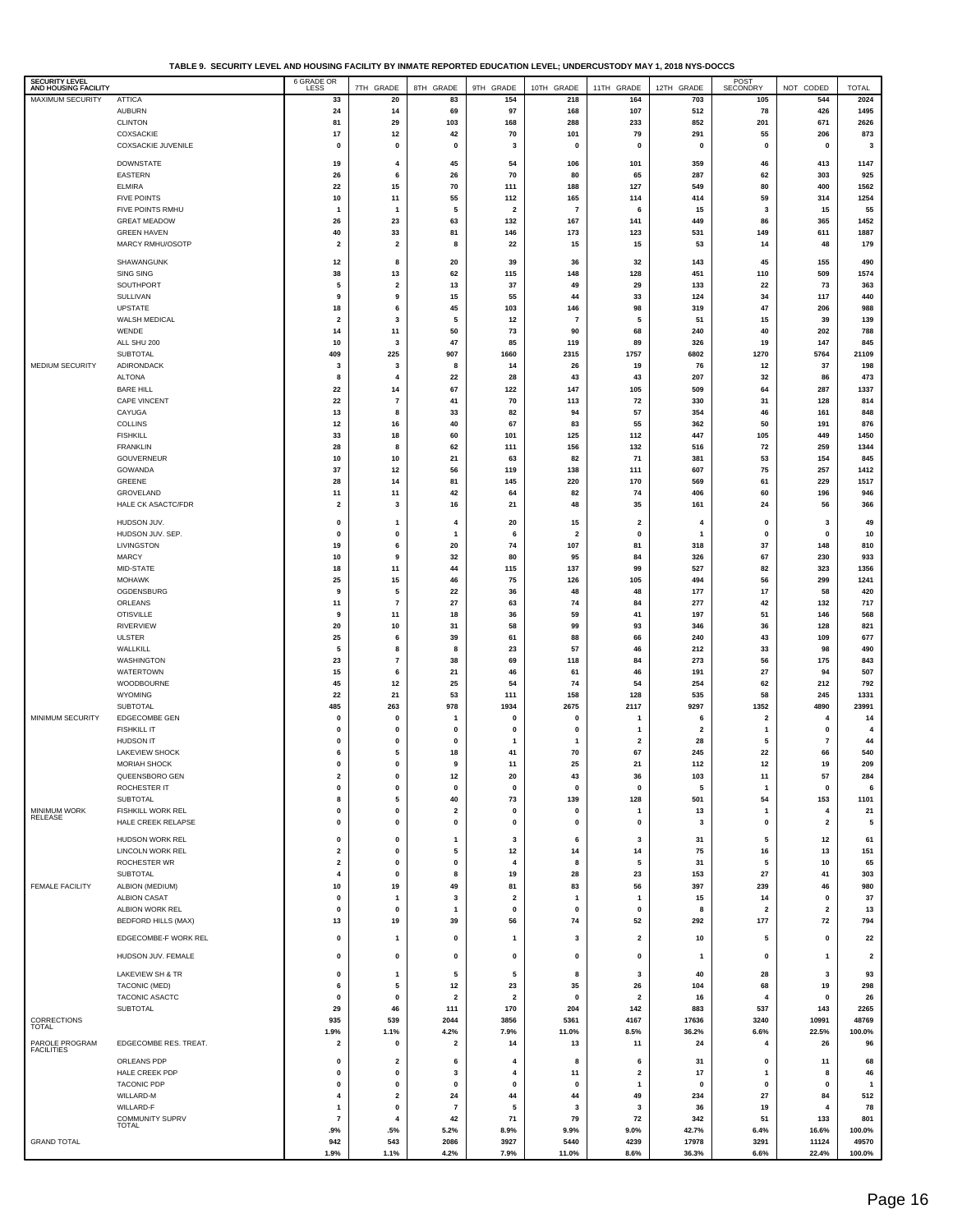**TABLE 9. SECURITY LEVEL AND HOUSING FACILITY BY INMATE REPORTED EDUCATION LEVEL; UNDERCUSTODY MAY 1, 2018 NYS-DOCCS**

| SECURITY LEVEL<br>AND HOUSING FACILITY |                                        | 6 GRADE OR                    | 7TH GRADE                     | 8TH GRADE                    | 9TH GRADE               | 10TH GRADE                     | 11TH GRADE              | 12TH GRADE     | POST<br>SECONDRY             | NOT CODED               | <b>TOTAL</b>            |
|----------------------------------------|----------------------------------------|-------------------------------|-------------------------------|------------------------------|-------------------------|--------------------------------|-------------------------|----------------|------------------------------|-------------------------|-------------------------|
| <b>MAXIMUM SECURITY</b>                | <b>ATTICA</b>                          | 33                            | 20                            | 83                           | 154                     | 218                            | 164                     | 703            | 105                          | 544                     | 2024                    |
|                                        | <b>AUBURN</b>                          | 24                            | 14                            | 69                           | 97                      | 168                            | 107                     | 512            | 78                           | 426                     | 1495                    |
|                                        | <b>CLINTON</b>                         | 81                            | 29                            | 103                          | 168                     | 288                            | 233                     | 852            | 201                          | 671                     | 2626                    |
|                                        | COXSACKIE<br>COXSACKIE JUVENILE        | 17<br>0                       | 12<br>0                       | 42<br>$\mathbf 0$            | 70<br>3                 | 101<br>$\mathbf 0$             | 79<br>$\pmb{0}$         | 291<br>0       | 55<br>0                      | 206<br>0                | 873<br>3                |
|                                        |                                        |                               |                               |                              |                         |                                |                         |                |                              |                         |                         |
|                                        | <b>DOWNSTATE</b><br><b>EASTERN</b>     | 19<br>26                      | 4<br>6                        | 45<br>26                     | 54<br>70                | 106<br>80                      | 101<br>65               | 359<br>287     | 46                           | 413<br>303              | 1147<br>925             |
|                                        | <b>ELMIRA</b>                          | 22                            | 15                            | 70                           | 111                     | 188                            | 127                     | 549            | 62<br>80                     | 400                     | 1562                    |
|                                        | <b>FIVE POINTS</b>                     | 10                            | 11                            | 55                           | 112                     | 165                            | 114                     | 414            | 59                           | 314                     | 1254                    |
|                                        | FIVE POINTS RMHU                       | 1                             | $\mathbf{1}$                  | 5                            | $\overline{\mathbf{2}}$ | $\overline{7}$                 | 6                       | 15             | 3                            | 15                      | 55                      |
|                                        | <b>GREAT MEADOW</b>                    | 26                            | 23                            | 63                           | 132                     | 167                            | 141                     | 449            | 86                           | 365                     | 1452                    |
|                                        | <b>GREEN HAVEN</b><br>MARCY RMHU/OSOTP | 40<br>$\mathbf{2}$            | 33<br>$\overline{\mathbf{2}}$ | 81<br>8                      | 146<br>22               | 173<br>15                      | 123<br>15               | 531<br>53      | 149<br>14                    | 611<br>48               | 1887<br>179             |
|                                        |                                        |                               |                               |                              |                         |                                |                         |                |                              |                         |                         |
|                                        | SHAWANGUNK<br>SING SING                | 12<br>38                      | 8<br>13                       | 20<br>62                     | 39<br>115               | 36<br>148                      | 32<br>128               | 143<br>451     | 45<br>110                    | 155<br>509              | 490<br>1574             |
|                                        | SOUTHPORT                              | 5                             | $\overline{\mathbf{2}}$       | 13                           | 37                      | 49                             | 29                      | 133            | 22                           | 73                      | 363                     |
|                                        | SULLIVAN                               | 9                             | 9                             | 15                           | 55                      | 44                             | 33                      | 124            | 34                           | 117                     | 440                     |
|                                        | <b>UPSTATE</b>                         | 18                            | 6                             | 45                           | 103                     | 146                            | 98                      | 319            | 47                           | 206                     | 988                     |
|                                        | WALSH MEDICAL<br>WENDE                 | $\overline{\mathbf{2}}$<br>14 | 3<br>11                       | 5<br>50                      | 12<br>73                | $\overline{7}$<br>90           | 5<br>68                 | 51<br>240      | 15<br>40                     | 39<br>202               | 139<br>788              |
|                                        | ALL SHU 200                            | 10                            | 3                             | 47                           | 85                      | 119                            | 89                      | 326            | 19                           | 147                     | 845                     |
|                                        | <b>SUBTOTAL</b>                        | 409                           | 225                           | 907                          | 1660                    | 2315                           | 1757                    | 6802           | 1270                         | 5764                    | 21109                   |
| MEDIUM SECURITY                        | ADIRONDACK                             | 3                             | 3                             | 8                            | 14                      | 26                             | 19                      | 76             | $12$                         | 37                      | 198                     |
|                                        | <b>ALTONA</b><br><b>BARE HILL</b>      | 8<br>22                       | $\overline{4}$                | 22<br>67                     | 28<br>122               | 43<br>147                      | 43<br>105               | 207<br>509     | 32                           | 86<br>287               | 473<br>1337             |
|                                        | <b>CAPE VINCENT</b>                    | 22                            | 14<br>$\overline{7}$          | 41                           | 70                      | 113                            | 72                      | 330            | 64<br>31                     | 128                     | 814                     |
|                                        | CAYUGA                                 | 13                            | 8                             | 33                           | 82                      | 94                             | 57                      | 354            | 46                           | 161                     | 848                     |
|                                        | <b>COLLINS</b>                         | 12                            | 16                            | 40                           | 67                      | 83                             | 55                      | 362            | 50                           | 191                     | 876                     |
|                                        | <b>FISHKILL</b><br><b>FRANKLIN</b>     | 33<br>28                      | 18<br>8                       | 60<br>62                     | 101<br>111              | 125<br>156                     | 112<br>132              | 447<br>516     | 105<br>72                    | 449<br>259              | 1450<br>1344            |
|                                        | GOUVERNEUR                             | 10                            | 10                            | 21                           | 63                      | 82                             | 71                      | 381            | 53                           | 154                     | 845                     |
|                                        | GOWANDA                                | 37                            | 12                            | 56                           | 119                     | 138                            | 111                     | 607            | 75                           | 257                     | 1412                    |
|                                        | GREENE                                 | 28                            | 14                            | 81                           | 145                     | 220                            | 170                     | 569            | 61                           | 229                     | 1517                    |
|                                        | GROVELAND                              | 11                            | 11                            | 42                           | 64                      | 82                             | 74                      | 406            | 60                           | 196                     | 946                     |
|                                        | HALE CK ASACTC/FDR                     | $\overline{\mathbf{2}}$       | 3                             | 16                           | 21                      | 48                             | 35                      | 161            | 24                           | 56                      | 366                     |
|                                        | HUDSON JUV.                            | 0                             | 1                             | $\overline{4}$               | 20                      | 15                             | $\overline{\mathbf{2}}$ | 4              | 0                            | 3                       | 49                      |
|                                        | HUDSON JUV. SEP.<br>LIVINGSTON         | 0<br>19                       | 0<br>6                        | $\mathbf{1}$<br>20           | 6<br>74                 | $\overline{\mathbf{2}}$<br>107 | 0<br>81                 | 1<br>318       | 0<br>37                      | $\pmb{0}$<br>148        | 10<br>810               |
|                                        | <b>MARCY</b>                           | 10                            | 9                             | 32                           | 80                      | 95                             | 84                      | 326            | 67                           | 230                     | 933                     |
|                                        | MID-STATE                              | 18                            | 11                            | 44                           | 115                     | 137                            | 99                      | 527            | 82                           | 323                     | 1356                    |
|                                        | <b>MOHAWK</b>                          | 25                            | 15                            | 46                           | 75                      | 126                            | 105                     | 494            | 56                           | 299                     | 1241                    |
|                                        | OGDENSBURG<br>ORLEANS                  | 9<br>11                       | 5<br>$\overline{7}$           | 22<br>27                     | 36<br>63                | 48<br>74                       | 48<br>84                | 177<br>277     | 17<br>42                     | 58<br>132               | 420<br>717              |
|                                        | <b>OTISVILLE</b>                       | 9                             | 11                            | 18                           | 36                      | 59                             | 41                      | 197            | 51                           | 146                     | 568                     |
|                                        | <b>RIVERVIEW</b>                       | 20                            | 10                            | 31                           | 58                      | 99                             | 93                      | 346            | 36                           | 128                     | 821                     |
|                                        | <b>ULSTER</b>                          | 25                            | 6                             | 39                           | 61                      | 88                             | 66                      | 240            | 43                           | 109                     | 677                     |
|                                        | WALLKILL                               | 5                             | 8                             | 8                            | 23                      | 57                             | 46                      | 212            | 33                           | 98                      | 490                     |
|                                        | WASHINGTON<br><b>WATERTOWN</b>         | 23<br>15                      | $\overline{\phantom{a}}$<br>6 | 38<br>21                     | 69<br>46                | 118<br>61                      | 84<br>46                | 273<br>191     | 56<br>27                     | 175<br>94               | 843<br>507              |
|                                        | WOODBOURNE                             | 45                            | 12                            | 25                           | 54                      | 74                             | 54                      | 254            | 62                           | 212                     | 792                     |
|                                        | WYOMING                                | 22                            | 21                            | 53                           | 111                     | 158                            | 128                     | 535            | 58                           | 245                     | 1331                    |
|                                        | <b>SUBTOTAL</b>                        | 485                           | 263                           | 978                          | 1934                    | 2675                           | 2117                    | 9297           | 1352                         | 4890                    | 23991                   |
| MINIMUM SECURITY                       | EDGECOMBE GEN<br><b>FISHKILL IT</b>    | 0<br>0                        | 0<br>0                        | $\overline{\mathbf{1}}$<br>0 | 0<br>0                  | $\mathbf 0$<br>0               | $\overline{1}$<br>1     | 6<br>2         | $\overline{\mathbf{2}}$<br>1 | 4<br>0                  | 14<br>$\overline{4}$    |
|                                        | <b>HUDSON IT</b>                       | 0                             | 0                             | $\mathbf 0$                  | -1                      | $\mathbf{1}$                   | $\overline{\mathbf{2}}$ | 28             | 5                            | $\overline{7}$          | 44                      |
|                                        | <b>LAKEVIEW SHOCK</b>                  | 6                             | 5                             | 18                           | 41                      | 70                             | 67                      | 245            | 22                           | 66                      | 540                     |
|                                        | MORIAH SHOCK                           | 0                             | $\pmb{0}$                     | 9                            | 11                      | 25                             | 21                      | 112            | $12$                         | 19                      | 209                     |
|                                        | QUEENSBORO GEN<br>ROCHESTER IT         | $\mathbf 2$<br>0              | 0<br>$\pmb{0}$                | 12<br>$\mathbf 0$            | 20<br>$\pmb{0}$         | 43<br>$\mathbf 0$              | 36<br>$\pmb{0}$         | 103<br>5       | 11<br>$\mathbf{1}$           | 57<br>$\pmb{0}$         | 284<br>6                |
|                                        | SUBTOTAL                               | 8                             | 5                             | 40                           | 73                      | 139                            | 128                     | 501            | 54                           | 153                     | 1101                    |
| MINIMUM WORK<br><b>RELEASE</b>         | FISHKILL WORK REL                      | 0                             | $\pmb{0}$                     | $\overline{\mathbf{2}}$      | 0                       | $\mathbf 0$                    | $\mathbf{1}$            | 13             | 1                            | $\overline{\mathbf{4}}$ | 21                      |
|                                        | HALE CREEK RELAPSE                     | 0                             | $\pmb{0}$                     | $\mathbf 0$                  | $\pmb{0}$               | $\mathbf 0$                    | $\pmb{0}$               | 3              | $\pmb{0}$                    | $\overline{2}$          | 5                       |
|                                        | HUDSON WORK REL                        | 0                             | 0                             | $\mathbf{1}$                 | 3                       | 6                              | 3                       | 31             | 5                            | 12                      | 61                      |
|                                        | LINCOLN WORK REL                       | $\mathbf{2}$                  | 0                             | 5                            | 12                      | 14                             | 14                      | 75             | 16                           | 13                      | 151                     |
|                                        | ROCHESTER WR<br><b>SUBTOTAL</b>        | $\mathbf{2}$<br>4             | 0<br>$\pmb{0}$                | $\mathbf 0$<br>8             | $\overline{4}$<br>19    | 8<br>28                        | 5<br>23                 | 31<br>153      | 5<br>27                      | 10<br>41                | 65<br>303               |
| <b>FEMALE FACILITY</b>                 | ALBION (MEDIUM)                        | 10                            | 19                            | 49                           | 81                      | 83                             | 56                      | 397            | 239                          | 46                      | 980                     |
|                                        | <b>ALBION CASAT</b>                    | 0                             | $\mathbf{1}$                  | 3                            | $\overline{\mathbf{2}}$ | $\overline{1}$                 | $\mathbf{1}$            | 15             | 14                           | $\pmb{0}$               | 37                      |
|                                        | ALBION WORK REL                        | 0                             | $\mathbf 0$                   | $\overline{1}$               | $\pmb{0}$               | $\mathbf 0$                    | $\pmb{0}$               | 8              | $\overline{\mathbf{2}}$      | $\overline{\mathbf{2}}$ | 13                      |
|                                        | <b>BEDFORD HILLS (MAX)</b>             | 13                            | 19                            | 39                           | 56                      | 74                             | 52                      | 292            | 177                          | 72                      | 794                     |
|                                        | EDGECOMBE-F WORK REL                   | 0                             | $\mathbf{1}$                  | $\pmb{0}$                    | $\mathbf{1}$            | 3                              | $\overline{\mathbf{2}}$ | 10             | 5                            | $\pmb{0}$               | 22                      |
|                                        | HUDSON JUV. FEMALE                     | 0                             | 0                             | 0                            | 0                       | 0                              | 0                       | 1              | 0                            | 1                       | $\overline{\mathbf{2}}$ |
|                                        | LAKEVIEW SH & TR                       | 0                             | -1                            | 5                            | 5                       | 8                              | 3                       | 40             | 28                           | 3                       | 93                      |
|                                        | <b>TACONIC (MED)</b>                   | 6                             | 5                             | 12                           | 23                      | 35                             | 26                      | 104            | 68                           | 19                      | 298                     |
|                                        | TACONIC ASACTC                         | 0                             | $\pmb{0}$                     | $\overline{2}$               | $\overline{\mathbf{2}}$ | $\mathbf 0$                    | $\overline{\mathbf{2}}$ | 16             | 4                            | $\pmb{0}$               | 26                      |
|                                        | <b>SUBTOTAL</b>                        | 29                            | 46                            | 111                          | 170                     | 204                            | 142                     | 883            | 537                          | 143                     | 2265                    |
| CORRECTIONS<br><b>TOTAL</b>            |                                        | 935<br>1.9%                   | 539<br>1.1%                   | 2044<br>4.2%                 | 3856<br>7.9%            | 5361<br>11.0%                  | 4167<br>8.5%            | 17636<br>36.2% | 3240<br>6.6%                 | 10991<br>22.5%          | 48769<br>100.0%         |
| PAROLE PROGRAM                         | EDGECOMBE RES. TREAT.                  | $\mathbf{2}$                  | 0                             | $\overline{\mathbf{2}}$      | 14                      | 13                             | 11                      | 24             | 4                            | 26                      | 96                      |
| <b>FACILITIES</b>                      | ORLEANS PDP                            | 0                             | $\overline{\mathbf{2}}$       | 6                            | $\overline{4}$          | 8                              | 6                       | 31             | 0                            | 11                      | 68                      |
|                                        | HALE CREEK PDP                         | 0                             | $\mathbf 0$                   | 3                            | $\overline{4}$          | 11                             | $\mathbf{2}$            | 17             | $\mathbf{1}$                 | 8                       | 46                      |
|                                        | <b>TACONIC PDP</b>                     | 0                             | $\pmb{0}$                     | $\mathbf 0$                  | $\pmb{0}$               | $\mathbf 0$                    | $\mathbf{1}$            | $\pmb{0}$      | $\mathbf 0$                  | $\pmb{0}$               | $\overline{1}$          |
|                                        | WILLARD-M                              | 4                             | $\overline{\mathbf{2}}$       | 24                           | 44                      | 44                             | 49                      | 234            | 27                           | 84                      | 512                     |
|                                        | WILLARD-F<br><b>COMMUNITY SUPRV</b>    | 1<br>$\overline{7}$           | $\pmb{0}$<br>4                | $\overline{7}$<br>42         | 5<br>71                 | 3<br>79                        | 3<br>72                 | 36<br>342      | 19<br>51                     | $\overline{4}$<br>133   | 78<br>801               |
|                                        | <b>TOTAL</b>                           | .9%                           | .5%                           | 5.2%                         | 8.9%                    | 9.9%                           | 9.0%                    | 42.7%          | 6.4%                         | 16.6%                   | 100.0%                  |
| <b>GRAND TOTAL</b>                     |                                        | 942                           | 543                           | 2086                         | 3927                    | 5440                           | 4239                    | 17978          | 3291                         | 11124                   | 49570                   |
|                                        |                                        | 1.9%                          | 1.1%                          | 4.2%                         | 7.9%                    | 11.0%                          | 8.6%                    | 36.3%          | 6.6%                         | 22.4%                   | 100.0%                  |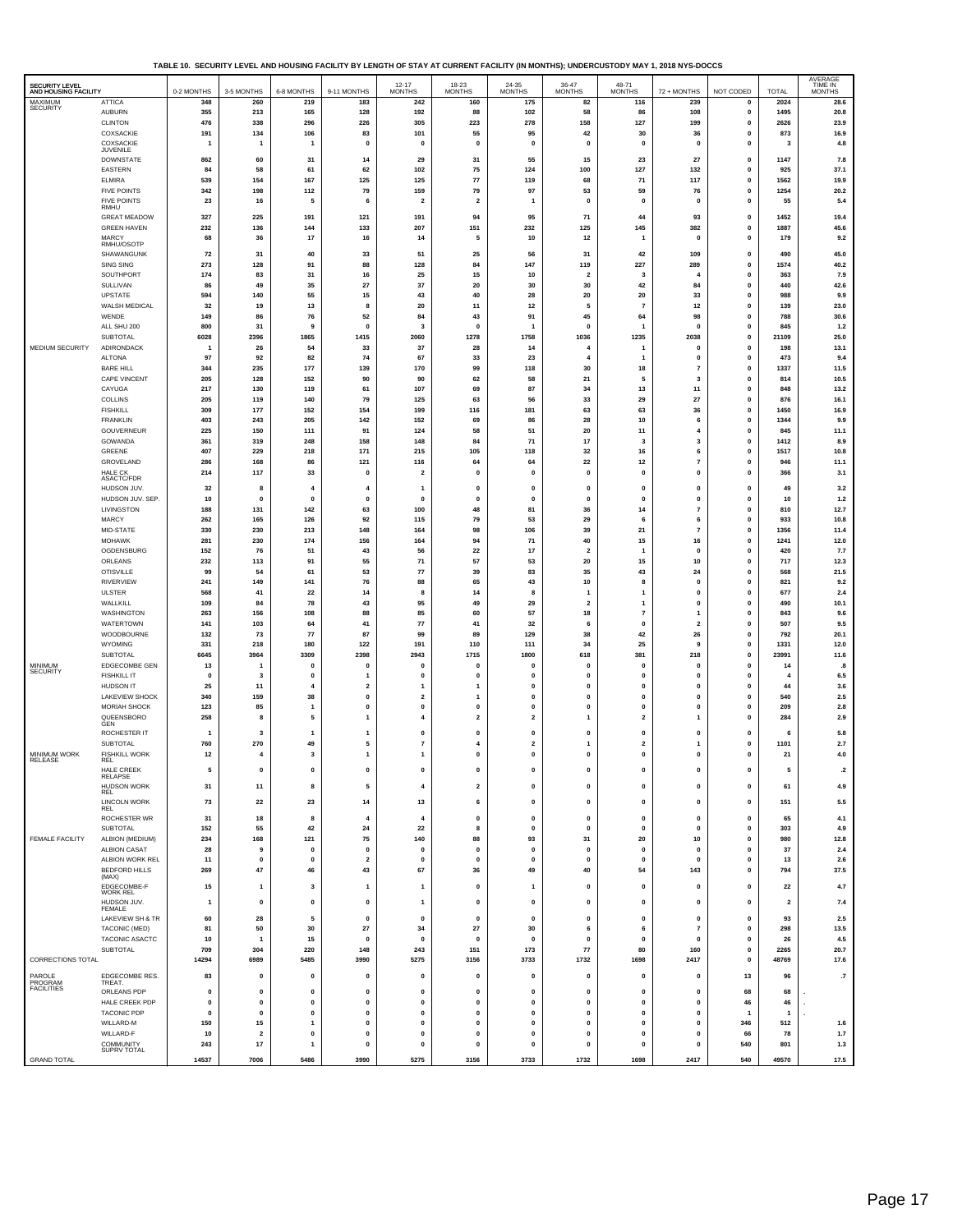**TABLE 10. SECURITY LEVEL AND HOUSING FACILITY BY LENGTH OF STAY AT CURRENT FACILITY (IN MONTHS); UNDERCUSTODY MAY 1, 2018 NYS-DOCCS**

| SECURITY LEVEL<br>AND HOUSING FACILITY |                                           | 0-2 MONTHS          | 3-5 MONTHS              | 6-8 MONTHS                  | 9-11 MONTHS                  | 12-17<br>MONTHS               | 18-23<br>MONTHS                    | 24-35<br>MONTHS             | 36-47<br>MONTHS               | 48-71<br><b>MONTHS</b>        | 72 + MONTHS                               | NOT CODED         | <b>TOTAL</b>         | AVERAGE<br>TIME IN<br><b>MONTHS</b> |
|----------------------------------------|-------------------------------------------|---------------------|-------------------------|-----------------------------|------------------------------|-------------------------------|------------------------------------|-----------------------------|-------------------------------|-------------------------------|-------------------------------------------|-------------------|----------------------|-------------------------------------|
| MAXIMUM                                | <b>ATTICA</b>                             | 348                 | 260                     | 219                         | 183                          | 242                           | 160                                | 175                         | 82                            | 116                           | 239                                       | 0                 | 2024                 | 28.6                                |
| SECURITY                               | <b>AUBURN</b>                             | 355                 | 213                     | 165                         | 128                          | 192                           | 88                                 | 102                         | 58                            | 86                            | 108                                       | $\mathbf{0}$      | 1495                 | 20.8                                |
|                                        | <b>CLINTON</b>                            | 476                 | 338                     | 296                         | 226                          | 305                           | 223                                | 278                         | 158                           | 127                           | 199                                       | 0                 | 2626                 | 23.9                                |
|                                        | COXSACKIE                                 | 191                 | 134                     | 106                         | 83                           | 101                           | 55                                 | 95                          | 42                            | 30                            | 36                                        | 0                 | 873                  | 16.9                                |
|                                        | COXSACKIE<br><b>JUVENILE</b>              | $\mathbf{1}$        | $\mathbf{1}$            | $\mathbf{1}$                | 0                            | 0                             | 0                                  | $\mathbf{0}$                | $\mathbf{0}$                  | $\mathbf 0$                   | $\mathbf 0$                               | $\mathbf 0$       | 3                    | 4.8                                 |
|                                        | <b>DOWNSTATE</b>                          | 862                 | 60                      | 31                          | 14                           | 29                            | 31                                 | 55                          | 15                            | 23                            | 27                                        | 0                 | 1147                 | 7.8                                 |
|                                        | EASTERN<br><b>ELMIRA</b>                  | 84<br>539           | 58<br>154               | 61<br>167                   | 62                           | 102<br>125                    | 75                                 | 124                         | 100<br>68                     | 127<br>71                     | 132<br>117                                | $\mathbf 0$       | 925<br>1562          | 37.1                                |
|                                        | <b>FIVE POINTS</b>                        | 342                 | 198                     | 112                         | 125<br>79                    | 159                           | ${\bf 77}$<br>79                   | 119<br>97                   | 53                            | 59                            | 76                                        | 0<br>0            | 1254                 | 19.9<br>20.2                        |
|                                        | <b>FIVE POINTS</b>                        | 23                  | 16                      | 5                           | 6                            | $\overline{\mathbf{2}}$       | $\overline{2}$                     | -1                          | $\mathbf{0}$                  | $\mathbf 0$                   | $\mathbf{0}$                              | $\mathbf 0$       | 55                   | 5.4                                 |
|                                        | RMHU                                      |                     |                         |                             |                              |                               |                                    |                             |                               |                               |                                           |                   |                      |                                     |
|                                        | <b>GREAT MEADOW</b><br><b>GREEN HAVEN</b> | 327<br>232          | 225<br>136              | 191<br>144                  | 121<br>133                   | 191<br>207                    | 94<br>151                          | 95<br>232                   | 71<br>125                     | 44<br>145                     | 93<br>382                                 | $\mathbf 0$<br>0  | 1452<br>1887         | 19.4<br>45.6                        |
|                                        | MARCY                                     | 68                  | 36                      | 17                          | 16                           | 14                            | 5                                  | 10                          | 12                            | $\mathbf{1}$                  | $\mathbf 0$                               | 0                 | 179                  | 9.2                                 |
|                                        | RMHU/OSOTP                                |                     |                         |                             |                              |                               |                                    |                             |                               |                               |                                           |                   |                      |                                     |
|                                        | SHAWANGUNK<br>SING SING                   | 72<br>273           | 31<br>128               | 40<br>91                    | 33<br>88                     | 51<br>128                     | 25<br>84                           | 56<br>147                   | 31<br>119                     | 42<br>227                     | 109<br>289                                | 0<br>$\mathbf 0$  | 490<br>1574          | 45.0<br>40.2                        |
|                                        | SOUTHPORT                                 | 174                 | 83                      | 31                          | 16                           | 25                            | 15                                 | 10                          | $\overline{\mathbf{2}}$       | 3                             | $\overline{4}$                            | 0                 | 363                  | 7.9                                 |
|                                        | SULLIVAN                                  | 86                  | 49                      | 35                          | 27                           | 37                            | 20                                 | 30                          | 30                            | 42                            | 84                                        | 0                 | 440                  | 42.6                                |
|                                        | UPSTATE                                   | 594                 | 140                     | 55                          | 15                           | 43                            | 40                                 | 28                          | 20                            | 20                            | 33                                        | 0                 | 988                  | 9.9                                 |
|                                        | WALSH MEDICAL                             | 32                  | 19                      | 13                          | 8                            | 20                            | 11                                 | 12                          | 5                             | $\overline{7}$                | 12                                        | 0                 | 139                  | 23.0                                |
|                                        | WENDE<br>ALL SHU 200                      | 149<br>800          | 86<br>31                | 76<br>9                     | 52<br>$\mathbf 0$            | 84<br>$\overline{\mathbf{3}}$ | 43<br>$\pmb{\mathsf{o}}$           | 91<br>-1                    | 45<br>$\mathbf{0}$            | 64<br>1                       | 98<br>$\mathbf{0}$                        | 0<br>0            | 788<br>845           | 30.6<br>$1.2$                       |
|                                        | SUBTOTAL                                  | 6028                | 2396                    | 1865                        | 1415                         | 2060                          | 1278                               | 1758                        | 1036                          | 1235                          | 2038                                      | $\mathbf 0$       | 21109                | 25.0                                |
| MEDIUM SECURITY                        | ADIRONDACK                                | $\overline{1}$      | 26                      | 54                          | 33                           | 37                            | 28                                 | 14                          | 4                             | $\mathbf{1}$                  | $\mathbf 0$                               | $\mathbf 0$       | 198                  | 13.1                                |
|                                        | <b>ALTONA</b>                             | 97                  | 92                      | 82                          | 74                           | 67                            | 33                                 | 23                          | $\overline{a}$                | $\mathbf{1}$                  | $\mathbf 0$                               | $\mathbf 0$       | 473                  | 9.4                                 |
|                                        | <b>BARE HILL</b>                          | 344                 | 235                     | 177                         | 139                          | 170                           | 99                                 | 118                         | 30                            | 18                            | $\overline{7}$                            | 0                 | 1337                 | 11.5                                |
|                                        | CAPE VINCENT                              | 205                 | 128                     | 152                         | 90                           | 90                            | 62                                 | 58                          | 21                            | 5                             | 3                                         | 0                 | 814                  | 10.5                                |
|                                        | CAYUGA<br><b>COLLINS</b>                  | 217<br>205          | 130<br>119              | 119<br>140                  | 61<br>79                     | 107<br>125                    | 69<br>63                           | 87<br>56                    | 34<br>33                      | 13<br>29                      | 11<br>27                                  | $\mathbf 0$<br>0  | 848<br>876           | 13.2<br>16.1                        |
|                                        | <b>FISHKILL</b>                           | 309                 | 177                     | 152                         | 154                          | 199                           | 116                                | 181                         | 63                            | 63                            | 36                                        | 0                 | 1450                 | 16.9                                |
|                                        | <b>FRANKLIN</b>                           | 403                 | 243                     | 205                         | 142                          | 152                           | 69                                 | 86                          | 28                            | 10                            | 6                                         | 0                 | 1344                 | 9.9                                 |
|                                        | GOUVERNEUR                                | 225                 | 150                     | 111                         | 91                           | 124                           | 58                                 | 51                          | 20                            | 11                            | $\overline{4}$                            | 0                 | 845                  | 11.1                                |
|                                        | <b>GOWANDA</b>                            | 361                 | 319                     | 248                         | 158                          | 148                           | 84                                 | 71                          | 17                            | 3                             | $\overline{\mathbf{3}}$                   | $\mathbf 0$       | 1412                 | 8.9                                 |
|                                        | GREENE<br>GROVELAND                       | 407<br>286          | 229<br>168              | 218<br>86                   | 171<br>121                   | 215<br>116                    | 105<br>64                          | 118<br>64                   | 32<br>22                      | 16<br>12                      | 6<br>$\overline{7}$                       | 0<br>$\mathbf 0$  | 1517<br>946          | 10.8<br>11.1                        |
|                                        | HAI F CK                                  | 214                 | 117                     | 33                          | $\mathbf 0$                  | $\overline{\mathbf{2}}$       | $\mathbf{0}$                       | $\mathbf{0}$                | $\mathbf{0}$                  | $\mathbf 0$                   | $\mathbf{0}$                              | 0                 | 366                  | 3.1                                 |
|                                        | ASACTC/FDR                                |                     |                         |                             |                              |                               |                                    |                             |                               |                               |                                           |                   |                      |                                     |
|                                        | HUDSON JUV.<br>HUDSON JUV. SEP.           | 32<br>10            | 8<br>$\mathbf{0}$       | 4<br>$\pmb{0}$              | 4<br>0                       | 1<br>0                        | $\pmb{0}$<br>$\pmb{0}$             | $\mathbf 0$<br>$\mathbf{0}$ | 0<br>$\pmb{0}$                | $\mathbf 0$<br>0              | $\mathbf 0$<br>$\mathbf 0$                | 0<br>0            | 49<br>10             | 3.2<br>$1.2$                        |
|                                        | LIVINGSTON                                | 188                 | 131                     | 142                         | 63                           | 100                           | 48                                 | 81                          | 36                            | 14                            | $\overline{7}$                            | 0                 | 810                  | 12.7                                |
|                                        | MARCY                                     | 262                 | 165                     | 126                         | 92                           | 115                           | 79                                 | 53                          | 29                            | 6                             | 6                                         | $\mathbf 0$       | 933                  | 10.8                                |
|                                        | MID-STATE                                 | 330                 | 230                     | 213                         | 148                          | 164                           | 98                                 | 106                         | 39                            | 21                            | $\overline{7}$                            | $\mathbf 0$       | 1356                 | 11.4                                |
|                                        | <b>MOHAWK</b>                             | 281                 | 230                     | 174                         | 156                          | 164                           | 94                                 | 71                          | 40                            | 15                            | 16                                        | 0                 | 1241                 | 12.0                                |
|                                        | OGDENSBURG<br>ORLEANS                     | 152<br>232          | 76<br>113               | 51<br>91                    | 43<br>55                     | 56<br>71                      | 22<br>57                           | 17<br>53                    | $\overline{\mathbf{2}}$<br>20 | -1<br>15                      | $\mathbf{0}$<br>10                        | 0<br>0            | 420<br>717           | 7.7<br>12.3                         |
|                                        | <b>OTISVILLE</b>                          | 99                  | 54                      | 61                          | 53                           | ${\bf 77}$                    | 39                                 | 83                          | 35                            | 43                            | 24                                        | $\mathbf 0$       | 568                  | 21.5                                |
|                                        | RIVERVIEW                                 | 241                 | 149                     | 141                         | 76                           | 88                            | 65                                 | 43                          | 10                            | 8                             | $\mathbf 0$                               | 0                 | 821                  | 9.2                                 |
|                                        | <b>ULSTER</b>                             | 568                 | 41                      | 22                          | 14                           | 8                             | 14                                 | 8                           | $\mathbf{1}$                  | $\overline{1}$                | $\mathbf 0$                               | 0                 | 677                  | 2.4                                 |
|                                        | WALLKILL                                  | 109                 | 84                      | 78                          | 43                           | 95                            | 49                                 | 29                          | $\overline{\mathbf{2}}$       | $\mathbf{1}$                  | $\mathbf{0}$                              | 0                 | 490                  | 10.1                                |
|                                        | WASHINGTON<br><b>WATERTOWN</b>            | 263<br>141          | 156<br>103              | 108<br>64                   | 88<br>41                     | 85<br>77                      | 60<br>41                           | 57<br>32                    | 18<br>6                       | $\overline{7}$<br>$\mathbf 0$ | $\overline{1}$<br>$\overline{\mathbf{2}}$ | $\mathbf 0$<br>0  | 843<br>507           | 9.6<br>9.5                          |
|                                        | WOODBOURNE                                | 132                 | 73                      | 77                          | 87                           | 99                            | 89                                 | 129                         | 38                            | 42                            | 26                                        | 0                 | 792                  | 20.1                                |
|                                        | <b>WYOMING</b>                            | 331                 | 218                     | 180                         | 122                          | 191                           | 110                                | 111                         | 34                            | 25                            | 9                                         | $\mathbf 0$       | 1331                 | 12.0                                |
|                                        | SUBTOTAL                                  | 6645                | 3964                    | 3309                        | 2398                         | 2943                          | 1715                               | 1800                        | 618                           | 381                           | 218                                       | 0                 | 23991                | 11.6                                |
| MINIMUM<br>SECURITY                    | EDGECOMBE GEN                             | 13                  | -1                      | 0                           | $\mathbf 0$                  | $\mathbf{0}$                  | $\pmb{0}$                          | $\mathbf{0}$                | $\mathbf{0}$                  | $\mathbf 0$                   | $\mathbf{0}$                              | $\mathbf 0$       | 14                   | $\boldsymbol{.8}$                   |
|                                        | <b>FISHKILL IT</b><br>HUDSON IT           | $\mathbf 0$<br>25   | 3<br>11                 | $\pmb{0}$<br>$\overline{4}$ | 1<br>$\overline{\mathbf{2}}$ | 0<br>$\mathbf{1}$             | $\pmb{0}$<br>$\mathbf{1}$          | $\mathbf 0$<br>$\mathbf 0$  | 0<br>0                        | 0<br>0                        | $\mathbf 0$<br>$\mathbf 0$                | 0<br>$\mathbf 0$  | $\overline{4}$<br>44 | $6.5\,$<br>3.6                      |
|                                        | <b>LAKEVIEW SHOCK</b>                     | 340                 | 159                     | 38                          | $\pmb{0}$                    | $\overline{\mathbf{2}}$       | $\mathbf{1}$                       | $\mathbf{0}$                | $\mathbf 0$                   | $\mathbf 0$                   | $\mathbf{0}$                              | 0                 | 540                  | 2.5                                 |
|                                        | MORIAH SHOCK                              | 123                 | 85                      | $\overline{1}$              | $\pmb{0}$                    | $\mathbf 0$                   | $\pmb{0}$                          | $\mathbf{0}$                | 0                             | 0                             | $\mathbf 0$                               | $\mathbf 0$       | 209                  | 2.8                                 |
|                                        | QUEENSBORO<br>GEN                         | 258                 | 8                       | 5                           | $\mathbf{1}$                 | 4                             | $\overline{\mathbf{2}}$            | $\overline{2}$              | 1                             | $\overline{\mathbf{2}}$       | 1                                         | 0                 | 284                  | 2.9                                 |
|                                        | ROCHESTER IT                              | -1                  | 3                       | $\overline{1}$              | $\mathbf{1}$                 | $\mathbf{0}$                  | $\mathbf{0}$                       | $\mathbf 0$                 | $\mathbf 0$                   | $\mathbf 0$                   | $\mathbf{0}$                              | 0                 | 6                    | 5.8                                 |
|                                        | SUBTOTAL                                  | 760                 | 270                     | 49                          | 5                            | $\overline{7}$                | 4                                  | $\overline{\mathbf{2}}$     | 1                             | $\overline{2}$                | 1                                         | 0                 | 1101                 | 2.7                                 |
| <b>MINIMUM WORK</b><br>RELEASE         | <b>FISHKILL WORK</b><br>REL               | 12                  | $\overline{4}$          | 3                           | $\mathbf{1}$                 | $\mathbf{1}$                  | $\pmb{\mathsf{o}}$                 | $\mathbf{0}$                | $\mathbf{0}$                  | $\mathbf 0$                   | $\mathbf 0$                               | $\mathbf{0}$      | 21                   | 4.0                                 |
|                                        | HAI E CREEK                               | -5                  | o                       |                             | 0                            | o                             | 0                                  |                             |                               | c                             | o                                         |                   | 5                    | .2                                  |
|                                        | RELAPSE<br><b>HUDSON WORK</b>             | 31                  | 11                      | 8                           | 5                            | 4                             | $\mathbf 2$                        | 0                           | 0                             | $\pmb{0}$                     | $\pmb{0}$                                 | 0                 | 61                   | 4.9                                 |
|                                        | REL                                       |                     |                         |                             |                              |                               |                                    |                             |                               |                               |                                           |                   |                      |                                     |
|                                        | LINCOLN WORK<br>REL                       | 73                  | 22                      | 23                          | 14                           | 13                            | $\bf 6$                            | $\pmb{0}$                   | 0                             | $\pmb{0}$                     | $\pmb{0}$                                 | 0                 | 151                  | 5.5                                 |
|                                        | ROCHESTER WR                              | 31                  | 18                      | 8                           | 4                            | 4                             | $\pmb{0}$                          | $\pmb{0}$                   | 0                             | $\pmb{0}$                     | $\mathbf 0$                               | 0                 | 65                   | 4.1                                 |
|                                        | <b>SUBTOTAL</b>                           | 152                 | 55                      | 42                          | 24                           | 22                            | 8                                  | $\pmb{0}$                   | $\mathbf 0$                   | $\mathbf 0$                   | $\mathbf 0$                               | $\mathbf{0}$      | 303                  | 4.9                                 |
| FEMALE FACILITY                        | ALBION (MEDIUM)<br><b>ALBION CASAT</b>    | 234<br>28           | 168<br>9                | 121<br>$\mathbf 0$          | 75<br>$\mathbf{0}$           | 140<br>$\mathbf{0}$           | 88<br>$\pmb{\mathsf{o}}$           | 93<br>$\mathbf 0$           | 31<br>$\mathbf 0$             | 20<br>$\mathbf{0}$            | 10<br>$\mathbf 0$                         | 0<br>$\mathbf 0$  | 980<br>37            | 12.8<br>2.4                         |
|                                        | ALBION WORK REL                           | 11                  | $\mathbf{0}$            | $\mathbf 0$                 | $\overline{2}$               | $\pmb{0}$                     | $\mathbf{0}$                       | $\mathbf{0}$                | $\mathbf 0$                   | $\mathbf 0$                   | $\mathbf{0}$                              | $\mathbf 0$       | 13                   | 2.6                                 |
|                                        | <b>BEDFORD HILLS</b>                      | 269                 | 47                      | 46                          | 43                           | 67                            | 36                                 | 49                          | 40                            | 54                            | 143                                       | 0                 | 794                  | 37.5                                |
|                                        | (MAX)<br>EDGECOMBE-F                      | 15                  |                         |                             | $\mathbf{1}$                 |                               | $\pmb{0}$                          |                             |                               | $\mathbf 0$                   | $\pmb{0}$                                 | 0                 |                      | 4.7                                 |
|                                        | <b>WORK REL</b>                           |                     | $\mathbf{1}$            | 3                           |                              | $\mathbf{1}$                  |                                    | $\mathbf{1}$                | 0                             |                               |                                           |                   | 22                   |                                     |
|                                        | HUDSON JUV.<br>FEMALE                     | $\mathbf{1}$        | 0                       | $\pmb{0}$                   | $\pmb{0}$                    | $\mathbf{1}$                  | $\pmb{0}$                          | $\pmb{0}$                   | 0                             | $\pmb{0}$                     | $\mathbf 0$                               | 0                 | $\mathbf{2}$         | 7.4                                 |
|                                        | LAKEVIEW SH & TR                          | 60                  | 28                      | 5                           | 0                            | $\pmb{0}$                     | $\pmb{0}$                          | $\pmb{0}$                   | 0                             | $\pmb{0}$                     | $\mathbf 0$                               | 0                 | 93                   | 2.5                                 |
|                                        | TACONIC (MED)                             | 81                  | 50                      | 30                          | 27                           | 34                            | ${\bf 27}$                         | 30                          | 6                             | 6                             | $\overline{7}$                            | 0                 | 298                  | 13.5                                |
|                                        | TACONIC ASACTC                            | 10                  | $\overline{1}$          | 15                          | $\mathbf 0$                  | $\mathbf 0$                   | $\mathbf{0}$                       | $\mathbf{0}$                | $\Omega$                      | $\mathbf 0$                   | $\mathbf{0}$                              | $\mathbf{0}$      | 26                   | 4.5                                 |
| CORRECTIONS TOTAL                      | SUBTOTAL                                  | 709<br>14294        | 304<br>6989             | 220<br>5485                 | 148<br>3990                  | 243<br>5275                   | 151<br>3156                        | 173<br>3733                 | ${\bf 77}$<br>1732            | 80<br>1698                    | 160<br>2417                               | 0<br>$\mathbf{0}$ | 2265<br>48769        | 20.7<br>17.6                        |
|                                        |                                           |                     |                         |                             |                              |                               |                                    |                             |                               |                               |                                           |                   |                      |                                     |
| PAROLE<br>PROGRAM                      | EDGECOMBE RES.<br>TREAT.                  | 83                  | $\mathbf{0}$            | $\mathbf 0$                 | $\mathbf{0}$                 | $\mathbf{0}$                  | $\mathbf{0}$                       | $\mathbf{0}$                | $\mathbf{0}$                  | $\mathbf{0}$                  | $\mathbf{0}$                              | 13                | 96                   | $\overline{1}$                      |
| <b>FACILITIES</b>                      | ORLEANS PDP                               | $\mathbf{0}$        | $\mathbf{0}$            | $\pmb{0}$                   | $\pmb{0}$                    | $\mathbf 0$                   | $\pmb{0}$                          | $\mathbf{0}$                | $\mathbf{0}$                  | $\mathbf 0$                   | $\mathbf{0}$                              | 68                | 68                   |                                     |
|                                        | HALE CREEK PDP                            | $\pmb{0}$           | 0                       | $\pmb{0}$                   | $\pmb{0}$                    | 0                             | $\pmb{0}$                          | $\pmb{0}$                   | 0                             | $\pmb{0}$                     | $\mathbf 0$                               | 46                | 46                   |                                     |
|                                        | <b>TACONIC PDP</b><br>WILLARD-M           | $\mathbf{0}$<br>150 | $\mathbf{0}$<br>15      | $\mathbf 0$<br>$\mathbf{1}$ | $\mathbf{0}$<br>$\mathbf{0}$ | $\mathbf 0$<br>$\mathbf{0}$   | $\pmb{\mathsf{o}}$<br>$\mathbf{0}$ | $\mathbf 0$<br>$\mathbf{0}$ | $\mathbf{0}$<br>$\mathbf 0$   | $\mathbf 0$<br>$\mathbf 0$    | $\mathbf{0}$<br>$\mathbf 0$               | 1<br>346          | $\mathbf{1}$<br>512  | 1.6                                 |
|                                        | WILLARD-F                                 | 10                  | $\overline{\mathbf{2}}$ | $\pmb{0}$                   | $\pmb{0}$                    | $\pmb{0}$                     | $\pmb{0}$                          | $\pmb{0}$                   | 0                             | 0                             | $\mathbf 0$                               | 66                | 78                   | 1.7                                 |
|                                        | <b>COMMUNITY</b>                          | 243                 | 17                      | 1                           | 0                            | 0                             | $\pmb{0}$                          | $\mathbf{0}$                | $\mathbf 0$                   | $\mathbf 0$                   | $\mathbf{0}$                              | 540               | 801                  | 1.3                                 |
| <b>GRAND TOTAL</b>                     | SUPRV TOTAL                               | 14537               | 7006                    | 5486                        | 3990                         | 5275                          | 3156                               | 3733                        | 1732                          | 1698                          | 2417                                      | 540               | 49570                | 17.5                                |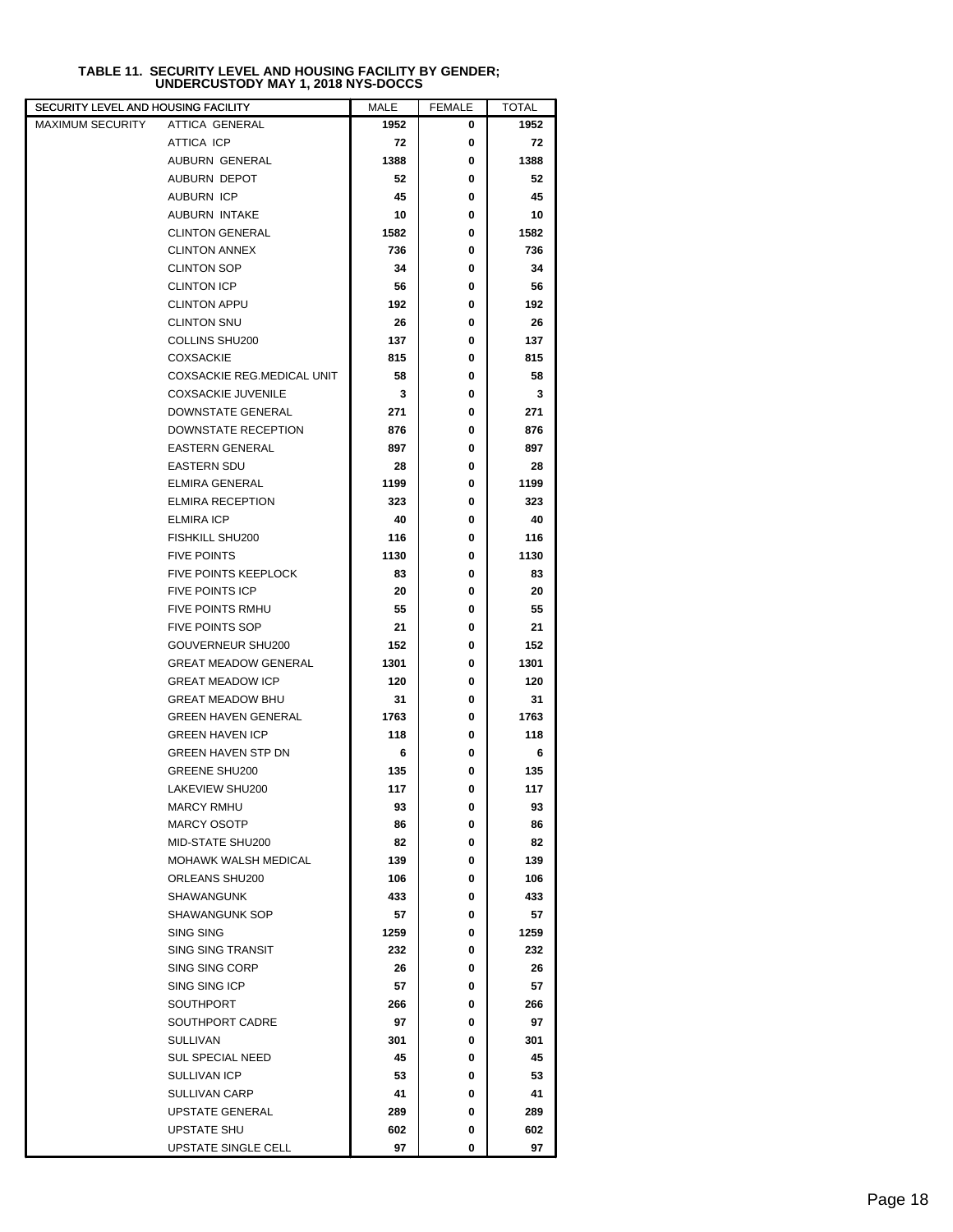| TABLE 11. SECURITY LEVEL AND HOUSING FACILITY BY GENDER: |  |
|----------------------------------------------------------|--|
| UNDERCUSTODY MAY 1, 2018 NYS-DOCCS                       |  |

| SECURITY LEVEL AND HOUSING FACILITY |                                  | MALE     | <b>FEMALE</b> | <b>TOTAL</b> |  |
|-------------------------------------|----------------------------------|----------|---------------|--------------|--|
| <b>MAXIMUM SECURITY</b>             | <b>ATTICA GENERAL</b>            | 1952     | 0             | 1952         |  |
|                                     | ATTICA ICP                       | 72       | 0             | 72           |  |
|                                     | AUBURN GENERAL                   | 1388     | 0             | 1388         |  |
|                                     | AUBURN DEPOT                     | 52       | 0             | 52           |  |
|                                     | <b>AUBURN ICP</b>                | 45       | 0             | 45           |  |
|                                     | AUBURN INTAKE                    | 10       | 0             | 10           |  |
|                                     | <b>CLINTON GENERAL</b>           | 1582     | 0             | 1582         |  |
|                                     | <b>CLINTON ANNEX</b>             | 736      | 0             | 736          |  |
|                                     | <b>CLINTON SOP</b>               | 34       | 0             | 34           |  |
|                                     | <b>CLINTON ICP</b>               | 56       | 0             | 56           |  |
|                                     | <b>CLINTON APPU</b>              | 192      | 0             | 192          |  |
|                                     | <b>CLINTON SNU</b>               | 26       | 0             | 26           |  |
|                                     | COLLINS SHU200                   | 137      | 0             | 137          |  |
|                                     | <b>COXSACKIE</b>                 | 815      | 0             | 815          |  |
|                                     | COXSACKIE REG.MEDICAL UNIT       | 58       | 0             | 58           |  |
|                                     | <b>COXSACKIE JUVENILE</b>        | 3        | 0             | 3            |  |
|                                     | DOWNSTATE GENERAL                | 271      | 0             | 271          |  |
|                                     | DOWNSTATE RECEPTION              | 876      | 0             | 876          |  |
|                                     | <b>EASTERN GENERAL</b>           | 897      | 0             | 897          |  |
|                                     | <b>EASTERN SDU</b>               | 28       | 0             | 28           |  |
|                                     | <b>ELMIRA GENERAL</b>            | 1199     | 0             | 1199         |  |
|                                     | <b>ELMIRA RECEPTION</b>          | 323      | 0             | 323          |  |
|                                     | ELMIRA ICP                       | 40       | 0             | 40           |  |
|                                     | <b>FISHKILL SHU200</b>           | 116      | 0             | 116          |  |
|                                     | <b>FIVE POINTS</b>               | 1130     | 0             | 1130         |  |
|                                     | <b>FIVE POINTS KEEPLOCK</b>      | 83       | 0             | 83           |  |
|                                     | <b>FIVE POINTS ICP</b>           | 20       | 0             | 20           |  |
|                                     | <b>FIVE POINTS RMHU</b>          | 55       | 0             | 55           |  |
|                                     | <b>FIVE POINTS SOP</b>           | 21       | 0             | 21           |  |
|                                     | GOUVERNEUR SHU200                | 152      | 0             | 152          |  |
|                                     | <b>GREAT MEADOW GENERAL</b>      | 1301     | 0             | 1301         |  |
|                                     | <b>GREAT MEADOW ICP</b>          | 120      | 0             | 120          |  |
|                                     | <b>GREAT MEADOW BHU</b>          | 31       | 0             | 31           |  |
|                                     | <b>GREEN HAVEN GENERAL</b>       | 1763     | 0             | 1763         |  |
|                                     | <b>GREEN HAVEN ICP</b>           | 118      | 0             | 118          |  |
|                                     | <b>GREEN HAVEN STP DN</b>        |          | 0             |              |  |
|                                     | <b>GREENE SHU200</b>             | 6<br>135 | 0             | 6            |  |
|                                     | LAKEVIEW SHU200                  |          | 0             | 135          |  |
|                                     |                                  | 117      |               | 117          |  |
|                                     | MARCY RMHU<br><b>MARCY OSOTP</b> | 93       | 0             | 93           |  |
|                                     | MID-STATE SHU200                 | 86<br>82 | 0<br>0        | 86           |  |
|                                     | MOHAWK WALSH MEDICAL             | 139      | 0             | 82           |  |
|                                     |                                  |          |               | 139          |  |
|                                     | ORLEANS SHU200                   | 106      | 0             | 106          |  |
|                                     | SHAWANGUNK                       | 433      | 0             | 433          |  |
|                                     | SHAWANGUNK SOP                   | 57       | 0             | 57           |  |
|                                     | SING SING                        | 1259     | 0             | 1259         |  |
|                                     | <b>SING SING TRANSIT</b>         | 232      | 0             | 232          |  |
|                                     | SING SING CORP                   | 26       | 0             | 26           |  |
|                                     | SING SING ICP                    | 57       | 0             | 57           |  |
|                                     | SOUTHPORT                        | 266      | 0             | 266          |  |
|                                     | SOUTHPORT CADRE                  | 97       | 0             | 97           |  |
|                                     | <b>SULLIVAN</b>                  | 301      | 0             | 301          |  |
|                                     | <b>SUL SPECIAL NEED</b>          | 45       | 0             | 45           |  |
|                                     | SULLIVAN ICP                     | 53       | 0             | 53           |  |
|                                     | SULLIVAN CARP                    | 41       | 0             | 41           |  |
|                                     | <b>UPSTATE GENERAL</b>           | 289      | 0             | 289          |  |
|                                     | <b>UPSTATE SHU</b>               | 602      | 0             | 602          |  |
|                                     | UPSTATE SINGLE CELL              | 97       | 0             | 97           |  |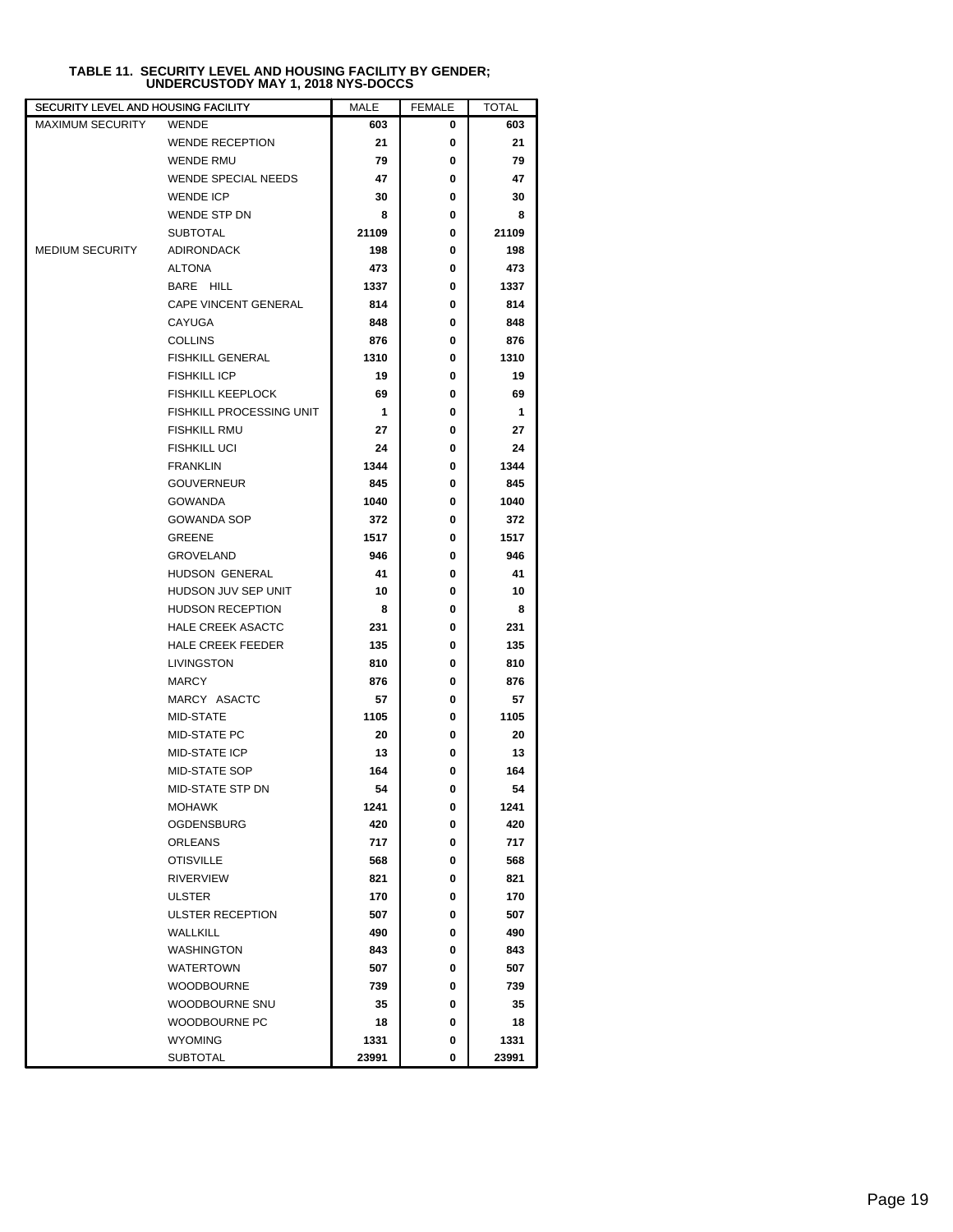| <b>MAXIMUM SECURITY</b><br><b>WENDE</b><br>603<br>0<br>603<br>21<br><b>WENDE RECEPTION</b><br>21<br>0<br><b>WENDE RMU</b><br>79<br>0<br>79<br><b>WENDE SPECIAL NEEDS</b><br>47<br>47<br>0<br><b>WENDE ICP</b><br>30<br>0<br>30<br>WENDE STP DN<br>8<br>0<br>8<br><b>SUBTOTAL</b><br>21109<br>0<br>21109<br><b>ADIRONDACK</b><br><b>MEDIUM SECURITY</b><br>198<br>0<br>198<br>ALTONA<br>473<br>0<br>473<br>BARE HILL<br>1337<br>0<br>1337<br><b>CAPE VINCENT GENERAL</b><br>814<br>0<br>814<br><b>CAYUGA</b><br>848<br>0<br>848<br><b>COLLINS</b><br>876<br>0<br>876<br><b>FISHKILL GENERAL</b><br>1310<br>0<br>1310<br><b>FISHKILL ICP</b><br>19<br>0<br>19<br><b>FISHKILL KEEPLOCK</b><br>69<br>0<br>69 |
|----------------------------------------------------------------------------------------------------------------------------------------------------------------------------------------------------------------------------------------------------------------------------------------------------------------------------------------------------------------------------------------------------------------------------------------------------------------------------------------------------------------------------------------------------------------------------------------------------------------------------------------------------------------------------------------------------------|
|                                                                                                                                                                                                                                                                                                                                                                                                                                                                                                                                                                                                                                                                                                          |
|                                                                                                                                                                                                                                                                                                                                                                                                                                                                                                                                                                                                                                                                                                          |
|                                                                                                                                                                                                                                                                                                                                                                                                                                                                                                                                                                                                                                                                                                          |
|                                                                                                                                                                                                                                                                                                                                                                                                                                                                                                                                                                                                                                                                                                          |
|                                                                                                                                                                                                                                                                                                                                                                                                                                                                                                                                                                                                                                                                                                          |
|                                                                                                                                                                                                                                                                                                                                                                                                                                                                                                                                                                                                                                                                                                          |
|                                                                                                                                                                                                                                                                                                                                                                                                                                                                                                                                                                                                                                                                                                          |
|                                                                                                                                                                                                                                                                                                                                                                                                                                                                                                                                                                                                                                                                                                          |
|                                                                                                                                                                                                                                                                                                                                                                                                                                                                                                                                                                                                                                                                                                          |
|                                                                                                                                                                                                                                                                                                                                                                                                                                                                                                                                                                                                                                                                                                          |
|                                                                                                                                                                                                                                                                                                                                                                                                                                                                                                                                                                                                                                                                                                          |
|                                                                                                                                                                                                                                                                                                                                                                                                                                                                                                                                                                                                                                                                                                          |
|                                                                                                                                                                                                                                                                                                                                                                                                                                                                                                                                                                                                                                                                                                          |
|                                                                                                                                                                                                                                                                                                                                                                                                                                                                                                                                                                                                                                                                                                          |
|                                                                                                                                                                                                                                                                                                                                                                                                                                                                                                                                                                                                                                                                                                          |
|                                                                                                                                                                                                                                                                                                                                                                                                                                                                                                                                                                                                                                                                                                          |
| FISHKILL PROCESSING UNIT<br>$\mathbf 1$<br>1<br>0                                                                                                                                                                                                                                                                                                                                                                                                                                                                                                                                                                                                                                                        |
| <b>FISHKILL RMU</b><br>27<br>0<br>27                                                                                                                                                                                                                                                                                                                                                                                                                                                                                                                                                                                                                                                                     |
| <b>FISHKILL UCI</b><br>24<br>0<br>24                                                                                                                                                                                                                                                                                                                                                                                                                                                                                                                                                                                                                                                                     |
| <b>FRANKLIN</b><br>1344<br>0<br>1344                                                                                                                                                                                                                                                                                                                                                                                                                                                                                                                                                                                                                                                                     |
| <b>GOUVERNEUR</b><br>845<br>0<br>845                                                                                                                                                                                                                                                                                                                                                                                                                                                                                                                                                                                                                                                                     |
| <b>GOWANDA</b><br>1040<br>0<br>1040                                                                                                                                                                                                                                                                                                                                                                                                                                                                                                                                                                                                                                                                      |
| <b>GOWANDA SOP</b><br>372<br>0<br>372                                                                                                                                                                                                                                                                                                                                                                                                                                                                                                                                                                                                                                                                    |
| <b>GREENE</b><br>1517<br>0<br>1517                                                                                                                                                                                                                                                                                                                                                                                                                                                                                                                                                                                                                                                                       |
| <b>GROVELAND</b><br>946<br>0<br>946                                                                                                                                                                                                                                                                                                                                                                                                                                                                                                                                                                                                                                                                      |
| HUDSON GENERAL<br>41<br>0<br>41                                                                                                                                                                                                                                                                                                                                                                                                                                                                                                                                                                                                                                                                          |
| HUDSON JUV SEP UNIT<br>10<br>0<br>10                                                                                                                                                                                                                                                                                                                                                                                                                                                                                                                                                                                                                                                                     |
| <b>HUDSON RECEPTION</b><br>8<br>0<br>8                                                                                                                                                                                                                                                                                                                                                                                                                                                                                                                                                                                                                                                                   |
| <b>HALE CREEK ASACTC</b><br>231<br>0<br>231                                                                                                                                                                                                                                                                                                                                                                                                                                                                                                                                                                                                                                                              |
| HALE CREEK FEEDER<br>135<br>135<br>0                                                                                                                                                                                                                                                                                                                                                                                                                                                                                                                                                                                                                                                                     |
| LIVINGSTON<br>810<br>0<br>810                                                                                                                                                                                                                                                                                                                                                                                                                                                                                                                                                                                                                                                                            |
| <b>MARCY</b><br>876<br>0<br>876                                                                                                                                                                                                                                                                                                                                                                                                                                                                                                                                                                                                                                                                          |
| MARCY ASACTC<br>57<br>0<br>57                                                                                                                                                                                                                                                                                                                                                                                                                                                                                                                                                                                                                                                                            |
| MID-STATE<br>1105<br>0<br>1105                                                                                                                                                                                                                                                                                                                                                                                                                                                                                                                                                                                                                                                                           |
| MID-STATE PC<br>20<br>0<br>20                                                                                                                                                                                                                                                                                                                                                                                                                                                                                                                                                                                                                                                                            |
| <b>MID-STATE ICP</b><br>13<br>0<br>13                                                                                                                                                                                                                                                                                                                                                                                                                                                                                                                                                                                                                                                                    |
| 164<br>MID-STATE SOP<br>0<br>164<br>MID-STATE STP DN                                                                                                                                                                                                                                                                                                                                                                                                                                                                                                                                                                                                                                                     |
| 54<br>54<br>0                                                                                                                                                                                                                                                                                                                                                                                                                                                                                                                                                                                                                                                                                            |
| MOHAWK<br>1241<br>0<br>1241                                                                                                                                                                                                                                                                                                                                                                                                                                                                                                                                                                                                                                                                              |
| OGDENSBURG<br>420<br>420<br>0<br>ORLEANS<br>717<br>717<br>0                                                                                                                                                                                                                                                                                                                                                                                                                                                                                                                                                                                                                                              |
| <b>OTISVILLE</b><br>568<br>568<br>0                                                                                                                                                                                                                                                                                                                                                                                                                                                                                                                                                                                                                                                                      |
| <b>RIVERVIEW</b><br>821<br>821<br>0                                                                                                                                                                                                                                                                                                                                                                                                                                                                                                                                                                                                                                                                      |
| 170<br>170<br>ULSTER<br>0                                                                                                                                                                                                                                                                                                                                                                                                                                                                                                                                                                                                                                                                                |
| ULSTER RECEPTION<br>507<br>0<br>507                                                                                                                                                                                                                                                                                                                                                                                                                                                                                                                                                                                                                                                                      |
| WALLKILL<br>490<br>490<br>0                                                                                                                                                                                                                                                                                                                                                                                                                                                                                                                                                                                                                                                                              |
| <b>WASHINGTON</b><br>843<br>843<br>0                                                                                                                                                                                                                                                                                                                                                                                                                                                                                                                                                                                                                                                                     |
| WATERTOWN<br>507<br>0<br>507                                                                                                                                                                                                                                                                                                                                                                                                                                                                                                                                                                                                                                                                             |
| 0<br>739<br><b>WOODBOURNE</b><br>739                                                                                                                                                                                                                                                                                                                                                                                                                                                                                                                                                                                                                                                                     |
| WOODBOURNE SNU<br>35<br>0<br>35                                                                                                                                                                                                                                                                                                                                                                                                                                                                                                                                                                                                                                                                          |
| WOODBOURNE PC<br>18<br>18<br>0                                                                                                                                                                                                                                                                                                                                                                                                                                                                                                                                                                                                                                                                           |
| WYOMING<br>1331<br>1331<br>0                                                                                                                                                                                                                                                                                                                                                                                                                                                                                                                                                                                                                                                                             |
| 23991<br><b>SUBTOTAL</b><br>0<br>23991                                                                                                                                                                                                                                                                                                                                                                                                                                                                                                                                                                                                                                                                   |

## **TABLE 11. SECURITY LEVEL AND HOUSING FACILITY BY GENDER; UNDERCUSTODY MAY 1, 2018 NYS-DOCCS**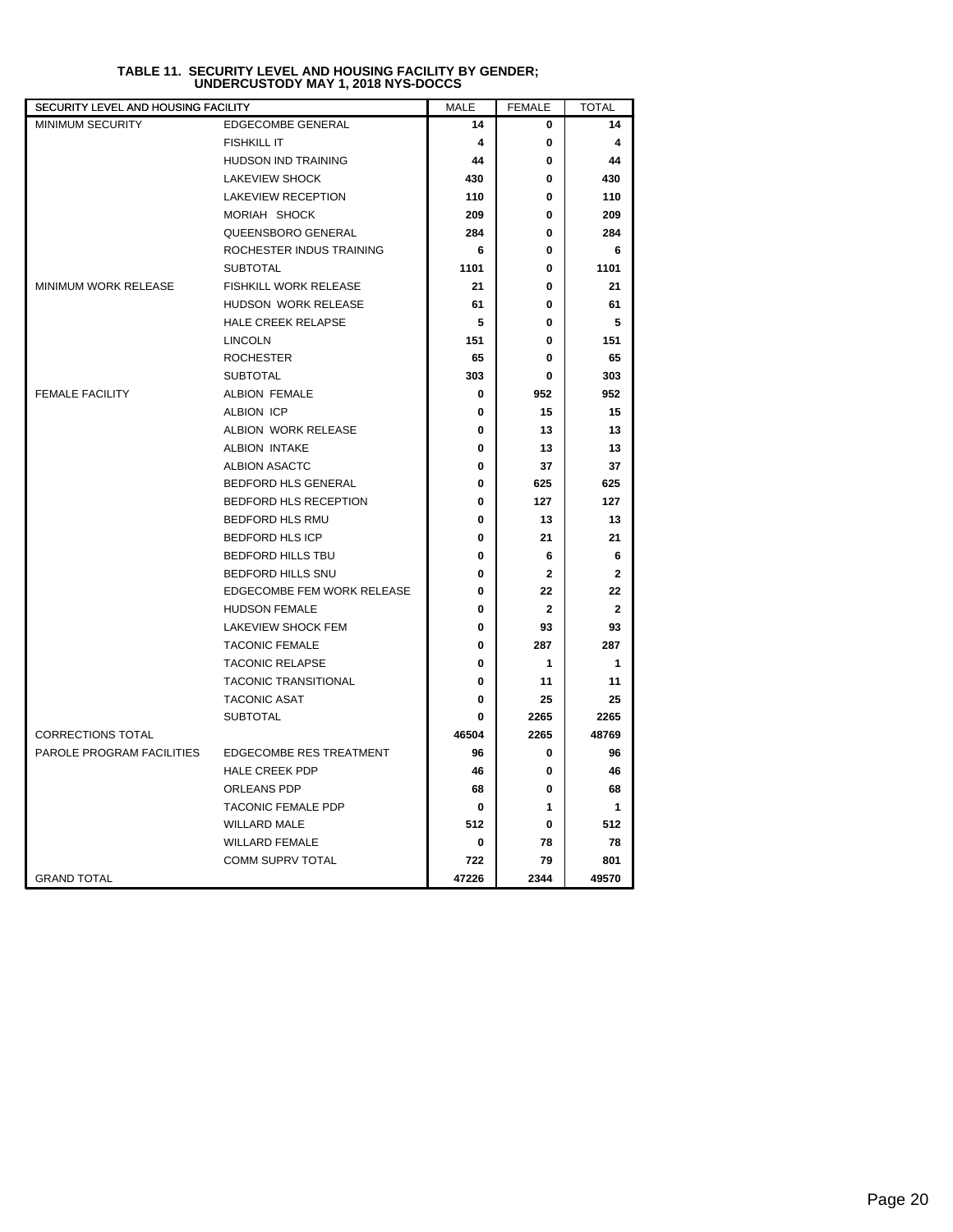| SECURITY LEVEL AND HOUSING FACILITY |                                |       | <b>FEMALE</b>  | <b>TOTAL</b>   |
|-------------------------------------|--------------------------------|-------|----------------|----------------|
| <b>MINIMUM SECURITY</b>             | <b>EDGECOMBE GENERAL</b>       | 14    | 0              | 14             |
|                                     | <b>FISHKILL IT</b>             | 4     | 0              | 4              |
|                                     | <b>HUDSON IND TRAINING</b>     | 44    | 0              | 44             |
|                                     | <b>LAKEVIEW SHOCK</b>          | 430   | 0              | 430            |
|                                     | <b>LAKEVIEW RECEPTION</b>      | 110   | 0              | 110            |
|                                     | MORIAH SHOCK                   | 209   | 0              | 209            |
|                                     | QUEENSBORO GENERAL             | 284   | 0              | 284            |
|                                     | ROCHESTER INDUS TRAINING       | 6     | 0              | 6              |
|                                     | <b>SUBTOTAL</b>                | 1101  | 0              | 1101           |
| <b>MINIMUM WORK RELEASE</b>         | <b>FISHKILL WORK RELEASE</b>   | 21    | 0              | 21             |
|                                     | HUDSON WORK RELEASE            | 61    | 0              | 61             |
|                                     | HALE CREEK RELAPSE             | 5     | 0              | 5              |
|                                     | <b>LINCOLN</b>                 | 151   | 0              | 151            |
|                                     | <b>ROCHESTER</b>               | 65    | 0              | 65             |
|                                     | <b>SUBTOTAL</b>                | 303   | 0              | 303            |
| <b>FEMALE FACILITY</b>              | <b>ALBION FEMALE</b>           | 0     | 952            | 952            |
|                                     | ALBION ICP                     | 0     | 15             | 15             |
|                                     | ALBION WORK RELEASE            | 0     | 13             | 13             |
|                                     | ALBION INTAKE                  | 0     | 13             | 13             |
|                                     | ALBION ASACTC                  | 0     | 37             | 37             |
|                                     | <b>BEDFORD HLS GENERAL</b>     | 0     | 625            | 625            |
|                                     | <b>BEDFORD HLS RECEPTION</b>   | 0     | 127            | 127            |
|                                     | <b>BEDFORD HLS RMU</b>         | 0     | 13             | 13             |
|                                     | <b>BEDFORD HLS ICP</b>         | 0     | 21             | 21             |
|                                     | <b>BEDFORD HILLS TBU</b>       | 0     | 6              | 6              |
|                                     | <b>BEDFORD HILLS SNU</b>       | 0     | $\mathbf{2}$   | $\mathbf{2}$   |
|                                     | EDGECOMBE FEM WORK RELEASE     | 0     | 22             | 22             |
|                                     | <b>HUDSON FEMALE</b>           | 0     | $\overline{2}$ | $\overline{2}$ |
|                                     | LAKEVIEW SHOCK FEM             | 0     | 93             | 93             |
|                                     | <b>TACONIC FEMALE</b>          | 0     | 287            | 287            |
|                                     | <b>TACONIC RELAPSE</b>         | 0     | 1              | $\mathbf 1$    |
|                                     | <b>TACONIC TRANSITIONAL</b>    | 0     | 11             | 11             |
|                                     | <b>TACONIC ASAT</b>            | 0     | 25             | 25             |
|                                     | <b>SUBTOTAL</b>                | 0     | 2265           | 2265           |
| <b>CORRECTIONS TOTAL</b>            |                                | 46504 | 2265           | 48769          |
| PAROLE PROGRAM FACILITIES           | <b>EDGECOMBE RES TREATMENT</b> | 96    | 0              | 96             |
|                                     | <b>HALE CREEK PDP</b>          | 46    | 0              | 46             |
|                                     | ORLEANS PDP                    | 68    | 0              | 68             |
|                                     | TACONIC FEMALE PDP             | 0     | 1              | 1              |
|                                     | <b>WILLARD MALE</b>            | 512   | 0              | 512            |
|                                     | <b>WILLARD FEMALE</b>          | 0     | 78             | 78             |
|                                     | COMM SUPRV TOTAL               | 722   | 79             | 801            |
| <b>GRAND TOTAL</b>                  |                                | 47226 | 2344           | 49570          |

## **TABLE 11. SECURITY LEVEL AND HOUSING FACILITY BY GENDER; UNDERCUSTODY MAY 1, 2018 NYS-DOCCS**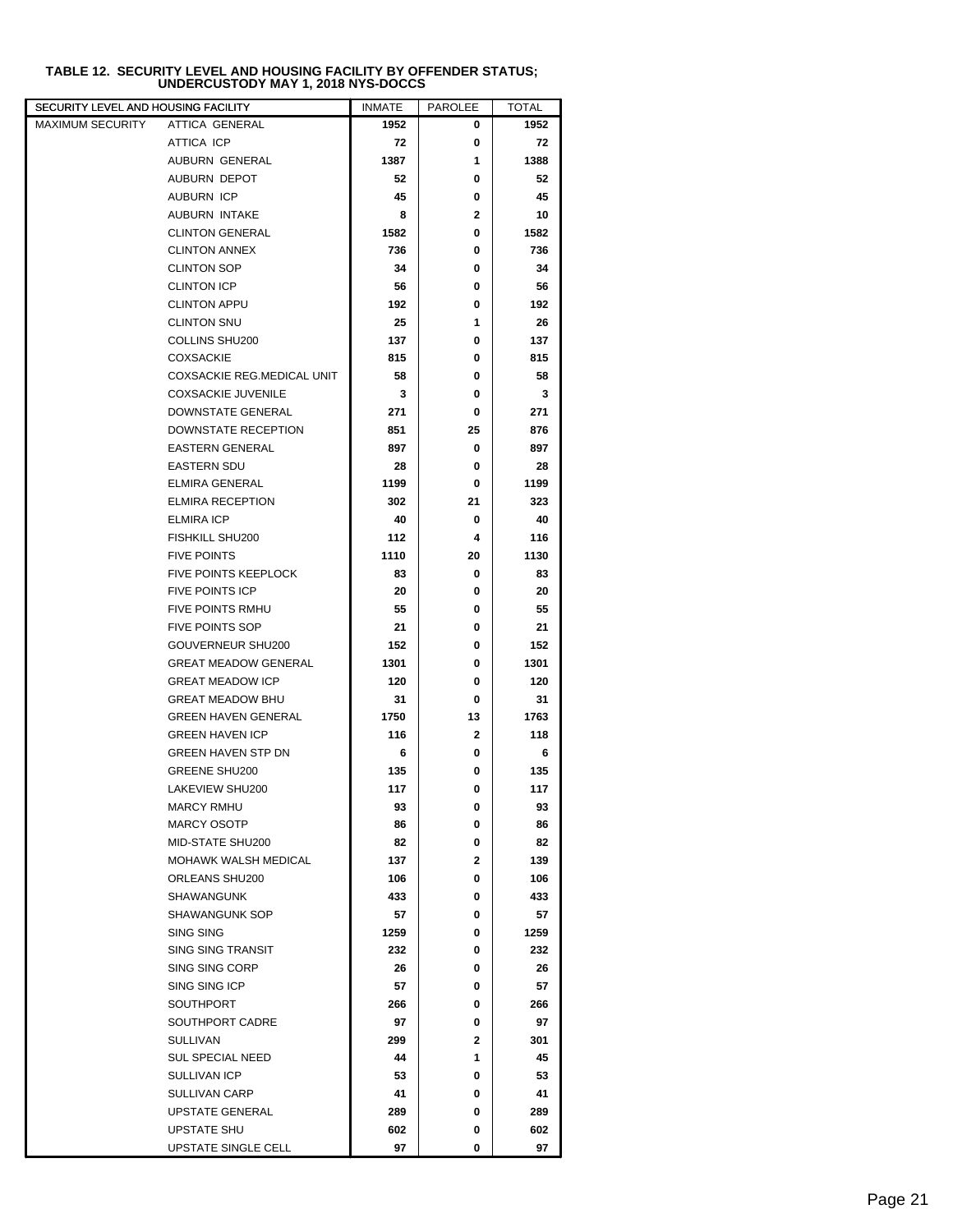| SECURITY LEVEL AND HOUSING FACILITY |                             | <b>INMATE</b> | PAROLEE      | TOTAL |  |
|-------------------------------------|-----------------------------|---------------|--------------|-------|--|
| MAXIMUM SECURITY                    | ATTICA GENERAL              | 1952          | 0            | 1952  |  |
|                                     | ATTICA ICP                  | 72            | 0            | 72    |  |
|                                     | AUBURN GENERAL              | 1387          | 1            | 1388  |  |
|                                     | AUBURN DEPOT                | 52            | 0            | 52    |  |
|                                     | <b>AUBURN ICP</b>           | 45            | 0            | 45    |  |
|                                     | <b>AUBURN INTAKE</b>        | 8             | 2            | 10    |  |
|                                     | <b>CLINTON GENERAL</b>      | 1582          | 0            | 1582  |  |
|                                     | <b>CLINTON ANNEX</b>        | 736           | 0            | 736   |  |
|                                     | <b>CLINTON SOP</b>          | 34            | 0            | 34    |  |
|                                     | <b>CLINTON ICP</b>          | 56            | 0            | 56    |  |
|                                     | <b>CLINTON APPU</b>         | 192           | 0            | 192   |  |
|                                     | <b>CLINTON SNU</b>          | 25            | 1            | 26    |  |
|                                     | COLLINS SHU200              | 137           | 0            | 137   |  |
|                                     | <b>COXSACKIE</b>            | 815           | 0            | 815   |  |
|                                     | COXSACKIE REG.MEDICAL UNIT  | 58            | 0            | 58    |  |
|                                     | <b>COXSACKIE JUVENILE</b>   | 3             | 0            | 3     |  |
|                                     | DOWNSTATE GENERAL           | 271           | 0            | 271   |  |
|                                     | DOWNSTATE RECEPTION         | 851           | 25           | 876   |  |
|                                     | <b>EASTERN GENERAL</b>      | 897           | 0            | 897   |  |
|                                     | <b>EASTERN SDU</b>          | 28            | 0            | 28    |  |
|                                     | <b>ELMIRA GENERAL</b>       | 1199          | 0            | 1199  |  |
|                                     | <b>ELMIRA RECEPTION</b>     | 302           | 21           | 323   |  |
|                                     | <b>ELMIRA ICP</b>           | 40            | 0            | 40    |  |
|                                     | <b>FISHKILL SHU200</b>      | 112           | 4            | 116   |  |
|                                     | <b>FIVE POINTS</b>          | 1110          | 20           | 1130  |  |
|                                     | <b>FIVE POINTS KEEPLOCK</b> | 83            | 0            | 83    |  |
|                                     | <b>FIVE POINTS ICP</b>      | 20            | 0            | 20    |  |
|                                     | <b>FIVE POINTS RMHU</b>     | 55            | 0            | 55    |  |
|                                     | <b>FIVE POINTS SOP</b>      | 21            | 0            | 21    |  |
|                                     | GOUVERNEUR SHU200           | 152           | 0            | 152   |  |
|                                     | <b>GREAT MEADOW GENERAL</b> | 1301          | 0            | 1301  |  |
|                                     | <b>GREAT MEADOW ICP</b>     | 120           | 0            | 120   |  |
|                                     | <b>GREAT MEADOW BHU</b>     | 31            | 0            | 31    |  |
|                                     | <b>GREEN HAVEN GENERAL</b>  | 1750          | 13           | 1763  |  |
|                                     | <b>GREEN HAVEN ICP</b>      | 116           | 2            | 118   |  |
|                                     | <b>GREEN HAVEN STP DN</b>   | 6             | 0            | 6     |  |
|                                     | <b>GREENE SHU200</b>        | 135           | 0            | 135   |  |
|                                     | LAKEVIEW SHU200             | 117           | 0            | 117   |  |
|                                     | <b>MARCY RMHU</b>           | 93            | 0            | 93    |  |
|                                     | <b>MARCY OSOTP</b>          | 86            | 0            | 86    |  |
|                                     | MID-STATE SHU200            | 82            | 0            | 82    |  |
|                                     | MOHAWK WALSH MEDICAL        | 137           | $\mathbf{2}$ | 139   |  |
|                                     | ORLEANS SHU200              | 106           | 0            | 106   |  |
|                                     | <b>SHAWANGUNK</b>           | 433           | 0            | 433   |  |
|                                     | <b>SHAWANGUNK SOP</b>       | 57            | 0            | 57    |  |
|                                     | SING SING                   | 1259          | 0            | 1259  |  |
|                                     | <b>SING SING TRANSIT</b>    | 232           | 0            | 232   |  |
|                                     | <b>SING SING CORP</b>       | 26            | 0            | 26    |  |
|                                     | SING SING ICP               | 57            | 0            | 57    |  |
|                                     | <b>SOUTHPORT</b>            | 266           | 0            | 266   |  |
|                                     | SOUTHPORT CADRE             | 97            | 0            | 97    |  |
|                                     | <b>SULLIVAN</b>             | 299           | 2            | 301   |  |
|                                     | <b>SUL SPECIAL NEED</b>     | 44            | 1            | 45    |  |
|                                     | <b>SULLIVAN ICP</b>         | 53            | 0            | 53    |  |
|                                     | SULLIVAN CARP               | 41            | 0            | 41    |  |
|                                     | <b>UPSTATE GENERAL</b>      | 289           | 0            | 289   |  |
|                                     | <b>UPSTATE SHU</b>          | 602           | 0            | 602   |  |
|                                     | UPSTATE SINGLE CELL         | 97            | 0            | 97    |  |

# **TABLE 12. SECURITY LEVEL AND HOUSING FACILITY BY OFFENDER STATUS; UNDERCUSTODY MAY 1, 2018 NYS-DOCCS**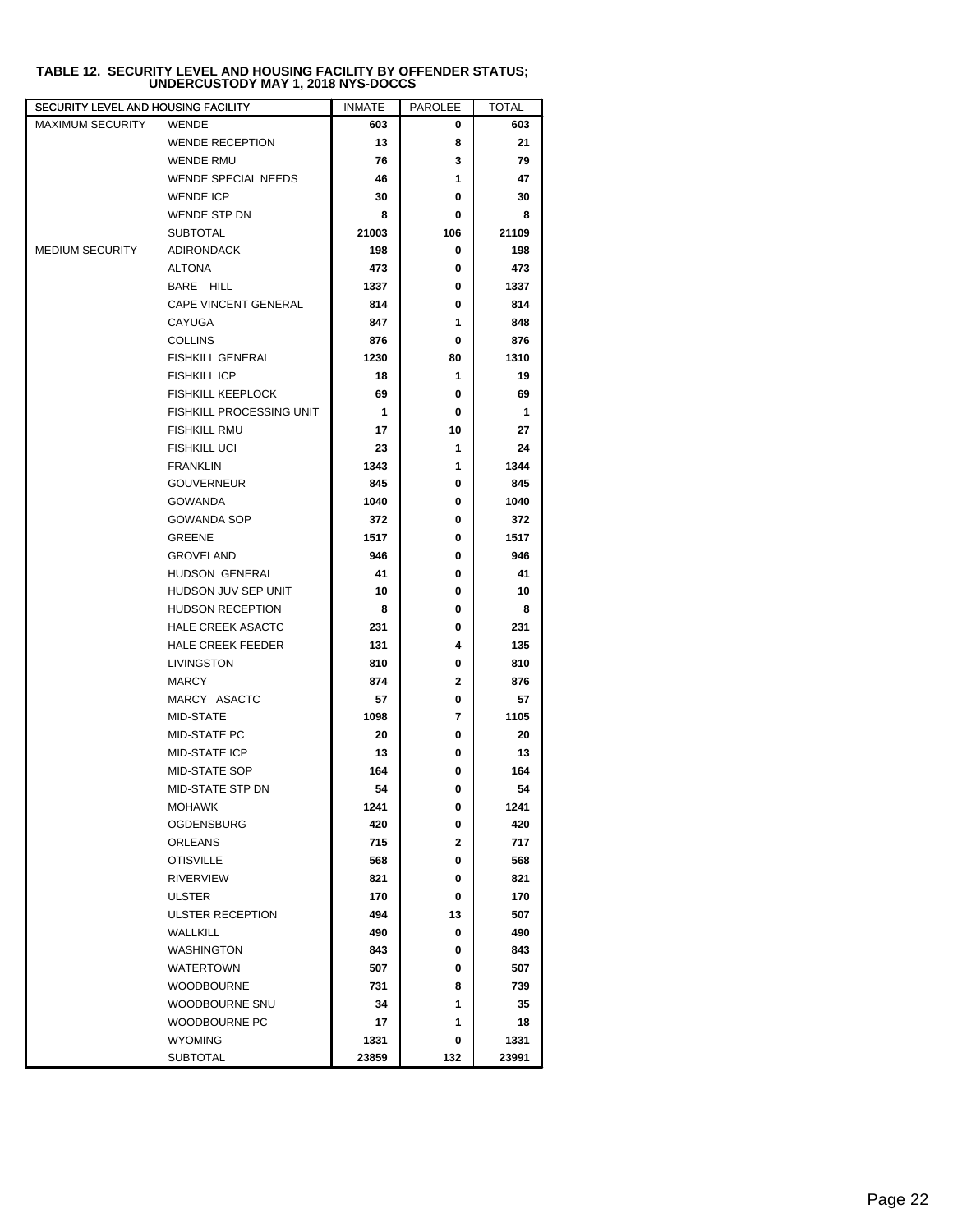| SECURITY LEVEL AND HOUSING FACILITY |                            | <b>INMATE</b> | <b>PAROLEE</b> | <b>TOTAL</b> |
|-------------------------------------|----------------------------|---------------|----------------|--------------|
| <b>MAXIMUM SECURITY</b>             | <b>WENDE</b>               | 603           | 0              | 603          |
|                                     | <b>WENDE RECEPTION</b>     | 13            | 8              | 21           |
|                                     | <b>WENDE RMU</b>           | 76            | 3              | 79           |
|                                     | <b>WENDE SPECIAL NEEDS</b> | 46            | 1              | 47           |
|                                     | <b>WENDE ICP</b>           | 30            | 0              | 30           |
|                                     | WENDE STP DN               | 8             | 0              | 8            |
|                                     | <b>SUBTOTAL</b>            | 21003         | 106            | 21109        |
| <b>MEDIUM SECURITY</b>              | <b>ADIRONDACK</b>          | 198           | 0              | 198          |
|                                     | <b>ALTONA</b>              | 473           | 0              | 473          |
|                                     | BARE HILL                  | 1337          | 0              | 1337         |
|                                     | CAPE VINCENT GENERAL       | 814           | 0              | 814          |
|                                     | CAYUGA                     | 847           | 1              | 848          |
|                                     | <b>COLLINS</b>             | 876           | 0              | 876          |
|                                     | <b>FISHKILL GENERAL</b>    | 1230          | 80             | 1310         |
|                                     | <b>FISHKILL ICP</b>        | 18            | 1              | 19           |
|                                     | <b>FISHKILL KEEPLOCK</b>   | 69            | 0              | 69           |
|                                     | FISHKILL PROCESSING UNIT   | 1             | 0              | 1            |
|                                     | <b>FISHKILL RMU</b>        | 17            | 10             | 27           |
|                                     | <b>FISHKILL UCI</b>        | 23            | 1              | 24           |
|                                     | <b>FRANKLIN</b>            | 1343          | 1              | 1344         |
|                                     | <b>GOUVERNEUR</b>          | 845           | 0              | 845          |
|                                     | <b>GOWANDA</b>             | 1040          | 0              | 1040         |
|                                     | <b>GOWANDA SOP</b>         | 372           | 0              | 372          |
|                                     | <b>GREENE</b>              | 1517          | 0              | 1517         |
|                                     | <b>GROVELAND</b>           | 946           | 0              | 946          |
|                                     | HUDSON GENERAL             | 41            | 0              | 41           |
|                                     | HUDSON JUV SEP UNIT        | 10            | 0              | 10           |
|                                     | <b>HUDSON RECEPTION</b>    | 8             | 0              | 8            |
|                                     | <b>HALE CREEK ASACTC</b>   | 231           | 0              | 231          |
|                                     | HALE CREEK FEEDER          | 131           | 4              | 135          |
|                                     | LIVINGSTON                 | 810           | 0              | 810          |
|                                     | <b>MARCY</b>               | 874           | 2              | 876          |
|                                     | MARCY ASACTC               | 57            | 0              | 57           |
|                                     | MID-STATE                  | 1098          | 7              | 1105         |
|                                     | MID-STATE PC               | 20            | 0              | 20           |
|                                     | MID-STATE ICP              | 13            | 0              | 13           |
|                                     | MID-STATE SOP              | 164           | 0              | 164          |
|                                     | MID-STATE STP DN           | 54            | 0              | 54           |
|                                     | <b>MOHAWK</b>              | 1241          | 0              | 1241         |
|                                     | <b>OGDENSBURG</b>          | 420           | 0              | 420          |
|                                     | <b>ORLEANS</b>             | 715           | $\mathbf{2}$   | 717          |
|                                     | <b>OTISVILLE</b>           | 568           | 0              | 568          |
|                                     | <b>RIVERVIEW</b>           | 821           | 0              | 821          |
|                                     | ULSTER                     | 170           | 0              | 170          |
|                                     | ULSTER RECEPTION           | 494           | 13             | 507          |
|                                     | <b>WALLKILL</b>            | 490           | 0              | 490          |
|                                     | <b>WASHINGTON</b>          | 843           | 0              | 843          |
|                                     | <b>WATERTOWN</b>           | 507           | 0              | 507          |
|                                     | <b>WOODBOURNE</b>          | 731           | 8              | 739          |
|                                     | WOODBOURNE SNU             | 34            | 1              | 35           |
|                                     | WOODBOURNE PC              | 17            | 1              | 18           |
|                                     | <b>WYOMING</b>             | 1331          | 0              | 1331         |
|                                     | <b>SUBTOTAL</b>            | 23859         | 132            | 23991        |

### **TABLE 12. SECURITY LEVEL AND HOUSING FACILITY BY OFFENDER STATUS; UNDERCUSTODY MAY 1, 2018 NYS-DOCCS**